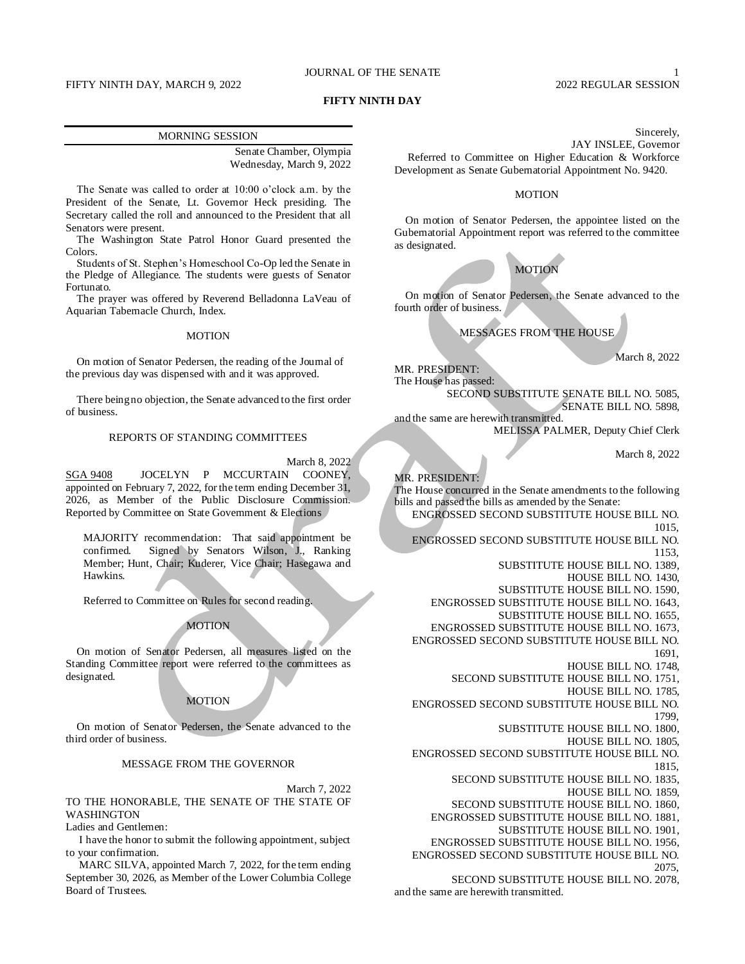### JOURNAL OF THE SENATE 1

### FIFTY NINTH DAY, MARCH 9, 2022 2022 REGULAR SESSION

### **FIFTY NINTH DAY**

#### MORNING SESSION

Senate Chamber, Olympia Wednesday, March 9, 2022

The Senate was called to order at 10:00 o'clock a.m. by the President of the Senate, Lt. Governor Heck presiding. The Secretary called the roll and announced to the President that all Senators were present.

The Washington State Patrol Honor Guard presented the Colors.

Students of St. Stephen's Homeschool Co-Op led the Senate in the Pledge of Allegiance. The students were guests of Senator Fortunato.

The prayer was offered by Reverend Belladonna LaVeau of Aquarian Tabernacle Church, Index.

### MOTION

On motion of Senator Pedersen, the reading of the Journal of the previous day was dispensed with and it was approved.

There being no objection, the Senate advanced to the first order of business.

#### REPORTS OF STANDING COMMITTEES

March 8, 2022

SGA 9408 JOCELYN P MCCURTAIN COONEY, appointed on February 7, 2022, for the term ending December 31, 2026, as Member of the Public Disclosure Commission. Reported by Committee on State Government & Elections

MAJORITY recommendation: That said appointment be confirmed. Signed by Senators Wilson, J., Ranking Member; Hunt, Chair; Kuderer, Vice Chair; Hasegawa and Hawkins.

Referred to Committee on Rules for second reading.

### MOTION

On motion of Senator Pedersen, all measures listed on the Standing Committee report were referred to the committees as designated.

### **MOTION**

On motion of Senator Pedersen, the Senate advanced to the third order of business.

MESSAGE FROM THE GOVERNOR

March 7, 2022 TO THE HONORABLE, THE SENATE OF THE STATE OF WASHINGTON

Ladies and Gentlemen:

I have the honor to submit the following appointment, subject to your confirmation.

MARC SILVA, appointed March 7, 2022, for the term ending September 30, 2026, as Member of the Lower Columbia College Board of Trustees.

Sincerely, JAY INSLEE, Governor Referred to Committee on Higher Education & Workforce Development as Senate Gubernatorial Appointment No. 9420.

### MOTION

On motion of Senator Pedersen, the appointee listed on the Gubernatorial Appointment report was referred to the committee as designated.

MOTION

On motion of Senator Pedersen, the Senate advanced to the fourth order of business.

MESSAGES FROM THE HOUSE

March 8, 2022

MR. PRESIDENT: The House has passed:

> SECOND SUBSTITUTE SENATE BILL NO. 5085, SENATE BILL NO. 5898,

and the same are herewith transmitted. MELISSA PALMER, Deputy Chief Clerk

March 8, 2022

#### MR. PRESIDENT:

The House concurred in the Senate amendments to the following bills and passed the bills as amended by the Senate:

ENGROSSED SECOND SUBSTITUTE HOUSE BILL NO. 1015,

ENGROSSED SECOND SUBSTITUTE HOUSE BILL NO.

- 1153, SUBSTITUTE HOUSE BILL NO. 1389,
	- HOUSE BILL NO. 1430,
- SUBSTITUTE HOUSE BILL NO. 1590,
- ENGROSSED SUBSTITUTE HOUSE BILL NO. 1643,
	- SUBSTITUTE HOUSE BILL NO. 1655,
- ENGROSSED SUBSTITUTE HOUSE BILL NO. 1673,
- ENGROSSED SECOND SUBSTITUTE HOUSE BILL NO.

1691,

- HOUSE BILL NO. 1748,
- SECOND SUBSTITUTE HOUSE BILL NO. 1751,
	- HOUSE BILL NO. 1785,
- ENGROSSED SECOND SUBSTITUTE HOUSE BILL NO. 1799,
	- SUBSTITUTE HOUSE BILL NO. 1800,
		- HOUSE BILL NO. 1805,
- ENGROSSED SECOND SUBSTITUTE HOUSE BILL NO. 1815,
	- SECOND SUBSTITUTE HOUSE BILL NO. 1835,
		- HOUSE BILL NO. 1859,
	- SECOND SUBSTITUTE HOUSE BILL NO. 1860,
	- ENGROSSED SUBSTITUTE HOUSE BILL NO. 1881,
		- SUBSTITUTE HOUSE BILL NO. 1901,
- ENGROSSED SUBSTITUTE HOUSE BILL NO. 1956, ENGROSSED SECOND SUBSTITUTE HOUSE BILL NO.
	- 2075,

SECOND SUBSTITUTE HOUSE BILL NO. 2078, and the same are herewith transmitted.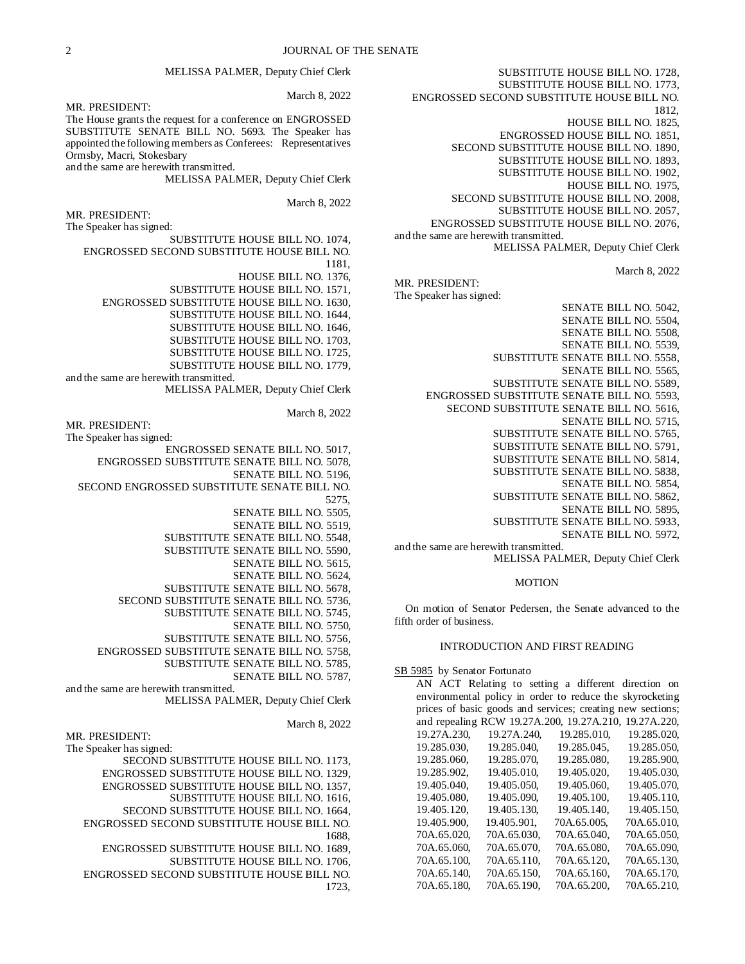MELISSA PALMER, Deputy Chief Clerk

MR. PRESIDENT:

The House grants the request for a conference on ENGROSSED SUBSTITUTE SENATE BILL NO. 5693. The Speaker has appointed the following members as Conferees: Representatives Ormsby, Macri, Stokesbary and the same are herewith transmitted.

MELISSA PALMER, Deputy Chief Clerk

March 8, 2022

MR. PRESIDENT:

The Speaker has signed:

SUBSTITUTE HOUSE BILL NO. 1074, ENGROSSED SECOND SUBSTITUTE HOUSE BILL NO. 1181,

HOUSE BILL NO. 1376,

SUBSTITUTE HOUSE BILL NO. 1571,

ENGROSSED SUBSTITUTE HOUSE BILL NO. 1630,

SUBSTITUTE HOUSE BILL NO. 1644,

SUBSTITUTE HOUSE BILL NO. 1646,

SUBSTITUTE HOUSE BILL NO. 1703,

SUBSTITUTE HOUSE BILL NO. 1725,

SUBSTITUTE HOUSE BILL NO. 1779,

and the same are herewith transmitted. MELISSA PALMER, Deputy Chief Clerk

March 8, 2022

MR. PRESIDENT:

The Speaker has signed:

ENGROSSED SENATE BILL NO. 5017,

ENGROSSED SUBSTITUTE SENATE BILL NO. 5078,

SENATE BILL NO. 5196,

SECOND ENGROSSED SUBSTITUTE SENATE BILL NO.

5275,

SENATE BILL NO. 5505,

SENATE BILL NO. 5519,

SUBSTITUTE SENATE BILL NO. 5548, SUBSTITUTE SENATE BILL NO. 5590,

SENATE BILL NO. 5615,

SENATE BILL NO. 5624,

SUBSTITUTE SENATE BILL NO. 5678,

SECOND SUBSTITUTE SENATE BILL NO. 5736,

SUBSTITUTE SENATE BILL NO. 5745,

SENATE BILL NO. 5750,

SUBSTITUTE SENATE BILL NO. 5756,

ENGROSSED SUBSTITUTE SENATE BILL NO. 5758,

SUBSTITUTE SENATE BILL NO. 5785,

SENATE BILL NO. 5787,

and the same are herewith transmitted. MELISSA PALMER, Deputy Chief Clerk

March 8, 2022

The Speaker has signed:

MR. PRESIDENT:

SECOND SUBSTITUTE HOUSE BILL NO. 1173,

ENGROSSED SUBSTITUTE HOUSE BILL NO. 1329, ENGROSSED SUBSTITUTE HOUSE BILL NO. 1357,

SUBSTITUTE HOUSE BILL NO. 1616,

SECOND SUBSTITUTE HOUSE BILL NO. 1664,

ENGROSSED SECOND SUBSTITUTE HOUSE BILL NO. 1688,

ENGROSSED SUBSTITUTE HOUSE BILL NO. 1689,

SUBSTITUTE HOUSE BILL NO. 1706,

ENGROSSED SECOND SUBSTITUTE HOUSE BILL NO. 1723,

SUBSTITUTE HOUSE BILL NO. 1728, SUBSTITUTE HOUSE BILL NO. 1773, ENGROSSED SECOND SUBSTITUTE HOUSE BILL NO. 1812, HOUSE BILL NO. 1825, ENGROSSED HOUSE BILL NO. 1851, SECOND SUBSTITUTE HOUSE BILL NO. 1890, SUBSTITUTE HOUSE BILL NO. 1893, SUBSTITUTE HOUSE BILL NO. 1902, HOUSE BILL NO. 1975, SECOND SUBSTITUTE HOUSE BILL NO. 2008, SUBSTITUTE HOUSE BILL NO. 2057, ENGROSSED SUBSTITUTE HOUSE BILL NO. 2076, and the same are herewith transmitted. MELISSA PALMER, Deputy Chief Clerk

March 8, 2022

MR. PRESIDENT: The Speaker has signed:

SENATE BILL NO. 5042, SENATE BILL NO. 5504, SENATE BILL NO. 5508, SENATE BILL NO. 5539, SUBSTITUTE SENATE BILL NO. 5558, SENATE BILL NO. 5565, SUBSTITUTE SENATE BILL NO. 5589, ENGROSSED SUBSTITUTE SENATE BILL NO. 5593, SECOND SUBSTITUTE SENATE BILL NO. 5616, SENATE BILL NO. 5715, SUBSTITUTE SENATE BILL NO. 5765, SUBSTITUTE SENATE BILL NO. 5791, SUBSTITUTE SENATE BILL NO. 5814, SUBSTITUTE SENATE BILL NO. 5838, SENATE BILL NO. 5854, SUBSTITUTE SENATE BILL NO. 5862, SENATE BILL NO. 5895, SUBSTITUTE SENATE BILL NO. 5933,

SENATE BILL NO. 5972,

and the same are herewith transmitted. MELISSA PALMER, Deputy Chief Clerk

#### MOTION

On motion of Senator Pedersen, the Senate advanced to the fifth order of business.

### INTRODUCTION AND FIRST READING

SB 5985 by Senator Fortunato

AN ACT Relating to setting a different direction on environmental policy in order to reduce the skyrocketing prices of basic goods and services; creating new sections; and repealing RCW 19.27A.200, 19.27A.210, 19.27A.220, 19.27A.230, 19.27A.240, 19.285.010, 19.285.020, 19.285.030, 19.285.040, 19.285.045, 19.285.050, 19.285.060, 19.285.070, 19.285.080, 19.285.900, 19.285.902, 19.405.010, 19.405.020, 19.405.030, 19.405.040, 19.405.050, 19.405.060, 19.405.070, 19.405.080, 19.405.090, 19.405.100, 19.405.110, 19.405.080, 19.405.090, 19.405.100, 19.405.110, 19.405.120, 19.405.130, 19.405.140, 19.405.150, 19.405.900, 19.405.901, 70A.65.005, 70A.65.010, 70A.65.020, 70A.65.030, 70A.65.040, 70A.65.050, 70A.65.060, 70A.65.070, 70A.65.080, 70A.65.090, 70A.65.100, 70A.65.110, 70A.65.120, 70A.65.130, 70A.65.140, 70A.65.150, 70A.65.160, 70A.65.170, 70A.65.180, 70A.65.190, 70A.65.200, 70A.65.210,

# March 8, 2022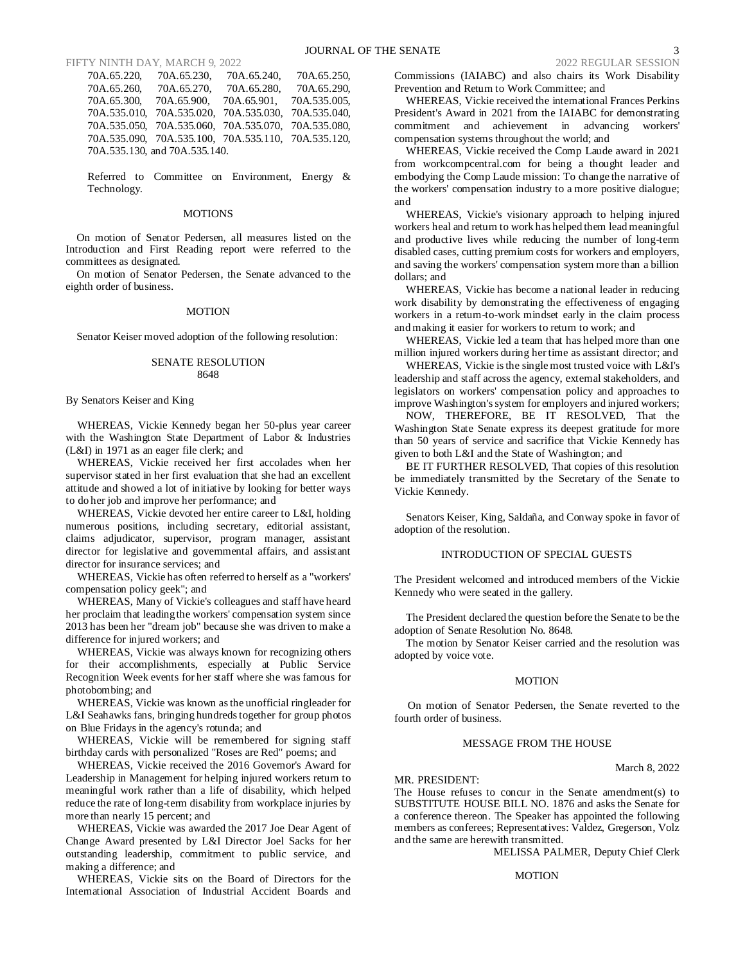#### FIFTY NINTH DAY, MARCH 9, 2022 2022 PEGULAR SESSION

70A.65.220, 70A.65.230, 70A.65.240, 70A.65.250, 70A.65.260, 70A.65.270, 70A.65.280, 70A.65.290, 70A.65.900, 70A.65.901, 70A.535.010, 70A.535.020, 70A.535.030, 70A.535.040, 70A.535.050, 70A.535.060, 70A.535.070, 70A.535.080, 70A.535.090, 70A.535.100, 70A.535.110, 70A.535.120, 70A.535.130, and 70A.535.140.

Referred to Committee on Environment, Energy & Technology.

#### **MOTIONS**

On motion of Senator Pedersen, all measures listed on the Introduction and First Reading report were referred to the committees as designated.

On motion of Senator Pedersen, the Senate advanced to the eighth order of business.

#### MOTION

Senator Keiser moved adoption of the following resolution:

### SENATE RESOLUTION 8648

#### By Senators Keiser and King

WHEREAS, Vickie Kennedy began her 50-plus year career with the Washington State Department of Labor & Industries (L&I) in 1971 as an eager file clerk; and

WHEREAS, Vickie received her first accolades when her supervisor stated in her first evaluation that she had an excellent attitude and showed a lot of initiative by looking for better ways to do her job and improve her performance; and

WHEREAS, Vickie devoted her entire career to L&I, holding numerous positions, including secretary, editorial assistant, claims adjudicator, supervisor, program manager, assistant director for legislative and governmental affairs, and assistant director for insurance services; and

WHEREAS, Vickie has often referred to herself as a "workers' compensation policy geek"; and

WHEREAS, Many of Vickie's colleagues and staff have heard her proclaim that leading the workers' compensation system since 2013 has been her "dream job" because she was driven to make a difference for injured workers; and

WHEREAS, Vickie was always known for recognizing others for their accomplishments, especially at Public Service Recognition Week events for her staff where she was famous for photobombing; and

WHEREAS, Vickie was known as the unofficial ringleader for L&I Seahawks fans, bringing hundreds together for group photos on Blue Fridays in the agency's rotunda; and

WHEREAS, Vickie will be remembered for signing staff birthday cards with personalized "Roses are Red" poems; and

WHEREAS, Vickie received the 2016 Governor's Award for Leadership in Management for helping injured workers return to meaningful work rather than a life of disability, which helped reduce the rate of long-term disability from workplace injuries by more than nearly 15 percent; and

WHEREAS, Vickie was awarded the 2017 Joe Dear Agent of Change Award presented by L&I Director Joel Sacks for her outstanding leadership, commitment to public service, and making a difference; and

WHEREAS, Vickie sits on the Board of Directors for the International Association of Industrial Accident Boards and Commissions (IAIABC) and also chairs its Work Disability Prevention and Return to Work Committee; and

WHEREAS, Vickie received the international Frances Perkins President's Award in 2021 from the IAIABC for demonstrating commitment and achievement in advancing workers' compensation systems throughout the world; and

WHEREAS, Vickie received the Comp Laude award in 2021 from workcompcentral.com for being a thought leader and embodying the Comp Laude mission: To change the narrative of the workers' compensation industry to a more positive dialogue; and

WHEREAS, Vickie's visionary approach to helping injured workers heal and return to work has helped them lead meaningful and productive lives while reducing the number of long-term disabled cases, cutting premium costs for workers and employers, and saving the workers' compensation system more than a billion dollars; and

WHEREAS, Vickie has become a national leader in reducing work disability by demonstrating the effectiveness of engaging workers in a return-to-work mindset early in the claim process and making it easier for workers to return to work; and

WHEREAS, Vickie led a team that has helped more than one million injured workers during her time as assistant director; and

WHEREAS, Vickie is the single most trusted voice with L&I's leadership and staff across the agency, external stakeholders, and legislators on workers' compensation policy and approaches to improve Washington's system for employers and injured workers;

NOW, THEREFORE, BE IT RESOLVED, That the Washington State Senate express its deepest gratitude for more than 50 years of service and sacrifice that Vickie Kennedy has given to both L&I and the State of Washington; and

BE IT FURTHER RESOLVED, That copies of this resolution be immediately transmitted by the Secretary of the Senate to Vickie Kennedy.

Senators Keiser, King, Saldaña, and Conway spoke in favor of adoption of the resolution.

#### INTRODUCTION OF SPECIAL GUESTS

The President welcomed and introduced members of the Vickie Kennedy who were seated in the gallery.

The President declared the question before the Senate to be the adoption of Senate Resolution No. 8648.

The motion by Senator Keiser carried and the resolution was adopted by voice vote.

### **MOTION**

On motion of Senator Pedersen, the Senate reverted to the fourth order of business.

#### MESSAGE FROM THE HOUSE

March 8, 2022

MR. PRESIDENT: The House refuses to concur in the Senate amendment(s) to SUBSTITUTE HOUSE BILL NO. 1876 and asks the Senate for a conference thereon. The Speaker has appointed the following members as conferees; Representatives: Valdez, Gregerson, Volz and the same are herewith transmitted.

MELISSA PALMER, Deputy Chief Clerk

#### MOTION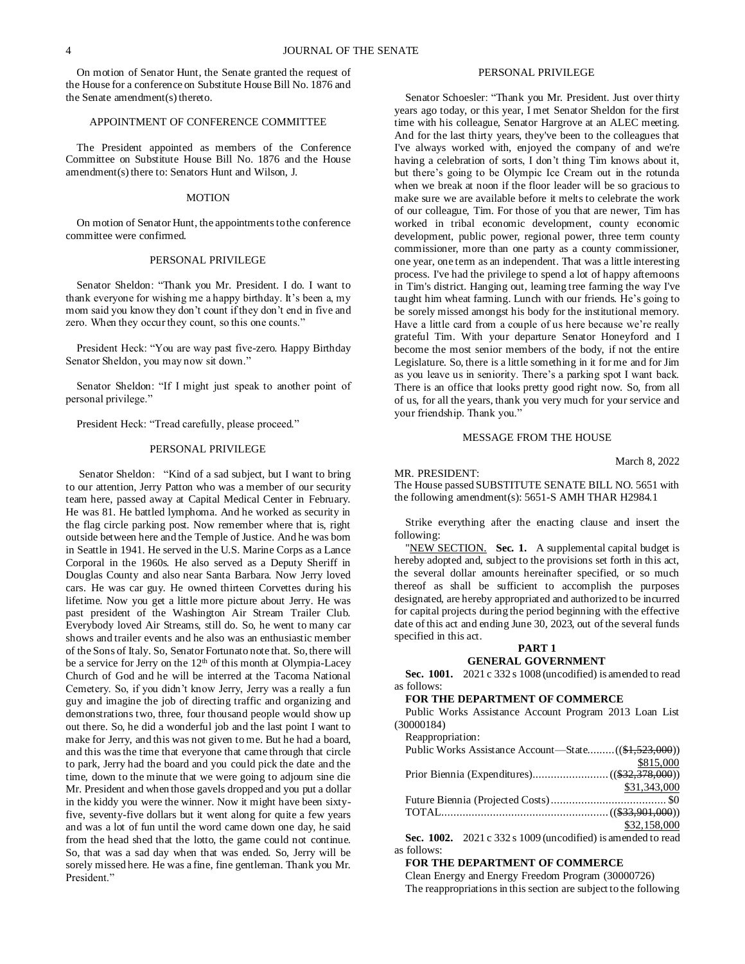On motion of Senator Hunt, the Senate granted the request of the House for a conference on Substitute House Bill No. 1876 and the Senate amendment(s) thereto.

### APPOINTMENT OF CONFERENCE COMMITTEE

The President appointed as members of the Conference Committee on Substitute House Bill No. 1876 and the House amendment(s) there to: Senators Hunt and Wilson, J.

#### **MOTION**

On motion of Senator Hunt, the appointments to the conference committee were confirmed.

#### PERSONAL PRIVILEGE

Senator Sheldon: "Thank you Mr. President. I do. I want to thank everyone for wishing me a happy birthday. It's been a, my mom said you know they don't count if they don't end in five and zero. When they occur they count, so this one counts."

President Heck: "You are way past five-zero. Happy Birthday Senator Sheldon, you may now sit down."

Senator Sheldon: "If I might just speak to another point of personal privilege."

President Heck: "Tread carefully, please proceed."

#### PERSONAL PRIVILEGE

Senator Sheldon: "Kind of a sad subject, but I want to bring to our attention, Jerry Patton who was a member of our security team here, passed away at Capital Medical Center in February. He was 81. He battled lymphoma. And he worked as security in the flag circle parking post. Now remember where that is, right outside between here and the Temple of Justice. And he was born in Seattle in 1941. He served in the U.S. Marine Corps as a Lance Corporal in the 1960s. He also served as a Deputy Sheriff in Douglas County and also near Santa Barbara. Now Jerry loved cars. He was car guy. He owned thirteen Corvettes during his lifetime. Now you get a little more picture about Jerry. He was past president of the Washington Air Stream Trailer Club. Everybody loved Air Streams, still do. So, he went to many car shows and trailer events and he also was an enthusiastic member of the Sons of Italy. So, Senator Fortunato note that. So, there will be a service for Jerry on the 12<sup>th</sup> of this month at Olympia-Lacey Church of God and he will be interred at the Tacoma National Cemetery. So, if you didn't know Jerry, Jerry was a really a fun guy and imagine the job of directing traffic and organizing and demonstrations two, three, four thousand people would show up out there. So, he did a wonderful job and the last point I want to make for Jerry, and this was not given to me. But he had a board, and this was the time that everyone that came through that circle to park, Jerry had the board and you could pick the date and the time, down to the minute that we were going to adjourn sine die Mr. President and when those gavels dropped and you put a dollar in the kiddy you were the winner. Now it might have been sixtyfive, seventy-five dollars but it went along for quite a few years and was a lot of fun until the word came down one day, he said from the head shed that the lotto, the game could not continue. So, that was a sad day when that was ended. So, Jerry will be sorely missed here. He was a fine, fine gentleman. Thank you Mr. President."

### PERSONAL PRIVILEGE

Senator Schoesler: "Thank you Mr. President. Just over thirty years ago today, or this year, I met Senator Sheldon for the first time with his colleague, Senator Hargrove at an ALEC meeting. And for the last thirty years, they've been to the colleagues that I've always worked with, enjoyed the company of and we're having a celebration of sorts, I don't thing Tim knows about it, but there's going to be Olympic Ice Cream out in the rotunda when we break at noon if the floor leader will be so gracious to make sure we are available before it melts to celebrate the work of our colleague, Tim. For those of you that are newer, Tim has worked in tribal economic development, county economic development, public power, regional power, three term county commissioner, more than one party as a county commissioner, one year, one term as an independent. That was a little interesting process. I've had the privilege to spend a lot of happy afternoons in Tim's district. Hanging out, learning tree farming the way I've taught him wheat farming. Lunch with our friends. He's going to be sorely missed amongst his body for the institutional memory. Have a little card from a couple of us here because we're really grateful Tim. With your departure Senator Honeyford and I become the most senior members of the body, if not the entire Legislature. So, there is a little something in it for me and for Jim as you leave us in seniority. There's a parking spot I want back. There is an office that looks pretty good right now. So, from all of us, for all the years, thank you very much for your service and your friendship. Thank you."

#### MESSAGE FROM THE HOUSE

March 8, 2022

MR. PRESIDENT:

The House passed SUBSTITUTE SENATE BILL NO. 5651 with the following amendment(s): 5651-S AMH THAR H2984.1

Strike everything after the enacting clause and insert the following:

"NEW SECTION. Sec. 1. A supplemental capital budget is hereby adopted and, subject to the provisions set forth in this act, the several dollar amounts hereinafter specified, or so much thereof as shall be sufficient to accomplish the purposes designated, are hereby appropriated and authorized to be incurred for capital projects during the period beginning with the effective date of this act and ending June 30, 2023, out of the several funds specified in this act.

### **PART 1**

### **GENERAL GOVERNMENT**

**Sec. 1001.** 2021 c 332 s 1008 (uncodified) is amended to read as follows:

### **FOR THE DEPARTMENT OF COMMERCE**

Public Works Assistance Account Program 2013 Loan List (30000184)

| Reappropriation: |              |
|------------------|--------------|
|                  |              |
|                  | \$815,000    |
|                  |              |
|                  | \$31,343,000 |
|                  |              |
|                  |              |
|                  | \$32,158,000 |

**Sec. 1002.** 2021 c 332 s 1009 (uncodified) is amended to read as follows:

### **FOR THE DEPARTMENT OF COMMERCE**

Clean Energy and Energy Freedom Program (30000726) The reappropriations in this section are subject to the following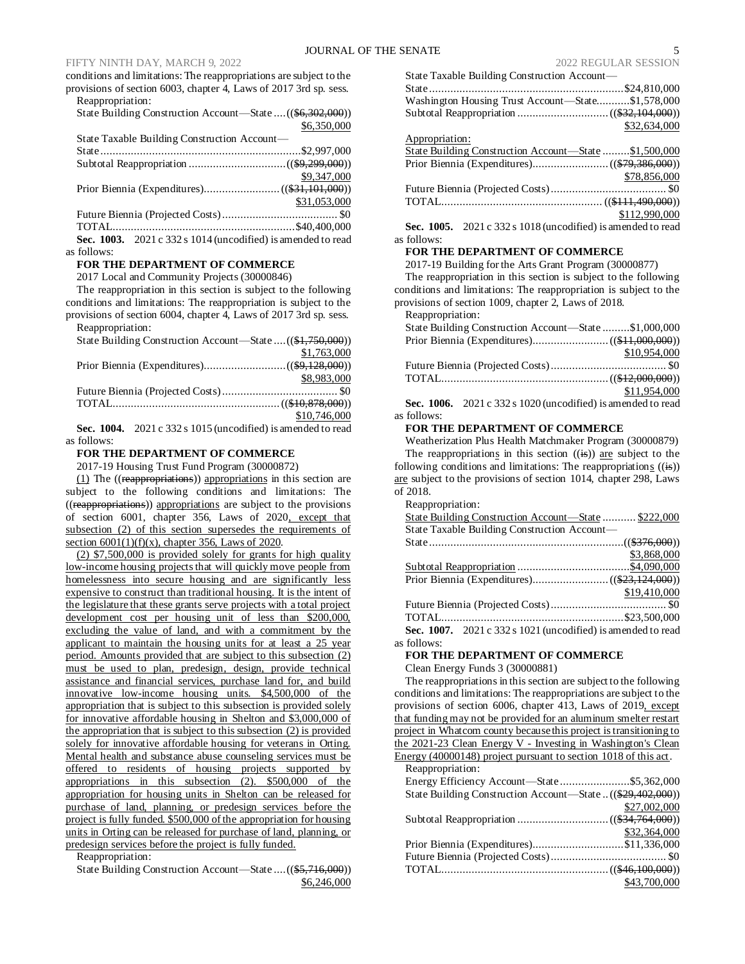### FIFTY NINTH DAY, MARCH 9, 2022 2022 REGULAR SESSION

conditions and limitations: The reappropriations are subject to the provisions of section 6003, chapter 4, Laws of 2017 3rd sp. sess. Reappropriation:

State Building Construction Account—State ....((\$6,302,000)) \$6,350,000

| State Taxable Building Construction Account—                             |  |
|--------------------------------------------------------------------------|--|
|                                                                          |  |
|                                                                          |  |
| \$9,347,000                                                              |  |
|                                                                          |  |
| \$31,053,000                                                             |  |
|                                                                          |  |
|                                                                          |  |
| $S_{0.0}$ $1003$ $2021.222.5$ $1014$ (un so dified) is among ded to read |  |

**Sec. 1003.** 2021 c 332 s 1014 (uncodified) is amended to read as follows:

### **FOR THE DEPARTMENT OF COMMERCE**

2017 Local and Community Projects (30000846)

The reappropriation in this section is subject to the following conditions and limitations: The reappropriation is subject to the provisions of section 6004, chapter 4, Laws of 2017 3rd sp. sess. Reappropriation:

| 1.00 <sub>p</sub>                                          |              |
|------------------------------------------------------------|--------------|
| State Building Construction Account—State  ((\$1,750,000)) |              |
|                                                            | \$1,763,000  |
|                                                            |              |
|                                                            | \$8,983,000  |
|                                                            |              |
|                                                            |              |
|                                                            | \$10,746,000 |
| $\alpha$ 4004 0004 000 1015/ 11/2 11/3 11/3 1              |              |

**Sec. 1004.** 2021 c 332 s 1015 (uncodified) is amended to read as follows:

### **FOR THE DEPARTMENT OF COMMERCE**

2017-19 Housing Trust Fund Program (30000872)

(1) The ((reappropriations)) appropriations in this section are subject to the following conditions and limitations: The ((reappropriations)) appropriations are subject to the provisions of section 6001, chapter 356, Laws of 2020, except that subsection (2) of this section supersedes the requirements of section  $6001(1)(f)(x)$ , chapter 356, Laws of 2020.

(2) \$7,500,000 is provided solely for grants for high quality low-income housing projects that will quickly move people from homelessness into secure housing and are significantly less expensive to construct than traditional housing. It is the intent of the legislature that these grants serve projects with a total project development cost per housing unit of less than \$200,000, excluding the value of land, and with a commitment by the applicant to maintain the housing units for at least a 25 year period. Amounts provided that are subject to this subsection (2) must be used to plan, predesign, design, provide technical assistance and financial services, purchase land for, and build innovative low-income housing units. \$4,500,000 of the appropriation that is subject to this subsection is provided solely for innovative affordable housing in Shelton and \$3,000,000 of the appropriation that is subject to this subsection (2) is provided solely for innovative affordable housing for veterans in Orting. Mental health and substance abuse counseling services must be offered to residents of housing projects supported by appropriations in this subsection (2). \$500,000 of the appropriation for housing units in Shelton can be released for purchase of land, planning, or predesign services before the project is fully funded. \$500,000 of the appropriation for housing units in Orting can be released for purchase of land, planning, or predesign services before the project is fully funded.

Reappropriation:

State Building Construction Account—State ....((\$5,716,000)) \$6,246,000

\$78,856,000 Future Biennia (Projected Costs)...................................... \$0 TOTAL..................................................... ((\$111,490,000)) \$112,990,000

**Sec. 1005.** 2021 c 332 s 1018 (uncodified) is amended to read as follows:

#### **FOR THE DEPARTMENT OF COMMERCE**

2017-19 Building for the Arts Grant Program (30000877)

The reappropriation in this section is subject to the following conditions and limitations: The reappropriation is subject to the provisions of section 1009, chapter 2, Laws of 2018.

Reappropriation:

| State Building Construction Account—State \$1,000,000            |              |
|------------------------------------------------------------------|--------------|
|                                                                  |              |
|                                                                  | \$10,954,000 |
|                                                                  |              |
|                                                                  |              |
|                                                                  | \$11,954,000 |
| Sec. $1006 - 2021c$ 332 s $1020$ (uncodified) is amended to read |              |

**Sec. 1006.** 2021 c 332 s 1020 (uncodified) is amended to read as follows:

#### **FOR THE DEPARTMENT OF COMMERCE**

Weatherization Plus Health Matchmaker Program (30000879) The reappropriations in this section  $((\mathbf{is}))$  are subject to the following conditions and limitations: The reappropriations  $((\mathbf{is}))$ are subject to the provisions of section 1014, chapter 298, Laws of 2018.

Reappropriation:

| State Building Construction Account—State  \$222,000           |              |
|----------------------------------------------------------------|--------------|
| State Taxable Building Construction Account—                   |              |
|                                                                |              |
|                                                                | \$3,868,000  |
|                                                                |              |
|                                                                |              |
|                                                                | \$19,410,000 |
|                                                                |              |
|                                                                |              |
| Sec. 1007. $2021 c 332 s 1021$ (uncodified) is amended to read |              |
| as follows:                                                    |              |

### **FOR THE DEPARTMENT OF COMMERCE**

Clean Energy Funds 3 (30000881)

The reappropriations in this section are subject to the following conditions and limitations: The reappropriations are subject to the provisions of section 6006, chapter 413, Laws of 2019, except that funding may not be provided for an aluminum smelter restart project in Whatcom county because this project is transitioning to the 2021-23 Clean Energy V - Investing in Washington's Clean Energy (40000148) project pursuant to section 1018 of this act.

Reappropriation: Energy Efficiency Account—State .......................\$5,362,000 State Building Construction Account—State ..((\$29,402,000)) \$27,002,000 Subtotal Reappropriation ..............................((\$34,764,000)) \$32,364,000 Prior Biennia (Expenditures)..............................\$11,336,000 Future Biennia (Projected Costs)...................................... \$0 TOTAL.......................................................((\$46,100,000)) \$43,700,000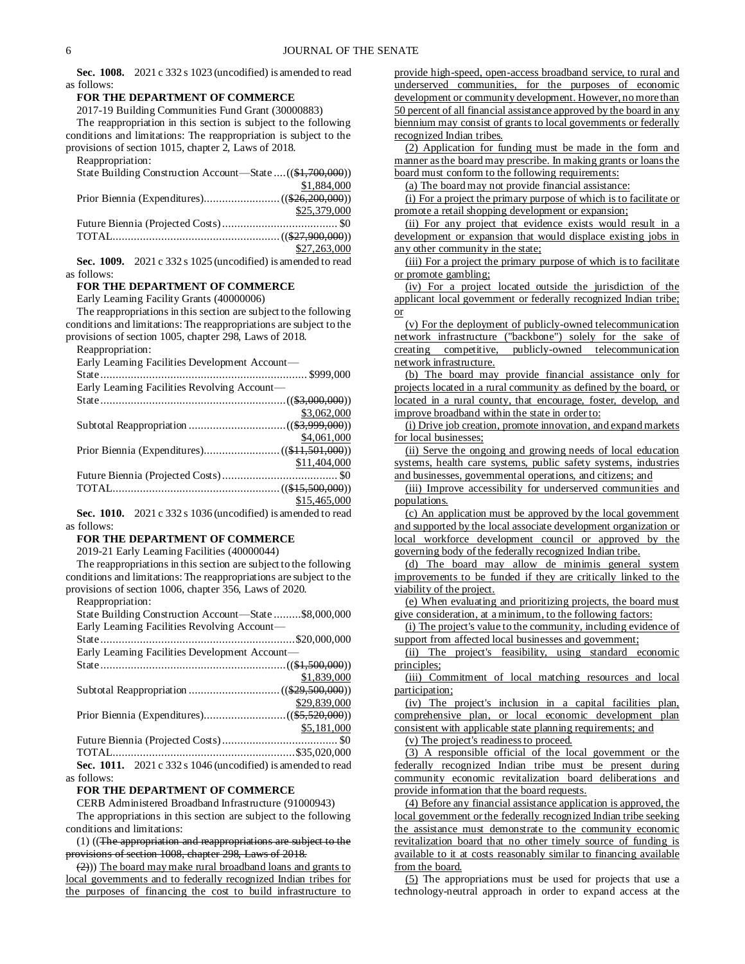**Sec. 1008.** 2021 c 332 s 1023 (uncodified) is amended to read as follows:

#### **FOR THE DEPARTMENT OF COMMERCE**

2017-19 Building Communities Fund Grant (30000883)

The reappropriation in this section is subject to the following conditions and limitations: The reappropriation is subject to the provisions of section 1015, chapter 2, Laws of 2018.

Reappropriation: State Building Construction Account—State ....((\$1,700,000)) \$1,884,000 Prior Biennia (Expenditures).........................((\$26,200,000)) \$25,379,000 Future Biennia (Projected Costs)...................................... \$0 TOTAL.......................................................((\$27,900,000)) \$27,263,000

**Sec. 1009.** 2021 c 332 s 1025 (uncodified) is amended to read as follows:

### **FOR THE DEPARTMENT OF COMMERCE**

Early Learning Facility Grants (40000006)

The reappropriations in this section are subject to the following conditions and limitations: The reappropriations are subject to the provisions of section 1005, chapter 298, Laws of 2018.

Reappropriation:

Early Learning Facilities Development Account—

| Early Learning Facilities Revolving Account- |              |
|----------------------------------------------|--------------|
|                                              |              |
|                                              | \$3,062,000  |
|                                              |              |
|                                              | \$4,061,000  |
|                                              |              |
|                                              | \$11,404,000 |
|                                              |              |
|                                              |              |
|                                              | \$15,465,000 |

**Sec. 1010.** 2021 c 332 s 1036 (uncodified) is amended to read as follows:

#### **FOR THE DEPARTMENT OF COMMERCE**

2019-21 Early Learning Facilities (40000044)

The reappropriations in this section are subject to the following conditions and limitations: The reappropriations are subject to the provisions of section 1006, chapter 356, Laws of 2020.

Reappropriation:

| State Building Construction Account—State \$8,000,000          |
|----------------------------------------------------------------|
| Early Learning Facilities Revolving Account—                   |
|                                                                |
| Early Learning Facilities Development Account—                 |
|                                                                |
| \$1,839,000                                                    |
|                                                                |
| \$29,839,000                                                   |
|                                                                |
| \$5,181,000                                                    |
|                                                                |
|                                                                |
| Sec. 1011. $2021 c 332 s 1046$ (uncodified) is amended to read |

as follows:

### **FOR THE DEPARTMENT OF COMMERCE**

CERB Administered Broadband Infrastructure (91000943)

The appropriations in this section are subject to the following conditions and limitations:

(1) ((The appropriation and reappropriations are subject to the provisions of section 1008, chapter 298, Laws of 2018.

 $(2)$ )) The board may make rural broadband loans and grants to local governments and to federally recognized Indian tribes for the purposes of financing the cost to build infrastructure to provide high-speed, open-access broadband service, to rural and underserved communities, for the purposes of economic development or community development. However, no more than 50 percent of all financial assistance approved by the board in any biennium may consist of grants to local governments or federally recognized Indian tribes.

(2) Application for funding must be made in the form and manner as the board may prescribe. In making grants or loans the board must conform to the following requirements:

(a) The board may not provide financial assistance:

(i) For a project the primary purpose of which is to facilitate or promote a retail shopping development or expansion;

(ii) For any project that evidence exists would result in a development or expansion that would displace existing jobs in any other community in the state;

(iii) For a project the primary purpose of which is to facilitate or promote gambling;

(iv) For a project located outside the jurisdiction of the applicant local government or federally recognized Indian tribe; or

(v) For the deployment of publicly-owned telecommunication network infrastructure ("backbone") solely for the sake of creating competitive, publicly-owned telecommunication network infrastructure.

(b) The board may provide financial assistance only for projects located in a rural community as defined by the board, or located in a rural county, that encourage, foster, develop, and improve broadband within the state in order to:

(i) Drive job creation, promote innovation, and expand markets for local businesses;

(ii) Serve the ongoing and growing needs of local education systems, health care systems, public safety systems, industries and businesses, governmental operations, and citizens; and

(iii) Improve accessibility for underserved communities and populations.

(c) An application must be approved by the local government and supported by the local associate development organization or local workforce development council or approved by the governing body of the federally recognized Indian tribe.

(d) The board may allow de minimis general system improvements to be funded if they are critically linked to the viability of the project.

(e) When evaluating and prioritizing projects, the board must give consideration, at a minimum, to the following factors:

(i) The project's value to the community, including evidence of support from affected local businesses and government;

(ii) The project's feasibility, using standard economic principles;

(iii) Commitment of local matching resources and local participation;

(iv) The project's inclusion in a capital facilities plan, comprehensive plan, or local economic development plan consistent with applicable state planning requirements; and

(v) The project's readiness to proceed.

(3) A responsible official of the local government or the federally recognized Indian tribe must be present during community economic revitalization board deliberations and provide information that the board requests.

(4) Before any financial assistance application is approved, the local government or the federally recognized Indian tribe seeking the assistance must demonstrate to the community economic revitalization board that no other timely source of funding is available to it at costs reasonably similar to financing available from the board.

(5) The appropriations must be used for projects that use a technology-neutral approach in order to expand access at the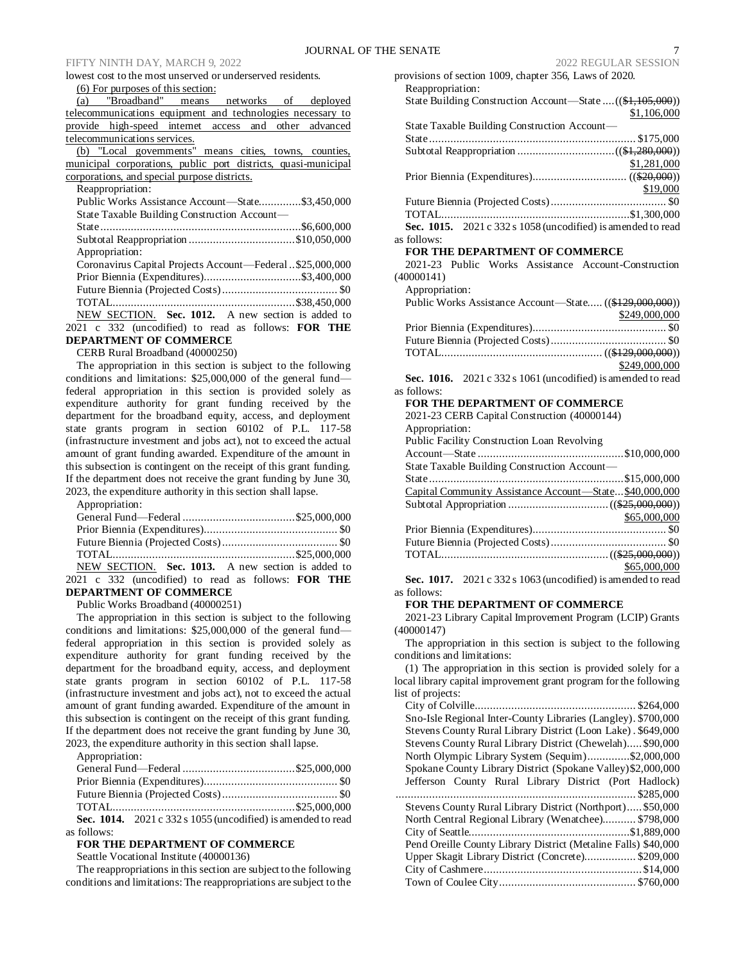### FIFTY NINTH DAY, MARCH 9, 2022 2022 REGULAR SESSION

lowest cost to the most unserved or underserved residents.

(6) For purposes of this section:

|                              |  |  |  |  |  | (a) "Broadband" means networks of deployed                 |
|------------------------------|--|--|--|--|--|------------------------------------------------------------|
|                              |  |  |  |  |  | telecommunications equipment and technologies necessary to |
|                              |  |  |  |  |  | provide high-speed internet access and other advanced      |
| telecommunications services. |  |  |  |  |  |                                                            |
|                              |  |  |  |  |  | (b) "Local governments" means cities, towns, counties,     |

|                                              |  | municipal corporations, public port districts, quasi-municipal |
|----------------------------------------------|--|----------------------------------------------------------------|
| corporations, and special purpose districts. |  |                                                                |

Reappropriation:

| Public Works Assistance Account—State\$3,450,000         |  |
|----------------------------------------------------------|--|
| State Taxable Building Construction Account—             |  |
|                                                          |  |
|                                                          |  |
| Appropriation:                                           |  |
| Coronavirus Capital Projects Account—Federal\$25,000,000 |  |
|                                                          |  |
|                                                          |  |
|                                                          |  |
| NEW SECTION. Sec. 1012. A new section is added to        |  |
| 2021 c 332 (uncodified) to read as follows: FOR THE      |  |
| <b>DEPARTMENT OF COMMERCE</b>                            |  |

# CERB Rural Broadband (40000250)

The appropriation in this section is subject to the following conditions and limitations: \$25,000,000 of the general fund federal appropriation in this section is provided solely as expenditure authority for grant funding received by the department for the broadband equity, access, and deployment state grants program in section 60102 of P.L. 117-58 (infrastructure investment and jobs act), not to exceed the actual amount of grant funding awarded. Expenditure of the amount in this subsection is contingent on the receipt of this grant funding. If the department does not receive the grant funding by June 30, 2023, the expenditure authority in this section shall lapse.

Appropriation:

| NEW SECTION. Sec. 1013. A new section is added to |  |
|---------------------------------------------------|--|

2021 c 332 (uncodified) to read as follows: **FOR THE DEPARTMENT OF COMMERCE**

Public Works Broadband (40000251)

The appropriation in this section is subject to the following conditions and limitations: \$25,000,000 of the general fund federal appropriation in this section is provided solely as expenditure authority for grant funding received by the department for the broadband equity, access, and deployment state grants program in section 60102 of P.L. 117-58 (infrastructure investment and jobs act), not to exceed the actual amount of grant funding awarded. Expenditure of the amount in this subsection is contingent on the receipt of this grant funding. If the department does not receive the grant funding by June 30, 2023, the expenditure authority in this section shall lapse.

| Appropriation:                                                                   |  |
|----------------------------------------------------------------------------------|--|
|                                                                                  |  |
|                                                                                  |  |
|                                                                                  |  |
|                                                                                  |  |
| Sec. 1014. $2021 \text{ c } 332 \text{ s } 1055$ (uncodified) is amended to read |  |

#### as follows:

### **FOR THE DEPARTMENT OF COMMERCE**

Seattle Vocational Institute (40000136)

The reappropriations in this section are subject to the following conditions and limitations: The reappropriations are subject to the

| provisions of section 1009, chapter 356, Laws of 2020.         |
|----------------------------------------------------------------|
| Reappropriation:                                               |
| State Building Construction Account—State  ((\$1,105,000))     |
| \$1,106,000                                                    |
| State Taxable Building Construction Account-                   |
|                                                                |
|                                                                |
| \$1,281,000                                                    |
|                                                                |
| \$19,000                                                       |
|                                                                |
|                                                                |
| Sec. 1015. 2021 c 332 s 1058 (uncodified) is amended to read   |
| as follows:                                                    |
| <b>FOR THE DEPARTMENT OF COMMERCE</b>                          |
| 2021-23 Public Works Assistance Account-Construction           |
| (40000141)                                                     |
| Appropriation:                                                 |
| Public Works Assistance Account—State ((\$129,000,000))        |
| \$249,000,000                                                  |
|                                                                |
|                                                                |
|                                                                |
| \$249,000,000                                                  |
| Sec. 1016. $2021 c 332 s 1061$ (uncodified) is amended to read |
| as follows:                                                    |
| <b>FOR THE DEPARTMENT OF COMMERCE</b>                          |
| 2021-23 CERB Capital Construction (40000144)                   |
| Appropriation:                                                 |
| Public Facility Construction Loan Revolving                    |
|                                                                |
| State Taxable Building Construction Account-                   |

| $\frac{1}{2}$ state 1 axable Building Construction Account— |              |
|-------------------------------------------------------------|--------------|
|                                                             |              |
| Capital Community Assistance Account-State\$40,000,000      |              |
|                                                             |              |
|                                                             | \$65,000,000 |
|                                                             |              |
|                                                             |              |
|                                                             |              |
|                                                             | \$65,000,000 |

**Sec. 1017.** 2021 c 332 s 1063 (uncodified) is amended to read as follows:

### **FOR THE DEPARTMENT OF COMMERCE**

2021-23 Library Capital Improvement Program (LCIP) Grants (40000147)

The appropriation in this section is subject to the following conditions and limitations:

(1) The appropriation in this section is provided solely for a local library capital improvement grant program for the following list of projects:

| Sno-Isle Regional Inter-County Libraries (Langley). \$700,000  |
|----------------------------------------------------------------|
| Stevens County Rural Library District (Loon Lake). \$649,000   |
| Stevens County Rural Library District (Chewelah) \$90,000      |
| North Olympic Library System (Sequim)\$2,000,000               |
| Spokane County Library District (Spokane Valley) \$2,000,000   |
| Jefferson County Rural Library District (Port Hadlock)         |
|                                                                |
| Stevens County Rural Library District (Northport) \$50,000     |
| North Central Regional Library (Wenatchee)\$798,000            |
|                                                                |
| Pend Oreille County Library District (Metaline Falls) \$40,000 |
| Upper Skagit Library District (Concrete)\$209,000              |
|                                                                |
|                                                                |
|                                                                |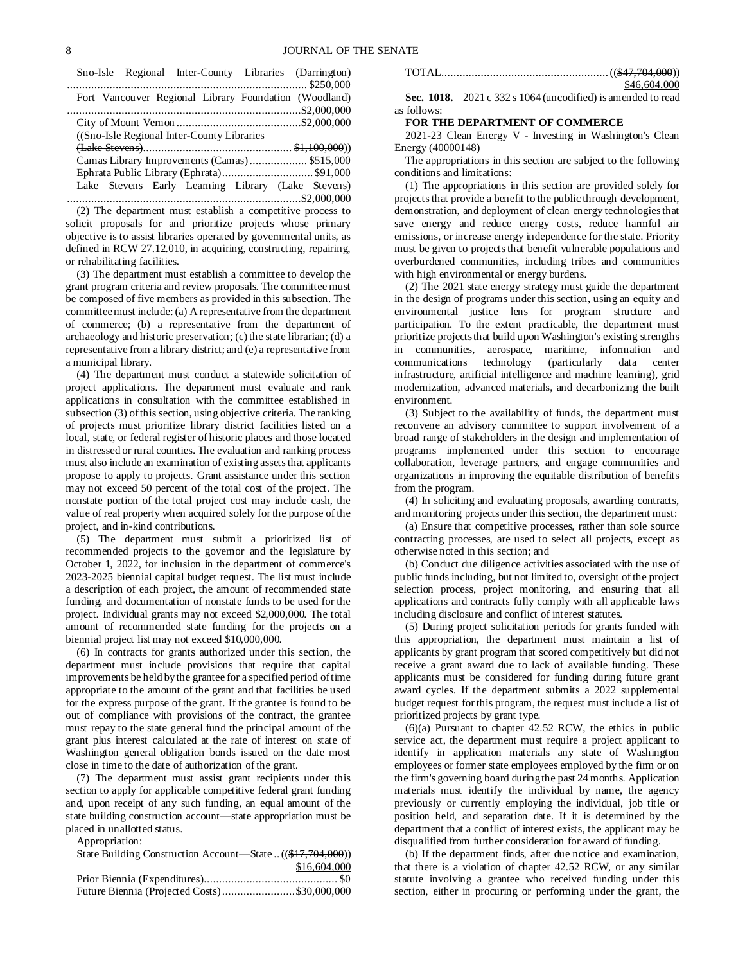| Sno-Isle Regional Inter-County Libraries (Darrington) |  |
|-------------------------------------------------------|--|
|                                                       |  |
| Fort Vancouver Regional Library Foundation (Woodland) |  |
|                                                       |  |
|                                                       |  |
| ((Sno-Isle Regional Inter-County Libraries            |  |
|                                                       |  |
| Camas Library Improvements (Camas) \$515,000          |  |
|                                                       |  |
| Lake Stevens Early Learning Library (Lake Stevens)    |  |
|                                                       |  |

(2) The department must establish a competitive process to solicit proposals for and prioritize projects whose primary objective is to assist libraries operated by governmental units, as defined in RCW 27.12.010, in acquiring, constructing, repairing, or rehabilitating facilities.

(3) The department must establish a committee to develop the grant program criteria and review proposals. The committee must be composed of five members as provided in this subsection. The committee must include: (a) A representative from the department of commerce; (b) a representative from the department of archaeology and historic preservation; (c) the state librarian; (d) a representative from a library district; and (e) a representative from a municipal library.

(4) The department must conduct a statewide solicitation of project applications. The department must evaluate and rank applications in consultation with the committee established in subsection (3) of this section, using objective criteria. The ranking of projects must prioritize library district facilities listed on a local, state, or federal register of historic places and those located in distressed or rural counties. The evaluation and ranking process must also include an examination of existing assets that applicants propose to apply to projects. Grant assistance under this section may not exceed 50 percent of the total cost of the project. The nonstate portion of the total project cost may include cash, the value of real property when acquired solely for the purpose of the project, and in-kind contributions.

(5) The department must submit a prioritized list of recommended projects to the governor and the legislature by October 1, 2022, for inclusion in the department of commerce's 2023-2025 biennial capital budget request. The list must include a description of each project, the amount of recommended state funding, and documentation of nonstate funds to be used for the project. Individual grants may not exceed \$2,000,000. The total amount of recommended state funding for the projects on a biennial project list may not exceed \$10,000,000.

(6) In contracts for grants authorized under this section, the department must include provisions that require that capital improvements be held by the grantee for a specified period of time appropriate to the amount of the grant and that facilities be used for the express purpose of the grant. If the grantee is found to be out of compliance with provisions of the contract, the grantee must repay to the state general fund the principal amount of the grant plus interest calculated at the rate of interest on state of Washington general obligation bonds issued on the date most close in time to the date of authorization of the grant.

(7) The department must assist grant recipients under this section to apply for applicable competitive federal grant funding and, upon receipt of any such funding, an equal amount of the state building construction account—state appropriation must be placed in unallotted status.

Appropriation:

| State Building Construction Account—State((\$17,704,000)) |              |
|-----------------------------------------------------------|--------------|
|                                                           | \$16,604,000 |
|                                                           |              |
| Future Biennia (Projected Costs)\$30,000,000              |              |

| \$46,604,000 |
|--------------|

**Sec. 1018.** 2021 c 332 s 1064 (uncodified) is amended to read as follows:

#### **FOR THE DEPARTMENT OF COMMERCE**

2021-23 Clean Energy V - Investing in Washington's Clean Energy (40000148)

The appropriations in this section are subject to the following conditions and limitations:

(1) The appropriations in this section are provided solely for projects that provide a benefit to the public through development, demonstration, and deployment of clean energy technologies that save energy and reduce energy costs, reduce harmful air emissions, or increase energy independence for the state. Priority must be given to projects that benefit vulnerable populations and overburdened communities, including tribes and communities with high environmental or energy burdens.

(2) The 2021 state energy strategy must guide the department in the design of programs under this section, using an equity and environmental justice lens for program structure and participation. To the extent practicable, the department must prioritize projects that build upon Washington's existing strengths in communities, aerospace, maritime, information and communications technology (particularly data center infrastructure, artificial intelligence and machine learning), grid modernization, advanced materials, and decarbonizing the built environment.

(3) Subject to the availability of funds, the department must reconvene an advisory committee to support involvement of a broad range of stakeholders in the design and implementation of programs implemented under this section to encourage collaboration, leverage partners, and engage communities and organizations in improving the equitable distribution of benefits from the program.

(4) In soliciting and evaluating proposals, awarding contracts, and monitoring projects under this section, the department must:

(a) Ensure that competitive processes, rather than sole source contracting processes, are used to select all projects, except as otherwise noted in this section; and

(b) Conduct due diligence activities associated with the use of public funds including, but not limited to, oversight of the project selection process, project monitoring, and ensuring that all applications and contracts fully comply with all applicable laws including disclosure and conflict of interest statutes.

(5) During project solicitation periods for grants funded with this appropriation, the department must maintain a list of applicants by grant program that scored competitively but did not receive a grant award due to lack of available funding. These applicants must be considered for funding during future grant award cycles. If the department submits a 2022 supplemental budget request for this program, the request must include a list of prioritized projects by grant type.

(6)(a) Pursuant to chapter 42.52 RCW, the ethics in public service act, the department must require a project applicant to identify in application materials any state of Washington employees or former state employees employed by the firm or on the firm's governing board during the past 24 months. Application materials must identify the individual by name, the agency previously or currently employing the individual, job title or position held, and separation date. If it is determined by the department that a conflict of interest exists, the applicant may be disqualified from further consideration for award of funding.

(b) If the department finds, after due notice and examination, that there is a violation of chapter 42.52 RCW, or any similar statute involving a grantee who received funding under this section, either in procuring or performing under the grant, the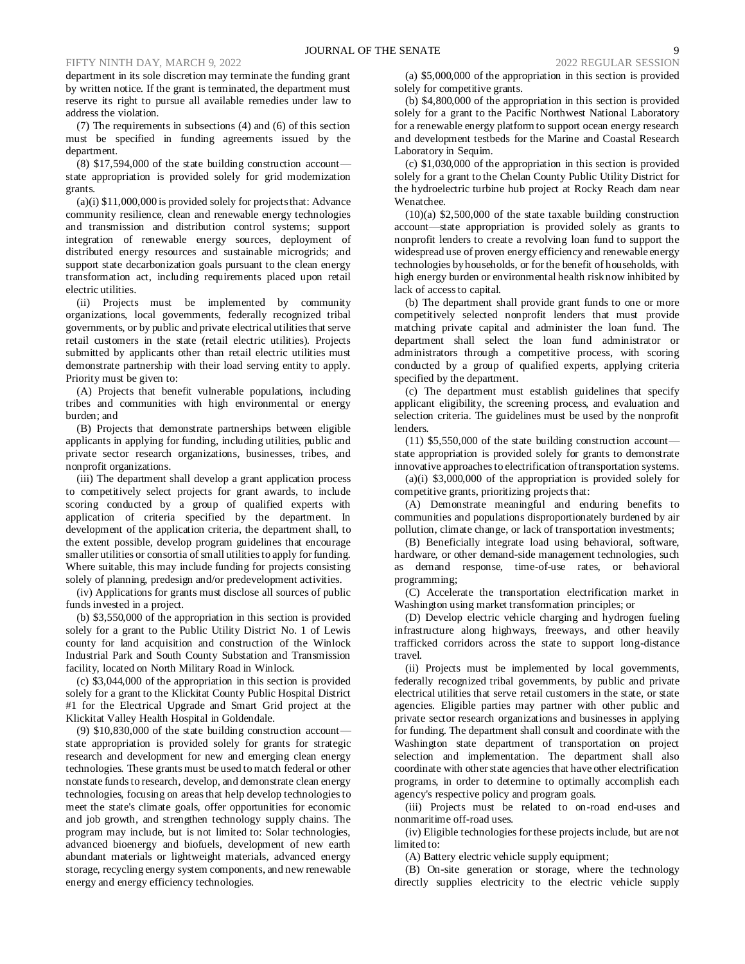department in its sole discretion may terminate the funding grant by written notice. If the grant is terminated, the department must reserve its right to pursue all available remedies under law to address the violation.

(7) The requirements in subsections (4) and (6) of this section must be specified in funding agreements issued by the department.

(8) \$17,594,000 of the state building construction account state appropriation is provided solely for grid modernization grants.

(a)(i) \$11,000,000 is provided solely for projects that: Advance community resilience, clean and renewable energy technologies and transmission and distribution control systems; support integration of renewable energy sources, deployment of distributed energy resources and sustainable microgrids; and support state decarbonization goals pursuant to the clean energy transformation act, including requirements placed upon retail electric utilities.

(ii) Projects must be implemented by community organizations, local governments, federally recognized tribal governments, or by public and private electrical utilities that serve retail customers in the state (retail electric utilities). Projects submitted by applicants other than retail electric utilities must demonstrate partnership with their load serving entity to apply. Priority must be given to:

(A) Projects that benefit vulnerable populations, including tribes and communities with high environmental or energy burden; and

(B) Projects that demonstrate partnerships between eligible applicants in applying for funding, including utilities, public and private sector research organizations, businesses, tribes, and nonprofit organizations.

(iii) The department shall develop a grant application process to competitively select projects for grant awards, to include scoring conducted by a group of qualified experts with application of criteria specified by the department. In development of the application criteria, the department shall, to the extent possible, develop program guidelines that encourage smaller utilities or consortia of small utilities to apply for funding. Where suitable, this may include funding for projects consisting solely of planning, predesign and/or predevelopment activities.

(iv) Applications for grants must disclose all sources of public funds invested in a project.

(b) \$3,550,000 of the appropriation in this section is provided solely for a grant to the Public Utility District No. 1 of Lewis county for land acquisition and construction of the Winlock Industrial Park and South County Substation and Transmission facility, located on North Military Road in Winlock.

(c) \$3,044,000 of the appropriation in this section is provided solely for a grant to the Klickitat County Public Hospital District #1 for the Electrical Upgrade and Smart Grid project at the Klickitat Valley Health Hospital in Goldendale.

(9) \$10,830,000 of the state building construction account state appropriation is provided solely for grants for strategic research and development for new and emerging clean energy technologies. These grants must be used to match federal or other nonstate funds to research, develop, and demonstrate clean energy technologies, focusing on areas that help develop technologies to meet the state's climate goals, offer opportunities for economic and job growth, and strengthen technology supply chains. The program may include, but is not limited to: Solar technologies, advanced bioenergy and biofuels, development of new earth abundant materials or lightweight materials, advanced energy storage, recycling energy system components, and new renewable energy and energy efficiency technologies.

(a) \$5,000,000 of the appropriation in this section is provided solely for competitive grants.

(b) \$4,800,000 of the appropriation in this section is provided solely for a grant to the Pacific Northwest National Laboratory for a renewable energy platform to support ocean energy research and development testbeds for the Marine and Coastal Research Laboratory in Sequim.

(c) \$1,030,000 of the appropriation in this section is provided solely for a grant to the Chelan County Public Utility District for the hydroelectric turbine hub project at Rocky Reach dam near Wenatchee.

(10)(a) \$2,500,000 of the state taxable building construction account—state appropriation is provided solely as grants to nonprofit lenders to create a revolving loan fund to support the widespread use of proven energy efficiency and renewable energy technologies by households, or for the benefit of households, with high energy burden or environmental health risk now inhibited by lack of access to capital.

(b) The department shall provide grant funds to one or more competitively selected nonprofit lenders that must provide matching private capital and administer the loan fund. The department shall select the loan fund administrator or administrators through a competitive process, with scoring conducted by a group of qualified experts, applying criteria specified by the department.

(c) The department must establish guidelines that specify applicant eligibility, the screening process, and evaluation and selection criteria. The guidelines must be used by the nonprofit lenders.

(11) \$5,550,000 of the state building construction account state appropriation is provided solely for grants to demonstrate innovative approaches to electrification of transportation systems.

(a)(i) \$3,000,000 of the appropriation is provided solely for competitive grants, prioritizing projects that:

(A) Demonstrate meaningful and enduring benefits to communities and populations disproportionately burdened by air pollution, climate change, or lack of transportation investments;

(B) Beneficially integrate load using behavioral, software, hardware, or other demand-side management technologies, such as demand response, time-of-use rates, or behavioral programming;

(C) Accelerate the transportation electrification market in Washington using market transformation principles; or

(D) Develop electric vehicle charging and hydrogen fueling infrastructure along highways, freeways, and other heavily trafficked corridors across the state to support long-distance travel.

(ii) Projects must be implemented by local governments, federally recognized tribal governments, by public and private electrical utilities that serve retail customers in the state, or state agencies. Eligible parties may partner with other public and private sector research organizations and businesses in applying for funding. The department shall consult and coordinate with the Washington state department of transportation on project selection and implementation. The department shall also coordinate with other state agencies that have other electrification programs, in order to determine to optimally accomplish each agency's respective policy and program goals.

(iii) Projects must be related to on-road end-uses and nonmaritime off-road uses.

(iv) Eligible technologies for these projects include, but are not limited to:

(A) Battery electric vehicle supply equipment;

(B) On-site generation or storage, where the technology directly supplies electricity to the electric vehicle supply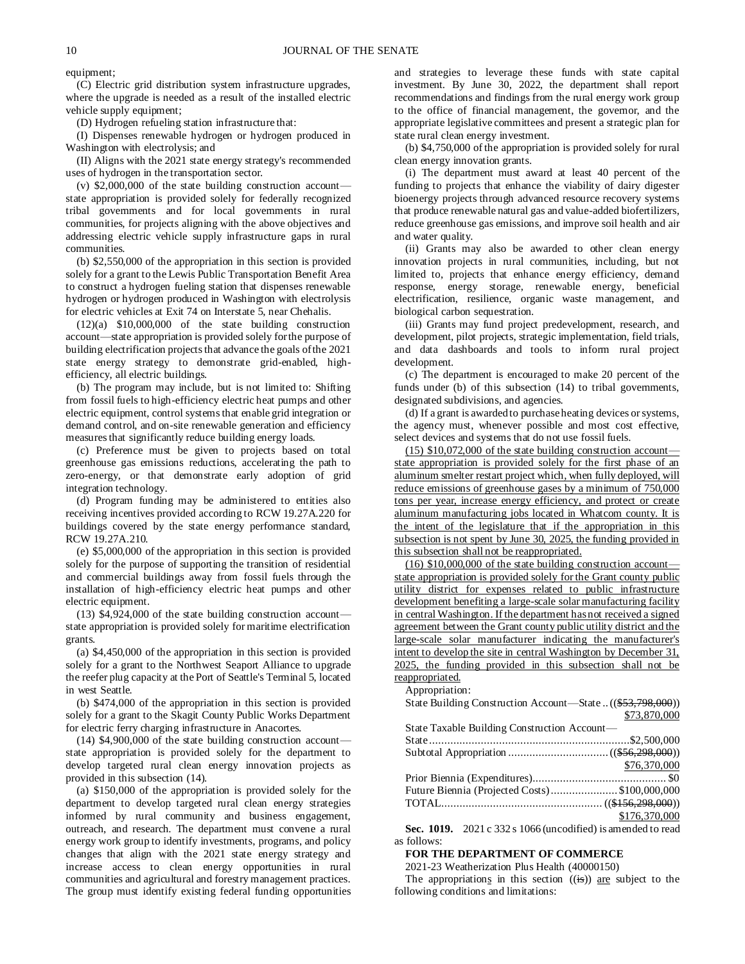equipment;

(C) Electric grid distribution system infrastructure upgrades, where the upgrade is needed as a result of the installed electric vehicle supply equipment;

(D) Hydrogen refueling station infrastructure that:

(I) Dispenses renewable hydrogen or hydrogen produced in Washington with electrolysis; and

(II) Aligns with the 2021 state energy strategy's recommended uses of hydrogen in the transportation sector.

(v) \$2,000,000 of the state building construction account state appropriation is provided solely for federally recognized tribal governments and for local governments in rural communities, for projects aligning with the above objectives and addressing electric vehicle supply infrastructure gaps in rural communities.

(b) \$2,550,000 of the appropriation in this section is provided solely for a grant to the Lewis Public Transportation Benefit Area to construct a hydrogen fueling station that dispenses renewable hydrogen or hydrogen produced in Washington with electrolysis for electric vehicles at Exit 74 on Interstate 5, near Chehalis.

 $(12)(a)$  \$10,000,000 of the state building construction account—state appropriation is provided solely for the purpose of building electrification projects that advance the goals of the 2021 state energy strategy to demonstrate grid-enabled, highefficiency, all electric buildings.

(b) The program may include, but is not limited to: Shifting from fossil fuels to high-efficiency electric heat pumps and other electric equipment, control systems that enable grid integration or demand control, and on-site renewable generation and efficiency measures that significantly reduce building energy loads.

(c) Preference must be given to projects based on total greenhouse gas emissions reductions, accelerating the path to zero-energy, or that demonstrate early adoption of grid integration technology.

(d) Program funding may be administered to entities also receiving incentives provided according to RCW 19.27A.220 for buildings covered by the state energy performance standard, RCW 19.27A.210.

(e) \$5,000,000 of the appropriation in this section is provided solely for the purpose of supporting the transition of residential and commercial buildings away from fossil fuels through the installation of high-efficiency electric heat pumps and other electric equipment.

(13) \$4,924,000 of the state building construction account state appropriation is provided solely for maritime electrification grants.

(a) \$4,450,000 of the appropriation in this section is provided solely for a grant to the Northwest Seaport Alliance to upgrade the reefer plug capacity at the Port of Seattle's Terminal 5, located in west Seattle.

(b) \$474,000 of the appropriation in this section is provided solely for a grant to the Skagit County Public Works Department for electric ferry charging infrastructure in Anacortes.

(14) \$4,900,000 of the state building construction account state appropriation is provided solely for the department to develop targeted rural clean energy innovation projects as provided in this subsection (14).

(a) \$150,000 of the appropriation is provided solely for the department to develop targeted rural clean energy strategies informed by rural community and business engagement, outreach, and research. The department must convene a rural energy work group to identify investments, programs, and policy changes that align with the 2021 state energy strategy and increase access to clean energy opportunities in rural communities and agricultural and forestry management practices. The group must identify existing federal funding opportunities

and strategies to leverage these funds with state capital investment. By June 30, 2022, the department shall report recommendations and findings from the rural energy work group to the office of financial management, the governor, and the appropriate legislative committees and present a strategic plan for state rural clean energy investment.

(b) \$4,750,000 of the appropriation is provided solely for rural clean energy innovation grants.

(i) The department must award at least 40 percent of the funding to projects that enhance the viability of dairy digester bioenergy projects through advanced resource recovery systems that produce renewable natural gas and value-added biofertilizers, reduce greenhouse gas emissions, and improve soil health and air and water quality.

(ii) Grants may also be awarded to other clean energy innovation projects in rural communities, including, but not limited to, projects that enhance energy efficiency, demand response, energy storage, renewable energy, beneficial electrification, resilience, organic waste management, and biological carbon sequestration.

(iii) Grants may fund project predevelopment, research, and development, pilot projects, strategic implementation, field trials, and data dashboards and tools to inform rural project development.

(c) The department is encouraged to make 20 percent of the funds under (b) of this subsection (14) to tribal governments, designated subdivisions, and agencies.

(d) If a grant is awarded to purchase heating devices or systems, the agency must, whenever possible and most cost effective, select devices and systems that do not use fossil fuels.

 $(15)$  \$10,072,000 of the state building construction account state appropriation is provided solely for the first phase of an aluminum smelter restart project which, when fully deployed, will reduce emissions of greenhouse gases by a minimum of 750,000 tons per year, increase energy efficiency, and protect or create aluminum manufacturing jobs located in Whatcom county. It is the intent of the legislature that if the appropriation in this subsection is not spent by June 30, 2025, the funding provided in this subsection shall not be reappropriated.

 $(16)$  \$10,000,000 of the state building construction accountstate appropriation is provided solely for the Grant county public utility district for expenses related to public infrastructure development benefiting a large-scale solar manufacturing facility in central Washington. If the department has not received a signed agreement between the Grant county public utility district and the large-scale solar manufacturer indicating the manufacturer's intent to develop the site in central Washington by December 31, 2025, the funding provided in this subsection shall not be reappropriated.

Appropriation:

| $1.48$ $P13.44$                                           |               |
|-----------------------------------------------------------|---------------|
| State Building Construction Account-State((\$53,798,000)) |               |
|                                                           | \$73,870,000  |
| State Taxable Building Construction Account—              |               |
|                                                           |               |
|                                                           |               |
|                                                           | \$76,370,000  |
|                                                           |               |
| Future Biennia (Projected Costs)\$100,000,000             |               |
|                                                           |               |
|                                                           | \$176,370,000 |
|                                                           |               |

**Sec. 1019.** 2021 c 332 s 1066 (uncodified) is amended to read as follows:

#### **FOR THE DEPARTMENT OF COMMERCE**

2021-23 Weatherization Plus Health (40000150)

The appropriations in this section  $((i\mathbf{s}))$  are subject to the following conditions and limitations: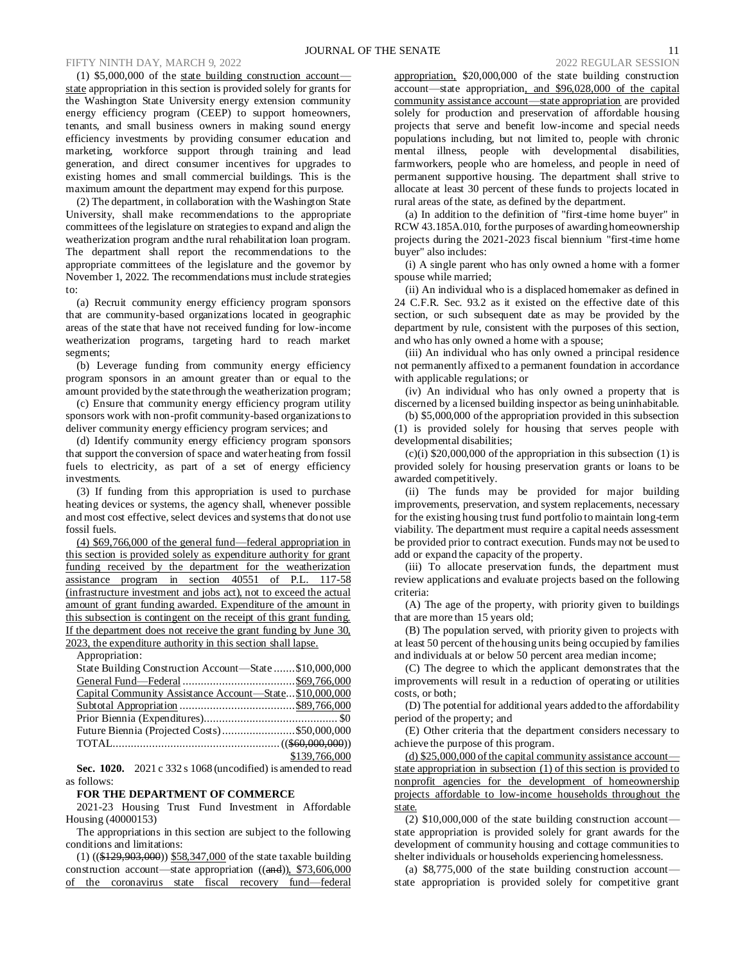### FIFTY NINTH DAY, MARCH 9, 2022

(1) \$5,000,000 of the state building construction account state appropriation in this section is provided solely for grants for the Washington State University energy extension community energy efficiency program (CEEP) to support homeowners, tenants, and small business owners in making sound energy efficiency investments by providing consumer education and marketing, workforce support through training and lead generation, and direct consumer incentives for upgrades to existing homes and small commercial buildings. This is the maximum amount the department may expend for this purpose.

(2) The department, in collaboration with the Washington State University, shall make recommendations to the appropriate committees of the legislature on strategies to expand and align the weatherization program and the rural rehabilitation loan program. The department shall report the recommendations to the appropriate committees of the legislature and the governor by November 1, 2022. The recommendations must include strategies to:

(a) Recruit community energy efficiency program sponsors that are community-based organizations located in geographic areas of the state that have not received funding for low-income weatherization programs, targeting hard to reach market segments;

(b) Leverage funding from community energy efficiency program sponsors in an amount greater than or equal to the amount provided by the state through the weatherization program;

(c) Ensure that community energy efficiency program utility sponsors work with non-profit community-based organizations to deliver community energy efficiency program services; and

(d) Identify community energy efficiency program sponsors that support the conversion of space and water heating from fossil fuels to electricity, as part of a set of energy efficiency investments.

(3) If funding from this appropriation is used to purchase heating devices or systems, the agency shall, whenever possible and most cost effective, select devices and systems that do not use fossil fuels.

(4) \$69,766,000 of the general fund—federal appropriation in this section is provided solely as expenditure authority for grant funding received by the department for the weatherization assistance program in section 40551 of P.L. 117-58 (infrastructure investment and jobs act), not to exceed the actual amount of grant funding awarded. Expenditure of the amount in this subsection is contingent on the receipt of this grant funding. If the department does not receive the grant funding by June 30, 2023, the expenditure authority in this section shall lapse.

Appropriation:

| State Building Construction Account-State \$10,000,000 |               |
|--------------------------------------------------------|---------------|
|                                                        |               |
| Capital Community Assistance Account-State\$10,000,000 |               |
|                                                        |               |
|                                                        |               |
|                                                        |               |
|                                                        |               |
|                                                        | \$139,766,000 |

**Sec. 1020.** 2021 c 332 s 1068 (uncodified) is amended to read as follows:

#### **FOR THE DEPARTMENT OF COMMERCE**

2021-23 Housing Trust Fund Investment in Affordable Housing (40000153)

The appropriations in this section are subject to the following conditions and limitations:

(1) ((\$129,903,000)) \$58,347,000 of the state taxable building construction account—state appropriation ((and)), \$73,606,000 of the coronavirus state fiscal recovery fund—federal appropriation, \$20,000,000 of the state building construction account—state appropriation, and \$96,028,000 of the capital community assistance account—state appropriation are provided solely for production and preservation of affordable housing projects that serve and benefit low-income and special needs populations including, but not limited to, people with chronic mental illness, people with developmental disabilities, farmworkers, people who are homeless, and people in need of permanent supportive housing. The department shall strive to allocate at least 30 percent of these funds to projects located in rural areas of the state, as defined by the department.

(a) In addition to the definition of "first-time home buyer" in RCW 43.185A.010, for the purposes of awarding homeownership projects during the 2021-2023 fiscal biennium "first-time home buyer" also includes:

(i) A single parent who has only owned a home with a former spouse while married;

(ii) An individual who is a displaced homemaker as defined in 24 C.F.R. Sec. 93.2 as it existed on the effective date of this section, or such subsequent date as may be provided by the department by rule, consistent with the purposes of this section, and who has only owned a home with a spouse;

(iii) An individual who has only owned a principal residence not permanently affixed to a permanent foundation in accordance with applicable regulations; or

(iv) An individual who has only owned a property that is discerned by a licensed building inspector as being uninhabitable.

(b) \$5,000,000 of the appropriation provided in this subsection (1) is provided solely for housing that serves people with developmental disabilities;

 $(c)(i)$  \$20,000,000 of the appropriation in this subsection (1) is provided solely for housing preservation grants or loans to be awarded competitively.

(ii) The funds may be provided for major building improvements, preservation, and system replacements, necessary for the existing housing trust fund portfolio to maintain long-term viability. The department must require a capital needs assessment be provided prior to contract execution. Funds may not be used to add or expand the capacity of the property.

(iii) To allocate preservation funds, the department must review applications and evaluate projects based on the following criteria:

(A) The age of the property, with priority given to buildings that are more than 15 years old;

(B) The population served, with priority given to projects with at least 50 percent of the housing units being occupied by families and individuals at or below 50 percent area median income;

(C) The degree to which the applicant demonstrates that the improvements will result in a reduction of operating or utilities costs, or both;

(D) The potential for additional years added to the affordability period of the property; and

(E) Other criteria that the department considers necessary to achieve the purpose of this program.

(d) \$25,000,000 of the capital community assistance account state appropriation in subsection (1) of this section is provided to nonprofit agencies for the development of homeownership projects affordable to low-income households throughout the state.

 $(2)$  \$10,000,000 of the state building construction account state appropriation is provided solely for grant awards for the development of community housing and cottage communities to shelter individuals or households experiencing homelessness.

(a) \$8,775,000 of the state building construction account state appropriation is provided solely for competitive grant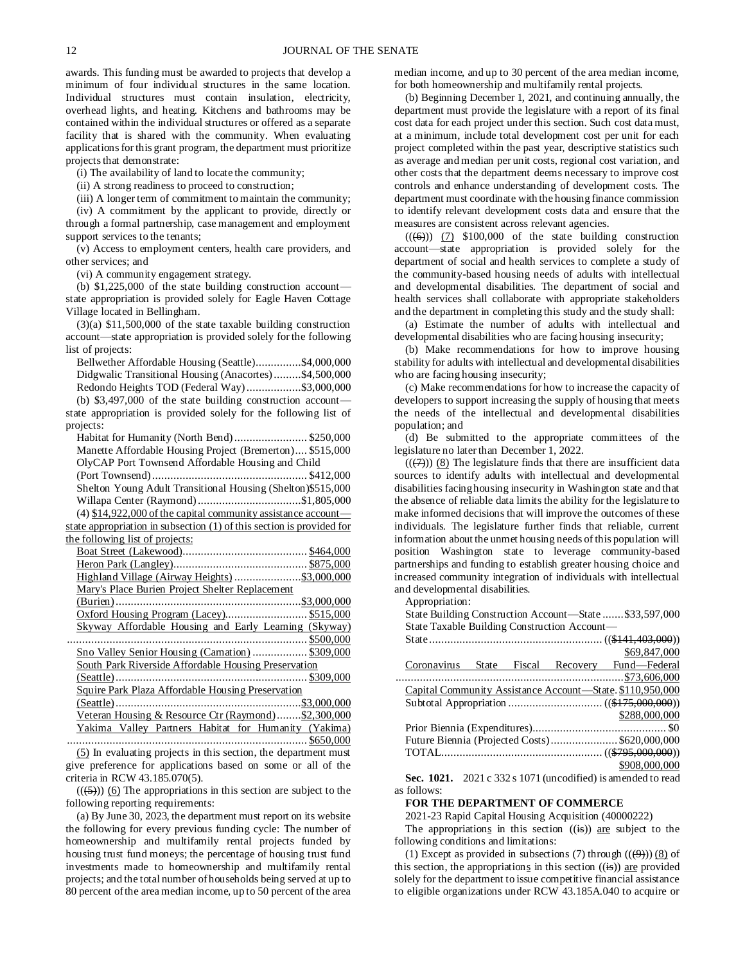awards. This funding must be awarded to projects that develop a minimum of four individual structures in the same location. Individual structures must contain insulation, electricity, overhead lights, and heating. Kitchens and bathrooms may be contained within the individual structures or offered as a separate facility that is shared with the community. When evaluating applications for this grant program, the department must prioritize projects that demonstrate:

(i) The availability of land to locate the community;

(ii) A strong readiness to proceed to construction;

(iii) A longer term of commitment to maintain the community;

(iv) A commitment by the applicant to provide, directly or through a formal partnership, case management and employment support services to the tenants;

(v) Access to employment centers, health care providers, and other services; and

(vi) A community engagement strategy.

(b) \$1,225,000 of the state building construction account state appropriation is provided solely for Eagle Haven Cottage Village located in Bellingham.

(3)(a) \$11,500,000 of the state taxable building construction account—state appropriation is provided solely for the following list of projects:

Bellwether Affordable Housing (Seattle)...............\$4,000,000 Didgwalic Transitional Housing (Anacortes).........\$4,500,000 Redondo Heights TOD (Federal Way)..................\$3,000,000 (b) \$3,497,000 of the state building construction account state appropriation is provided solely for the following list of projects: Habitat for Humanity (North Bend)........................ \$250,000 Manette Affordable Housing Project (Bremerton).... \$515,000 OlyCAP Port Townsend Affordable Housing and Child (Port Townsend)................................................... \$412,000 Shelton Young Adult Transitional Housing (Shelton)\$515,000 Willapa Center (Raymond)..................................\$1,805,000 (4)  $$14,922,000$  of the capital community assistance accountstate appropriation in subsection (1) of this section is provided for the following list of projects: Boat Street (Lakewood)......................................... \$464,000 Heron Park (Langley)............................................ \$875,000 Highland Village (Airway Heights) ........................\$3,000,000 Mary's Place Burien Project Shelter Replacement (Burien).............................................................\$3,000,000 Oxford Housing Program (Lacey)........................... \$515,000 Skyway Affordable Housing and Early Learning (Skyway) ............................................................................... \$500,000 Sno Valley Senior Housing (Carnation) .................. \$309,000 South Park Riverside Affordable Housing Preservation (Seattle)............................................................... \$309,000 Squire Park Plaza Affordable Housing Preservation (Seattle).............................................................\$3,000,000 Veteran Housing & Resource Ctr (Raymond)........\$2,300,000 Yakima Valley Partners Habitat for Humanity (Yakima)

............................................................................... \$650,000 (5) In evaluating projects in this section, the department must give preference for applications based on some or all of the criteria in RCW 43.185.070(5).

 $((\left(5\right)))$  (6) The appropriations in this section are subject to the following reporting requirements:

(a) By June 30, 2023, the department must report on its website the following for every previous funding cycle: The number of homeownership and multifamily rental projects funded by housing trust fund moneys; the percentage of housing trust fund investments made to homeownership and multifamily rental projects; and the total number of households being served at up to 80 percent of the area median income, up to 50 percent of the area median income, and up to 30 percent of the area median income, for both homeownership and multifamily rental projects.

(b) Beginning December 1, 2021, and continuing annually, the department must provide the legislature with a report of its final cost data for each project under this section. Such cost data must, at a minimum, include total development cost per unit for each project completed within the past year, descriptive statistics such as average and median per unit costs, regional cost variation, and other costs that the department deems necessary to improve cost controls and enhance understanding of development costs. The department must coordinate with the housing finance commission to identify relevant development costs data and ensure that the measures are consistent across relevant agencies.

 $((\leftarrow{\leftrightarrow}))$  (7) \$100,000 of the state building construction account—state appropriation is provided solely for the department of social and health services to complete a study of the community-based housing needs of adults with intellectual and developmental disabilities. The department of social and health services shall collaborate with appropriate stakeholders and the department in completing this study and the study shall:

(a) Estimate the number of adults with intellectual and developmental disabilities who are facing housing insecurity;

(b) Make recommendations for how to improve housing stability for adults with intellectual and developmental disabilities who are facing housing insecurity;

(c) Make recommendations for how to increase the capacity of developers to support increasing the supply of housing that meets the needs of the intellectual and developmental disabilities population; and

(d) Be submitted to the appropriate committees of the legislature no later than December 1, 2022.

 $((\overline{(7)}))$  (8) The legislature finds that there are insufficient data sources to identify adults with intellectual and developmental disabilities facing housing insecurity in Washington state and that the absence of reliable data limits the ability for the legislature to make informed decisions that will improve the outcomes of these individuals. The legislature further finds that reliable, current information about the unmet housing needs of this population will position Washington state to leverage community-based partnerships and funding to establish greater housing choice and increased community integration of individuals with intellectual and developmental disabilities.

Appropriation:

State Building Construction Account—State .......\$33,597,000 State Taxable Building Construction Account—

|  |  | \$69,847,000                                                                                                                                                                                                                                                                                                                   |
|--|--|--------------------------------------------------------------------------------------------------------------------------------------------------------------------------------------------------------------------------------------------------------------------------------------------------------------------------------|
|  |  | Coronavirus State Fiscal Recovery Fund—Federal                                                                                                                                                                                                                                                                                 |
|  |  |                                                                                                                                                                                                                                                                                                                                |
|  |  | Capital Community Assistance Account-State. \$110,950,000                                                                                                                                                                                                                                                                      |
|  |  |                                                                                                                                                                                                                                                                                                                                |
|  |  | \$288,000,000                                                                                                                                                                                                                                                                                                                  |
|  |  |                                                                                                                                                                                                                                                                                                                                |
|  |  | Future Biennia (Projected Costs) \$620,000,000                                                                                                                                                                                                                                                                                 |
|  |  |                                                                                                                                                                                                                                                                                                                                |
|  |  | \$908,000,000                                                                                                                                                                                                                                                                                                                  |
|  |  | $\alpha$ and continuous $\alpha$ and $\alpha$ and $\alpha$ and $\alpha$ and $\alpha$ and $\alpha$ and $\alpha$ and $\alpha$ and $\alpha$ and $\alpha$ and $\alpha$ and $\alpha$ and $\alpha$ and $\alpha$ and $\alpha$ and $\alpha$ and $\alpha$ and $\alpha$ and $\alpha$ and $\alpha$ and $\alpha$ and $\alpha$ and $\alpha$ |

**Sec. 1021.** 2021 c 332 s 1071 (uncodified) is amended to read as follows:

### **FOR THE DEPARTMENT OF COMMERCE**

2021-23 Rapid Capital Housing Acquisition (40000222)

The appropriations in this section  $((\mathbf{is}))$  are subject to the following conditions and limitations:

(1) Except as provided in subsections (7) through  $((\Theta))$  (8) of this section, the appropriations in this section  $((\mathbf{is}))$  are provided solely for the department to issue competitive financial assistance to eligible organizations under RCW 43.185A.040 to acquire or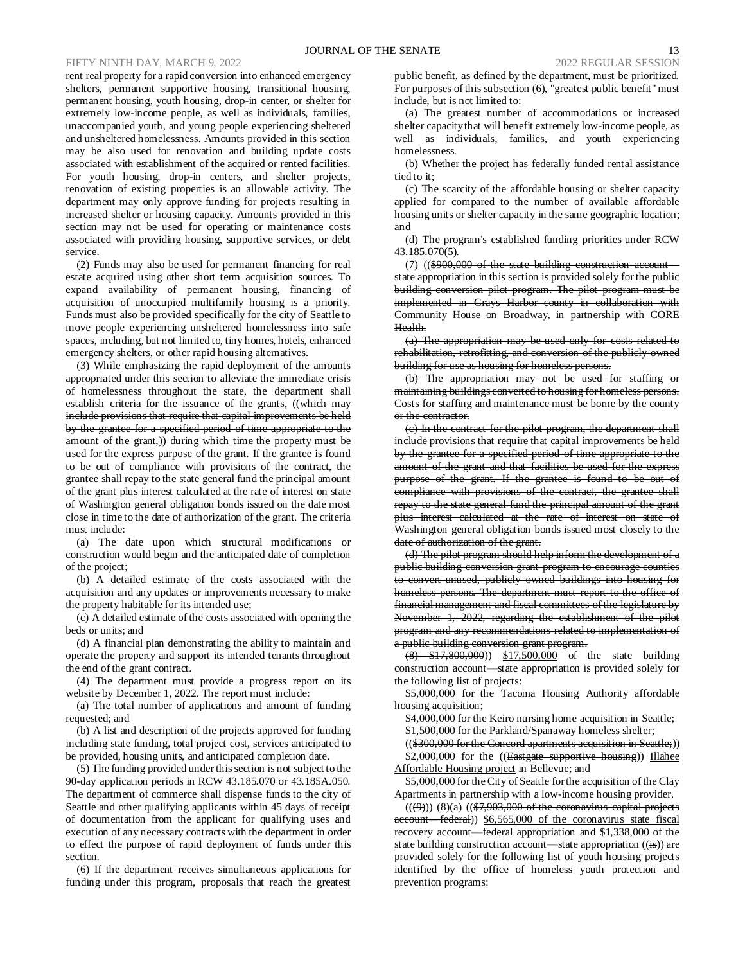### FIFTY NINTH DAY, MARCH 9, 2022 2022 REGULAR SESSION

rent real property for a rapid conversion into enhanced emergency shelters, permanent supportive housing, transitional housing, permanent housing, youth housing, drop-in center, or shelter for extremely low-income people, as well as individuals, families, unaccompanied youth, and young people experiencing sheltered and unsheltered homelessness. Amounts provided in this section may be also used for renovation and building update costs associated with establishment of the acquired or rented facilities. For youth housing, drop-in centers, and shelter projects, renovation of existing properties is an allowable activity. The department may only approve funding for projects resulting in increased shelter or housing capacity. Amounts provided in this section may not be used for operating or maintenance costs associated with providing housing, supportive services, or debt service.

(2) Funds may also be used for permanent financing for real estate acquired using other short term acquisition sources. To expand availability of permanent housing, financing of acquisition of unoccupied multifamily housing is a priority. Funds must also be provided specifically for the city of Seattle to move people experiencing unsheltered homelessness into safe spaces, including, but not limited to, tiny homes, hotels, enhanced emergency shelters, or other rapid housing alternatives.

(3) While emphasizing the rapid deployment of the amounts appropriated under this section to alleviate the immediate crisis of homelessness throughout the state, the department shall establish criteria for the issuance of the grants, ((which may include provisions that require that capital improvements be held by the grantee for a specified period of time appropriate to the amount of the grant,)) during which time the property must be used for the express purpose of the grant. If the grantee is found to be out of compliance with provisions of the contract, the grantee shall repay to the state general fund the principal amount of the grant plus interest calculated at the rate of interest on state of Washington general obligation bonds issued on the date most close in time to the date of authorization of the grant. The criteria must include:

(a) The date upon which structural modifications or construction would begin and the anticipated date of completion of the project;

(b) A detailed estimate of the costs associated with the acquisition and any updates or improvements necessary to make the property habitable for its intended use;

(c) A detailed estimate of the costs associated with opening the beds or units; and

(d) A financial plan demonstrating the ability to maintain and operate the property and support its intended tenants throughout the end of the grant contract.

(4) The department must provide a progress report on its website by December 1, 2022. The report must include:

(a) The total number of applications and amount of funding requested; and

(b) A list and description of the projects approved for funding including state funding, total project cost, services anticipated to be provided, housing units, and anticipated completion date.

(5) The funding provided under this section is not subject to the 90-day application periods in RCW 43.185.070 or 43.185A.050. The department of commerce shall dispense funds to the city of Seattle and other qualifying applicants within 45 days of receipt of documentation from the applicant for qualifying uses and execution of any necessary contracts with the department in order to effect the purpose of rapid deployment of funds under this section.

(6) If the department receives simultaneous applications for funding under this program, proposals that reach the greatest

public benefit, as defined by the department, must be prioritized. For purposes of this subsection (6), "greatest public benefit" must include, but is not limited to:

(a) The greatest number of accommodations or increased shelter capacity that will benefit extremely low-income people, as well as individuals, families, and youth experiencing homelessness.

(b) Whether the project has federally funded rental assistance tied to it;

(c) The scarcity of the affordable housing or shelter capacity applied for compared to the number of available affordable housing units or shelter capacity in the same geographic location; and

(d) The program's established funding priorities under RCW 43.185.070(5).

(7) ((\$900,000 of the state building construction account state appropriation in this section is provided solely for the public building conversion pilot program. The pilot program must be implemented in Grays Harbor county in collaboration with Community House on Broadway, in partnership with CORE Health.

(a) The appropriation may be used only for costs related to rehabilitation, retrofitting, and conversion of the publicly owned building for use as housing for homeless persons.

(b) The appropriation may not be used for staffing or maintaining buildings converted to housing for homeless persons. Costs for staffing and maintenance must be borne by the county or the contractor.

(c) In the contract for the pilot program, the department shall include provisions that require that capital improvements be held by the grantee for a specified period of time appropriate to the amount of the grant and that facilities be used for the express purpose of the grant. If the grantee is found to be out of compliance with provisions of the contract, the grantee shall repay to the state general fund the principal amount of the grant plus interest calculated at the rate of interest on state of Washington general obligation bonds issued most closely to the date of authorization of the grant.

(d) The pilot program should help inform the development of a public building conversion grant program to encourage counties to convert unused, publicly owned buildings into housing for homeless persons. The department must report to the office of financial management and fiscal committees of the legislature by November 1, 2022, regarding the establishment of the pilot program and any recommendations related to implementation of a public building conversion grant program.

 $(8)$  \$17,800,000)) \$17,500,000 of the state building construction account—state appropriation is provided solely for the following list of projects:

\$5,000,000 for the Tacoma Housing Authority affordable housing acquisition;

\$4,000,000 for the Keiro nursing home acquisition in Seattle;

\$1,500,000 for the Parkland/Spanaway homeless shelter;

((\$300,000 for the Concord apartments acquisition in Seattle;)) \$2,000,000 for the ((Eastgate supportive housing)) Illahee Affordable Housing project in Bellevue; and

\$5,000,000 for the City of Seattle for the acquisition of the Clay Apartments in partnership with a low-income housing provider.

 $((\theta))$   $(8)(a)$   $((\$7,903,000$  of the coronavirus capital projects account—federal)) \$6,565,000 of the coronavirus state fiscal recovery account—federal appropriation and \$1,338,000 of the state building construction account—state appropriation  $((\frac{1}{15}))$  are provided solely for the following list of youth housing projects identified by the office of homeless youth protection and prevention programs: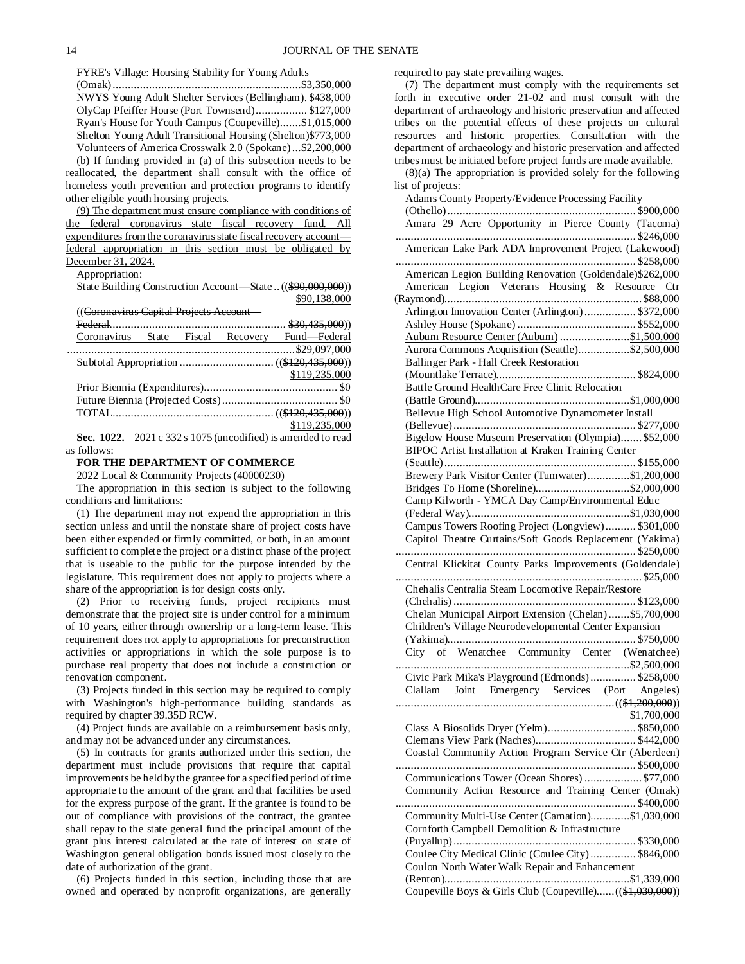FYRE's Village: Housing Stability for Young Adults

(Omak)..............................................................\$3,350,000 NWYS Young Adult Shelter Services (Bellingham). \$438,000 OlyCap Pfeiffer House (Port Townsend)................. \$127,000 Ryan's House for Youth Campus (Coupeville).......\$1,015,000 Shelton Young Adult Transitional Housing (Shelton)\$773,000 Volunteers of America Crosswalk 2.0 (Spokane)...\$2,200,000 (b) If funding provided in (a) of this subsection needs to be

reallocated, the department shall consult with the office of homeless youth prevention and protection programs to identify other eligible youth housing projects.

(9) The department must ensure compliance with conditions of the federal coronavirus state fiscal recovery fund. All expenditures from the coronavirus state fiscal recovery account federal appropriation in this section must be obligated by December 31, 2024.

Appropriation:

State Building Construction Account—State ..((\$90,000,000)) \$90,138,000

((Coronavirus Capital Projects Account—

|  |  | Coronavirus State Fiscal Recovery Fund-Federal       |
|--|--|------------------------------------------------------|
|  |  |                                                      |
|  |  |                                                      |
|  |  | \$119,235,000                                        |
|  |  |                                                      |
|  |  |                                                      |
|  |  |                                                      |
|  |  | \$119,235,000<br>$\frac{$119,235,000}{$119,235,000}$ |
|  |  |                                                      |

#### **Sec. 1022.** 2021 c 332 s 1075 (uncodified) is amended to read as follows:

### **FOR THE DEPARTMENT OF COMMERCE**

2022 Local & Community Projects (40000230)

The appropriation in this section is subject to the following conditions and limitations:

(1) The department may not expend the appropriation in this section unless and until the nonstate share of project costs have been either expended or firmly committed, or both, in an amount sufficient to complete the project or a distinct phase of the project that is useable to the public for the purpose intended by the legislature. This requirement does not apply to projects where a share of the appropriation is for design costs only.

(2) Prior to receiving funds, project recipients must demonstrate that the project site is under control for a minimum of 10 years, either through ownership or a long-term lease. This requirement does not apply to appropriations for preconstruction activities or appropriations in which the sole purpose is to purchase real property that does not include a construction or renovation component.

(3) Projects funded in this section may be required to comply with Washington's high-performance building standards as required by chapter 39.35D RCW.

(4) Project funds are available on a reimbursement basis only, and may not be advanced under any circumstances.

(5) In contracts for grants authorized under this section, the department must include provisions that require that capital improvements be held by the grantee for a specified period of time appropriate to the amount of the grant and that facilities be used for the express purpose of the grant. If the grantee is found to be out of compliance with provisions of the contract, the grantee shall repay to the state general fund the principal amount of the grant plus interest calculated at the rate of interest on state of Washington general obligation bonds issued most closely to the date of authorization of the grant.

(6) Projects funded in this section, including those that are owned and operated by nonprofit organizations, are generally required to pay state prevailing wages.

(7) The department must comply with the requirements set forth in executive order 21-02 and must consult with the department of archaeology and historic preservation and affected tribes on the potential effects of these projects on cultural resources and historic properties. Consultation with the department of archaeology and historic preservation and affected tribes must be initiated before project funds are made available.

(8)(a) The appropriation is provided solely for the following list of projects:

| Adams County Property/Evidence Processing Facility                                                               |
|------------------------------------------------------------------------------------------------------------------|
| Amara 29 Acre Opportunity in Pierce County (Tacoma)                                                              |
|                                                                                                                  |
| American Lake Park ADA Improvement Project (Lakewood)                                                            |
|                                                                                                                  |
| American Legion Building Renovation (Goldendale) \$262,000                                                       |
| American Legion Veterans Housing & Resource Ctr                                                                  |
|                                                                                                                  |
| Arlington Innovation Center (Arlington) \$372,000                                                                |
|                                                                                                                  |
| Aubum Resource Center (Aubum) \$1,500,000                                                                        |
| Aurora Commons Acquisition (Seattle)\$2,500,000                                                                  |
|                                                                                                                  |
| Battle Ground HealthCare Free Clinic Relocation                                                                  |
|                                                                                                                  |
| Bellevue High School Automotive Dynamometer Install                                                              |
|                                                                                                                  |
| Bigelow House Museum Preservation (Olympia) \$52,000                                                             |
| BIPOC Artist Installation at Kraken Training Center                                                              |
|                                                                                                                  |
| Brewery Park Visitor Center (Tumwater)\$1,200,000                                                                |
| Bridges To Home (Shoreline)\$2,000,000                                                                           |
| Camp Kilworth - YMCA Day Camp/Environmental Educ                                                                 |
|                                                                                                                  |
| Campus Towers Roofing Project (Longview) \$301,000                                                               |
| Capitol Theatre Curtains/Soft Goods Replacement (Yakima)                                                         |
|                                                                                                                  |
| Central Klickitat County Parks Improvements (Goldendale)                                                         |
|                                                                                                                  |
| Chehalis Centralia Steam Locomotive Repair/Restore                                                               |
|                                                                                                                  |
| Chelan Municipal Airport Extension (Chelan)\$5,700,000<br>Children's Village Neurodevelopmental Center Expansion |
|                                                                                                                  |
| City of Wenatchee Community Center (Wenatchee)                                                                   |
|                                                                                                                  |
| Civic Park Mika's Playground (Edmonds) \$258,000                                                                 |
| Clallam Joint Emergency Services (Port Angeles)                                                                  |
|                                                                                                                  |
| \$1,700,000                                                                                                      |
|                                                                                                                  |
|                                                                                                                  |
| Coastal Community Action Program Service Ctr (Aberdeen)                                                          |
|                                                                                                                  |
| Communications Tower (Ocean Shores) \$77,000                                                                     |
| Community Action Resource and Training Center (Omak)                                                             |
|                                                                                                                  |
| Community Multi-Use Center (Carnation)\$1,030,000                                                                |
| Cornforth Campbell Demolition & Infrastructure                                                                   |
|                                                                                                                  |
| Coulee City Medical Clinic (Coulee City) \$846,000                                                               |
| Coulon North Water Walk Repair and Enhancement                                                                   |
|                                                                                                                  |
| Coupeville Boys & Girls Club (Coupeville)((\$1,030,000))                                                         |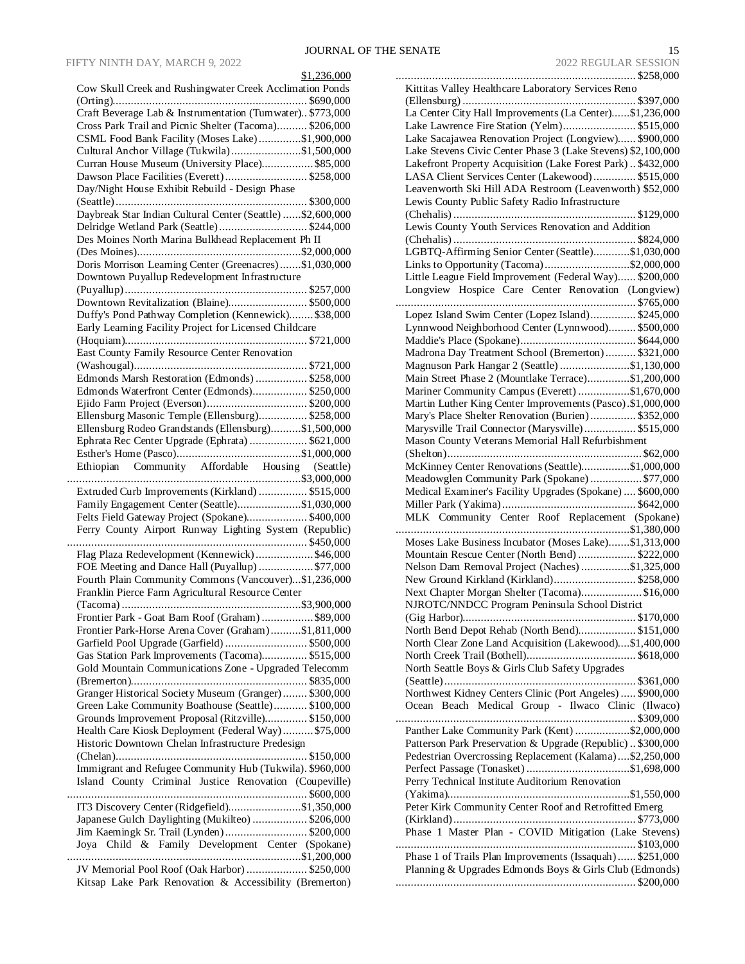| \$1,236,000                                                                                              |
|----------------------------------------------------------------------------------------------------------|
| Cow Skull Creek and Rushingwater Creek Acclimation Ponds                                                 |
| Craft Beverage Lab & Instrumentation (Tumwater) \$773,000                                                |
| Cross Park Trail and Picnic Shelter (Tacoma) \$206,000                                                   |
| CSML Food Bank Facility (Moses Lake)\$1,900,000                                                          |
| Cultural Anchor Village (Tukwila)\$1,500,000                                                             |
|                                                                                                          |
| Curran House Museum (University Place) \$85,000                                                          |
| Dawson Place Facilities (Everett) \$258,000                                                              |
| Day/Night House Exhibit Rebuild - Design Phase                                                           |
|                                                                                                          |
| Daybreak Star Indian Cultural Center (Seattle) \$2,600,000                                               |
| Delridge Wetland Park (Seattle) \$244,000                                                                |
| Des Moines North Marina Bulkhead Replacement Ph II                                                       |
|                                                                                                          |
| Doris Morrison Learning Center (Greenacres)\$1,030,000                                                   |
| Downtown Puyallup Redevelopment Infrastructure                                                           |
|                                                                                                          |
| Downtown Revitalization (Blaine) \$500,000                                                               |
| Duffy's Pond Pathway Completion (Kennewick) \$38,000                                                     |
| Early Learning Facility Project for Licensed Childcare                                                   |
|                                                                                                          |
| East County Family Resource Center Renovation                                                            |
|                                                                                                          |
| Edmonds Marsh Restoration (Edmonds)\$258,000                                                             |
| Edmonds Waterfront Center (Edmonds) \$250,000                                                            |
|                                                                                                          |
| Ellensburg Masonic Temple (Ellensburg) \$258,000                                                         |
| Ellensburg Rodeo Grandstands (Ellensburg)\$1,500,000                                                     |
| Ephrata Rec Center Upgrade (Ephrata)  \$621,000                                                          |
|                                                                                                          |
| Ethiopian Community Affordable Housing (Seattle)                                                         |
|                                                                                                          |
| Extruded Curb Improvements (Kirkland)  \$515,000                                                         |
| Family Engagement Center (Seattle)\$1,030,000                                                            |
| Felts Field Gateway Project (Spokane) \$400,000                                                          |
| Ferry County Airport Runway Lighting System (Republic)                                                   |
|                                                                                                          |
|                                                                                                          |
|                                                                                                          |
| Flag Plaza Redevelopment (Kennewick) \$46,000                                                            |
| FOE Meeting and Dance Hall (Puyallup) \$77,000                                                           |
| Fourth Plain Community Commons (Vancouver)\$1,236,000                                                    |
| Franklin Pierce Farm Agricultural Resource Center                                                        |
|                                                                                                          |
| Frontier Park - Goat Barn Roof (Graham) \$89,000                                                         |
| Frontier Park-Horse Arena Cover (Graham)\$1,811,000                                                      |
| Garfield Pool Upgrade (Garfield)  \$500,000                                                              |
| Gas Station Park Improvements (Tacoma) \$515,000                                                         |
| Gold Mountain Communications Zone - Upgraded Telecomm                                                    |
|                                                                                                          |
| Granger Historical Society Museum (Granger) \$300,000                                                    |
| Green Lake Community Boathouse (Seattle) \$100,000                                                       |
| Grounds Improvement Proposal (Ritzville) \$150,000                                                       |
| Health Care Kiosk Deployment (Federal Way) \$75,000                                                      |
| Historic Downtown Chelan Infrastructure Predesign                                                        |
|                                                                                                          |
| Immigrant and Refugee Community Hub (Tukwila). \$960,000                                                 |
| Island County Criminal Justice Renovation (Coupeville)                                                   |
|                                                                                                          |
| IT3 Discovery Center (Ridgefield)\$1,350,000                                                             |
| Japanese Gulch Daylighting (Mukilteo)  \$206,000                                                         |
| Jim Kaemingk Sr. Trail (Lynden)  \$200,000                                                               |
| Joya Child & Family Development Center (Spokane)                                                         |
| .                                                                                                        |
| JV Memorial Pool Roof (Oak Harbor)  \$250,000<br>Kitsap Lake Park Renovation & Accessibility (Bremerton) |

| Kittitas Valley Healthcare Laboratory Services Reno                                                                 |  |
|---------------------------------------------------------------------------------------------------------------------|--|
|                                                                                                                     |  |
| La Center City Hall Improvements (La Center)\$1,236,000                                                             |  |
| Lake Lawrence Fire Station (Yelm) \$515,000                                                                         |  |
| Lake Sacajawea Renovation Project (Longview) \$900,000                                                              |  |
| Lake Stevens Civic Center Phase 3 (Lake Stevens) \$2,100,000                                                        |  |
| Lakefront Property Acquisition (Lake Forest Park) \$432,000                                                         |  |
| LASA Client Services Center (Lakewood) \$515,000                                                                    |  |
| Leavenworth Ski Hill ADA Restroom (Leavenworth) \$52,000<br>Lewis County Public Safety Radio Infrastructure         |  |
|                                                                                                                     |  |
| Lewis County Youth Services Renovation and Addition                                                                 |  |
|                                                                                                                     |  |
| LGBTQ-Affirming Senior Center (Seattle)\$1,030,000                                                                  |  |
| Links to Opportunity (Tacoma)\$2,000,000                                                                            |  |
| Little League Field Improvement (Federal Way) \$200,000                                                             |  |
| Longview Hospice Care Center Renovation (Longview)                                                                  |  |
|                                                                                                                     |  |
| Lopez Island Swim Center (Lopez Island) \$245,000                                                                   |  |
| Lynnwood Neighborhood Center (Lynnwood) \$500,000                                                                   |  |
|                                                                                                                     |  |
| Madrona Day Treatment School (Bremerton) \$321,000                                                                  |  |
| Magnuson Park Hangar 2 (Seattle) \$1,130,000                                                                        |  |
| Main Street Phase 2 (Mountlake Terrace)\$1,200,000                                                                  |  |
| Mariner Community Campus (Everett) \$1,670,000                                                                      |  |
| Martin Luther King Center Improvements (Pasco).\$1,000,000                                                          |  |
| Mary's Place Shelter Renovation (Burien) \$352,000                                                                  |  |
| Marysville Trail Connector (Marysville) \$515,000                                                                   |  |
| Mason County Veterans Memorial Hall Refurbishment                                                                   |  |
| McKinney Center Renovations (Seattle)\$1,000,000                                                                    |  |
| Meadowglen Community Park (Spokane)  \$77,000                                                                       |  |
| Medical Examiner's Facility Upgrades (Spokane)  \$600,000                                                           |  |
|                                                                                                                     |  |
| MLK Community Center Roof Replacement (Spokane)                                                                     |  |
|                                                                                                                     |  |
| Moses Lake Business Incubator (Moses Lake)\$1,313,000                                                               |  |
| Mountain Rescue Center (North Bend)  \$222,000                                                                      |  |
| Nelson Dam Removal Project (Naches) \$1,325,000                                                                     |  |
| New Ground Kirkland (Kirkland) \$258,000                                                                            |  |
| Next Chapter Morgan Shelter (Tacoma)\$16,000                                                                        |  |
|                                                                                                                     |  |
| NJROTC/NNDCC Program Peninsula School District                                                                      |  |
|                                                                                                                     |  |
| North Bend Depot Rehab (North Bend) \$151,000                                                                       |  |
| North Clear Zone Land Acquisition (Lakewood)\$1,400,000                                                             |  |
|                                                                                                                     |  |
| North Seattle Boys & Girls Club Safety Upgrades                                                                     |  |
|                                                                                                                     |  |
| Northwest Kidney Centers Clinic (Port Angeles)  \$900,000                                                           |  |
| Ocean Beach Medical Group - Ilwaco Clinic (Ilwaco)                                                                  |  |
|                                                                                                                     |  |
| Panther Lake Community Park (Kent) \$2,000,000                                                                      |  |
| Patterson Park Preservation & Upgrade (Republic)  \$300,000                                                         |  |
| Pedestrian Overcrossing Replacement (Kalama)\$2,250,000                                                             |  |
|                                                                                                                     |  |
| Perry Technical Institute Auditorium Renovation                                                                     |  |
|                                                                                                                     |  |
| Peter Kirk Community Center Roof and Retrofitted Emerg                                                              |  |
|                                                                                                                     |  |
| Phase 1 Master Plan - COVID Mitigation (Lake Stevens)                                                               |  |
|                                                                                                                     |  |
| Phase 1 of Trails Plan Improvements (Issaquah) \$251,000<br>Planning & Upgrades Edmonds Boys & Girls Club (Edmonds) |  |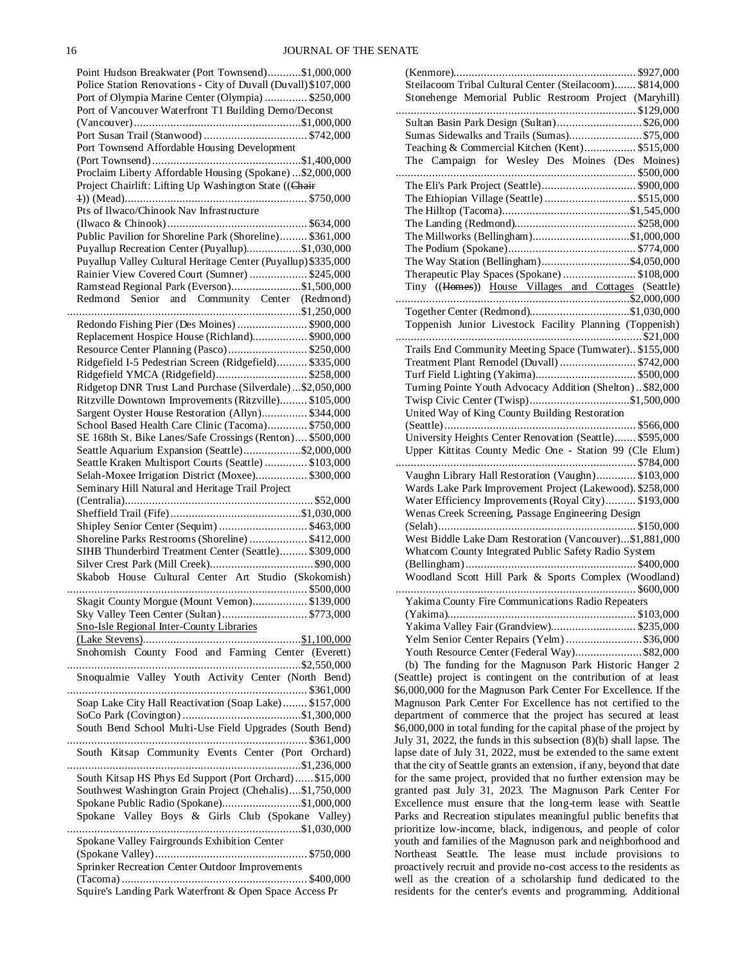| Point Hudson Breakwater (Port Townsend)\$1,000,000                                                       |
|----------------------------------------------------------------------------------------------------------|
| Police Station Renovations - City of Duvall (Duvall) \$107,000                                           |
| Port of Olympia Marine Center (Olympia)  \$250,000                                                       |
| Port of Vancouver Waterfront T1 Building Demo/Deconst                                                    |
|                                                                                                          |
|                                                                                                          |
| Port Townsend Affordable Housing Development                                                             |
|                                                                                                          |
| Proclaim Liberty Affordable Housing (Spokane)  \$2,000,000                                               |
| Project Chairlift: Lifting Up Washington State ((Chair                                                   |
| Pts of Ilwaco/Chinook Nav Infrastructure                                                                 |
|                                                                                                          |
| Public Pavilion for Shoreline Park (Shoreline) \$361,000                                                 |
| Puyallup Recreation Center (Puyallup)\$1,030,000                                                         |
| Puyallup Valley Cultural Heritage Center (Puyallup) \$335,000                                            |
| Rainier View Covered Court (Sumner)  \$245,000                                                           |
| Ramstead Regional Park (Everson)\$1,500,000                                                              |
| Redmond Senior and Community Center (Redmond)                                                            |
|                                                                                                          |
| Redondo Fishing Pier (Des Moines)  \$900,000                                                             |
| Replacement Hospice House (Richland) \$900,000                                                           |
| Resource Center Planning (Pasco) \$250,000                                                               |
| Ridgefield I-5 Pedestrian Screen (Ridgefield) \$335,000                                                  |
| Ridgefield YMCA (Ridgefield) \$258,000                                                                   |
| Ridgetop DNR Trust Land Purchase (Silverdale)\$2,050,000                                                 |
| Ritzville Downtown Improvements (Ritzville) \$105,000                                                    |
| Sargent Oyster House Restoration (Allyn) \$344,000<br>School Based Health Care Clinic (Tacoma) \$750,000 |
| SE 168th St. Bike Lanes/Safe Crossings (Renton) \$500,000                                                |
| Seattle Aquarium Expansion (Seattle)\$2,000,000                                                          |
| Seattle Kraken Multisport Courts (Seattle)  \$103,000                                                    |
| Selah-Moxee Irrigation District (Moxee) \$300,000                                                        |
|                                                                                                          |
|                                                                                                          |
| Seminary Hill Natural and Heritage Trail Project                                                         |
|                                                                                                          |
| Shipley Senior Center (Sequim)  \$463,000                                                                |
| Shoreline Parks Restrooms (Shoreline)  \$412,000                                                         |
| SIHB Thunderbird Treatment Center (Seattle) \$309,000                                                    |
|                                                                                                          |
| Skabob House Cultural Center Art Studio (Skokomish)                                                      |
|                                                                                                          |
| Skagit County Morgue (Mount Vernon) \$139,000                                                            |
| Sky Valley Teen Center (Sultan) \$773,000                                                                |
| <b>Sno-Isle Regional Inter-County Libraries</b>                                                          |
|                                                                                                          |
| Snohomish County Food and Farming Center (Everett)                                                       |
|                                                                                                          |
| Snoqualmie Valley Youth Activity Center (North Bend)                                                     |
|                                                                                                          |
| Soap Lake City Hall Reactivation (Soap Lake) \$157,000                                                   |
| South Bend School Multi-Use Field Upgrades (South Bend)                                                  |
|                                                                                                          |
| South Kitsap Community Events Center (Port Orchard)                                                      |
|                                                                                                          |
| South Kitsap HS Phys Ed Support (Port Orchard) \$15,000                                                  |
| Southwest Washington Grain Project (Chehalis)\$1,750,000                                                 |
| Spokane Public Radio (Spokane)\$1,000,000                                                                |
| Spokane Valley Boys & Girls Club (Spokane Valley)                                                        |
|                                                                                                          |
| Spokane Valley Fairgrounds Exhibition Center                                                             |
|                                                                                                          |
| Sprinker Recreation Center Outdoor Improvements                                                          |

| Steilacoom Tribal Cultural Center (Steilacoom) \$814,000  |  |
|-----------------------------------------------------------|--|
| Stonehenge Memorial Public Restroom Project (Maryhill)    |  |
|                                                           |  |
| Sultan Basin Park Design (Sultan)\$26,000                 |  |
| Sumas Sidewalks and Trails (Sumas) \$75,000               |  |
| Teaching & Commercial Kitchen (Kent) \$515,000            |  |
| The Campaign for Wesley Des Moines (Des Moines)           |  |
|                                                           |  |
| The Eli's Park Project (Seattle) \$900,000                |  |
| The Ethiopian Village (Seattle)  \$515,000                |  |
|                                                           |  |
|                                                           |  |
| The Millworks (Bellingham)\$1,000,000                     |  |
|                                                           |  |
|                                                           |  |
| Therapeutic Play Spaces (Spokane)  \$108,000              |  |
| Tiny ((Homes)) House Villages and Cottages (Seattle)      |  |
|                                                           |  |
|                                                           |  |
| Toppenish Junior Livestock Facility Planning (Toppenish)  |  |
|                                                           |  |
| Trails End Community Meeting Space (Tumwater) \$155,000   |  |
| Treatment Plant Remodel (Duvall)  \$742,000               |  |
|                                                           |  |
| Turning Pointe Youth Advocacy Addition (Shelton)\$82,000  |  |
|                                                           |  |
| United Way of King County Building Restoration            |  |
|                                                           |  |
| University Heights Center Renovation (Seattle) \$595,000  |  |
| Upper Kittitas County Medic One - Station 99 (Cle Elum)   |  |
|                                                           |  |
| Vaughn Library Hall Restoration (Vaughn) \$103,000        |  |
| Wards Lake Park Improvement Project (Lakewood). \$258,000 |  |
| Water Efficiency Improvements (Royal City) \$193,000      |  |
| Wenas Creek Screening, Passage Engineering Design         |  |
|                                                           |  |
| West Biddle Lake Dam Restoration (Vancouver)\$1,881,000   |  |
| Whatcom County Integrated Public Safety Radio System      |  |
|                                                           |  |
| Woodland Scott Hill Park & Sports Complex (Woodland)      |  |
|                                                           |  |
| Yakima County Fire Communications Radio Repeaters         |  |
|                                                           |  |
| Yakima Valley Fair (Grandview) \$235,000                  |  |
| Yelm Senior Center Repairs (Yelm) \$36,000                |  |
| Youth Resource Center (Federal Way) \$82,000              |  |
|                                                           |  |

(b) The funding for the Magnuson Park Historic Hanger 2 (Seattle) project is contingent on the contribution of at least \$6,000,000 for the Magnuson Park Center For Excellence. If the Magnuson Park Center For Excellence has not certified to the department of commerce that the project has secured at least \$6,000,000 in total funding for the capital phase of the project by July 31, 2022, the funds in this subsection (8)(b) shall lapse. The lapse date of July 31, 2022, must be extended to the same extent that the city of Seattle grants an extension, if any, beyond that date for the same project, provided that no further extension may be granted past July 31, 2023. The Magnuson Park Center For Excellence must ensure that the long-term lease with Seattle Parks and Recreation stipulates meaningful public benefits that prioritize low-income, black, indigenous, and people of color youth and families of the Magnuson park and neighborhood and Northeast Seattle. The lease must include provisions to proactively recruit and provide no-cost access to the residents as well as the creation of a scholarship fund dedicated to the residents for the center's events and programming. Additional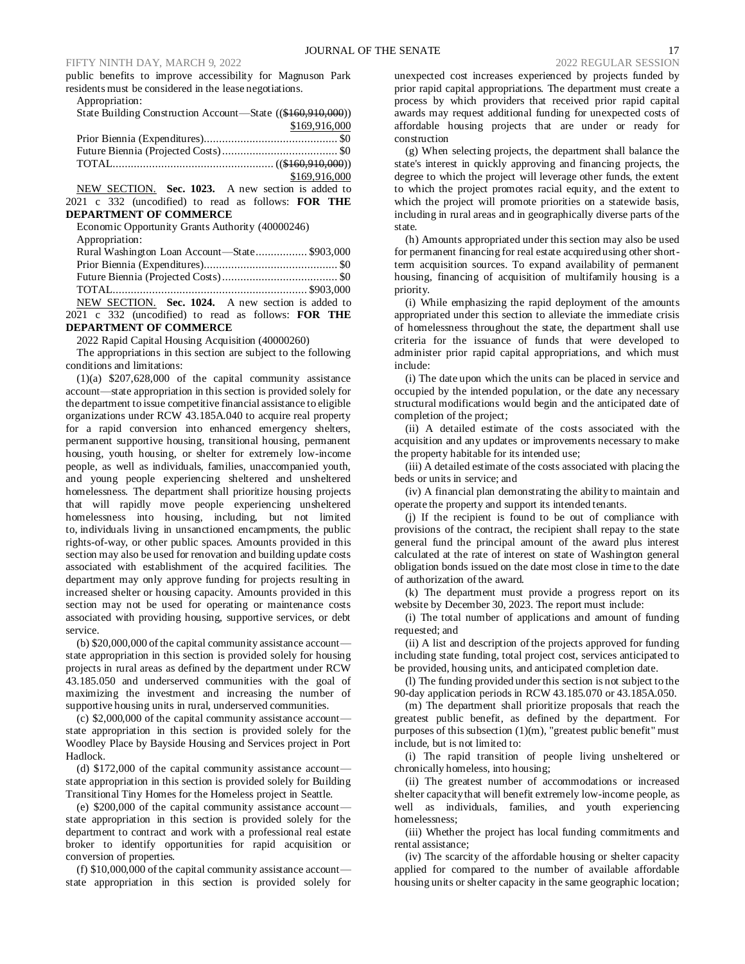public benefits to improve accessibility for Magnuson Park residents must be considered in the lease negotiations.

Appropriation: State Building Construction Account—State ((\$160,910,000))

| \$169,916,000 |
|---------------|
|               |
|               |
|               |
| \$169,916,000 |

NEW SECTION. **Sec. 1023.** A new section is added to 2021 c 332 (uncodified) to read as follows: **FOR THE** 

### **DEPARTMENT OF COMMERCE**

Economic Opportunity Grants Authority (40000246) Appropriation: Rural Washington Loan Account—State................. \$903,000 Prior Biennia (Expenditures)............................................ \$0 Future Biennia (Projected Costs)...................................... \$0 TOTAL................................................................ \$903,000 NEW SECTION. **Sec. 1024.** A new section is added to

2021 c 332 (uncodified) to read as follows: **FOR THE DEPARTMENT OF COMMERCE**

2022 Rapid Capital Housing Acquisition (40000260)

The appropriations in this section are subject to the following conditions and limitations:

(1)(a) \$207,628,000 of the capital community assistance account—state appropriation in this section is provided solely for the department to issue competitive financial assistance to eligible organizations under RCW 43.185A.040 to acquire real property for a rapid conversion into enhanced emergency shelters, permanent supportive housing, transitional housing, permanent housing, youth housing, or shelter for extremely low-income people, as well as individuals, families, unaccompanied youth, and young people experiencing sheltered and unsheltered homelessness. The department shall prioritize housing projects that will rapidly move people experiencing unsheltered homelessness into housing, including, but not limited to, individuals living in unsanctioned encampments, the public rights-of-way, or other public spaces. Amounts provided in this section may also be used for renovation and building update costs associated with establishment of the acquired facilities. The department may only approve funding for projects resulting in increased shelter or housing capacity. Amounts provided in this section may not be used for operating or maintenance costs associated with providing housing, supportive services, or debt service.

(b) \$20,000,000 of the capital community assistance account state appropriation in this section is provided solely for housing projects in rural areas as defined by the department under RCW 43.185.050 and underserved communities with the goal of maximizing the investment and increasing the number of supportive housing units in rural, underserved communities.

(c) \$2,000,000 of the capital community assistance account state appropriation in this section is provided solely for the Woodley Place by Bayside Housing and Services project in Port Hadlock.

(d) \$172,000 of the capital community assistance account state appropriation in this section is provided solely for Building Transitional Tiny Homes for the Homeless project in Seattle.

(e) \$200,000 of the capital community assistance account state appropriation in this section is provided solely for the department to contract and work with a professional real estate broker to identify opportunities for rapid acquisition or conversion of properties.

(f) \$10,000,000 of the capital community assistance account state appropriation in this section is provided solely for unexpected cost increases experienced by projects funded by prior rapid capital appropriations. The department must create a process by which providers that received prior rapid capital awards may request additional funding for unexpected costs of affordable housing projects that are under or ready for construction

(g) When selecting projects, the department shall balance the state's interest in quickly approving and financing projects, the degree to which the project will leverage other funds, the extent to which the project promotes racial equity, and the extent to which the project will promote priorities on a statewide basis, including in rural areas and in geographically diverse parts of the state.

(h) Amounts appropriated under this section may also be used for permanent financing for real estate acquired using other shortterm acquisition sources. To expand availability of permanent housing, financing of acquisition of multifamily housing is a priority.

(i) While emphasizing the rapid deployment of the amounts appropriated under this section to alleviate the immediate crisis of homelessness throughout the state, the department shall use criteria for the issuance of funds that were developed to administer prior rapid capital appropriations, and which must include:

(i) The date upon which the units can be placed in service and occupied by the intended population, or the date any necessary structural modifications would begin and the anticipated date of completion of the project;

(ii) A detailed estimate of the costs associated with the acquisition and any updates or improvements necessary to make the property habitable for its intended use;

(iii) A detailed estimate of the costs associated with placing the beds or units in service; and

(iv) A financial plan demonstrating the ability to maintain and operate the property and support its intended tenants.

(j) If the recipient is found to be out of compliance with provisions of the contract, the recipient shall repay to the state general fund the principal amount of the award plus interest calculated at the rate of interest on state of Washington general obligation bonds issued on the date most close in time to the date of authorization of the award.

(k) The department must provide a progress report on its website by December 30, 2023. The report must include:

(i) The total number of applications and amount of funding requested; and

(ii) A list and description of the projects approved for funding including state funding, total project cost, services anticipated to be provided, housing units, and anticipated completion date.

(l) The funding provided under this section is not subject to the 90-day application periods in RCW 43.185.070 or 43.185A.050.

(m) The department shall prioritize proposals that reach the greatest public benefit, as defined by the department. For purposes of this subsection (1)(m), "greatest public benefit" must include, but is not limited to:

(i) The rapid transition of people living unsheltered or chronically homeless, into housing;

(ii) The greatest number of accommodations or increased shelter capacity that will benefit extremely low-income people, as well as individuals, families, and youth experiencing homelessness;

(iii) Whether the project has local funding commitments and rental assistance;

(iv) The scarcity of the affordable housing or shelter capacity applied for compared to the number of available affordable housing units or shelter capacity in the same geographic location;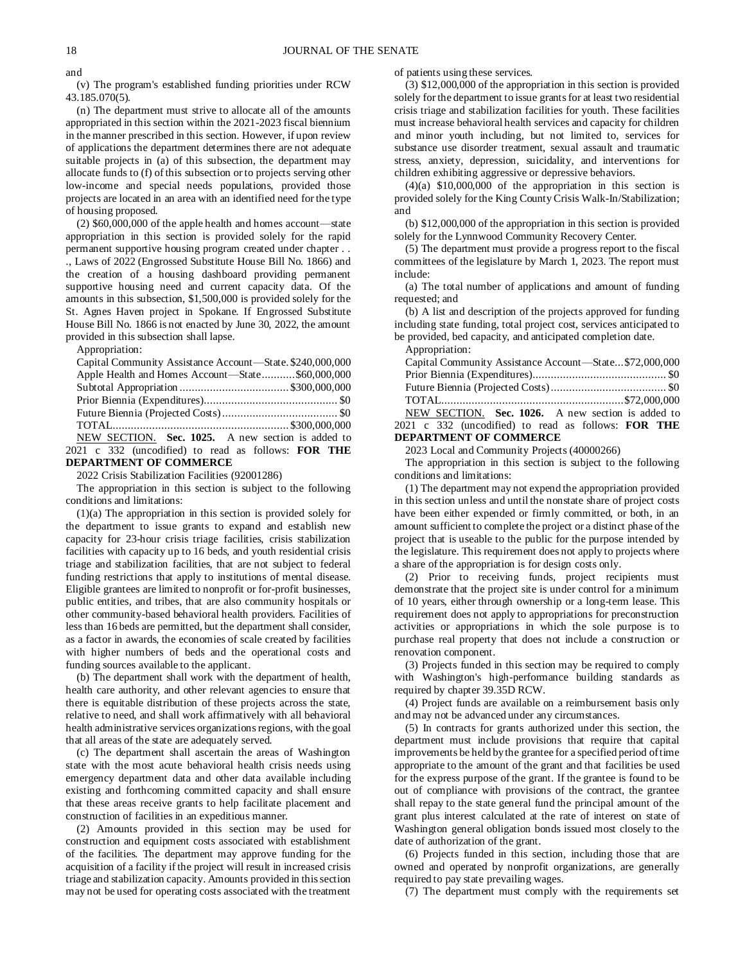and

(v) The program's established funding priorities under RCW 43.185.070(5).

(n) The department must strive to allocate all of the amounts appropriated in this section within the 2021-2023 fiscal biennium in the manner prescribed in this section. However, if upon review of applications the department determines there are not adequate suitable projects in (a) of this subsection, the department may allocate funds to (f) of this subsection or to projects serving other low-income and special needs populations, provided those projects are located in an area with an identified need for the type of housing proposed.

(2) \$60,000,000 of the apple health and homes account—state appropriation in this section is provided solely for the rapid permanent supportive housing program created under chapter . .

., Laws of 2022 (Engrossed Substitute House Bill No. 1866) and the creation of a housing dashboard providing permanent supportive housing need and current capacity data. Of the amounts in this subsection, \$1,500,000 is provided solely for the St. Agnes Haven project in Spokane. If Engrossed Substitute House Bill No. 1866 is not enacted by June 30, 2022, the amount provided in this subsection shall lapse.

Appropriation:

| Capital Community Assistance Account—State. \$240,000,000  |
|------------------------------------------------------------|
| Apple Health and Homes Account-State\$60,000,000           |
|                                                            |
|                                                            |
|                                                            |
|                                                            |
| NEW SECTION. Sec. 1025. A new section is added to          |
| 2021 c 332 (uncodified) to read as follows: <b>FOR THE</b> |
| <b>DEPARTMENT OF COMMERCE</b>                              |

#### 2022 Crisis Stabilization Facilities (92001286)

The appropriation in this section is subject to the following conditions and limitations:

(1)(a) The appropriation in this section is provided solely for the department to issue grants to expand and establish new capacity for 23-hour crisis triage facilities, crisis stabilization facilities with capacity up to 16 beds, and youth residential crisis triage and stabilization facilities, that are not subject to federal funding restrictions that apply to institutions of mental disease. Eligible grantees are limited to nonprofit or for-profit businesses, public entities, and tribes, that are also community hospitals or other community-based behavioral health providers. Facilities of less than 16 beds are permitted, but the department shall consider, as a factor in awards, the economies of scale created by facilities with higher numbers of beds and the operational costs and funding sources available to the applicant.

(b) The department shall work with the department of health, health care authority, and other relevant agencies to ensure that there is equitable distribution of these projects across the state, relative to need, and shall work affirmatively with all behavioral health administrative services organizations regions, with the goal that all areas of the state are adequately served.

(c) The department shall ascertain the areas of Washington state with the most acute behavioral health crisis needs using emergency department data and other data available including existing and forthcoming committed capacity and shall ensure that these areas receive grants to help facilitate placement and construction of facilities in an expeditious manner.

(2) Amounts provided in this section may be used for construction and equipment costs associated with establishment of the facilities. The department may approve funding for the acquisition of a facility if the project will result in increased crisis triage and stabilization capacity. Amounts provided in this section may not be used for operating costs associated with the treatment of patients using these services.

(3) \$12,000,000 of the appropriation in this section is provided solely for the department to issue grants for at least two residential crisis triage and stabilization facilities for youth. These facilities must increase behavioral health services and capacity for children and minor youth including, but not limited to, services for substance use disorder treatment, sexual assault and traumatic stress, anxiety, depression, suicidality, and interventions for children exhibiting aggressive or depressive behaviors.

 $(4)(a)$  \$10,000,000 of the appropriation in this section is provided solely for the King County Crisis Walk-In/Stabilization; and

(b) \$12,000,000 of the appropriation in this section is provided solely for the Lynnwood Community Recovery Center.

(5) The department must provide a progress report to the fiscal committees of the legislature by March 1, 2023. The report must include:

(a) The total number of applications and amount of funding requested; and

(b) A list and description of the projects approved for funding including state funding, total project cost, services anticipated to be provided, bed capacity, and anticipated completion date.

Appropriation:

| Capital Community Assistance Account—State\$72,000,000     |  |
|------------------------------------------------------------|--|
|                                                            |  |
|                                                            |  |
|                                                            |  |
| NEW SECTION. Sec. 1026. A new section is added to          |  |
| 2021 c 332 (uncodified) to read as follows: <b>FOR THE</b> |  |
| <b>DEPARTMENT OF COMMERCE</b>                              |  |

2023 Local and Community Projects (40000266)

The appropriation in this section is subject to the following conditions and limitations:

(1) The department may not expend the appropriation provided in this section unless and until the nonstate share of project costs have been either expended or firmly committed, or both, in an amount sufficient to complete the project or a distinct phase of the project that is useable to the public for the purpose intended by the legislature. This requirement does not apply to projects where a share of the appropriation is for design costs only.

(2) Prior to receiving funds, project recipients must demonstrate that the project site is under control for a minimum of 10 years, either through ownership or a long-term lease. This requirement does not apply to appropriations for preconstruction activities or appropriations in which the sole purpose is to purchase real property that does not include a construction or renovation component.

(3) Projects funded in this section may be required to comply with Washington's high-performance building standards as required by chapter 39.35D RCW.

(4) Project funds are available on a reimbursement basis only and may not be advanced under any circumstances.

(5) In contracts for grants authorized under this section, the department must include provisions that require that capital improvements be held by the grantee for a specified period of time appropriate to the amount of the grant and that facilities be used for the express purpose of the grant. If the grantee is found to be out of compliance with provisions of the contract, the grantee shall repay to the state general fund the principal amount of the grant plus interest calculated at the rate of interest on state of Washington general obligation bonds issued most closely to the date of authorization of the grant.

(6) Projects funded in this section, including those that are owned and operated by nonprofit organizations, are generally required to pay state prevailing wages.

(7) The department must comply with the requirements set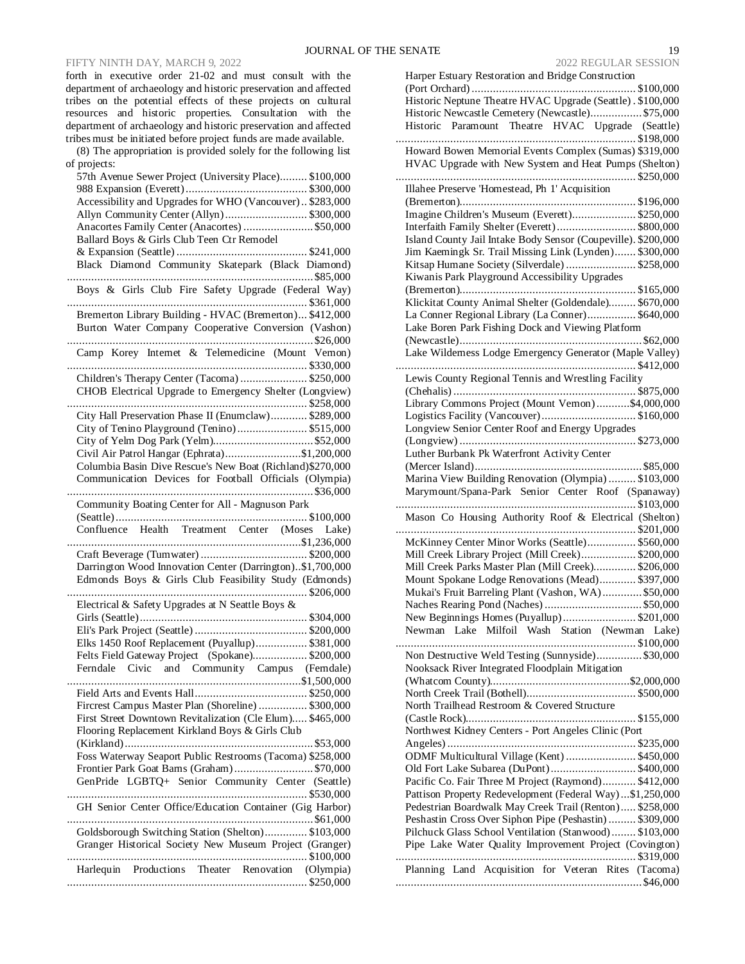## FIFTY NINTH DAY, MARCH 9, 2022

forth in executive order 21-02 and must consult with the department of archaeology and historic preservation and affected tribes on the potential effects of these projects on cultural resources and historic properties. Consultation with the department of archaeology and historic preservation and affected tribes must be initiated before project funds are made available.

(8) The appropriation is provided solely for the following list of projects:

| 57th Avenue Sewer Project (University Place) \$100,000<br>Accessibility and Upgrades for WHO (Vancouver) \$283,000<br>Allyn Community Center (Allyn) \$300,000<br>Anacortes Family Center (Anacortes)  \$50,000<br>Ballard Boys & Girls Club Teen Ctr Remodel |
|---------------------------------------------------------------------------------------------------------------------------------------------------------------------------------------------------------------------------------------------------------------|
| Black Diamond Community Skatepark (Black Diamond)<br>Boys & Girls Club Fire Safety Upgrade (Federal Way)                                                                                                                                                      |
| Bremerton Library Building - HVAC (Bremerton) \$412,000                                                                                                                                                                                                       |
| Burton Water Company Cooperative Conversion (Vashon)                                                                                                                                                                                                          |
| Camp Korey Internet & Telemedicine (Mount Vernon)                                                                                                                                                                                                             |
| Children's Therapy Center (Tacoma)  \$250,000                                                                                                                                                                                                                 |
| CHOB Electrical Upgrade to Emergency Shelter (Longview)                                                                                                                                                                                                       |
| City Hall Preservation Phase II (Enumclaw) \$289,000                                                                                                                                                                                                          |
| City of Tenino Playground (Tenino) \$515,000                                                                                                                                                                                                                  |
|                                                                                                                                                                                                                                                               |
| Civil Air Patrol Hangar (Ephrata)\$1,200,000                                                                                                                                                                                                                  |
| Columbia Basin Dive Rescue's New Boat (Richland) \$270,000                                                                                                                                                                                                    |
| Communication Devices for Football Officials (Olympia)                                                                                                                                                                                                        |
|                                                                                                                                                                                                                                                               |
| Community Boating Center for All - Magnuson Park                                                                                                                                                                                                              |
|                                                                                                                                                                                                                                                               |
|                                                                                                                                                                                                                                                               |
|                                                                                                                                                                                                                                                               |
| Darrington Wood Innovation Center (Darrington)\$1,700,000                                                                                                                                                                                                     |
| Edmonds Boys & Girls Club Feasibility Study (Edmonds)                                                                                                                                                                                                         |
|                                                                                                                                                                                                                                                               |
| Electrical & Safety Upgrades at N Seattle Boys &                                                                                                                                                                                                              |
|                                                                                                                                                                                                                                                               |
|                                                                                                                                                                                                                                                               |
| Elks 1450 Roof Replacement (Puyallup) \$381,000                                                                                                                                                                                                               |
| Felts Field Gateway Project (Spokane) \$200,000                                                                                                                                                                                                               |
| Ferndale Civic and Community Campus (Ferndale)                                                                                                                                                                                                                |
|                                                                                                                                                                                                                                                               |
|                                                                                                                                                                                                                                                               |
| Fircrest Campus Master Plan (Shoreline)  \$300,000                                                                                                                                                                                                            |
| First Street Downtown Revitalization (Cle Elum) \$465,000                                                                                                                                                                                                     |
| Flooring Replacement Kirkland Boys & Girls Club                                                                                                                                                                                                               |
|                                                                                                                                                                                                                                                               |
| Foss Waterway Seaport Public Restrooms (Tacoma) \$258,000<br>Frontier Park Goat Barns (Graham)\$70,000                                                                                                                                                        |
| GenPride LGBTQ+ Senior Community Center (Seattle)                                                                                                                                                                                                             |
|                                                                                                                                                                                                                                                               |
| GH Senior Center Office/Education Container (Gig Harbor)                                                                                                                                                                                                      |
| Goldsborough Switching Station (Shelton) \$103,000                                                                                                                                                                                                            |
| Granger Historical Society New Museum Project (Granger)                                                                                                                                                                                                       |
|                                                                                                                                                                                                                                                               |
| Harlequin Productions Theater Renovation (Olympia)                                                                                                                                                                                                            |
|                                                                                                                                                                                                                                                               |

| SENATE<br>19                                                  |
|---------------------------------------------------------------|
| <b>2022 REGULAR SESSION</b>                                   |
| Harper Estuary Restoration and Bridge Construction            |
|                                                               |
| Historic Neptune Theatre HVAC Upgrade (Seattle). \$100,000    |
| Historic Newcastle Cemetery (Newcastle) \$75,000              |
| Historic Paramount Theatre HVAC Upgrade (Seattle)             |
|                                                               |
|                                                               |
| Howard Bowen Memorial Events Complex (Sumas) \$319,000        |
| HVAC Upgrade with New System and Heat Pumps (Shelton)         |
|                                                               |
| Illahee Preserve 'Homestead, Ph 1' Acquisition                |
|                                                               |
| Imagine Children's Museum (Everett)\$250,000                  |
| Interfaith Family Shelter (Everett)\$800,000                  |
| Island County Jail Intake Body Sensor (Coupeville). \$200,000 |
| Jim Kaemingk Sr. Trail Missing Link (Lynden) \$300,000        |
| Kitsap Humane Society (Silverdale)  \$258,000                 |
| Kiwanis Park Playground Accessibility Upgrades                |
|                                                               |
| Klickitat County Animal Shelter (Goldendale) \$670,000        |
| La Conner Regional Library (La Conner) \$640,000              |
| Lake Boren Park Fishing Dock and Viewing Platform             |
|                                                               |
| Lake Wilderness Lodge Emergency Generator (Maple Valley)      |
|                                                               |
|                                                               |

| Historic Paramount Theatre HVAC Upgrade (Seattle)                                                                       |  |  |
|-------------------------------------------------------------------------------------------------------------------------|--|--|
|                                                                                                                         |  |  |
| Howard Bowen Memorial Events Complex (Sumas) \$319,000                                                                  |  |  |
| HVAC Upgrade with New System and Heat Pumps (Shelton)                                                                   |  |  |
|                                                                                                                         |  |  |
| Illahee Preserve 'Homestead, Ph 1' Acquisition                                                                          |  |  |
|                                                                                                                         |  |  |
| Imagine Children's Museum (Everett) \$250,000                                                                           |  |  |
| Interfaith Family Shelter (Everett) \$800,000                                                                           |  |  |
| Island County Jail Intake Body Sensor (Coupeville). \$200,000<br>Jim Kaemingk Sr. Trail Missing Link (Lynden) \$300,000 |  |  |
| Kitsap Humane Society (Silverdale)  \$258,000                                                                           |  |  |
| Kiwanis Park Playground Accessibility Upgrades                                                                          |  |  |
|                                                                                                                         |  |  |
| Klickitat County Animal Shelter (Goldendale) \$670,000                                                                  |  |  |
| La Conner Regional Library (La Conner) \$640,000                                                                        |  |  |
| Lake Boren Park Fishing Dock and Viewing Platform                                                                       |  |  |
|                                                                                                                         |  |  |
| Lake Wilderness Lodge Emergency Generator (Maple Valley)                                                                |  |  |
|                                                                                                                         |  |  |
| Lewis County Regional Tennis and Wrestling Facility                                                                     |  |  |
|                                                                                                                         |  |  |
| Library Commons Project (Mount Vernon)\$4,000,000                                                                       |  |  |
| Logistics Facility (Vancouver)\$160,000                                                                                 |  |  |
| Longview Senior Center Roof and Energy Upgrades                                                                         |  |  |
|                                                                                                                         |  |  |
| Luther Burbank Pk Waterfront Activity Center                                                                            |  |  |
|                                                                                                                         |  |  |
| Marina View Building Renovation (Olympia)  \$103,000                                                                    |  |  |
| Marymount/Spana-Park Senior Center Roof (Spanaway)                                                                      |  |  |
| Mason Co Housing Authority Roof & Electrical (Shelton)                                                                  |  |  |
|                                                                                                                         |  |  |
| McKinney Center Minor Works (Seattle) \$560,000                                                                         |  |  |
| Mill Creek Library Project (Mill Creek) \$200,000                                                                       |  |  |
| Mill Creek Parks Master Plan (Mill Creek) \$206,000                                                                     |  |  |
| Mount Spokane Lodge Renovations (Mead) \$397,000                                                                        |  |  |
| Mukai's Fruit Barreling Plant (Vashon, WA) \$50,000                                                                     |  |  |
|                                                                                                                         |  |  |
| New Beginnings Homes (Puyallup) \$201,000                                                                               |  |  |
| Newman Lake Milfoil Wash Station (Newman Lake)                                                                          |  |  |
|                                                                                                                         |  |  |
| Non Destructive Weld Testing (Sunnyside) \$30,000                                                                       |  |  |
| Nooksack River Integrated Floodplain Mitigation                                                                         |  |  |
|                                                                                                                         |  |  |
| North Trailhead Restroom & Covered Structure                                                                            |  |  |
|                                                                                                                         |  |  |
| Northwest Kidney Centers - Port Angeles Clinic (Port                                                                    |  |  |
|                                                                                                                         |  |  |
| ODMF Multicultural Village (Kent)  \$450,000                                                                            |  |  |
| Old Fort Lake Subarea (DuPont) \$400,000                                                                                |  |  |
| Pacific Co. Fair Three M Project (Raymond) \$412,000                                                                    |  |  |
| Pattison Property Redevelopment (Federal Way)\$1,250,000                                                                |  |  |
| Pedestrian Boardwalk May Creek Trail (Renton) \$258,000                                                                 |  |  |
| Peshastin Cross Over Siphon Pipe (Peshastin)  \$309,000                                                                 |  |  |
| Pilchuck Glass School Ventilation (Stanwood) \$103,000                                                                  |  |  |
| Pipe Lake Water Quality Improvement Project (Covington)                                                                 |  |  |
|                                                                                                                         |  |  |
| Planning Land Acquisition for Veteran Rites (Tacoma)                                                                    |  |  |
|                                                                                                                         |  |  |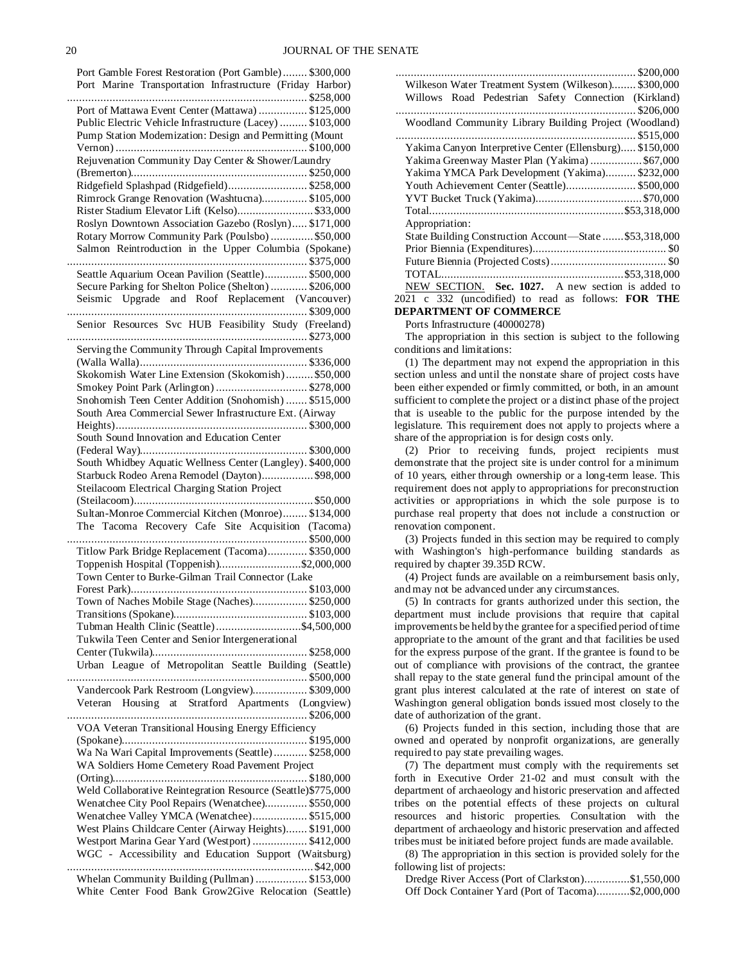Port Gamble Forest Restoration (Port Gamble)........ \$300,000 Port Marine Transportation Infrastructure (Friday Harbor) ............................................................................... \$258,000 Port of Mattawa Event Center (Mattawa) ................ \$125,000 Public Electric Vehicle Infrastructure (Lacey) ......... \$103,000 Pump Station Modernization: Design and Permitting (Mount Vernon) ............................................................... \$100,000 Rejuvenation Community Day Center & Shower/Laundry (Bremerton).......................................................... \$250,000 Ridgefield Splashpad (Ridgefield).......................... \$258,000 Rimrock Grange Renovation (Washtucna)............... \$105,000 Rister Stadium Elevator Lift (Kelso)......................... \$33,000 Roslyn Downtown Association Gazebo (Roslyn)..... \$171,000 Rotary Morrow Community Park (Poulsbo) .............. \$50,000 Salmon Reintroduction in the Upper Columbia (Spokane) ............................................................................... \$375,000 Seattle Aquarium Ocean Pavilion (Seattle).............. \$500,000 Secure Parking for Shelton Police (Shelton) ............ \$206,000 Seismic Upgrade and Roof Replacement (Vancouver) ............................................................................... \$309,000 Senior Resources Svc HUB Feasibility Study (Freeland) ............................................................................... \$273,000 Serving the Community Through Capital Improvements (Walla Walla)....................................................... \$336,000 Skokomish Water Line Extension (Skokomish)......... \$50,000 Smokey Point Park (Arlington) .............................. \$278,000 Snohomish Teen Center Addition (Snohomish) ....... \$515,000 South Area Commercial Sewer Infrastructure Ext. (Airway Heights)............................................................... \$300,000 South Sound Innovation and Education Center (Federal Way)....................................................... \$300,000 South Whidbey Aquatic Wellness Center (Langley). \$400,000 Starbuck Rodeo Arena Remodel (Dayton)................. \$98,000 Steilacoom Electrical Charging Station Project (Steilacoom)........................................................... \$50,000 Sultan-Monroe Commercial Kitchen (Monroe)........ \$134,000 The Tacoma Recovery Cafe Site Acquisition (Tacoma) ............................................................................... \$500,000 Titlow Park Bridge Replacement (Tacoma)............. \$350,000 Toppenish Hospital (Toppenish)...........................\$2,000,000 Town Center to Burke-Gilman Trail Connector (Lake Forest Park).......................................................... \$103,000 Town of Naches Mobile Stage (Naches).................. \$250,000 Transitions (Spokane)............................................ \$103,000 Tubman Health Clinic (Seattle)............................\$4,500,000 Tukwila Teen Center and Senior Intergenerational Center (Tukwila)................................................... \$258,000 Urban League of Metropolitan Seattle Building (Seattle) ............................................................................... \$500,000 Vandercook Park Restroom (Longview).................. \$309,000 Veteran Housing at Stratford Apartments (Longview) ............................................................................... \$206,000 VOA Veteran Transitional Housing Energy Efficiency (Spokane)............................................................. \$195,000 Wa Na Wari Capital Improvements (Seattle)........... \$258,000 WA Soldiers Home Cemetery Road Pavement Project (Orting)................................................................ \$180,000 Weld Collaborative Reintegration Resource (Seattle)\$775,000 Wenatchee City Pool Repairs (Wenatchee).............. \$550,000 Wenatchee Valley YMCA (Wenatchee).................. \$515,000 West Plains Childcare Center (Airway Heights)....... \$191,000 Westport Marina Gear Yard (Westport) .................. \$412,000 WGC - Accessibility and Education Support (Waitsburg) ................................................................................. \$42,000 Whelan Community Building (Pullman) ................. \$153,000 White Center Food Bank Grow2Give Relocation (Seattle)

| Wilkeson Water Treatment System (Wilkeson) \$300,000       |
|------------------------------------------------------------|
| Willows Road Pedestrian Safety Connection (Kirkland)       |
|                                                            |
| Woodland Community Library Building Project (Woodland)     |
|                                                            |
| Yakima Canyon Interpretive Center (Ellensburg) \$150,000   |
| Yakima Greenway Master Plan (Yakima)\$67,000               |
| Yakima YMCA Park Development (Yakima)\$232,000             |
| Youth Achievement Center (Seattle) \$500,000               |
|                                                            |
|                                                            |
| Appropriation:                                             |
| State Building Construction Account-State  \$53,318,000    |
|                                                            |
|                                                            |
|                                                            |
| NEW SECTION. Sec. 1027. A new section is added to          |
| 2021 c 332 (uncodified) to read as follows: <b>FOR THE</b> |
| <b>DEPARTMENT OF COMMERCE</b>                              |

Ports Infrastructure (40000278)

The appropriation in this section is subject to the following conditions and limitations:

(1) The department may not expend the appropriation in this section unless and until the nonstate share of project costs have been either expended or firmly committed, or both, in an amount sufficient to complete the project or a distinct phase of the project that is useable to the public for the purpose intended by the legislature. This requirement does not apply to projects where a share of the appropriation is for design costs only.

(2) Prior to receiving funds, project recipients must demonstrate that the project site is under control for a minimum of 10 years, either through ownership or a long-term lease. This requirement does not apply to appropriations for preconstruction activities or appropriations in which the sole purpose is to purchase real property that does not include a construction or renovation component.

(3) Projects funded in this section may be required to comply with Washington's high-performance building standards as required by chapter 39.35D RCW.

(4) Project funds are available on a reimbursement basis only, and may not be advanced under any circumstances.

(5) In contracts for grants authorized under this section, the department must include provisions that require that capital improvements be held by the grantee for a specified period of time appropriate to the amount of the grant and that facilities be used for the express purpose of the grant. If the grantee is found to be out of compliance with provisions of the contract, the grantee shall repay to the state general fund the principal amount of the grant plus interest calculated at the rate of interest on state of Washington general obligation bonds issued most closely to the date of authorization of the grant.

(6) Projects funded in this section, including those that are owned and operated by nonprofit organizations, are generally required to pay state prevailing wages.

(7) The department must comply with the requirements set forth in Executive Order 21-02 and must consult with the department of archaeology and historic preservation and affected tribes on the potential effects of these projects on cultural resources and historic properties. Consultation with the department of archaeology and historic preservation and affected tribes must be initiated before project funds are made available.

(8) The appropriation in this section is provided solely for the following list of projects:

Dredge River Access (Port of Clarkston)...............\$1,550,000 Off Dock Container Yard (Port of Tacoma)...........\$2,000,000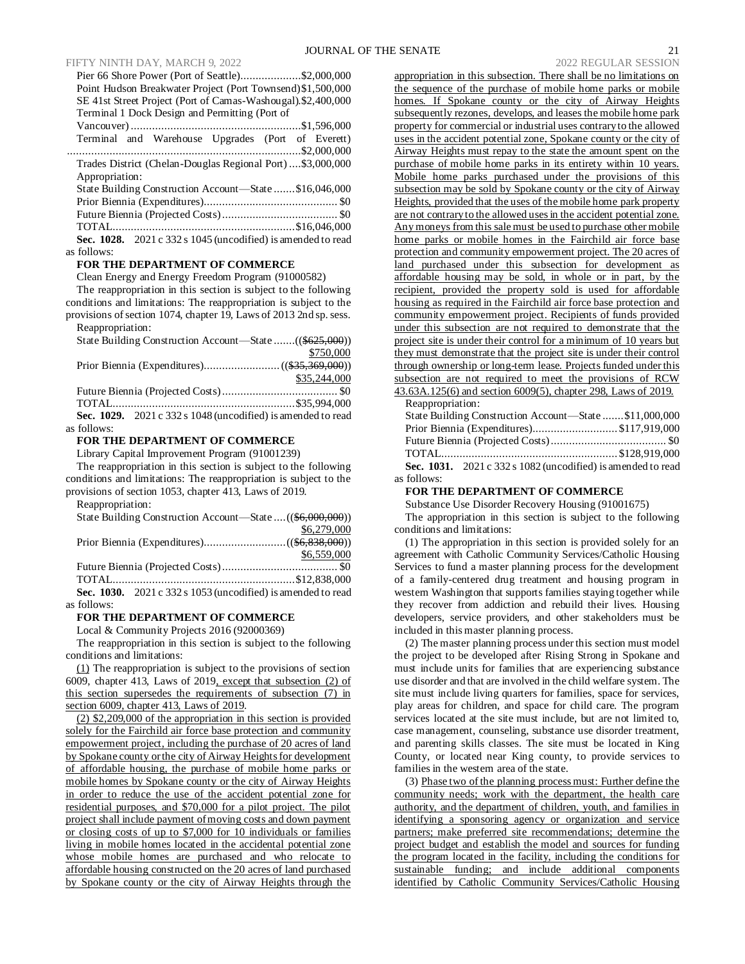### FIFTY NINTH DAY, MARCH 9, 2022 2022 REGULAR SESSION

| Pier 66 Shore Power (Port of Seattle)\$2,000,000                                 |  |
|----------------------------------------------------------------------------------|--|
| Point Hudson Breakwater Project (Port Townsend) \$1,500,000                      |  |
| SE 41st Street Project (Port of Camas-Washougal).\$2,400,000                     |  |
| Terminal 1 Dock Design and Permitting (Port of                                   |  |
|                                                                                  |  |
| Terminal and Warehouse Upgrades (Port of Everett)                                |  |
|                                                                                  |  |
| Trades District (Chelan-Douglas Regional Port)\$3,000,000                        |  |
| Appropriation:                                                                   |  |
| State Building Construction Account—State \$16,046,000                           |  |
|                                                                                  |  |
|                                                                                  |  |
|                                                                                  |  |
| Sec. 1028. $2021 \text{ c } 332 \text{ s } 1045$ (uncodified) is amended to read |  |
| as follows:                                                                      |  |
|                                                                                  |  |

#### **FOR THE DEPARTMENT OF COMMERCE**

Clean Energy and Energy Freedom Program (91000582)

The reappropriation in this section is subject to the following conditions and limitations: The reappropriation is subject to the provisions of section 1074, chapter 19, Laws of 2013 2nd sp. sess. Reappropriation:

| State Building Construction Account—State ((\$625,000))        |              |
|----------------------------------------------------------------|--------------|
|                                                                | \$750,000    |
|                                                                |              |
|                                                                | \$35,244,000 |
|                                                                |              |
|                                                                |              |
| Sec. 1029. $2021 c 332 s 1048$ (uncodified) is amended to read |              |
| as follows:                                                    |              |

#### **FOR THE DEPARTMENT OF COMMERCE**

Library Capital Improvement Program (91001239)

The reappropriation in this section is subject to the following conditions and limitations: The reappropriation is subject to the provisions of section 1053, chapter 413, Laws of 2019.

| Reappropriation:                                           |             |
|------------------------------------------------------------|-------------|
| State Building Construction Account—State  ((\$6,000,000)) |             |
|                                                            | \$6,279,000 |
|                                                            |             |

Future Biennia (Projected Costs)...................................... \$0 TOTAL............................................................\$12,838,000 **Sec. 1030.** 2021 c 332 s 1053 (uncodified) is amended to read as follows:

\$6,559,000

#### **FOR THE DEPARTMENT OF COMMERCE**

Local & Community Projects 2016 (92000369)

The reappropriation in this section is subject to the following conditions and limitations:

(1) The reappropriation is subject to the provisions of section 6009, chapter 413, Laws of 2019, except that subsection (2) of this section supersedes the requirements of subsection (7) in section 6009, chapter 413, Laws of 2019.

(2) \$2,209,000 of the appropriation in this section is provided solely for the Fairchild air force base protection and community empowerment project, including the purchase of 20 acres of land by Spokane county or the city of Airway Heights for development of affordable housing, the purchase of mobile home parks or mobile homes by Spokane county or the city of Airway Heights in order to reduce the use of the accident potential zone for residential purposes, and \$70,000 for a pilot project. The pilot project shall include payment of moving costs and down payment or closing costs of up to \$7,000 for 10 individuals or families living in mobile homes located in the accidental potential zone whose mobile homes are purchased and who relocate to affordable housing constructed on the 20 acres of land purchased by Spokane county or the city of Airway Heights through the

appropriation in this subsection. There shall be no limitations on the sequence of the purchase of mobile home parks or mobile homes. If Spokane county or the city of Airway Heights subsequently rezones, develops, and leases the mobile home park property for commercial or industrial uses contrary to the allowed uses in the accident potential zone, Spokane county or the city of Airway Heights must repay to the state the amount spent on the purchase of mobile home parks in its entirety within 10 years. Mobile home parks purchased under the provisions of this subsection may be sold by Spokane county or the city of Airway Heights, provided that the uses of the mobile home park property are not contrary to the allowed uses in the accident potential zone. Any moneys from this sale must be used to purchase other mobile home parks or mobile homes in the Fairchild air force base protection and community empowerment project. The 20 acres of land purchased under this subsection for development as affordable housing may be sold, in whole or in part, by the recipient, provided the property sold is used for affordable housing as required in the Fairchild air force base protection and community empowerment project. Recipients of funds provided under this subsection are not required to demonstrate that the project site is under their control for a minimum of 10 years but they must demonstrate that the project site is under their control through ownership or long-term lease. Projects funded under this subsection are not required to meet the provisions of RCW 43.63A.125(6) and section 6009(5), chapter 298, Laws of 2019.

Reappropriation:

|             | State Building Construction Account-State \$11,000,000         |  |
|-------------|----------------------------------------------------------------|--|
|             | Prior Biennia (Expenditures)\$117,919,000                      |  |
|             |                                                                |  |
|             |                                                                |  |
|             | Sec. 1031. $2021 c 332 s 1082$ (uncodified) is amended to read |  |
| as follows: |                                                                |  |

#### **FOR THE DEPARTMENT OF COMMERCE**

Substance Use Disorder Recovery Housing (91001675)

The appropriation in this section is subject to the following conditions and limitations:

(1) The appropriation in this section is provided solely for an agreement with Catholic Community Services/Catholic Housing Services to fund a master planning process for the development of a family-centered drug treatment and housing program in western Washington that supports families staying together while they recover from addiction and rebuild their lives. Housing developers, service providers, and other stakeholders must be included in this master planning process.

(2) The master planning process under this section must model the project to be developed after Rising Strong in Spokane and must include units for families that are experiencing substance use disorder and that are involved in the child welfare system. The site must include living quarters for families, space for services, play areas for children, and space for child care. The program services located at the site must include, but are not limited to, case management, counseling, substance use disorder treatment, and parenting skills classes. The site must be located in King County, or located near King county, to provide services to families in the western area of the state.

(3) Phase two of the planning process must: Further define the community needs; work with the department, the health care authority, and the department of children, youth, and families in identifying a sponsoring agency or organization and service partners; make preferred site recommendations; determine the project budget and establish the model and sources for funding the program located in the facility, including the conditions for sustainable funding; and include additional components identified by Catholic Community Services/Catholic Housing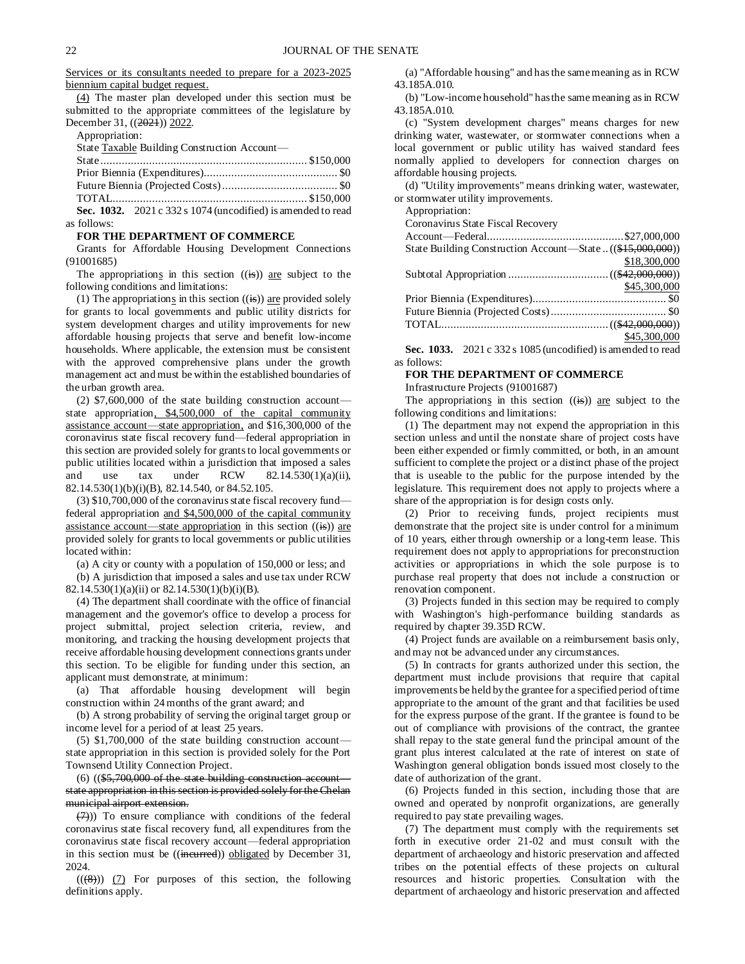Services or its consultants needed to prepare for a 2023-2025 biennium capital budget request.

(4) The master plan developed under this section must be submitted to the appropriate committees of the legislature by December 31, ((2021)) 2022.

Appropriation:

State Taxable Building Construction Account—

| <b>Sec. 1032.</b> 2021 c 332 s 1074 (uncodified) is amended to read |  |
|---------------------------------------------------------------------|--|

as follows:

#### **FOR THE DEPARTMENT OF COMMERCE**

Grants for Affordable Housing Development Connections (91001685)

The appropriations in this section  $((\text{is}))$  are subject to the following conditions and limitations:

(1) The appropriations in this section  $((\mathbf{is}))$  are provided solely for grants to local governments and public utility districts for system development charges and utility improvements for new affordable housing projects that serve and benefit low-income households. Where applicable, the extension must be consistent with the approved comprehensive plans under the growth management act and must be within the established boundaries of the urban growth area.

(2) \$7,600,000 of the state building construction account state appropriation, \$4,500,000 of the capital community assistance account—state appropriation, and \$16,300,000 of the coronavirus state fiscal recovery fund—federal appropriation in this section are provided solely for grants to local governments or public utilities located within a jurisdiction that imposed a sales and use tax under RCW  $82.14.530(1)(a)(ii)$ , 82.14.530(1)(b)(i)(B), 82.14.540, or 84.52.105.

(3) \$10,700,000 of the coronavirus state fiscal recovery fund federal appropriation and \$4,500,000 of the capital community assistance account—state appropriation in this section  $((\mathbf{is}))$  are provided solely for grants to local governments or public utilities located within:

(a) A city or county with a population of 150,000 or less; and (b) A jurisdiction that imposed a sales and use tax under RCW

82.14.530(1)(a)(ii) or 82.14.530(1)(b)(i)(B).

(4) The department shall coordinate with the office of financial management and the governor's office to develop a process for project submittal, project selection criteria, review, and monitoring, and tracking the housing development projects that receive affordable housing development connections grants under this section. To be eligible for funding under this section, an applicant must demonstrate, at minimum:

(a) That affordable housing development will begin construction within 24 months of the grant award; and

(b) A strong probability of serving the original target group or income level for a period of at least 25 years.

(5) \$1,700,000 of the state building construction account state appropriation in this section is provided solely for the Port Townsend Utility Connection Project.

(6) ((\$5,700,000 of the state building construction account state appropriation in this section is provided solely for the Chelan municipal airport extension.

 $(7)$ )) To ensure compliance with conditions of the federal coronavirus state fiscal recovery fund, all expenditures from the coronavirus state fiscal recovery account—federal appropriation in this section must be ((incurred)) obligated by December 31, 2024.

 $((\langle 8\rangle))$  (7) For purposes of this section, the following definitions apply.

(a) "Affordable housing" and has the same meaning as in RCW 43.185A.010.

(b) "Low-income household" has the same meaning as in RCW 43.185A.010.

(c) "System development charges" means charges for new drinking water, wastewater, or stormwater connections when a local government or public utility has waived standard fees normally applied to developers for connection charges on affordable housing projects.

(d) "Utility improvements" means drinking water, wastewater, or stormwater utility improvements.

Appropriation:

Coronavirus State Fiscal Recovery

| State Building Construction Account—State  ((\$15,000,000)) |              |
|-------------------------------------------------------------|--------------|
|                                                             | \$18,300,000 |
|                                                             |              |
|                                                             | \$45,300,000 |
|                                                             |              |
|                                                             |              |
|                                                             |              |
|                                                             | \$45,300,000 |

**Sec. 1033.** 2021 c 332 s 1085 (uncodified) is amended to read as follows:

### **FOR THE DEPARTMENT OF COMMERCE**

Infrastructure Projects (91001687)

The appropriations in this section  $((\mathbf{is}))$  are subject to the following conditions and limitations:

(1) The department may not expend the appropriation in this section unless and until the nonstate share of project costs have been either expended or firmly committed, or both, in an amount sufficient to complete the project or a distinct phase of the project that is useable to the public for the purpose intended by the legislature. This requirement does not apply to projects where a share of the appropriation is for design costs only.

(2) Prior to receiving funds, project recipients must demonstrate that the project site is under control for a minimum of 10 years, either through ownership or a long-term lease. This requirement does not apply to appropriations for preconstruction activities or appropriations in which the sole purpose is to purchase real property that does not include a construction or renovation component.

(3) Projects funded in this section may be required to comply with Washington's high-performance building standards as required by chapter 39.35D RCW.

(4) Project funds are available on a reimbursement basis only, and may not be advanced under any circumstances.

(5) In contracts for grants authorized under this section, the department must include provisions that require that capital improvements be held by the grantee for a specified period of time appropriate to the amount of the grant and that facilities be used for the express purpose of the grant. If the grantee is found to be out of compliance with provisions of the contract, the grantee shall repay to the state general fund the principal amount of the grant plus interest calculated at the rate of interest on state of Washington general obligation bonds issued most closely to the date of authorization of the grant.

(6) Projects funded in this section, including those that are owned and operated by nonprofit organizations, are generally required to pay state prevailing wages.

(7) The department must comply with the requirements set forth in executive order 21-02 and must consult with the department of archaeology and historic preservation and affected tribes on the potential effects of these projects on cultural resources and historic properties. Consultation with the department of archaeology and historic preservation and affected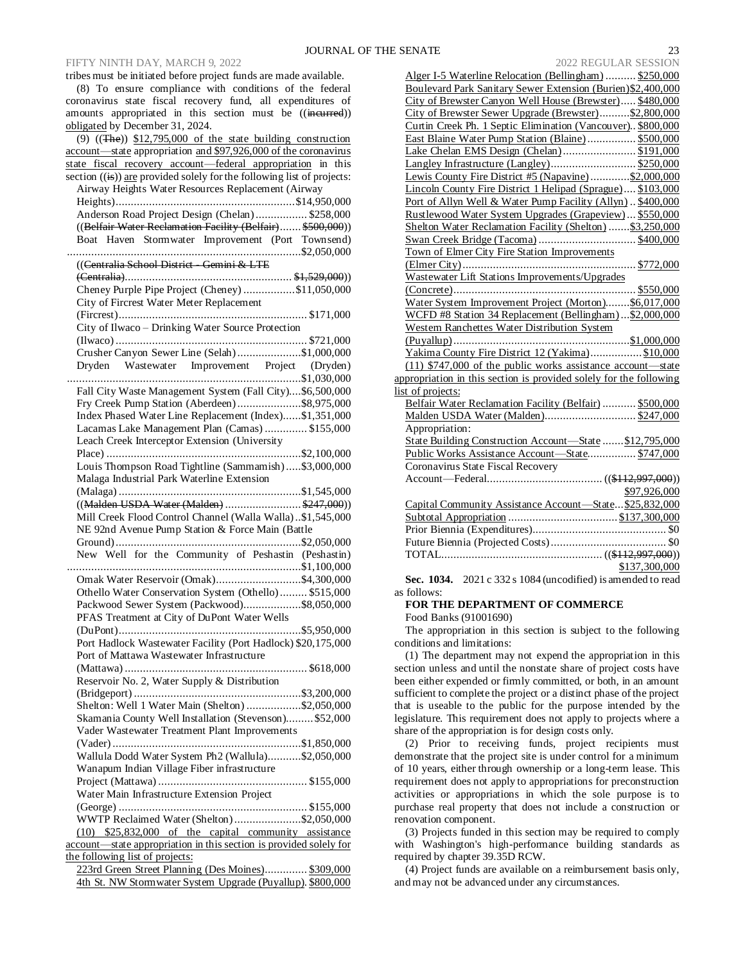### FIFTY NINTH DAY, MARCH 9, 2022

tribes must be initiated before project funds are made available. (8) To ensure compliance with conditions of the federal coronavirus state fiscal recovery fund, all expenditures of amounts appropriated in this section must be ((incurred)) obligated by December 31, 2024.

| $(9)$ $((The))$ \$12,795,000 of the state building construction                    |  |
|------------------------------------------------------------------------------------|--|
| account-state appropriation and \$97,926,000 of the coronavirus                    |  |
| state fiscal recovery account—federal appropriation in this                        |  |
| section $((\frac{1}{15}))$ are provided solely for the following list of projects: |  |
| Airway Heights Water Resources Replacement (Airway                                 |  |
|                                                                                    |  |
| Anderson Road Project Design (Chelan) \$258,000                                    |  |
| ((Belfair Water Reclamation Facility (Belfair) \$500,000))                         |  |
| Boat Haven Stormwater Improvement (Port Townsend)                                  |  |
|                                                                                    |  |
| ((Centralia School District - Gemini & LTE                                         |  |
|                                                                                    |  |
| Cheney Purple Pipe Project (Cheney) \$11,050,000                                   |  |
| City of Fircrest Water Meter Replacement                                           |  |
|                                                                                    |  |
| City of Ilwaco - Drinking Water Source Protection                                  |  |
|                                                                                    |  |
| Crusher Canyon Sewer Line (Selah)\$1,000,000                                       |  |
|                                                                                    |  |
|                                                                                    |  |
| Fall City Waste Management System (Fall City)\$6,500,000                           |  |
| Fry Creek Pump Station (Aberdeen)\$8,975,000                                       |  |
| Index Phased Water Line Replacement (Index)\$1,351,000                             |  |
| Lacamas Lake Management Plan (Camas)  \$155,000                                    |  |
| Leach Creek Interceptor Extension (University                                      |  |
|                                                                                    |  |
| Louis Thompson Road Tightline (Sammamish)\$3,000,000                               |  |
| Malaga Industrial Park Waterline Extension                                         |  |
|                                                                                    |  |
| ((Malden USDA Water (Malden) \$247,000))                                           |  |
| Mill Creek Flood Control Channel (Walla Walla)\$1,545,000                          |  |
| NE 92nd Avenue Pump Station & Force Main (Battle                                   |  |
|                                                                                    |  |
| New Well for the Community of Peshastin (Peshastin)                                |  |
|                                                                                    |  |
| Omak Water Reservoir (Omak)\$4,300,000                                             |  |
| Othello Water Conservation System (Othello) \$515,000                              |  |
| Packwood Sewer System (Packwood)\$8,050,000                                        |  |
| PFAS Treatment at City of DuPont Water Wells                                       |  |
|                                                                                    |  |
| Port Hadlock Wastewater Facility (Port Hadlock) \$20,175,000                       |  |
| Port of Mattawa Wastewater Infrastructure                                          |  |
|                                                                                    |  |
| Reservoir No. 2, Water Supply & Distribution                                       |  |
|                                                                                    |  |
| Shelton: Well 1 Water Main (Shelton) \$2,050,000                                   |  |
| Skamania County Well Installation (Stevenson) \$52,000                             |  |
| Vader Wastewater Treatment Plant Improvements                                      |  |
|                                                                                    |  |
| Wallula Dodd Water System Ph2 (Wallula)\$2,050,000                                 |  |
| Wanapum Indian Village Fiber infrastructure                                        |  |
|                                                                                    |  |
| Water Main Infrastructure Extension Project                                        |  |
|                                                                                    |  |
| WWTP Reclaimed Water (Shelton)\$2,050,000                                          |  |
| (10) \$25,832,000 of the capital community assistance                              |  |
| account—state appropriation in this section is provided solely for                 |  |
| the following list of projects:                                                    |  |
| 223rd Green Street Planning (Des Moines) \$309,000                                 |  |
| 4th St. NW Stormwater System Upgrade (Puyallup). \$800,000                         |  |

| Alger I-5 Waterline Relocation (Bellingham)  \$250,000                                    |
|-------------------------------------------------------------------------------------------|
| Boulevard Park Sanitary Sewer Extension (Burien)\$2,400,000                               |
| City of Brewster Canyon Well House (Brewster) \$480,000                                   |
| City of Brewster Sewer Upgrade (Brewster)\$2,800,000                                      |
| Curtin Creek Ph. 1 Septic Elimination (Vancouver). \$800,000                              |
| East Blaine Water Pump Station (Blaine)  \$500,000                                        |
| Lake Chelan EMS Design (Chelan) \$191,000                                                 |
|                                                                                           |
| Lewis County Fire District #5 (Napavine)\$2,000,000                                       |
| Lincoln County Fire District 1 Helipad (Sprague) \$103,000                                |
| Port of Allyn Well & Water Pump Facility (Allyn). \$400,000                               |
| Rustlewood Water System Upgrades (Grapeview) \$550,000                                    |
| Shelton Water Reclamation Facility (Shelton)\$3,250,000                                   |
|                                                                                           |
| Town of Elmer City Fire Station Improvements                                              |
|                                                                                           |
| Wastewater Lift Stations Improvements/Upgrades                                            |
|                                                                                           |
| Water System Improvement Project (Morton)\$6,017,000                                      |
| WCFD #8 Station 34 Replacement (Bellingham)\$2,000,000                                    |
| Western Ranchettes Water Distribution System                                              |
|                                                                                           |
| Yakima County Fire District 12 (Yakima)\$10,000                                           |
| $(11)$ \$747,000 of the public works assistance account—state                             |
| appropriation in this section is provided solely for the following                        |
| list of projects:                                                                         |
| Belfair Water Reclamation Facility (Belfair)  \$500,000                                   |
| Malden USDA Water (Malden)\$247,000                                                       |
| Appropriation:                                                                            |
| State Building Construction Account-State  \$12,795,000                                   |
| Public Works Assistance Account-State \$747,000                                           |
| Coronavirus State Fiscal Recovery                                                         |
|                                                                                           |
| \$97,926,000                                                                              |
| Capital Community Assistance Account-State \$25,832,000                                   |
|                                                                                           |
|                                                                                           |
|                                                                                           |
|                                                                                           |
| \$137,300,000<br>$\frac{$137,300,000}{2021,0.222,0.1084}$ (uncedified) is emerged to read |
|                                                                                           |

**Sec. 1034.** 2021 c 332 s 1084 (uncodified) is amended to read as follows:

**FOR THE DEPARTMENT OF COMMERCE**

Food Banks (91001690)

The appropriation in this section is subject to the following conditions and limitations:

(1) The department may not expend the appropriation in this section unless and until the nonstate share of project costs have been either expended or firmly committed, or both, in an amount sufficient to complete the project or a distinct phase of the project that is useable to the public for the purpose intended by the legislature. This requirement does not apply to projects where a share of the appropriation is for design costs only.

(2) Prior to receiving funds, project recipients must demonstrate that the project site is under control for a minimum of 10 years, either through ownership or a long-term lease. This requirement does not apply to appropriations for preconstruction activities or appropriations in which the sole purpose is to purchase real property that does not include a construction or renovation component.

(3) Projects funded in this section may be required to comply with Washington's high-performance building standards as required by chapter 39.35D RCW.

(4) Project funds are available on a reimbursement basis only, and may not be advanced under any circumstances.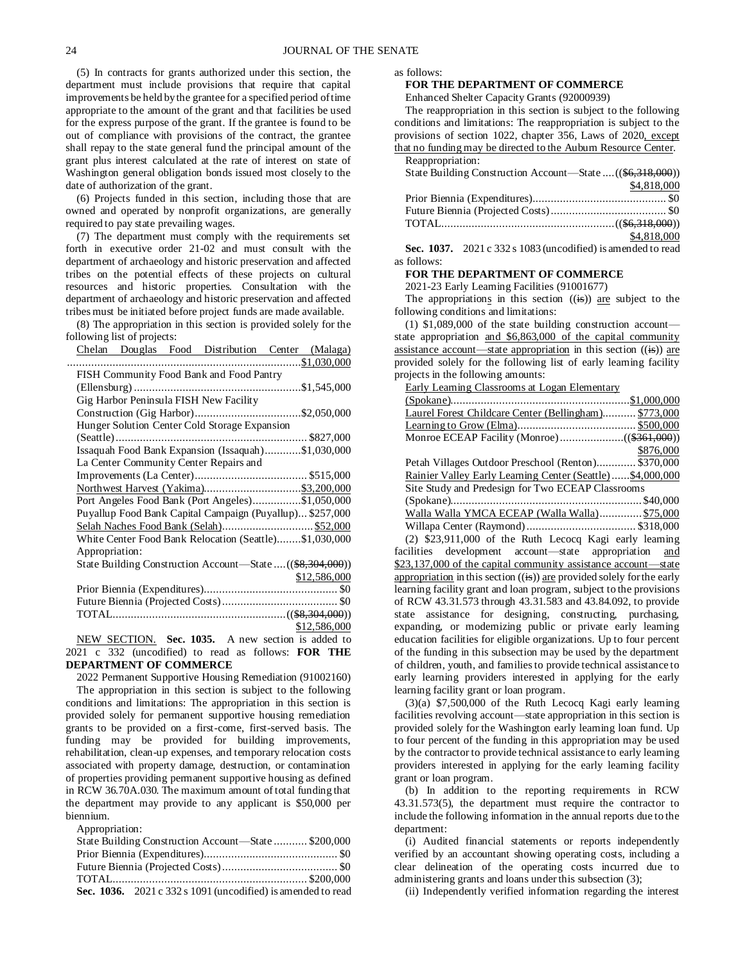(5) In contracts for grants authorized under this section, the department must include provisions that require that capital improvements be held by the grantee for a specified period of time appropriate to the amount of the grant and that facilities be used for the express purpose of the grant. If the grantee is found to be out of compliance with provisions of the contract, the grantee shall repay to the state general fund the principal amount of the grant plus interest calculated at the rate of interest on state of Washington general obligation bonds issued most closely to the date of authorization of the grant.

(6) Projects funded in this section, including those that are owned and operated by nonprofit organizations, are generally required to pay state prevailing wages.

(7) The department must comply with the requirements set forth in executive order 21-02 and must consult with the department of archaeology and historic preservation and affected tribes on the potential effects of these projects on cultural resources and historic properties. Consultation with the department of archaeology and historic preservation and affected tribes must be initiated before project funds are made available.

(8) The appropriation in this section is provided solely for the following list of projects:

|                |  | Chelan Douglas Food Distribution Center (Malaga)           |              |
|----------------|--|------------------------------------------------------------|--------------|
|                |  |                                                            | .\$1,030,000 |
|                |  | FISH Community Food Bank and Food Pantry                   |              |
|                |  |                                                            |              |
|                |  | Gig Harbor Peninsula FISH New Facility                     |              |
|                |  |                                                            |              |
|                |  | Hunger Solution Center Cold Storage Expansion              |              |
|                |  |                                                            |              |
|                |  | Issaquah Food Bank Expansion (Issaquah)\$1,030,000         |              |
|                |  | La Center Community Center Repairs and                     |              |
|                |  |                                                            |              |
|                |  |                                                            |              |
|                |  | Port Angeles Food Bank (Port Angeles)\$1,050,000           |              |
|                |  | Puyallup Food Bank Capital Campaign (Puyallup) \$257,000   |              |
|                |  | Selah Naches Food Bank (Selah)\$52,000                     |              |
|                |  | White Center Food Bank Relocation (Seattle)\$1,030,000     |              |
| Appropriation: |  |                                                            |              |
|                |  | State Building Construction Account—State  ((\$8,304,000)) |              |
|                |  |                                                            | \$12,586,000 |
|                |  |                                                            |              |
|                |  |                                                            |              |
|                |  |                                                            |              |
|                |  |                                                            | \$12,586,000 |
|                |  | $\frac{1}{2}$                                              |              |

NEW SECTION. **Sec. 1035.** A new section is added to 2021 c 332 (uncodified) to read as follows: **FOR THE DEPARTMENT OF COMMERCE**

2022 Permanent Supportive Housing Remediation (91002160) The appropriation in this section is subject to the following conditions and limitations: The appropriation in this section is provided solely for permanent supportive housing remediation

grants to be provided on a first-come, first-served basis. The funding may be provided for building improvements, rehabilitation, clean-up expenses, and temporary relocation costs associated with property damage, destruction, or contamination of properties providing permanent supportive housing as defined in RCW 36.70A.030. The maximum amount of total funding that the department may provide to any applicant is \$50,000 per biennium.

Appropriation:

| State Building Construction Account—State  \$200,000           |  |
|----------------------------------------------------------------|--|
|                                                                |  |
|                                                                |  |
|                                                                |  |
| Sec. 1036. $2021 c 332 s 1091$ (uncodified) is amended to read |  |

as follows:

**FOR THE DEPARTMENT OF COMMERCE**

Enhanced Shelter Capacity Grants (92000939)

The reappropriation in this section is subject to the following conditions and limitations: The reappropriation is subject to the provisions of section 1022, chapter 356, Laws of 2020, except that no funding may be directed to the Auburn Resource Center.

| Reappropriation:                                           |             |
|------------------------------------------------------------|-------------|
| State Building Construction Account—State  ((\$6,318,000)) |             |
|                                                            | \$4,818,000 |
|                                                            |             |
|                                                            |             |
|                                                            |             |

**Sec. 1037.** 2021 c 332 s 1083 (uncodified) is amended to read as follows:

\$4,818,000

#### **FOR THE DEPARTMENT OF COMMERCE**

2021-23 Early Learning Facilities (91001677)

The appropriations in this section  $((\mathbf{is}))$  are subject to the following conditions and limitations:

(1) \$1,089,000 of the state building construction account state appropriation and \$6,863,000 of the capital community assistance account—state appropriation in this section  $((\mathbf{is}))$  are provided solely for the following list of early learning facility projects in the following amounts:

Early Learning Classrooms at Logan Elementary

| Laurel Forest Childcare Center (Bellingham) \$773,000     |           |
|-----------------------------------------------------------|-----------|
|                                                           |           |
|                                                           |           |
|                                                           | \$876,000 |
| Petah Villages Outdoor Preschool (Renton) \$370,000       |           |
| Rainier Valley Early Learning Center (Seattle)\$4,000,000 |           |
| Site Study and Predesign for Two ECEAP Classrooms         |           |
|                                                           |           |
| Walla Walla YMCA ECEAP (Walla Walla) \$75,000             |           |
|                                                           |           |
| (2) \$23,911,000 of the Ruth Lecocq Kagi early learning   |           |
|                                                           |           |

facilities development account-state appropriation and \$23,137,000 of the capital community assistance account—state appropriation in this section  $((is))$  are provided solely for the early learning facility grant and loan program, subject to the provisions of RCW 43.31.573 through 43.31.583 and 43.84.092, to provide state assistance for designing, constructing, purchasing, expanding, or modernizing public or private early learning education facilities for eligible organizations. Up to four percent of the funding in this subsection may be used by the department of children, youth, and families to provide technical assistance to early learning providers interested in applying for the early learning facility grant or loan program.

 $(3)(a)$  \$7,500,000 of the Ruth Lecocq Kagi early learning facilities revolving account—state appropriation in this section is provided solely for the Washington early learning loan fund. Up to four percent of the funding in this appropriation may be used by the contractor to provide technical assistance to early learning providers interested in applying for the early learning facility grant or loan program.

(b) In addition to the reporting requirements in RCW 43.31.573(5), the department must require the contractor to include the following information in the annual reports due to the department:

(i) Audited financial statements or reports independently verified by an accountant showing operating costs, including a clear delineation of the operating costs incurred due to administering grants and loans under this subsection (3);

(ii) Independently verified information regarding the interest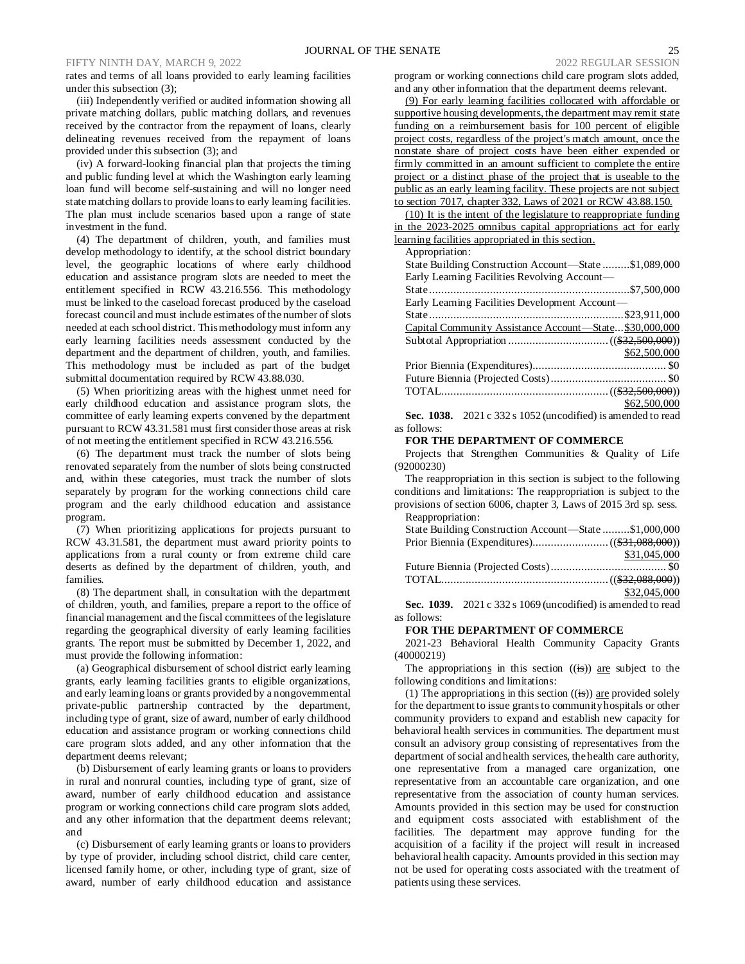#### FIFTY NINTH DAY, MARCH 9, 2022 2022 REGULAR SESSION

rates and terms of all loans provided to early learning facilities under this subsection (3);

(iii) Independently verified or audited information showing all private matching dollars, public matching dollars, and revenues received by the contractor from the repayment of loans, clearly delineating revenues received from the repayment of loans provided under this subsection (3); and

(iv) A forward-looking financial plan that projects the timing and public funding level at which the Washington early learning loan fund will become self-sustaining and will no longer need state matching dollars to provide loans to early learning facilities. The plan must include scenarios based upon a range of state investment in the fund.

(4) The department of children, youth, and families must develop methodology to identify, at the school district boundary level, the geographic locations of where early childhood education and assistance program slots are needed to meet the entitlement specified in RCW 43.216.556. This methodology must be linked to the caseload forecast produced by the caseload forecast council and must include estimates of the number of slots needed at each school district. This methodology must inform any early learning facilities needs assessment conducted by the department and the department of children, youth, and families. This methodology must be included as part of the budget submittal documentation required by RCW 43.88.030.

(5) When prioritizing areas with the highest unmet need for early childhood education and assistance program slots, the committee of early learning experts convened by the department pursuant to RCW 43.31.581 must first consider those areas at risk of not meeting the entitlement specified in RCW 43.216.556.

(6) The department must track the number of slots being renovated separately from the number of slots being constructed and, within these categories, must track the number of slots separately by program for the working connections child care program and the early childhood education and assistance program.

(7) When prioritizing applications for projects pursuant to RCW 43.31.581, the department must award priority points to applications from a rural county or from extreme child care deserts as defined by the department of children, youth, and families.

(8) The department shall, in consultation with the department of children, youth, and families, prepare a report to the office of financial management and the fiscal committees of the legislature regarding the geographical diversity of early learning facilities grants. The report must be submitted by December 1, 2022, and must provide the following information:

(a) Geographical disbursement of school district early learning grants, early learning facilities grants to eligible organizations, and early learning loans or grants provided by a nongovernmental private-public partnership contracted by the department, including type of grant, size of award, number of early childhood education and assistance program or working connections child care program slots added, and any other information that the department deems relevant;

(b) Disbursement of early learning grants or loans to providers in rural and nonrural counties, including type of grant, size of award, number of early childhood education and assistance program or working connections child care program slots added, and any other information that the department deems relevant; and

(c) Disbursement of early learning grants or loans to providers by type of provider, including school district, child care center, licensed family home, or other, including type of grant, size of award, number of early childhood education and assistance program or working connections child care program slots added,

and any other information that the department deems relevant.

(9) For early learning facilities collocated with affordable or supportive housing developments, the department may remit state funding on a reimbursement basis for 100 percent of eligible project costs, regardless of the project's match amount, once the nonstate share of project costs have been either expended or firmly committed in an amount sufficient to complete the entire project or a distinct phase of the project that is useable to the public as an early learning facility. These projects are not subject to section 7017, chapter 332, Laws of 2021 or RCW 43.88.150.

(10) It is the intent of the legislature to reappropriate funding in the 2023-2025 omnibus capital appropriations act for early learning facilities appropriated in this section.

Appropriation:

| дрргориацоп.                                            |  |
|---------------------------------------------------------|--|
| State Building Construction Account—State \$1,089,000   |  |
| Early Learning Facilities Revolving Account—            |  |
|                                                         |  |
| Early Learning Facilities Development Account—          |  |
|                                                         |  |
| Capital Community Assistance Account-State \$30,000,000 |  |
|                                                         |  |
| \$62,500,000                                            |  |
|                                                         |  |
|                                                         |  |
|                                                         |  |
| \$62,500,000                                            |  |

**Sec. 1038.** 2021 c 332 s 1052 (uncodified) is amended to read as follows:

### **FOR THE DEPARTMENT OF COMMERCE**

Projects that Strengthen Communities & Quality of Life (92000230)

The reappropriation in this section is subject to the following conditions and limitations: The reappropriation is subject to the provisions of section 6006, chapter 3, Laws of 2015 3rd sp. sess. Reappropriation:

| <i>itouppropriation.</i>                              |              |
|-------------------------------------------------------|--------------|
| State Building Construction Account—State \$1,000,000 |              |
|                                                       |              |
|                                                       | \$31,045,000 |
|                                                       |              |
|                                                       |              |
|                                                       | \$32,045,000 |
|                                                       |              |

**Sec. 1039.** 2021 c 332 s 1069 (uncodified) is amended to read as follows:

### **FOR THE DEPARTMENT OF COMMERCE**

2021-23 Behavioral Health Community Capacity Grants (40000219)

The appropriations in this section  $((\frac{1}{15}))$  are subject to the following conditions and limitations:

(1) The appropriations in this section  $((\mathbf{is}))$  are provided solely for the department to issue grants to community hospitals or other community providers to expand and establish new capacity for behavioral health services in communities. The department must consult an advisory group consisting of representatives from the department of social and health services, the health care authority, one representative from a managed care organization, one representative from an accountable care organization, and one representative from the association of county human services. Amounts provided in this section may be used for construction and equipment costs associated with establishment of the facilities. The department may approve funding for the acquisition of a facility if the project will result in increased behavioral health capacity. Amounts provided in this section may not be used for operating costs associated with the treatment of patients using these services.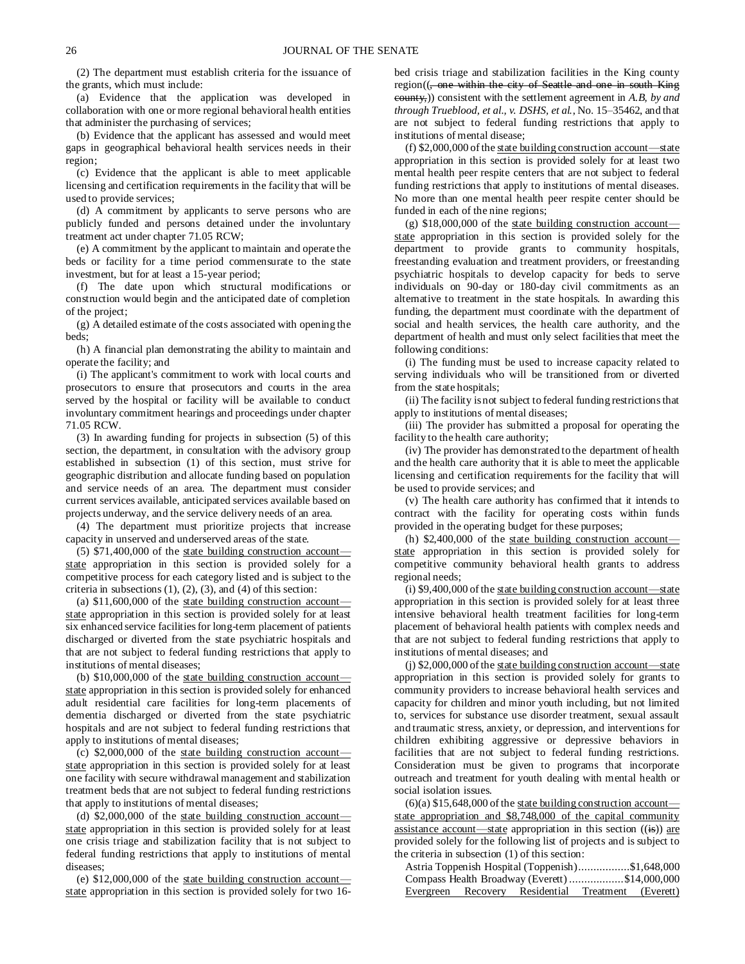(2) The department must establish criteria for the issuance of the grants, which must include:

(a) Evidence that the application was developed in collaboration with one or more regional behavioral health entities that administer the purchasing of services;

(b) Evidence that the applicant has assessed and would meet gaps in geographical behavioral health services needs in their region;

(c) Evidence that the applicant is able to meet applicable licensing and certification requirements in the facility that will be used to provide services;

(d) A commitment by applicants to serve persons who are publicly funded and persons detained under the involuntary treatment act under chapter 71.05 RCW;

(e) A commitment by the applicant to maintain and operate the beds or facility for a time period commensurate to the state investment, but for at least a 15-year period;

(f) The date upon which structural modifications or construction would begin and the anticipated date of completion of the project;

(g) A detailed estimate of the costs associated with opening the beds;

(h) A financial plan demonstrating the ability to maintain and operate the facility; and

(i) The applicant's commitment to work with local courts and prosecutors to ensure that prosecutors and courts in the area served by the hospital or facility will be available to conduct involuntary commitment hearings and proceedings under chapter 71.05 RCW.

(3) In awarding funding for projects in subsection (5) of this section, the department, in consultation with the advisory group established in subsection (1) of this section, must strive for geographic distribution and allocate funding based on population and service needs of an area. The department must consider current services available, anticipated services available based on projects underway, and the service delivery needs of an area.

(4) The department must prioritize projects that increase capacity in unserved and underserved areas of the state.

 $(5)$  \$71,400,000 of the state building construction account state appropriation in this section is provided solely for a competitive process for each category listed and is subject to the criteria in subsections  $(1)$ ,  $(2)$ ,  $(3)$ , and  $(4)$  of this section:

(a)  $$11,600,000$  of the state building construction account state appropriation in this section is provided solely for at least six enhanced service facilities for long-term placement of patients discharged or diverted from the state psychiatric hospitals and that are not subject to federal funding restrictions that apply to institutions of mental diseases;

(b)  $$10,000,000$  of the state building construction account state appropriation in this section is provided solely for enhanced adult residential care facilities for long-term placements of dementia discharged or diverted from the state psychiatric hospitals and are not subject to federal funding restrictions that apply to institutions of mental diseases;

(c)  $$2,000,000$  of the state building construction account state appropriation in this section is provided solely for at least one facility with secure withdrawal management and stabilization treatment beds that are not subject to federal funding restrictions that apply to institutions of mental diseases;

(d)  $$2,000,000$  of the state building construction account state appropriation in this section is provided solely for at least one crisis triage and stabilization facility that is not subject to federal funding restrictions that apply to institutions of mental diseases;

(e)  $$12,000,000$  of the state building construction accountstate appropriation in this section is provided solely for two 16bed crisis triage and stabilization facilities in the King county region((<del>, one within the city of Seattle and one in south King</del> county,)) consistent with the settlement agreement in *A.B, by and through Trueblood, et al., v. DSHS, et al.*, No. 15–35462, and that are not subject to federal funding restrictions that apply to institutions of mental disease;

(f) \$2,000,000 of the state building construction account—state appropriation in this section is provided solely for at least two mental health peer respite centers that are not subject to federal funding restrictions that apply to institutions of mental diseases. No more than one mental health peer respite center should be funded in each of the nine regions;

 $(g)$  \$18,000,000 of the state building construction account state appropriation in this section is provided solely for the department to provide grants to community hospitals, freestanding evaluation and treatment providers, or freestanding psychiatric hospitals to develop capacity for beds to serve individuals on 90-day or 180-day civil commitments as an alternative to treatment in the state hospitals. In awarding this funding, the department must coordinate with the department of social and health services, the health care authority, and the department of health and must only select facilities that meet the following conditions:

(i) The funding must be used to increase capacity related to serving individuals who will be transitioned from or diverted from the state hospitals;

(ii) The facility is not subject to federal funding restrictions that apply to institutions of mental diseases;

(iii) The provider has submitted a proposal for operating the facility to the health care authority;

(iv) The provider has demonstrated to the department of health and the health care authority that it is able to meet the applicable licensing and certification requirements for the facility that will be used to provide services; and

(v) The health care authority has confirmed that it intends to contract with the facility for operating costs within funds provided in the operating budget for these purposes;

(h) \$2,400,000 of the state building construction account state appropriation in this section is provided solely for competitive community behavioral health grants to address regional needs;

(i) \$9,400,000 of the state building construction account—state appropriation in this section is provided solely for at least three intensive behavioral health treatment facilities for long-term placement of behavioral health patients with complex needs and that are not subject to federal funding restrictions that apply to institutions of mental diseases; and

(j) \$2,000,000 of the state building construction account—state appropriation in this section is provided solely for grants to community providers to increase behavioral health services and capacity for children and minor youth including, but not limited to, services for substance use disorder treatment, sexual assault and traumatic stress, anxiety, or depression, and interventions for children exhibiting aggressive or depressive behaviors in facilities that are not subject to federal funding restrictions. Consideration must be given to programs that incorporate outreach and treatment for youth dealing with mental health or social isolation issues.

 $(6)(a)$  \$15,648,000 of the state building construction account state appropriation and \$8,748,000 of the capital community assistance account—state appropriation in this section  $((\mathbf{is}))$  are provided solely for the following list of projects and is subject to the criteria in subsection (1) of this section:

| Astria Toppenish Hospital (Toppenish)\$1,648,000 |          |                                                |                     |  |
|--------------------------------------------------|----------|------------------------------------------------|---------------------|--|
|                                                  |          | Compass Health Broadway (Everett) \$14,000,000 |                     |  |
| Evergreen                                        | Recovery | Residential                                    | Treatment (Everett) |  |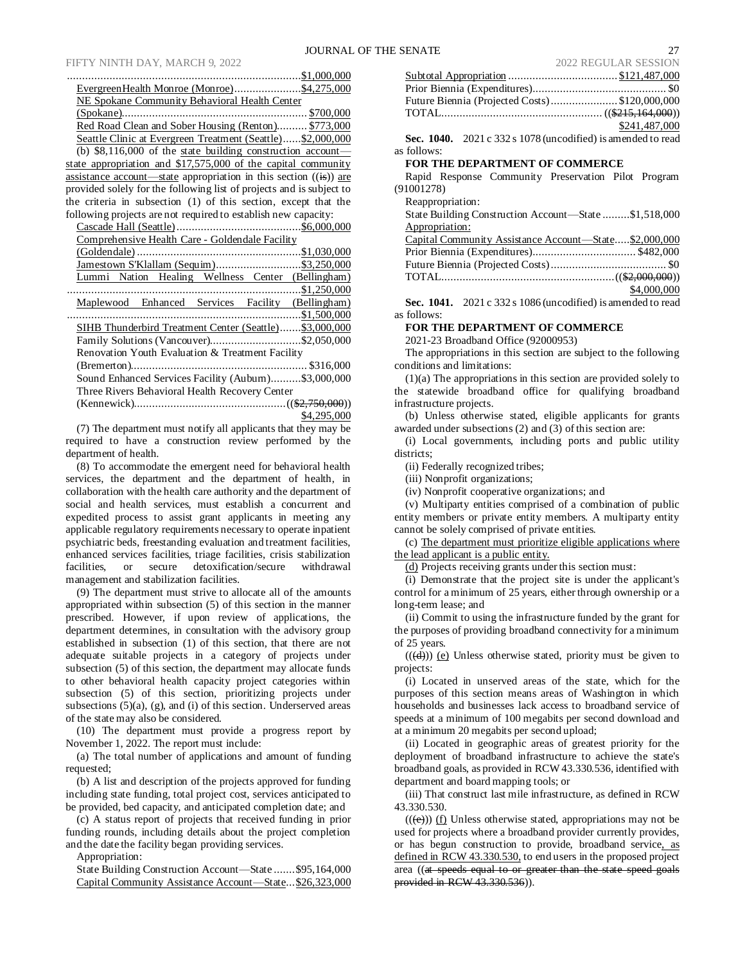### FIFTY NINTH DAY, MARCH 9, 2022

| EvergreenHealth Monroe (Monroe)\$4,275,000                                    |
|-------------------------------------------------------------------------------|
| NE Spokane Community Behavioral Health Center                                 |
|                                                                               |
| Red Road Clean and Sober Housing (Renton) \$773,000                           |
| Seattle Clinic at Evergreen Treatment (Seattle)\$2,000,000                    |
| (b) $$8,116,000$ of the state building construction account-                  |
| state appropriation and $$17,575,000$ of the capital community                |
| assistance account—state appropriation in this section $((\frac{1}{16}))$ are |
| provided solely for the following list of projects and is subject to          |
| the criteria in subsection (1) of this section, except that the               |
| following projects are not required to establish new capacity:                |
|                                                                               |
| Comprehensive Health Care - Goldendale Facility                               |
|                                                                               |
|                                                                               |
| Lummi Nation Healing Wellness Center (Bellingham)                             |
|                                                                               |
| Maplewood Enhanced Services Facility (Bellingham)                             |
|                                                                               |
| SIHB Thunderbird Treatment Center (Seattle) \$3,000,000                       |
| Family Solutions (Vancouver)\$2,050,000                                       |
| Renovation Youth Evaluation & Treatment Facility                              |
|                                                                               |
| Sound Enhanced Services Facility (Aubum)\$3,000,000                           |
| Three Rivers Behavioral Health Recovery Center                                |
|                                                                               |

\$4,295,000 (7) The department must notify all applicants that they may be required to have a construction review performed by the department of health.

(8) To accommodate the emergent need for behavioral health services, the department and the department of health, in collaboration with the health care authority and the department of social and health services, must establish a concurrent and expedited process to assist grant applicants in meeting any applicable regulatory requirements necessary to operate inpatient psychiatric beds, freestanding evaluation and treatment facilities, enhanced services facilities, triage facilities, crisis stabilization facilities, or secure detoxification/secure withdrawal or secure detoxification/secure withdrawal management and stabilization facilities.

(9) The department must strive to allocate all of the amounts appropriated within subsection (5) of this section in the manner prescribed. However, if upon review of applications, the department determines, in consultation with the advisory group established in subsection (1) of this section, that there are not adequate suitable projects in a category of projects under subsection (5) of this section, the department may allocate funds to other behavioral health capacity project categories within subsection (5) of this section, prioritizing projects under subsections  $(5)(a)$ ,  $(g)$ , and  $(i)$  of this section. Underserved areas of the state may also be considered.

(10) The department must provide a progress report by November 1, 2022. The report must include:

(a) The total number of applications and amount of funding requested;

(b) A list and description of the projects approved for funding including state funding, total project cost, services anticipated to be provided, bed capacity, and anticipated completion date; and

(c) A status report of projects that received funding in prior funding rounds, including details about the project completion and the date the facility began providing services.

Appropriation:

State Building Construction Account—State .......\$95,164,000 Capital Community Assistance Account—State...\$26,323,000

|                                               | <i>LVLL</i> INDOU <i>DI</i> IN DEDDIOIT |
|-----------------------------------------------|-----------------------------------------|
|                                               |                                         |
|                                               |                                         |
| Future Biennia (Projected Costs)\$120,000,000 |                                         |
|                                               |                                         |
|                                               | \$241,487,000                           |
|                                               |                                         |

**Sec. 1040.** 2021 c 332 s 1078 (uncodified) is amended to read as follows:

#### **FOR THE DEPARTMENT OF COMMERCE**

Rapid Response Community Preservation Pilot Program (91001278)

Reappropriation:

| State Building Construction Account—State \$1,518,000 |  |
|-------------------------------------------------------|--|
| Appropriation:                                        |  |
| Capital Community Assistance Account—State\$2,000,000 |  |
|                                                       |  |
|                                                       |  |

TOTAL.........................................................((\$2,000,000))

\$4,000,000

**Sec. 1041.** 2021 c 332 s 1086 (uncodified) is amended to read as follows:

**FOR THE DEPARTMENT OF COMMERCE**

2021-23 Broadband Office (92000953)

The appropriations in this section are subject to the following conditions and limitations:

(1)(a) The appropriations in this section are provided solely to the statewide broadband office for qualifying broadband infrastructure projects.

(b) Unless otherwise stated, eligible applicants for grants awarded under subsections (2) and (3) of this section are:

(i) Local governments, including ports and public utility districts;

(ii) Federally recognized tribes;

(iii) Nonprofit organizations;

(iv) Nonprofit cooperative organizations; and

(v) Multiparty entities comprised of a combination of public entity members or private entity members. A multiparty entity cannot be solely comprised of private entities.

(c) The department must prioritize eligible applications where the lead applicant is a public entity.

(d) Projects receiving grants under this section must:

(i) Demonstrate that the project site is under the applicant's control for a minimum of 25 years, either through ownership or a long-term lease; and

(ii) Commit to using the infrastructure funded by the grant for the purposes of providing broadband connectivity for a minimum of 25 years.

 $((\overline{(d)}))$  (e) Unless otherwise stated, priority must be given to projects:

(i) Located in unserved areas of the state, which for the purposes of this section means areas of Washington in which households and businesses lack access to broadband service of speeds at a minimum of 100 megabits per second download and at a minimum 20 megabits per second upload;

(ii) Located in geographic areas of greatest priority for the deployment of broadband infrastructure to achieve the state's broadband goals, as provided in RCW 43.330.536, identified with department and board mapping tools; or

(iii) That construct last mile infrastructure, as defined in RCW 43.330.530.

 $((\epsilon))$  (f) Unless otherwise stated, appropriations may not be used for projects where a broadband provider currently provides, or has begun construction to provide, broadband service, as defined in RCW 43.330.530, to end users in the proposed project area ((at speeds equal to or greater than the state speed goals provided in RCW 43.330.536)).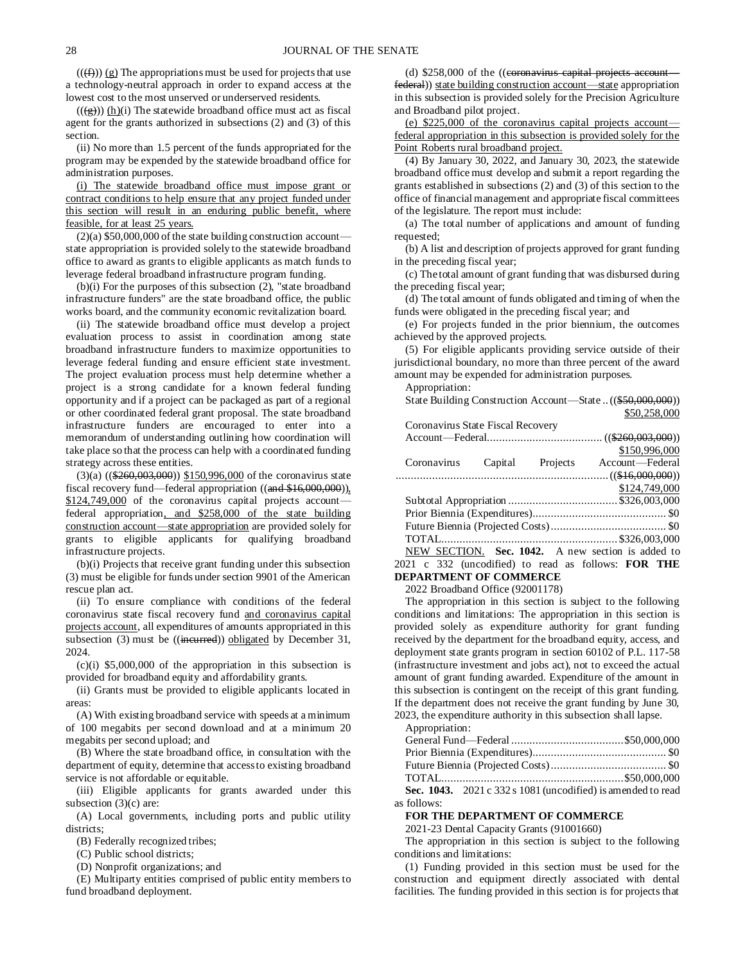$((\text{f}(\text{f})))(g)$  The appropriations must be used for projects that use a technology-neutral approach in order to expand access at the lowest cost to the most unserved or underserved residents.

 $((\frac{g}{g})) (\underline{h})(i)$  The statewide broadband office must act as fiscal agent for the grants authorized in subsections (2) and (3) of this section.

(ii) No more than 1.5 percent of the funds appropriated for the program may be expended by the statewide broadband office for administration purposes.

(i) The statewide broadband office must impose grant or contract conditions to help ensure that any project funded under this section will result in an enduring public benefit, where feasible, for at least 25 years.

 $(2)(a)$  \$50,000,000 of the state building construction account state appropriation is provided solely to the statewide broadband office to award as grants to eligible applicants as match funds to leverage federal broadband infrastructure program funding.

(b)(i) For the purposes of this subsection (2), "state broadband infrastructure funders" are the state broadband office, the public works board, and the community economic revitalization board.

(ii) The statewide broadband office must develop a project evaluation process to assist in coordination among state broadband infrastructure funders to maximize opportunities to leverage federal funding and ensure efficient state investment. The project evaluation process must help determine whether a project is a strong candidate for a known federal funding opportunity and if a project can be packaged as part of a regional or other coordinated federal grant proposal. The state broadband infrastructure funders are encouraged to enter into a memorandum of understanding outlining how coordination will take place so that the process can help with a coordinated funding strategy across these entities.

(3)(a) ((\$260,003,000)) \$150,996,000 of the coronavirus state fiscal recovery fund—federal appropriation ((and \$16,000,000)), \$124,749,000 of the coronavirus capital projects accountfederal appropriation, and \$258,000 of the state building construction account—state appropriation are provided solely for grants to eligible applicants for qualifying broadband infrastructure projects.

(b)(i) Projects that receive grant funding under this subsection (3) must be eligible for funds under section 9901 of the American rescue plan act.

(ii) To ensure compliance with conditions of the federal coronavirus state fiscal recovery fund and coronavirus capital projects account, all expenditures of amounts appropriated in this subsection  $(3)$  must be  $((\text{incurrent}))$  obligated by December 31, 2024.

 $(c)(i)$  \$5,000,000 of the appropriation in this subsection is provided for broadband equity and affordability grants.

(ii) Grants must be provided to eligible applicants located in areas:

(A) With existing broadband service with speeds at a minimum of 100 megabits per second download and at a minimum 20 megabits per second upload; and

(B) Where the state broadband office, in consultation with the department of equity, determine that access to existing broadband service is not affordable or equitable.

(iii) Eligible applicants for grants awarded under this subsection  $(3)(c)$  are:

(A) Local governments, including ports and public utility districts:

(B) Federally recognized tribes;

(C) Public school districts;

(D) Nonprofit organizations; and

(E) Multiparty entities comprised of public entity members to fund broadband deployment.

(d)  $$258,000$  of the ((eoronavirus capital projects account federal)) state building construction account—state appropriation in this subsection is provided solely for the Precision Agriculture and Broadband pilot project.

(e) \$225,000 of the coronavirus capital projects account federal appropriation in this subsection is provided solely for the Point Roberts rural broadband project.

(4) By January 30, 2022, and January 30, 2023, the statewide broadband office must develop and submit a report regarding the grants established in subsections (2) and (3) of this section to the office of financial management and appropriate fiscal committees of the legislature. The report must include:

(a) The total number of applications and amount of funding requested;

(b) A list and description of projects approved for grant funding in the preceding fiscal year;

(c) The total amount of grant funding that was disbursed during the preceding fiscal year;

(d) The total amount of funds obligated and timing of when the funds were obligated in the preceding fiscal year; and

(e) For projects funded in the prior biennium, the outcomes achieved by the approved projects.

(5) For eligible applicants providing service outside of their jurisdictional boundary, no more than three percent of the award amount may be expended for administration purposes.

Appropriation:

State Building Construction Account—State ..((\$50,000,000)) \$50,258,000

| Coronavirus State Fiscal Recovery                 |  |  |  |  |
|---------------------------------------------------|--|--|--|--|
|                                                   |  |  |  |  |
| \$150,996,000                                     |  |  |  |  |
| Projects<br>Account—Federal                       |  |  |  |  |
|                                                   |  |  |  |  |
| \$124,749,000                                     |  |  |  |  |
|                                                   |  |  |  |  |
|                                                   |  |  |  |  |
|                                                   |  |  |  |  |
|                                                   |  |  |  |  |
| NEW SECTION. Sec. 1042. A new section is added to |  |  |  |  |
|                                                   |  |  |  |  |

2021 c 332 (uncodified) to read as follows: **FOR THE DEPARTMENT OF COMMERCE**

2022 Broadband Office (92001178)

The appropriation in this section is subject to the following conditions and limitations: The appropriation in this section is provided solely as expenditure authority for grant funding received by the department for the broadband equity, access, and deployment state grants program in section 60102 of P.L. 117-58 (infrastructure investment and jobs act), not to exceed the actual amount of grant funding awarded. Expenditure of the amount in this subsection is contingent on the receipt of this grant funding. If the department does not receive the grant funding by June 30, 2023, the expenditure authority in this subsection shall lapse.

Appropriation:

| $0.1042.001.001.001$ $0.011.1$ |  |
|--------------------------------|--|

**Sec. 1043.** 2021 c 332 s 1081 (uncodified) is amended to read as follows:

#### **FOR THE DEPARTMENT OF COMMERCE**

2021-23 Dental Capacity Grants (91001660)

The appropriation in this section is subject to the following conditions and limitations:

(1) Funding provided in this section must be used for the construction and equipment directly associated with dental facilities. The funding provided in this section is for projects that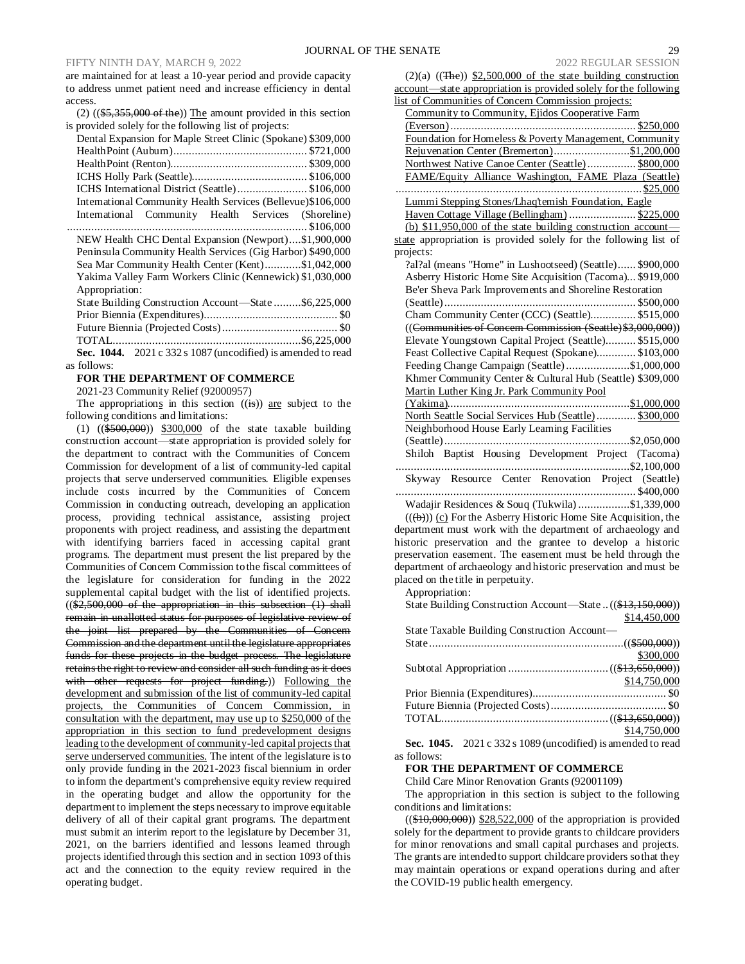are maintained for at least a 10-year period and provide capacity to address unmet patient need and increase efficiency in dental access.

(2)  $((\$5,355,000 \text{ of the}))$  The amount provided in this section is provided solely for the following list of projects:

| Dental Expansion for Maple Street Clinic (Spokane) \$309,000 |
|--------------------------------------------------------------|
|                                                              |
|                                                              |
|                                                              |
| ICHS International District (Seattle)\$106,000               |
| International Community Health Services (Bellevue)\$106,000  |
| International Community Health Services (Shoreline)          |
|                                                              |
| NEW Health CHC Dental Expansion (Newport)\$1,900,000         |
| Peninsula Community Health Services (Gig Harbor) \$490,000   |
| Sea Mar Community Health Center (Kent)\$1,042,000            |
| Yakima Valley Farm Workers Clinic (Kennewick) \$1,030,000    |
| Appropriation:                                               |
| State Building Construction Account-State \$6,225,000        |
|                                                              |
|                                                              |
|                                                              |
| Sec. 1044. 2021 c 332 s 1087 (uncodified) is amended to read |
| as follows:                                                  |

#### **FOR THE DEPARTMENT OF COMMERCE**

2021-23 Community Relief (92000957)

The appropriations in this section  $((\mathbf{is}))$  are subject to the following conditions and limitations:

(1) ((\$500,000)) \$300,000 of the state taxable building construction account—state appropriation is provided solely for the department to contract with the Communities of Concern Commission for development of a list of community-led capital projects that serve underserved communities. Eligible expenses include costs incurred by the Communities of Concern Commission in conducting outreach, developing an application process, providing technical assistance, assisting project proponents with project readiness, and assisting the department with identifying barriers faced in accessing capital grant programs. The department must present the list prepared by the Communities of Concern Commission to the fiscal committees of the legislature for consideration for funding in the 2022 supplemental capital budget with the list of identified projects. ((\$2,500,000 of the appropriation in this subsection (1) shall remain in unallotted status for purposes of legislative review of the joint list prepared by the Communities of Concern Commission and the department until the legislature appropriates funds for these projects in the budget process. The legislature retains the right to review and consider all such funding as it does with other requests for project funding.)) Following the development and submission of the list of community-led capital projects, the Communities of Concern Commission, in consultation with the department, may use up to \$250,000 of the appropriation in this section to fund predevelopment designs leading to the development of community-led capital projects that serve underserved communities. The intent of the legislature is to only provide funding in the 2021-2023 fiscal biennium in order to inform the department's comprehensive equity review required in the operating budget and allow the opportunity for the department to implement the steps necessary to improve equitable delivery of all of their capital grant programs. The department must submit an interim report to the legislature by December 31, 2021, on the barriers identified and lessons learned through projects identified through this section and in section 1093 of this act and the connection to the equity review required in the operating budget.

| 2022 REGULAR SESSION                                              |
|-------------------------------------------------------------------|
| $(2)(a)$ $((The))$ \$2,500,000 of the state building construction |
| account—state appropriation is provided solely for the following  |
| list of Communities of Concern Commission projects:               |
| Community to Community, Ejidos Cooperative Farm                   |
| $(Everson)$<br>$\dots$ \$250,000                                  |
| Foundation for Homeless & Poverty Management, Community           |
| Rejuvenation Center (Bremerton)\$1,200,000                        |
| Northwest Native Canoe Center (Seattle) \$800,000                 |
| FAME/Equity Alliance Washington, FAME Plaza (Seattle)             |
| \$25,000                                                          |
| Lummi Stepping Stones/Lhaq'temish Foundation, Eagle               |
| Haven Cottage Village (Bellingham)  \$225,000                     |
| (b) $$11,950,000$ of the state building construction account-     |
| state appropriation is provided solely for the following list of  |
| projects:                                                         |
| ?al?al (means "Home" in Lushootseed) (Seattle) \$900,000          |
| Asberry Historic Home Site Acquisition (Tacoma) \$919,000         |
| Be'er Sheva Park Improvements and Shoreline Restoration           |
|                                                                   |
| Cham Community Center (CCC) (Seattle) \$515,000                   |
| ((Communities of Concern Commission (Seattle) \$3,000,000))       |
| Elevate Youngstown Capital Project (Seattle) \$515,000            |
| Feast Collective Capital Request (Spokane) \$103,000              |
| Feeding Change Campaign (Seattle)\$1,000,000                      |
| Khmer Community Center & Cultural Hub (Seattle) \$309,000         |
| Martin Luther King Jr. Park Community Pool                        |
|                                                                   |
| North Seattle Social Services Hub (Seattle) \$300,000             |
| Neighborhood House Early Learning Facilities                      |
|                                                                   |
| Shiloh Baptist Housing Development Project (Tacoma)               |
|                                                                   |
| Skyway Resource Center Renovation Project (Seattle)               |
|                                                                   |
| Wadajir Residences & Souq (Tukwila) \$1,339,000                   |

 $((\forall \rightarrow))$  (c) For the Asberry Historic Home Site Acquisition, the department must work with the department of archaeology and historic preservation and the grantee to develop a historic preservation easement. The easement must be held through the department of archaeology and historic preservation and must be placed on the title in perpetuity.

Appropriation:

| $\mu$                                                       |              |
|-------------------------------------------------------------|--------------|
| State Building Construction Account—State  ((\$13,150,000)) |              |
|                                                             | \$14,450,000 |
| State Taxable Building Construction Account—                |              |

| $D$ and $D$ and $D$ and $D$ and $D$ and $D$ are $D$ and $D$ are $D$ and $D$ are $D$ |              |
|-------------------------------------------------------------------------------------|--------------|
|                                                                                     |              |
|                                                                                     | \$300,000    |
|                                                                                     |              |
|                                                                                     | \$14,750,000 |
|                                                                                     |              |
|                                                                                     |              |
|                                                                                     |              |
|                                                                                     | \$14,750,000 |
|                                                                                     |              |

**Sec. 1045.** 2021 c 332 s 1089 (uncodified) is amended to read as follows:

### **FOR THE DEPARTMENT OF COMMERCE**

Child Care Minor Renovation Grants (92001109)

The appropriation in this section is subject to the following conditions and limitations:

 $((\$10,000,000))$  \$28,522,000 of the appropriation is provided solely for the department to provide grants to childcare providers for minor renovations and small capital purchases and projects. The grants are intended to support childcare providers so that they may maintain operations or expand operations during and after the COVID-19 public health emergency.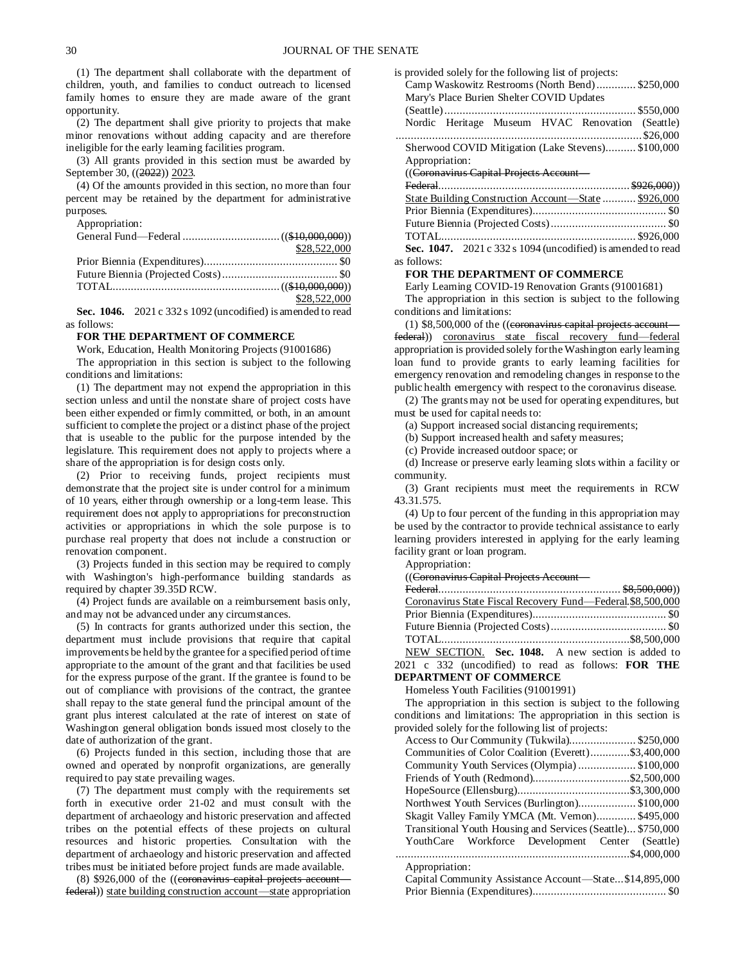(1) The department shall collaborate with the department of children, youth, and families to conduct outreach to licensed family homes to ensure they are made aware of the grant opportunity.

(2) The department shall give priority to projects that make minor renovations without adding capacity and are therefore ineligible for the early learning facilities program.

(3) All grants provided in this section must be awarded by September 30, ((2022)) 2023.

(4) Of the amounts provided in this section, no more than four percent may be retained by the department for administrative purposes.

Appropriation:

| \$28,522,000 |
|--------------|
|              |
|              |
|              |
| \$28,522,000 |

**Sec. 1046.** 2021 c 332 s 1092 (uncodified) is amended to read as follows:

#### **FOR THE DEPARTMENT OF COMMERCE**

Work, Education, Health Monitoring Projects (91001686)

The appropriation in this section is subject to the following conditions and limitations:

(1) The department may not expend the appropriation in this section unless and until the nonstate share of project costs have been either expended or firmly committed, or both, in an amount sufficient to complete the project or a distinct phase of the project that is useable to the public for the purpose intended by the legislature. This requirement does not apply to projects where a share of the appropriation is for design costs only.

(2) Prior to receiving funds, project recipients must demonstrate that the project site is under control for a minimum of 10 years, either through ownership or a long-term lease. This requirement does not apply to appropriations for preconstruction activities or appropriations in which the sole purpose is to purchase real property that does not include a construction or renovation component.

(3) Projects funded in this section may be required to comply with Washington's high-performance building standards as required by chapter 39.35D RCW.

(4) Project funds are available on a reimbursement basis only, and may not be advanced under any circumstances.

(5) In contracts for grants authorized under this section, the department must include provisions that require that capital improvements be held by the grantee for a specified period of time appropriate to the amount of the grant and that facilities be used for the express purpose of the grant. If the grantee is found to be out of compliance with provisions of the contract, the grantee shall repay to the state general fund the principal amount of the grant plus interest calculated at the rate of interest on state of Washington general obligation bonds issued most closely to the date of authorization of the grant.

(6) Projects funded in this section, including those that are owned and operated by nonprofit organizations, are generally required to pay state prevailing wages.

(7) The department must comply with the requirements set forth in executive order 21-02 and must consult with the department of archaeology and historic preservation and affected tribes on the potential effects of these projects on cultural resources and historic properties. Consultation with the department of archaeology and historic preservation and affected tribes must be initiated before project funds are made available.

 $(8)$  \$926,000 of the  $((eoronavinus capital projects account$ federal)) state building construction account—state appropriation

| is provided solely for the following list of projects: |                                           |  |  |                                                    |  |
|--------------------------------------------------------|-------------------------------------------|--|--|----------------------------------------------------|--|
|                                                        |                                           |  |  | Camp Waskowitz Restrooms (North Bend)\$250,000     |  |
|                                                        | Mary's Place Burien Shelter COVID Updates |  |  |                                                    |  |
|                                                        |                                           |  |  |                                                    |  |
|                                                        |                                           |  |  | Nordic Heritage Museum HVAC Renovation (Seattle)   |  |
|                                                        |                                           |  |  |                                                    |  |
|                                                        |                                           |  |  | Sherwood COVID Mitigation (Lake Stevens) \$100,000 |  |
| Appropriation:                                         |                                           |  |  |                                                    |  |
| ((Coronavirus Capital Projects Account-                |                                           |  |  |                                                    |  |
|                                                        |                                           |  |  |                                                    |  |
|                                                        |                                           |  |  |                                                    |  |

|             | State Building Construction Account—State  \$926,000           |  |
|-------------|----------------------------------------------------------------|--|
|             |                                                                |  |
|             |                                                                |  |
|             |                                                                |  |
|             | Sec. 1047. $2021 c 332 s 1094$ (uncodified) is amended to read |  |
| as follows: |                                                                |  |

#### **FOR THE DEPARTMENT OF COMMERCE**

Early Learning COVID-19 Renovation Grants (91001681)

The appropriation in this section is subject to the following conditions and limitations:

(1)  $$8,500,000$  of the ((coronavirus capital projects account federal)) coronavirus state fiscal recovery fund—federal appropriation is provided solely for the Washington early learning loan fund to provide grants to early learning facilities for emergency renovation and remodeling changes in response to the public health emergency with respect to the coronavirus disease.

(2) The grants may not be used for operating expenditures, but must be used for capital needs to:

(a) Support increased social distancing requirements;

(b) Support increased health and safety measures;

(c) Provide increased outdoor space; or

(d) Increase or preserve early learning slots within a facility or community.

(3) Grant recipients must meet the requirements in RCW 43.31.575.

(4) Up to four percent of the funding in this appropriation may be used by the contractor to provide technical assistance to early learning providers interested in applying for the early learning facility grant or loan program.

Appropriation:

((Coronavirus Capital Projects Account—

| Coronavirus State Fiscal Recovery Fund—Federal.\$8,500,000 |  |
|------------------------------------------------------------|--|
|                                                            |  |
|                                                            |  |
|                                                            |  |
| NEW SECTION. Sec. 1048. A new section is added to          |  |
| 2021 c 332 (uncodified) to read as follows: FOR THE        |  |
| <b>DEPARTMENT OF COMMERCE</b>                              |  |

# Homeless Youth Facilities (91001991)

The appropriation in this section is subject to the following conditions and limitations: The appropriation in this section is provided solely for the following list of projects:

| Communities of Color Coalition (Everett)\$3,400,000         |
|-------------------------------------------------------------|
| Community Youth Services (Olympia)\$100,000                 |
| Friends of Youth (Redmond)\$2,500,000                       |
|                                                             |
| Northwest Youth Services (Burlington)\$100,000              |
| Skagit Valley Family YMCA (Mt. Vernon) \$495,000            |
| Transitional Youth Housing and Services (Seattle) \$750,000 |
| YouthCare Workforce Development Center (Seattle)            |
|                                                             |
| Appropriation:                                              |
| Capital Community Assistance Account-State\$14,895,000      |
|                                                             |
|                                                             |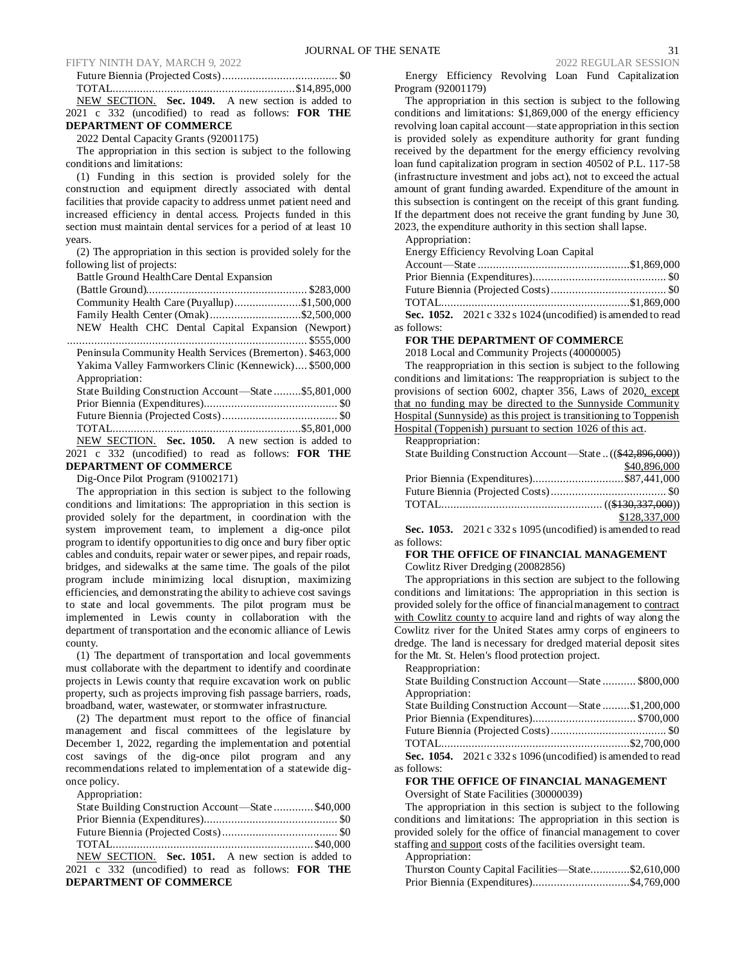#### FIFTY NINTH DAY, MARCH 9, 2022<br>  $2022$  REGULAR SESSION Future Biennia (Projected Costs)

|  |  |                               |  |  | NEW SECTION. Sec. 1049. A new section is added to          |  |  |
|--|--|-------------------------------|--|--|------------------------------------------------------------|--|--|
|  |  |                               |  |  | 2021 c 332 (uncodified) to read as follows: <b>FOR THE</b> |  |  |
|  |  | <b>DEPARTMENT OF COMMERCE</b> |  |  |                                                            |  |  |

# 2022 Dental Capacity Grants (92001175)

The appropriation in this section is subject to the following conditions and limitations:

(1) Funding in this section is provided solely for the construction and equipment directly associated with dental facilities that provide capacity to address unmet patient need and increased efficiency in dental access. Projects funded in this section must maintain dental services for a period of at least 10 years.

(2) The appropriation in this section is provided solely for the following list of projects:

Battle Ground HealthCare Dental Expansion

| Community Health Care (Puyallup)\$1,500,000                |
|------------------------------------------------------------|
| Family Health Center (Omak)\$2,500,000                     |
| NEW Health CHC Dental Capital Expansion (Newport)          |
|                                                            |
| Peninsula Community Health Services (Bremerton). \$463,000 |
| Yakima Valley Farmworkers Clinic (Kennewick) \$500,000     |
| Appropriation:                                             |
| State Building Construction Account—State \$5,801,000      |
|                                                            |
|                                                            |
|                                                            |
| NEW SECTION. Sec. 1050. A new section is added to          |
| 2021 c 332 (uncodified) to read as follows: <b>FOR THE</b> |
| <b>DEPARTMENT OF COMMERCE</b>                              |
| $\text{Di} \alpha$ Once Pilot Program (01002171)           |

Dig-Once Pilot Program (91002171)

The appropriation in this section is subject to the following conditions and limitations: The appropriation in this section is provided solely for the department, in coordination with the system improvement team, to implement a dig-once pilot program to identify opportunities to dig once and bury fiber optic cables and conduits, repair water or sewer pipes, and repair roads, bridges, and sidewalks at the same time. The goals of the pilot program include minimizing local disruption, maximizing efficiencies, and demonstrating the ability to achieve cost savings to state and local governments. The pilot program must be implemented in Lewis county in collaboration with the department of transportation and the economic alliance of Lewis county.

(1) The department of transportation and local governments must collaborate with the department to identify and coordinate projects in Lewis county that require excavation work on public property, such as projects improving fish passage barriers, roads, broadband, water, wastewater, or stormwater infrastructure.

(2) The department must report to the office of financial management and fiscal committees of the legislature by December 1, 2022, regarding the implementation and potential cost savings of the dig-once pilot program and any recommendations related to implementation of a statewide digonce policy.

Appropriation:

| State Building Construction Account—State  \$40,000        |  |
|------------------------------------------------------------|--|
|                                                            |  |
|                                                            |  |
|                                                            |  |
| NEW SECTION. Sec. 1051. A new section is added to          |  |
| 2021 c 332 (uncodified) to read as follows: <b>FOR THE</b> |  |

**DEPARTMENT OF COMMERCE**

Energy Efficiency Revolving Loan Fund Capitalization Program (92001179)

The appropriation in this section is subject to the following conditions and limitations: \$1,869,000 of the energy efficiency revolving loan capital account—state appropriation in this section is provided solely as expenditure authority for grant funding received by the department for the energy efficiency revolving loan fund capitalization program in section 40502 of P.L. 117-58 (infrastructure investment and jobs act), not to exceed the actual amount of grant funding awarded. Expenditure of the amount in this subsection is contingent on the receipt of this grant funding. If the department does not receive the grant funding by June 30, 2023, the expenditure authority in this section shall lapse.

Appropriation:

Energy Efficiency Revolving Loan Capital

|             | Sec. 1052. $2021 c 332 s 1024$ (uncodified) is amended to read |  |
|-------------|----------------------------------------------------------------|--|
| as follows: |                                                                |  |

# **FOR THE DEPARTMENT OF COMMERCE**

2018 Local and Community Projects (40000005)

The reappropriation in this section is subject to the following conditions and limitations: The reappropriation is subject to the provisions of section 6002, chapter 356, Laws of 2020, except that no funding may be directed to the Sunnyside Community Hospital (Sunnyside) as this project is transitioning to Toppenish Hospital (Toppenish) pursuant to section 1026 of this act.

Reappropriation:

| State Building Construction Account—State  ((\$42,896,000)) |               |
|-------------------------------------------------------------|---------------|
|                                                             | \$40,896,000  |
| Prior Biennia (Expenditures)\$87,441,000                    |               |
|                                                             |               |
|                                                             |               |
|                                                             | \$128,337,000 |

**Sec. 1053.** 2021 c 332 s 1095 (uncodified) is amended to read as follows:

**FOR THE OFFICE OF FINANCIAL MANAGEMENT** Cowlitz River Dredging (20082856)

The appropriations in this section are subject to the following conditions and limitations: The appropriation in this section is provided solely for the office of financial management to contract with Cowlitz county to acquire land and rights of way along the Cowlitz river for the United States army corps of engineers to dredge. The land is necessary for dredged material deposit sites

for the Mt. St. Helen's flood protection project. Reappropriation:

| State Building Construction Account—State  \$800,000          |
|---------------------------------------------------------------|
|                                                               |
| State Building Construction Account—State \$1,200,000         |
|                                                               |
|                                                               |
|                                                               |
| Sec. 1054. $2021c$ 332 s 1096 (uncodified) is amended to read |
|                                                               |

**FOR THE OFFICE OF FINANCIAL MANAGEMENT** Oversight of State Facilities (30000039)

The appropriation in this section is subject to the following conditions and limitations: The appropriation in this section is provided solely for the office of financial management to cover staffing and support costs of the facilities oversight team.

Appropriation:

as

| Thurston County Capital Facilities—State\$2,610,000 |  |
|-----------------------------------------------------|--|
| Prior Biennia (Expenditures)\$4,769,000             |  |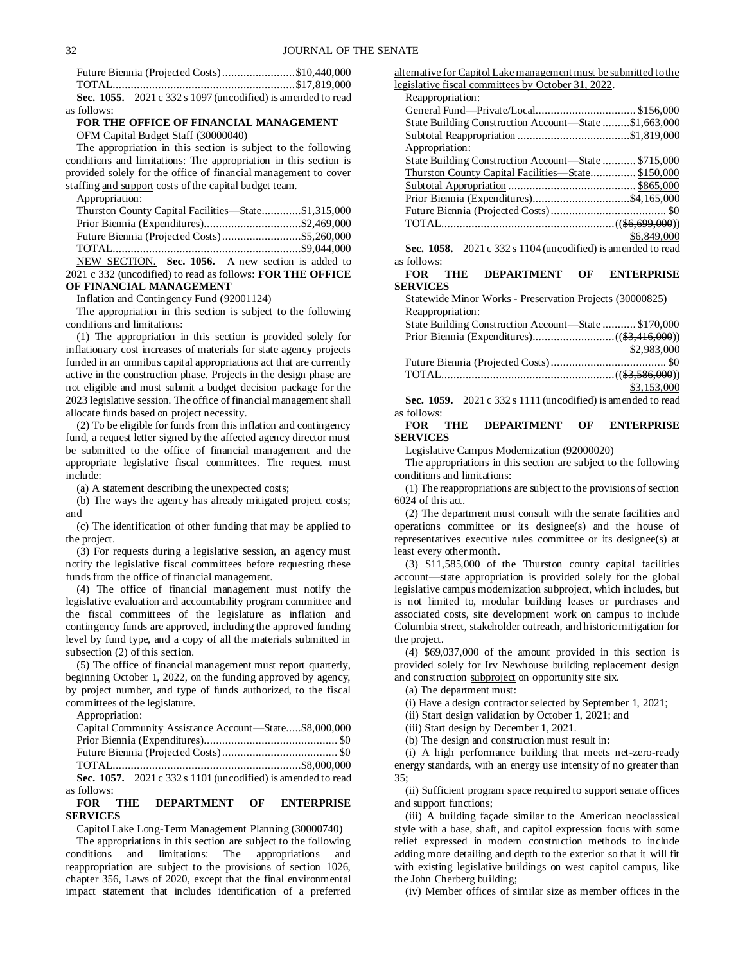|             | Future Biennia (Projected Costs)\$10,440,000                  |  |
|-------------|---------------------------------------------------------------|--|
|             |                                                               |  |
|             | Sec. 1055. $2021c$ 332 s 1097 (uncodified) is amended to read |  |
| as follows: |                                                               |  |

### **FOR THE OFFICE OF FINANCIAL MANAGEMENT** OFM Capital Budget Staff (30000040)

The appropriation in this section is subject to the following conditions and limitations: The appropriation in this section is provided solely for the office of financial management to cover staffing and support costs of the capital budget team.

Appropriation:

| Thurston County Capital Facilities—State\$1,315,000 |  |
|-----------------------------------------------------|--|
| Prior Biennia (Expenditures)\$2,469,000             |  |
|                                                     |  |
|                                                     |  |
| NEW SECTION. Sec. 1056. A new section is added to   |  |

2021 c 332 (uncodified) to read as follows: **FOR THE OFFICE OF FINANCIAL MANAGEMENT**

Inflation and Contingency Fund (92001124)

The appropriation in this section is subject to the following conditions and limitations:

(1) The appropriation in this section is provided solely for inflationary cost increases of materials for state agency projects funded in an omnibus capital appropriations act that are currently active in the construction phase. Projects in the design phase are not eligible and must submit a budget decision package for the 2023 legislative session. The office of financial management shall allocate funds based on project necessity.

(2) To be eligible for funds from this inflation and contingency fund, a request letter signed by the affected agency director must be submitted to the office of financial management and the appropriate legislative fiscal committees. The request must include:

(a) A statement describing the unexpected costs;

(b) The ways the agency has already mitigated project costs; and

(c) The identification of other funding that may be applied to the project.

(3) For requests during a legislative session, an agency must notify the legislative fiscal committees before requesting these funds from the office of financial management.

(4) The office of financial management must notify the legislative evaluation and accountability program committee and the fiscal committees of the legislature as inflation and contingency funds are approved, including the approved funding level by fund type, and a copy of all the materials submitted in subsection (2) of this section.

(5) The office of financial management must report quarterly, beginning October 1, 2022, on the funding approved by agency, by project number, and type of funds authorized, to the fiscal committees of the legislature.

Appropriation:

|             | Capital Community Assistance Account—State\$8,000,000          |  |
|-------------|----------------------------------------------------------------|--|
|             |                                                                |  |
|             |                                                                |  |
|             |                                                                |  |
|             | Sec. 1057. $2021 c 332 s 1101$ (uncodified) is amended to read |  |
| as follows: |                                                                |  |

### **FOR THE DEPARTMENT OF ENTERPRISE SERVICES**

Capitol Lake Long-Term Management Planning (30000740)

The appropriations in this section are subject to the following conditions and limitations: The appropriations and reappropriation are subject to the provisions of section 1026, chapter 356, Laws of 2020, except that the final environmental impact statement that includes identification of a preferred

alternative for Capitol Lake management must be submitted to the legislative fiscal committees by October 31, 2022.

| Reappropriation:                                          |             |
|-----------------------------------------------------------|-------------|
|                                                           |             |
| State Building Construction Account—State \$1,663,000     |             |
|                                                           |             |
| Appropriation:                                            |             |
| State Building Construction Account—State  \$715,000      |             |
| <u>Thurston County Capital Facilities—State \$150,000</u> |             |
|                                                           |             |
|                                                           |             |
|                                                           |             |
|                                                           |             |
| $\alpha$ 10.50 2001 200 1101/1 110 111                    | \$6,849,000 |
|                                                           |             |

**Sec. 1058.** 2021 c 332 s 1104 (uncodified) is amended to read as follows:

#### **FOR THE DEPARTMENT OF ENTERPRISE SERVICES**

Statewide Minor Works - Preservation Projects (30000825) Reappropriation:

| State Building Construction Account—State  \$170,000 |             |
|------------------------------------------------------|-------------|
|                                                      |             |
|                                                      | \$2,983,000 |
|                                                      |             |
|                                                      |             |
|                                                      | \$3,153,000 |

**Sec. 1059.** 2021 c 332 s 1111 (uncodified) is amended to read as follows:

### **FOR THE DEPARTMENT OF ENTERPRISE SERVICES**

Legislative Campus Modernization (92000020)

The appropriations in this section are subject to the following conditions and limitations:

(1) The reappropriations are subject to the provisions of section 6024 of this act.

(2) The department must consult with the senate facilities and operations committee or its designee(s) and the house of representatives executive rules committee or its designee(s) at least every other month.

(3) \$11,585,000 of the Thurston county capital facilities account—state appropriation is provided solely for the global legislative campus modernization subproject, which includes, but is not limited to, modular building leases or purchases and associated costs, site development work on campus to include Columbia street, stakeholder outreach, and historic mitigation for the project.

(4) \$69,037,000 of the amount provided in this section is provided solely for Irv Newhouse building replacement design and construction subproject on opportunity site six.

(a) The department must:

(i) Have a design contractor selected by September 1, 2021;

(ii) Start design validation by October 1, 2021; and

(iii) Start design by December 1, 2021.

(b) The design and construction must result in:

(i) A high performance building that meets net-zero-ready energy standards, with an energy use intensity of no greater than 35;

(ii) Sufficient program space required to support senate offices and support functions;

(iii) A building façade similar to the American neoclassical style with a base, shaft, and capitol expression focus with some relief expressed in modern construction methods to include adding more detailing and depth to the exterior so that it will fit with existing legislative buildings on west capitol campus, like the John Cherberg building;

(iv) Member offices of similar size as member offices in the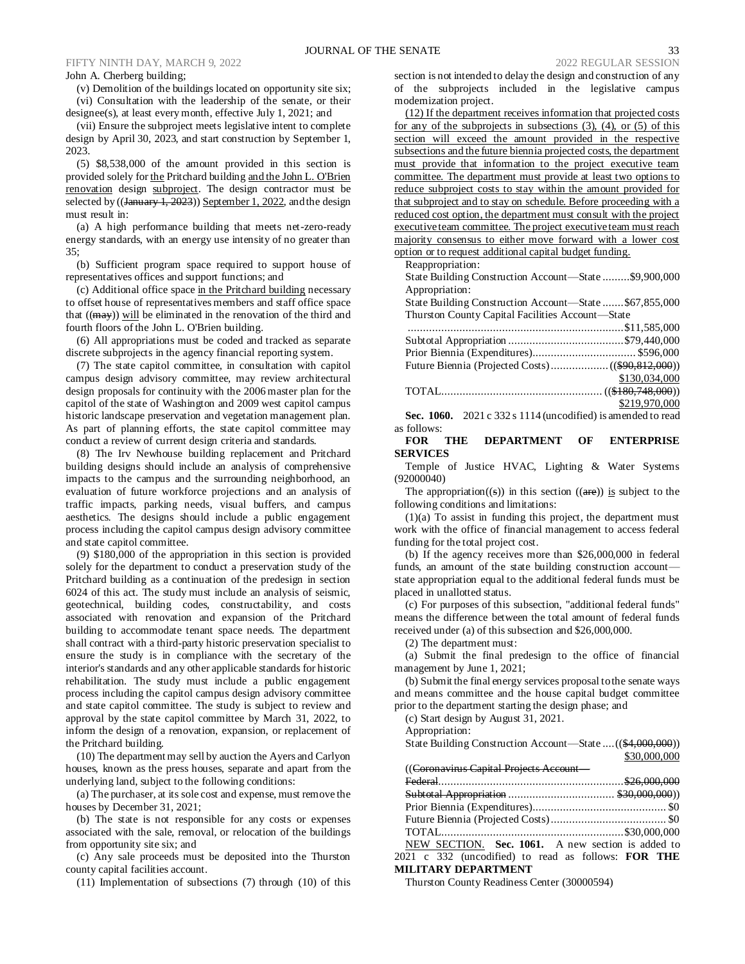### FIFTY NINTH DAY, MARCH 9, 2022 2022 2022 REGULAR SESSION

#### John A. Cherberg building;

(v) Demolition of the buildings located on opportunity site six;

(vi) Consultation with the leadership of the senate, or their designee(s), at least every month, effective July 1, 2021; and

(vii) Ensure the subproject meets legislative intent to complete design by April 30, 2023, and start construction by September 1, 2023.

(5) \$8,538,000 of the amount provided in this section is provided solely for the Pritchard building and the John L. O'Brien renovation design subproject. The design contractor must be selected by ((January 1, 2023)) September 1, 2022, and the design must result in:

(a) A high performance building that meets net-zero-ready energy standards, with an energy use intensity of no greater than 35;

(b) Sufficient program space required to support house of representatives offices and support functions; and

(c) Additional office space in the Pritchard building necessary to offset house of representatives members and staff office space that  $((\text{may}))$  will be eliminated in the renovation of the third and fourth floors of the John L. O'Brien building.

(6) All appropriations must be coded and tracked as separate discrete subprojects in the agency financial reporting system.

(7) The state capitol committee, in consultation with capitol campus design advisory committee, may review architectural design proposals for continuity with the 2006 master plan for the capitol of the state of Washington and 2009 west capitol campus historic landscape preservation and vegetation management plan. As part of planning efforts, the state capitol committee may conduct a review of current design criteria and standards.

(8) The Irv Newhouse building replacement and Pritchard building designs should include an analysis of comprehensive impacts to the campus and the surrounding neighborhood, an evaluation of future workforce projections and an analysis of traffic impacts, parking needs, visual buffers, and campus aesthetics. The designs should include a public engagement process including the capitol campus design advisory committee and state capitol committee.

(9) \$180,000 of the appropriation in this section is provided solely for the department to conduct a preservation study of the Pritchard building as a continuation of the predesign in section 6024 of this act. The study must include an analysis of seismic, geotechnical, building codes, constructability, and costs associated with renovation and expansion of the Pritchard building to accommodate tenant space needs. The department shall contract with a third-party historic preservation specialist to ensure the study is in compliance with the secretary of the interior's standards and any other applicable standards for historic rehabilitation. The study must include a public engagement process including the capitol campus design advisory committee and state capitol committee. The study is subject to review and approval by the state capitol committee by March 31, 2022, to inform the design of a renovation, expansion, or replacement of the Pritchard building.

(10) The department may sell by auction the Ayers and Carlyon houses, known as the press houses, separate and apart from the underlying land, subject to the following conditions:

(a) The purchaser, at its sole cost and expense, must remove the houses by December 31, 2021;

(b) The state is not responsible for any costs or expenses associated with the sale, removal, or relocation of the buildings from opportunity site six; and

(c) Any sale proceeds must be deposited into the Thurston county capital facilities account.

(11) Implementation of subsections (7) through (10) of this

section is not intended to delay the design and construction of any of the subprojects included in the legislative campus modernization project.

(12) If the department receives information that projected costs for any of the subprojects in subsections (3), (4), or (5) of this section will exceed the amount provided in the respective subsections and the future biennia projected costs, the department must provide that information to the project executive team committee. The department must provide at least two options to reduce subproject costs to stay within the amount provided for that subproject and to stay on schedule. Before proceeding with a reduced cost option, the department must consult with the project executive team committee. The project executive team must reach majority consensus to either move forward with a lower cost option or to request additional capital budget funding.

Reappropriation:

State Building Construction Account—State .........\$9,900,000 Appropriation:

State Building Construction Account—State .......\$67,855,000 Thurston County Capital Facilities Account—State

| \$130,034,000 |
|---------------|
|               |
| \$219,970,000 |

**Sec. 1060.** 2021 c 332 s 1114 (uncodified) is amended to read as follows:

**FOR THE DEPARTMENT OF ENTERPRISE SERVICES**

Temple of Justice HVAC, Lighting & Water Systems (92000040)

The appropriation((s)) in this section ((are)) is subject to the following conditions and limitations:

 $(1)(a)$  To assist in funding this project, the department must work with the office of financial management to access federal funding for the total project cost.

(b) If the agency receives more than \$26,000,000 in federal funds, an amount of the state building construction account state appropriation equal to the additional federal funds must be placed in unallotted status.

(c) For purposes of this subsection, "additional federal funds" means the difference between the total amount of federal funds received under (a) of this subsection and \$26,000,000.

(2) The department must:

(a) Submit the final predesign to the office of financial management by June 1, 2021;

(b) Submit the final energy services proposal to the senate ways and means committee and the house capital budget committee prior to the department starting the design phase; and

(c) Start design by August 31, 2021.

Appropriation:

State Building Construction Account—State ....((\$4,000,000)) \$30,000,000  $(C_{\text{cusp}}^{\text{cusp}} C_{\text{cusp}} + C_{\text{cusp}}^{\text{cusp}} C_{\text{cusp}}$ 

| ((Coronavirus Capital Projects Account —          |  |
|---------------------------------------------------|--|
|                                                   |  |
|                                                   |  |
|                                                   |  |
|                                                   |  |
|                                                   |  |
| NEW SECTION. Sec. 1061. A new section is added to |  |

2021 c 332 (uncodified) to read as follows: **FOR THE MILITARY DEPARTMENT**

Thurston County Readiness Center (30000594)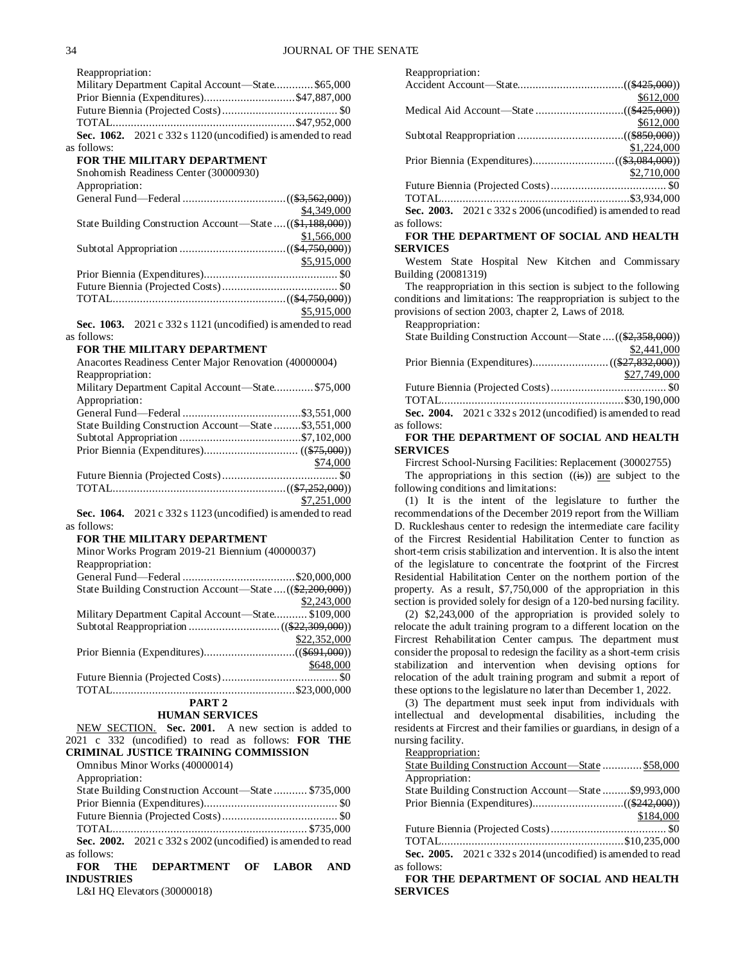Reappropriation:

| Military Department Capital Account—State\$65,000                |  |
|------------------------------------------------------------------|--|
| Prior Biennia (Expenditures)\$47,887,000                         |  |
|                                                                  |  |
|                                                                  |  |
| Sec. $1062$ , $2021c$ 332 s 1120 (uncodified) is amended to read |  |
| follows:                                                         |  |
| FOR THE MILITARY DEPARTMENT                                      |  |
|                                                                  |  |

Snohomish Readiness Center (30000930)

Appropriation:

|                                                            | \$4,349,000 |
|------------------------------------------------------------|-------------|
| State Building Construction Account-State  ((\$1,188,000)) |             |
|                                                            | \$1,566,000 |
|                                                            |             |
|                                                            | \$5,915,000 |
|                                                            |             |
|                                                            |             |
|                                                            |             |
|                                                            | \$5,915,000 |
|                                                            |             |

**Sec. 1063.** 2021 c 332 s 1121 (uncodified) is amended to read as follows:

### **FOR THE MILITARY DEPARTMENT**

| Anacortes Readiness Center Major Renovation (40000004) |             |  |
|--------------------------------------------------------|-------------|--|
| Reappropriation:                                       |             |  |
| Military Department Capital Account—State\$75,000      |             |  |
| Appropriation:                                         |             |  |
|                                                        |             |  |
| State Building Construction Account—State\$3,551,000   |             |  |
|                                                        |             |  |
|                                                        |             |  |
|                                                        | \$74,000    |  |
|                                                        |             |  |
|                                                        |             |  |
|                                                        | \$7,251,000 |  |
|                                                        |             |  |

**Sec. 1064.** 2021 c 332 s 1123 (uncodified) is amended to read as follows:

### **FOR THE MILITARY DEPARTMENT**

| Minor Works Program 2019-21 Biennium (40000037)            |
|------------------------------------------------------------|
| Reappropriation:                                           |
|                                                            |
| State Building Construction Account—State  ((\$2,200,000)) |
| \$2,243,000                                                |
| Military Department Capital Account-State \$109,000        |
|                                                            |
| \$22,352,000                                               |
|                                                            |
| \$648,000                                                  |
|                                                            |
|                                                            |
| PART <sub>2</sub>                                          |

# **HUMAN SERVICES**

NEW SECTION. **Sec. 2001.** A new section is added to 2021 c 332 (uncodified) to read as follows: **FOR THE CRIMINAL JUSTICE TRAINING COMMISSION** Omnibus Minor Works (40000014)

| Appropriation:                                                                                     |  |
|----------------------------------------------------------------------------------------------------|--|
| State Building Construction Account—State  \$735,000                                               |  |
|                                                                                                    |  |
|                                                                                                    |  |
|                                                                                                    |  |
| Sec. 2002. $2021 c 332 s 2002$ (uncodified) is amended to read                                     |  |
| as follows:                                                                                        |  |
| $T + D \cap T$ $\longrightarrow T$<br>$\mathbf{m}$ in $\mathbf{m}$ in $\mathbf{m}$ in $\mathbf{m}$ |  |

### **FOR THE DEPARTMENT OF LABOR AND INDUSTRIES**

L&I HQ Elevators (30000018)

| Reappropriation:                                              |             |
|---------------------------------------------------------------|-------------|
|                                                               |             |
|                                                               | \$612,000   |
|                                                               |             |
|                                                               | \$612,000   |
|                                                               |             |
|                                                               | \$1,224,000 |
|                                                               |             |
|                                                               | \$2,710,000 |
|                                                               |             |
|                                                               |             |
| Sec. 2003. $2021c$ 332 s 2006 (uncodified) is amended to read |             |
| as follows:                                                   |             |

### **FOR THE DEPARTMENT OF SOCIAL AND HEALTH SERVICES**

Western State Hospital New Kitchen and Commissary Building (20081319)

The reappropriation in this section is subject to the following conditions and limitations: The reappropriation is subject to the provisions of section 2003, chapter 2, Laws of 2018.

Reappropriation:

|             | State Building Construction Account—State  ((\$2,358,000))     |
|-------------|----------------------------------------------------------------|
|             | \$2,441,000                                                    |
|             |                                                                |
|             | \$27,749,000                                                   |
|             |                                                                |
|             |                                                                |
|             | Sec. 2004. $2021 c 332 s 2012$ (uncodified) is amended to read |
| as follows: |                                                                |
|             | FOD THE DEDADTMENT OF SOCIAL AND HEALTH                        |

### **FOR THE DEPARTMENT OF SOCIAL AND HEALTH SERVICES**

Fircrest School-Nursing Facilities: Replacement (30002755) The appropriations in this section  $((\mathbf{is}))$  are subject to the

following conditions and limitations:

(1) It is the intent of the legislature to further the recommendations of the December 2019 report from the William D. Ruckleshaus center to redesign the intermediate care facility of the Fircrest Residential Habilitation Center to function as short-term crisis stabilization and intervention. It is also the intent of the legislature to concentrate the footprint of the Fircrest Residential Habilitation Center on the northern portion of the property. As a result, \$7,750,000 of the appropriation in this section is provided solely for design of a 120-bed nursing facility.

(2) \$2,243,000 of the appropriation is provided solely to relocate the adult training program to a different location on the Fircrest Rehabilitation Center campus. The department must consider the proposal to redesign the facility as a short-term crisis stabilization and intervention when devising options for relocation of the adult training program and submit a report of these options to the legislature no later than December 1, 2022.

(3) The department must seek input from individuals with intellectual and developmental disabilities, including the residents at Fircrest and their families or guardians, in design of a nursing facility.

Reappropriation:

| State Building Construction Account—State \$58,000           |
|--------------------------------------------------------------|
| Appropriation:                                               |
| State Building Construction Account-State \$9,993,000        |
|                                                              |
| \$184,000                                                    |
|                                                              |
|                                                              |
| Sec. 2005. 2021 c 332 s 2014 (uncodified) is amended to read |
| as follows:                                                  |
| <b>FOR THE DEPARTMENT OF SOCIAL AND HEALTH</b>               |

**FOR THE DEPARTMENT OF SOCIAL AND HEALTH SERVICES**

as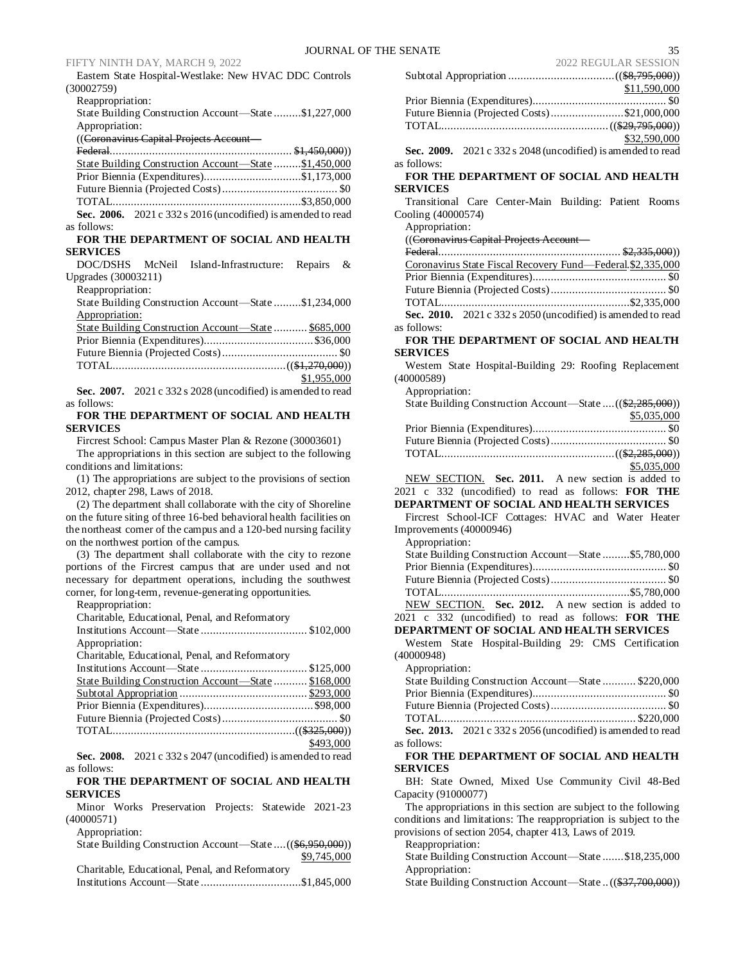|                |  | Eastern State Hospital-Westlake: New HVAC DDC Controls |  |  |
|----------------|--|--------------------------------------------------------|--|--|
| (30002759)     |  |                                                        |  |  |
| Dogmania digni |  |                                                        |  |  |

Reappropriation: State Building Construction Account—State .........\$1,227,000 Appropriation:

((Coronavirus Capital Projects Account—

| State Building Construction Account—State \$1,450,000        |  |
|--------------------------------------------------------------|--|
| Prior Biennia (Expenditures)\$1,173,000                      |  |
|                                                              |  |
|                                                              |  |
| Sec. 2006. 2021 c 332 s 2016 (uncodified) is amended to read |  |

as follows:

#### **FOR THE DEPARTMENT OF SOCIAL AND HEALTH SERVICES**

| DOC/DSHS            | McNeil | Island-Infrastructure: Repairs & |  |
|---------------------|--------|----------------------------------|--|
| Upgrades (30003211) |        |                                  |  |

Reappropriation:

| State Building Construction Account—State \$1,234,000 |  |
|-------------------------------------------------------|--|
| Appropriation:                                        |  |
| State Building Construction Account—State  \$685,000  |  |
|                                                       |  |

|  |  |  | \$1,955,000 |
|--|--|--|-------------|
|  |  |  |             |

**Sec. 2007.** 2021 c 332 s 2028 (uncodified) is amended to read as follows:

**FOR THE DEPARTMENT OF SOCIAL AND HEALTH SERVICES**

Fircrest School: Campus Master Plan & Rezone (30003601) The appropriations in this section are subject to the following conditions and limitations:

(1) The appropriations are subject to the provisions of section 2012, chapter 298, Laws of 2018.

(2) The department shall collaborate with the city of Shoreline on the future siting of three 16-bed behavioral health facilities on the northeast corner of the campus and a 120-bed nursing facility on the northwest portion of the campus.

(3) The department shall collaborate with the city to rezone portions of the Fircrest campus that are under used and not necessary for department operations, including the southwest corner, for long-term, revenue-generating opportunities.

Reappropriation:

| Charitable, Educational, Penal, and Reformatory                                                                                                                                                                                                                                                           |           |
|-----------------------------------------------------------------------------------------------------------------------------------------------------------------------------------------------------------------------------------------------------------------------------------------------------------|-----------|
|                                                                                                                                                                                                                                                                                                           |           |
| Appropriation:                                                                                                                                                                                                                                                                                            |           |
| Charitable, Educational, Penal, and Reformatory                                                                                                                                                                                                                                                           |           |
|                                                                                                                                                                                                                                                                                                           |           |
| State Building Construction Account-State  \$168,000                                                                                                                                                                                                                                                      |           |
|                                                                                                                                                                                                                                                                                                           |           |
|                                                                                                                                                                                                                                                                                                           |           |
|                                                                                                                                                                                                                                                                                                           |           |
|                                                                                                                                                                                                                                                                                                           |           |
|                                                                                                                                                                                                                                                                                                           | \$493,000 |
| Sec. 2008. $2021c$ 332 s 2047 (uncodified) is amended to read                                                                                                                                                                                                                                             |           |
| as follows:                                                                                                                                                                                                                                                                                               |           |
| $\frac{1}{2}$ , $\frac{1}{2}$ , $\frac{1}{2}$ , $\frac{1}{2}$ , $\frac{1}{2}$ , $\frac{1}{2}$ , $\frac{1}{2}$ , $\frac{1}{2}$ , $\frac{1}{2}$ , $\frac{1}{2}$ , $\frac{1}{2}$ , $\frac{1}{2}$ , $\frac{1}{2}$ , $\frac{1}{2}$ , $\frac{1}{2}$ , $\frac{1}{2}$ , $\frac{1}{2}$ , $\frac{1}{2}$ , $\frac{1$ |           |

**FOR THE DEPARTMENT OF SOCIAL AND HEALTH SERVICES**

Minor Works Preservation Projects: Statewide 2021-23 (40000571)

Appropriation:

State Building Construction Account—State ....((\$6,950,000)) \$9,745,000 Charitable, Educational, Penal, and Reformatory

|--|

| 2 INDO DI IN DEBBIOI                                              |  |
|-------------------------------------------------------------------|--|
|                                                                   |  |
|                                                                   |  |
|                                                                   |  |
| Future Biennia (Projected Costs)\$21,000,000                      |  |
|                                                                   |  |
| \$32,590,000                                                      |  |
| Sec. 2009. 2021 c 332 s 2048 (uncodified) is amended to read      |  |
| as follows:                                                       |  |
| FOR THE DEPARTMENT OF SOCIAL AND HEALTH                           |  |
| <b>SERVICES</b>                                                   |  |
| Transitional Care Center-Main Building: Patient Rooms             |  |
| Cooling (40000574)                                                |  |
| Appropriation:                                                    |  |
| ((Coronavirus Capital Projects Account -                          |  |
|                                                                   |  |
| Coronavirus State Fiscal Recovery Fund-Federal \$2,335,000        |  |
|                                                                   |  |
|                                                                   |  |
| Sec. 2010. 2021 c 332 s 2050 (uncodified) is amended to read      |  |
|                                                                   |  |
| as follows:<br>FOR THE DEPARTMENT OF SOCIAL AND HEALTH            |  |
| <b>SERVICES</b>                                                   |  |
| Western State Hospital-Building 29: Roofing Replacement           |  |
| (40000589)                                                        |  |
| Appropriation:                                                    |  |
| State Building Construction Account-State  ((\$2,285,000))        |  |
| \$5,035,000                                                       |  |
|                                                                   |  |
|                                                                   |  |
|                                                                   |  |
| \$5,035,000                                                       |  |
| NEW SECTION. Sec. 2011. A new section is added to                 |  |
| 2021 c 332 (uncodified) to read as follows: FOR THE               |  |
| DEPARTMENT OF SOCIAL AND HEALTH SERVICES                          |  |
| Fircrest School-ICF Cottages: HVAC and Water Heater               |  |
| Improvements (40000946)                                           |  |
| Appropriation:                                                    |  |
| State Building Construction Account-State \$5,780,000             |  |
|                                                                   |  |
|                                                                   |  |
| NEW SECTION. Sec. 2012. A new section is added to                 |  |
| 2021 c 332 (uncodified) to read as follows: FOR THE               |  |
| DEPARTMENT OF SOCIAL AND HEALTH SERVICES                          |  |
| State Hospital-Building 29: CMS Certification<br>Western          |  |
| (40000948)                                                        |  |
| Appropriation:                                                    |  |
| State Building Construction Account-State  \$220,000              |  |
|                                                                   |  |
|                                                                   |  |
|                                                                   |  |
| Sec. 2013. 2021 c 332 s 2056 (uncodified) is amended to read      |  |
| as follows:                                                       |  |
| FOR THE DEPARTMENT OF SOCIAL AND HEALTH                           |  |
| <b>SERVICES</b>                                                   |  |
| BH: State Owned, Mixed Use Community Civil 48-Bed                 |  |
| Capacity (91000077)                                               |  |
| The appropriations in this section are subject to the following   |  |
| conditions and limitations: The reappropriation is subject to the |  |
| provisions of section 2054, chapter 413, Laws of 2019.            |  |
| Reappropriation:                                                  |  |
| State Building Construction Account-State  \$18,235,000           |  |

Appropriation: State Building Construction Account—State ..((\$37,700,000))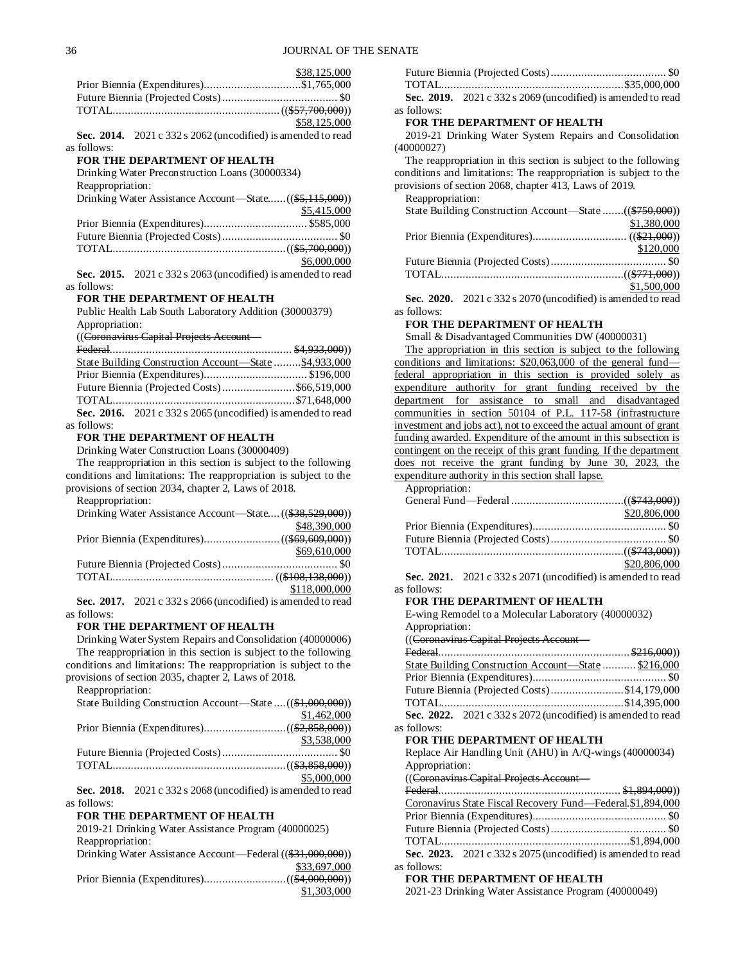\$38,125,000 Prior Biennia (Expenditures)................................\$1,765,000 Future Biennia (Projected Costs)...................................... \$0 TOTAL.......................................................((\$57,700,000)) \$58,125,000 **Sec. 2014.** 2021 c 332 s 2062 (uncodified) is amended to read as follows: **FOR THE DEPARTMENT OF HEALTH** Drinking Water Preconstruction Loans (30000334) Reappropriation: Drinking Water Assistance Account—State......((\$5,115,000)) \$5,415,000 Prior Biennia (Expenditures).................................. \$585,000 Future Biennia (Projected Costs)...................................... \$0 TOTAL.........................................................((\$5,700,000)) \$6,000,000 **Sec. 2015.** 2021 c 332 s 2063 (uncodified) is amended to read as follows: **FOR THE DEPARTMENT OF HEALTH** Public Health Lab South Laboratory Addition (30000379) Appropriation: ((Coronavirus Capital Projects Account— Federal............................................................ \$4,933,000)) State Building Construction Account—State .........\$4,933,000 Prior Biennia (Expenditures).................................. \$196,000 Future Biennia (Projected Costs)........................\$66,519,000 TOTAL............................................................\$71,648,000 **Sec. 2016.** 2021 c 332 s 2065 (uncodified) is amended to read as follows: **FOR THE DEPARTMENT OF HEALTH** Drinking Water Construction Loans (30000409) The reappropriation in this section is subject to the following conditions and limitations: The reappropriation is subject to the provisions of section 2034, chapter 2, Laws of 2018. Reappropriation: Drinking Water Assistance Account—State....((\$38,529,000)) \$48,390,000 Prior Biennia (Expenditures).........................((\$69,609,000)) \$69,610,000 Future Biennia (Projected Costs)...................................... \$0 TOTAL..................................................... ((\$108,138,000)) \$118,000,000 **Sec. 2017.** 2021 c 332 s 2066 (uncodified) is amended to read as follows: **FOR THE DEPARTMENT OF HEALTH** Drinking Water System Repairs and Consolidation (40000006) The reappropriation in this section is subject to the following conditions and limitations: The reappropriation is subject to the provisions of section 2035, chapter 2, Laws of 2018. Reappropriation: State Building Construction Account—State ....((\$1,000,000)) \$1,462,000 Prior Biennia (Expenditures)...........................((\$2,858,000)) \$3,538,000 Future Biennia (Projected Costs)...................................... \$0  $\label{eq:total} {\text{TOTAL}}........\\( \text{\textsterling}3,\text{\textsterling}58,\text{\textsterling}000))$ \$5,000,000 **Sec. 2018.** 2021 c 332 s 2068 (uncodified) is amended to read as follows: **FOR THE DEPARTMENT OF HEALTH** 2019-21 Drinking Water Assistance Program (40000025) Reappropriation: Drinking Water Assistance Account—Federal ((\$31,000,000)) \$33,697,000 Prior Biennia (Expenditures)...........................((\$4,000,000)) \$1,303,000

|             | Sec. 2019. $2021 c 332 s 2069$ (uncodified) is amended to read |
|-------------|----------------------------------------------------------------|
| as follows: |                                                                |

#### **FOR THE DEPARTMENT OF HEALTH**

2019-21 Drinking Water System Repairs and Consolidation (40000027)

The reappropriation in this section is subject to the following conditions and limitations: The reappropriation is subject to the provisions of section 2068, chapter 413, Laws of 2019. Reappropriation:

| KCappropriation.                                        |             |
|---------------------------------------------------------|-------------|
| State Building Construction Account—State ((\$750,000)) |             |
|                                                         | \$1,380,000 |
|                                                         |             |
|                                                         | \$120,000   |
|                                                         |             |
|                                                         |             |
|                                                         | \$1,500,000 |
|                                                         |             |

**Sec. 2020.** 2021 c 332 s 2070 (uncodified) is amended to read as follows:

#### **FOR THE DEPARTMENT OF HEALTH**

Small & Disadvantaged Communities DW (40000031)

The appropriation in this section is subject to the following conditions and limitations: \$20,063,000 of the general fund federal appropriation in this section is provided solely as expenditure authority for grant funding received by the department for assistance to small and disadvantaged communities in section 50104 of P.L. 117-58 (infrastructure investment and jobs act), not to exceed the actual amount of grant funding awarded. Expenditure of the amount in this subsection is contingent on the receipt of this grant funding. If the department does not receive the grant funding by June 30, 2023, the expenditure authority in this section shall lapse.

Appropriation:

as

as

| \$20,806,000 |
|--------------|
|              |
|              |
|              |
| \$20,806,000 |

**Sec. 2021.** 2021 c 332 s 2071 (uncodified) is amended to read as follows:

#### **FOR THE DEPARTMENT OF HEALTH**

E-wing Remodel to a Molecular Laboratory (40000032) Appropriation:

 $(\widehat{C}_{\text{orconvim}}\mathcal{C}_{\text{anital-Prejects}}$ 

| $\frac{1}{\sqrt{2}}$                                           |  |
|----------------------------------------------------------------|--|
|                                                                |  |
| State Building Construction Account—State  \$216,000           |  |
|                                                                |  |
| Future Biennia (Projected Costs)\$14,179,000                   |  |
|                                                                |  |
| Sec. 2022. $2021 c 332 s 2072$ (uncodified) is amended to read |  |
| follows:                                                       |  |
| FOR THE DEPARTMENT OF HEALTH                                   |  |
| Replace Air Handling Unit (AHU) in A/Q-wings (40000034)        |  |
| Appropriation:                                                 |  |
| ((Coronavirus Capital Projects Account-                        |  |
|                                                                |  |
| $C = 1.01000$                                                  |  |

|          | Coronavirus State Fiscal Recovery Fund-Federal. \$1,894,000    |  |
|----------|----------------------------------------------------------------|--|
|          |                                                                |  |
|          |                                                                |  |
|          |                                                                |  |
|          | Sec. 2023. $2021 c 332 s 2075$ (uncodified) is amended to read |  |
| follows: |                                                                |  |

### **FOR THE DEPARTMENT OF HEALTH**

2021-23 Drinking Water Assistance Program (40000049)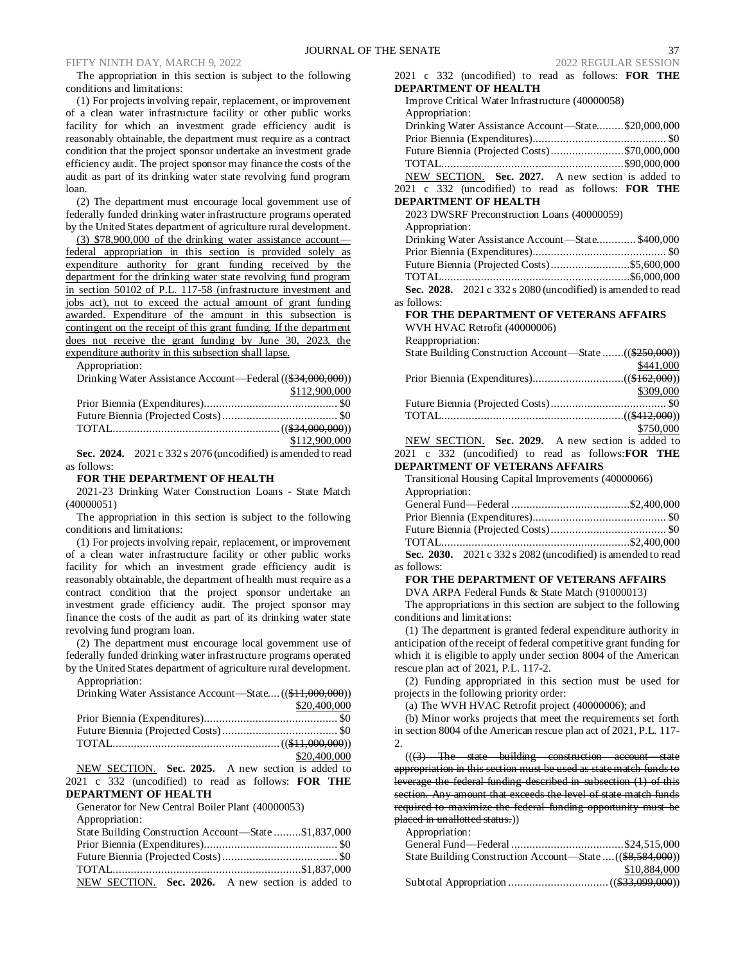The appropriation in this section is subject to the following conditions and limitations:

(1) For projects involving repair, replacement, or improvement of a clean water infrastructure facility or other public works facility for which an investment grade efficiency audit is reasonably obtainable, the department must require as a contract condition that the project sponsor undertake an investment grade efficiency audit. The project sponsor may finance the costs of the audit as part of its drinking water state revolving fund program loan.

(2) The department must encourage local government use of federally funded drinking water infrastructure programs operated by the United States department of agriculture rural development.

(3) \$78,900,000 of the drinking water assistance account federal appropriation in this section is provided solely as expenditure authority for grant funding received by the department for the drinking water state revolving fund program in section 50102 of P.L. 117-58 (infrastructure investment and jobs act), not to exceed the actual amount of grant funding awarded. Expenditure of the amount in this subsection is contingent on the receipt of this grant funding. If the department does not receive the grant funding by June 30, 2023, the expenditure authority in this subsection shall lapse.

Appropriation:

| Drinking Water Assistance Account—Federal ((\$34,000,000)) |               |
|------------------------------------------------------------|---------------|
|                                                            | \$112,900,000 |
|                                                            |               |
|                                                            |               |
|                                                            |               |
|                                                            | \$112,900,000 |

**Sec. 2024.** 2021 c 332 s 2076 (uncodified) is amended to read as follows:

#### **FOR THE DEPARTMENT OF HEALTH**

2021-23 Drinking Water Construction Loans - State Match (40000051)

The appropriation in this section is subject to the following conditions and limitations:

(1) For projects involving repair, replacement, or improvement of a clean water infrastructure facility or other public works facility for which an investment grade efficiency audit is reasonably obtainable, the department of health must require as a contract condition that the project sponsor undertake an investment grade efficiency audit. The project sponsor may finance the costs of the audit as part of its drinking water state revolving fund program loan.

(2) The department must encourage local government use of federally funded drinking water infrastructure programs operated by the United States department of agriculture rural development. Appropriation:

| Drinking Water Assistance Account-State ((\$11,000,000)) |              |
|----------------------------------------------------------|--------------|
|                                                          | \$20,400,000 |
|                                                          |              |
|                                                          |              |
|                                                          |              |
|                                                          | \$20,400,000 |

NEW SECTION. **Sec. 2025.** A new section is added to 2021 c 332 (uncodified) to read as follows: **FOR THE DEPARTMENT OF HEALTH**

| Generator for New Central Boiler Plant (40000053)     |
|-------------------------------------------------------|
| Appropriation:                                        |
| State Building Construction Account-State \$1,837,000 |
|                                                       |
|                                                       |
|                                                       |
| NEW SECTION. Sec. 2026. A new section is added to     |

| 2021 c 332 (uncodified) to read as follows: FOR THE<br><b>DEPARTMENT OF HEALTH</b>                                                  |
|-------------------------------------------------------------------------------------------------------------------------------------|
| Improve Critical Water Infrastructure (40000058)                                                                                    |
|                                                                                                                                     |
| Appropriation:<br>Drinking Water Assistance Account-State\$20,000,000                                                               |
|                                                                                                                                     |
|                                                                                                                                     |
| Future Biennia (Projected Costs)\$70,000,000                                                                                        |
|                                                                                                                                     |
| NEW SECTION. Sec. 2027. A new section is added to                                                                                   |
| 2021 c 332 (uncodified) to read as follows: FOR THE                                                                                 |
| <b>DEPARTMENT OF HEALTH</b>                                                                                                         |
| 2023 DWSRF Preconstruction Loans (40000059)                                                                                         |
| Appropriation:                                                                                                                      |
| Drinking Water Assistance Account-State \$400,000                                                                                   |
|                                                                                                                                     |
|                                                                                                                                     |
|                                                                                                                                     |
| Sec. 2028. 2021 c 332 s 2080 (uncodified) is amended to read                                                                        |
| as follows:                                                                                                                         |
| FOR THE DEPARTMENT OF VETERANS AFFAIRS                                                                                              |
| WVH HVAC Retrofit (40000006)                                                                                                        |
| Reappropriation:                                                                                                                    |
| State Building Construction Account-State ((\$250,000))                                                                             |
| \$441,000                                                                                                                           |
|                                                                                                                                     |
| \$309,000                                                                                                                           |
|                                                                                                                                     |
|                                                                                                                                     |
| \$750,000                                                                                                                           |
| NEW SECTION. Sec. 2029. A new section is added to                                                                                   |
| 2021 c 332 (uncodified) to read as follows: FOR THE                                                                                 |
| <b>DEPARTMENT OF VETERANS AFFAIRS</b>                                                                                               |
| Transitional Housing Capital Improvements (40000066)                                                                                |
| Appropriation:                                                                                                                      |
|                                                                                                                                     |
|                                                                                                                                     |
|                                                                                                                                     |
|                                                                                                                                     |
| Sec. 2030. 2021 c 332 s 2082 (uncodified) is amended to read                                                                        |
| as follows:                                                                                                                         |
| FOR THE DEPARTMENT OF VETERANS AFFAIRS                                                                                              |
| DVA ARPA Federal Funds & State Match (91000013)                                                                                     |
| The appropriations in this section are subject to the following                                                                     |
| conditions and limitations:                                                                                                         |
| (1) The department is granted federal expenditure authority in                                                                      |
| anticipation of the receipt of federal competitive grant funding for                                                                |
|                                                                                                                                     |
| which it is eligible to apply under section 8004 of the American                                                                    |
| rescue plan act of 2021, P.L. 117-2.                                                                                                |
| (2) Funding appropriated in this section must be used for                                                                           |
| projects in the following priority order:                                                                                           |
| (a) The WVH HVAC Retrofit project (40000006); and                                                                                   |
| (b) Minor works projects that meet the requirements set forth<br>in section 8004 of the American rescue plan act of 2021, P.L. 117- |

 $((3)$  The state building construction account appropriation in this section must be used as state match funds to leverage the federal funding described in subsection (1) of this section. Any amount that exceeds the level of state match funds required to maximize the federal funding opportunity must be placed in unallotted status.))

Appropriation:

2.

| State Building Construction Account—State  ((\$8,584,000)) |              |
|------------------------------------------------------------|--------------|
|                                                            | \$10,884,000 |
|                                                            |              |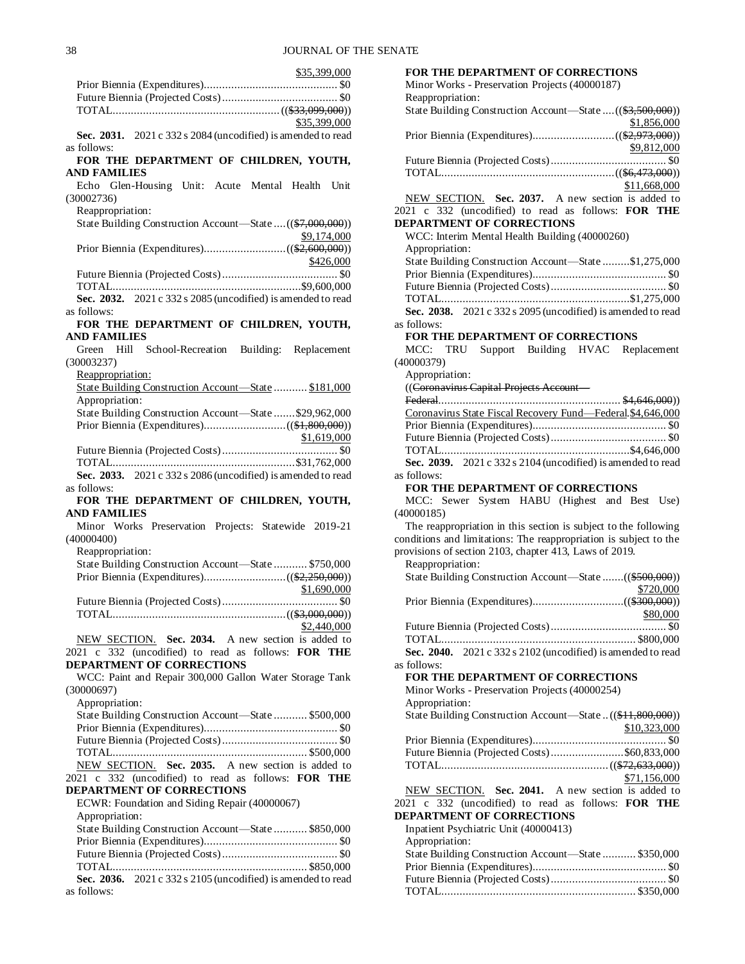| \$35,399,000 |
|--------------|
|              |
|              |
|              |
| \$35,399,000 |

**Sec. 2031.** 2021 c 332 s 2084 (uncodified) is amended to read as follows:

# **FOR THE DEPARTMENT OF CHILDREN, YOUTH, AND FAMILIES**

|            | Echo Glen-Housing Unit: Acute Mental Health Unit |  |  |  |
|------------|--------------------------------------------------|--|--|--|
| (30002736) |                                                  |  |  |  |

Reappropriation:

| State Building Construction Account—State  ((\$7,000,000)) |             |
|------------------------------------------------------------|-------------|
|                                                            | \$9,174,000 |
|                                                            |             |
|                                                            | \$426,000   |
|                                                            |             |

TOTAL..............................................................\$9,600,000 **Sec. 2032.** 2021 c 332 s 2085 (uncodified) is amended to read as follows:

#### **FOR THE DEPARTMENT OF CHILDREN, YOUTH, AND FAMILIES**

|                     | Green Hill School-Recreation Building: Replacement            |             |
|---------------------|---------------------------------------------------------------|-------------|
| (30003237)          |                                                               |             |
| Reappropriation:    |                                                               |             |
|                     | State Building Construction Account—State  \$181,000          |             |
| Appropriation:      |                                                               |             |
|                     | State Building Construction Account—State \$29,962,000        |             |
|                     |                                                               |             |
|                     |                                                               | \$1,619,000 |
|                     |                                                               |             |
|                     |                                                               |             |
|                     | Sec. 2033. $2021c$ 332 s 2086 (uncodified) is amended to read |             |
| as follows:         |                                                               |             |
|                     | FOR THE DEPARTMENT OF CHILDREN, YOUTH,                        |             |
| <b>AND FAMILIES</b> |                                                               |             |

Minor Works Preservation Projects: Statewide 2019-21 (40000400) Reappropriation: State Building Construction Account—State ........... \$750,000 Prior Biennia (Expenditures)...........................((\$2,250,000)) \$1,690,000 Future Biennia (Projected Costs)...................................... \$0  $\label{eq:total} {\mbox{TOTAL}}................................................((\$3,000,000))$ \$2,440,000 NEW SECTION. **Sec. 2034.** A new section is added to

2021 c 332 (uncodified) to read as follows: **FOR THE DEPARTMENT OF CORRECTIONS**

WCC: Paint and Repair 300,000 Gallon Water Storage Tank (30000697)

Appropriation:

| A                                                    |  |
|------------------------------------------------------|--|
| State Building Construction Account—State  \$500,000 |  |
|                                                      |  |
|                                                      |  |
|                                                      |  |
| NEW SECTION. Sec. 2035. A new section is added to    |  |
| 2021 c 332 (uncodified) to read as follows: FOR THE  |  |
| DEPARTMENT OF CORRECTIONS                            |  |
| ECWR: Foundation and Siding Repair (40000067)        |  |
|                                                      |  |

| Appropriation:                                                                   |  |
|----------------------------------------------------------------------------------|--|
| State Building Construction Account—State  \$850,000                             |  |
|                                                                                  |  |
|                                                                                  |  |
|                                                                                  |  |
| Sec. 2036. $2021 \text{ c } 332 \text{ s } 2105$ (uncodified) is amended to read |  |
| as follows:                                                                      |  |

| <b>FOR THE DEPARTMENT OF CORRECTIONS</b><br>Minor Works - Preservation Projects (40000187)                                                      |
|-------------------------------------------------------------------------------------------------------------------------------------------------|
| Reappropriation:<br>State Building Construction Account—State  ((\$3,500,000))<br>\$1,856,000                                                   |
| \$9,812,000                                                                                                                                     |
| \$11,668,000                                                                                                                                    |
| NEW SECTION. Sec. 2037. A new section is added to<br>2021 c 332 (uncodified) to read as follows: FOR THE                                        |
| <b>DEPARTMENT OF CORRECTIONS</b><br>WCC: Interim Mental Health Building (40000260)                                                              |
| Appropriation:                                                                                                                                  |
| State Building Construction Account-State \$1,275,000                                                                                           |
|                                                                                                                                                 |
|                                                                                                                                                 |
| Sec. 2038. 2021 c 332 s 2095 (uncodified) is amended to read<br>as follows:                                                                     |
| FOR THE DEPARTMENT OF CORRECTIONS                                                                                                               |
| MCC: TRU Support Building HVAC Replacement<br>(40000379)                                                                                        |
| Appropriation:<br>((Coronavirus Capital Projects Account -                                                                                      |
|                                                                                                                                                 |
| Coronavirus State Fiscal Recovery Fund-Federal \$4,646,000                                                                                      |
|                                                                                                                                                 |
|                                                                                                                                                 |
| Sec. 2039. 2021 c 332 s 2104 (uncodified) is amended to read                                                                                    |
| as follows:<br><b>FOR THE DEPARTMENT OF CORRECTIONS</b>                                                                                         |
| MCC: Sewer System HABU (Highest and Best Use)<br>(40000185)                                                                                     |
| The reappropriation in this section is subject to the following                                                                                 |
| conditions and limitations: The reappropriation is subject to the<br>provisions of section 2103, chapter 413, Laws of 2019.<br>Reappropriation: |
| State Building Construction Account—State ((\$500,000))                                                                                         |
| \$720,000                                                                                                                                       |
| \$80,000                                                                                                                                        |
|                                                                                                                                                 |
| Sec. 2040. 2021 c 332 s 2102 (uncodified) is amended to read                                                                                    |
| as follows:                                                                                                                                     |
| FOR THE DEPARTMENT OF CORRECTIONS<br>Minor Works - Preservation Projects (40000254)                                                             |
| Appropriation:<br>State Building Construction Account-State  ((\$11,800,000))<br>\$10,323,000                                                   |
|                                                                                                                                                 |
| Future Biennia (Projected Costs)\$60,833,000                                                                                                    |
| \$71,156,000                                                                                                                                    |
| NEW SECTION. Sec. 2041. A new section is added to                                                                                               |
| 2021 c 332 (uncodified) to read as follows: FOR THE                                                                                             |
| <b>DEPARTMENT OF CORRECTIONS</b><br>Inpatient Psychiatric Unit (40000413)                                                                       |
| Appropriation:<br>State Building Construction Account-State  \$350,000                                                                          |
|                                                                                                                                                 |
|                                                                                                                                                 |
|                                                                                                                                                 |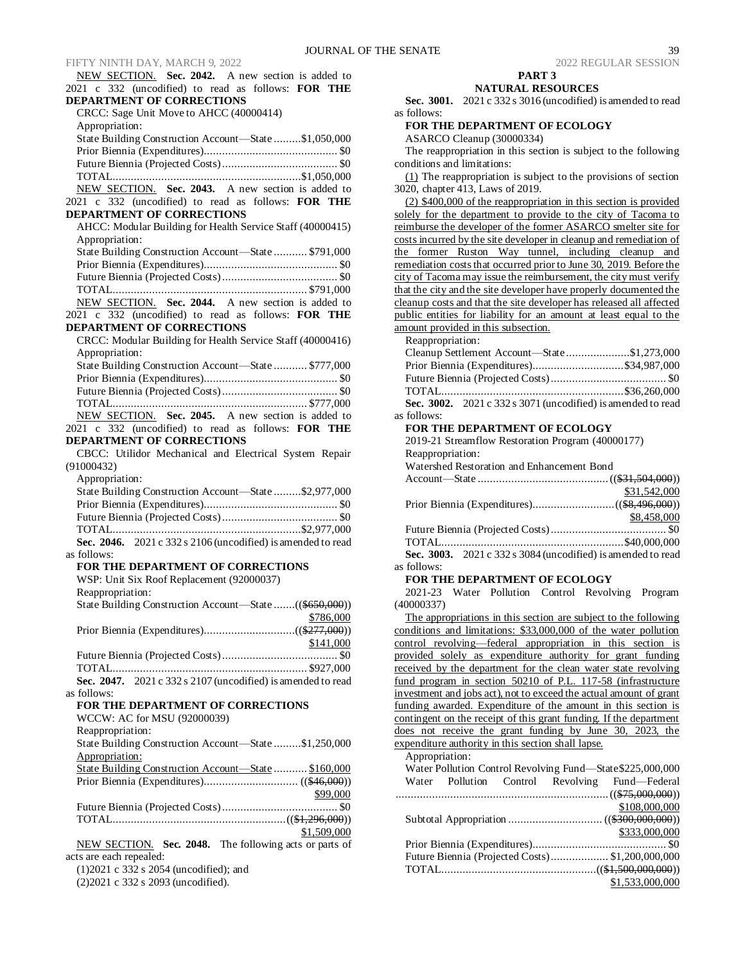NEW SECTION. **Sec. 2042.** A new section is added to 2021 c 332 (uncodified) to read as follows: **FOR THE DEPARTMENT OF CORRECTIONS** CRCC: Sage Unit Move to AHCC (40000414) Appropriation: State Building Construction Account—State .........\$1,050,000 Prior Biennia (Expenditures)............................................ \$0 Future Biennia (Projected Costs)...................................... \$0 TOTAL..............................................................\$1,050,000 NEW SECTION. **Sec. 2043.** A new section is added to 2021 c 332 (uncodified) to read as follows: **FOR THE DEPARTMENT OF CORRECTIONS** AHCC: Modular Building for Health Service Staff (40000415) Appropriation: State Building Construction Account—State ........... \$791,000 Prior Biennia (Expenditures)............................................ \$0 Future Biennia (Projected Costs)...................................... \$0 TOTAL................................................................ \$791,000 NEW SECTION. **Sec. 2044.** A new section is added to 2021 c 332 (uncodified) to read as follows: **FOR THE DEPARTMENT OF CORRECTIONS** CRCC: Modular Building for Health Service Staff (40000416) Appropriation: State Building Construction Account—State ........... \$777,000 Prior Biennia (Expenditures)............................................ \$0 Future Biennia (Projected Costs)...................................... \$0 TOTAL................................................................ \$777,000 NEW SECTION. **Sec. 2045.** A new section is added to 2021 c 332 (uncodified) to read as follows: **FOR THE DEPARTMENT OF CORRECTIONS** CBCC: Utilidor Mechanical and Electrical System Repair (91000432) Appropriation: State Building Construction Account—State .........\$2,977,000 Prior Biennia (Expenditures)............................................ \$0 Future Biennia (Projected Costs)...................................... \$0 TOTAL..............................................................\$2,977,000 **Sec. 2046.** 2021 c 332 s 2106 (uncodified) is amended to read as follows: **FOR THE DEPARTMENT OF CORRECTIONS** WSP: Unit Six Roof Replacement (92000037) Reappropriation: State Building Construction Account—State .......((\$650,000)) \$786,000 Prior Biennia (Expenditures)..............................((\$277,000)) \$141,000 Future Biennia (Projected Costs)...................................... \$0 TOTAL................................................................ \$927,000 **Sec. 2047.** 2021 c 332 s 2107 (uncodified) is amended to read as follows: **FOR THE DEPARTMENT OF CORRECTIONS** WCCW: AC for MSU (92000039) Reappropriation: State Building Construction Account—State .........\$1,250,000 Appropriation: State Building Construction Account—State ........... \$160,000 Prior Biennia (Expenditures)............................... ((\$46,000)) \$99,000 Future Biennia (Projected Costs)...................................... \$0 TOTAL.........................................................((\$1,296,000)) \$1,509,000 NEW SECTION. **Sec. 2048.** The following acts or parts of acts are each repealed: (1)2021 c 332 s 2054 (uncodified); and

(2)2021 c 332 s 2093 (uncodified).

#### **PART 3 NATURAL RESOURCES**

**Sec. 3001.** 2021 c 332 s 3016 (uncodified) is amended to read as follows:

# **FOR THE DEPARTMENT OF ECOLOGY**

ASARCO Cleanup (30000334)

The reappropriation in this section is subject to the following conditions and limitations:

(1) The reappropriation is subject to the provisions of section 3020, chapter 413, Laws of 2019.

(2) \$400,000 of the reappropriation in this section is provided solely for the department to provide to the city of Tacoma to reimburse the developer of the former ASARCO smelter site for costs incurred by the site developer in cleanup and remediation of the former Ruston Way tunnel, including cleanup and remediation costs that occurred prior to June 30, 2019. Before the city of Tacoma may issue the reimbursement, the city must verify that the city and the site developer have properly documented the cleanup costs and that the site developer has released all affected public entities for liability for an amount at least equal to the amount provided in this subsection.

Reappropriation:

| Cleanup Settlement Account-State\$1,273,000                    |  |
|----------------------------------------------------------------|--|
| Prior Biennia (Expenditures)\$34,987,000                       |  |
|                                                                |  |
|                                                                |  |
| Sec. 3002. $2021 c 332 s 3071$ (uncodified) is amended to read |  |
|                                                                |  |

#### as follows: **FOR THE DEPARTMENT OF ECOLOGY**

2019-21 Streamflow Restoration Program (40000177)

Reappropriation:

|                                                              | \$31,542,000 |
|--------------------------------------------------------------|--------------|
|                                                              |              |
|                                                              | \$8,458,000  |
|                                                              |              |
|                                                              |              |
| Sec. 3003 $2021c$ 332 s 3084 (uncodified) is amended to read |              |

**Sec. 3003.** 2021 c 332 s 3084 (uncodified) is amended to read as follows:

# **FOR THE DEPARTMENT OF ECOLOGY**

2021-23 Water Pollution Control Revolving Program (40000337)

The appropriations in this section are subject to the following conditions and limitations: \$33,000,000 of the water pollution control revolving—federal appropriation in this section is provided solely as expenditure authority for grant funding received by the department for the clean water state revolving fund program in section 50210 of P.L. 117-58 (infrastructure investment and jobs act), not to exceed the actual amount of grant funding awarded. Expenditure of the amount in this section is contingent on the receipt of this grant funding. If the department does not receive the grant funding by June 30, 2023, the expenditure authority in this section shall lapse.

Appropriation:

|  |  | Water Pollution Control Revolving Fund-State \$225,000,000 |
|--|--|------------------------------------------------------------|
|  |  | Water Pollution Control Revolving Fund-Federal             |
|  |  |                                                            |
|  |  | \$108,000,000                                              |
|  |  |                                                            |
|  |  | \$333,000,000                                              |
|  |  |                                                            |
|  |  | Future Biennia (Projected Costs) \$1,200,000,000           |
|  |  |                                                            |
|  |  | \$1,533,000,000                                            |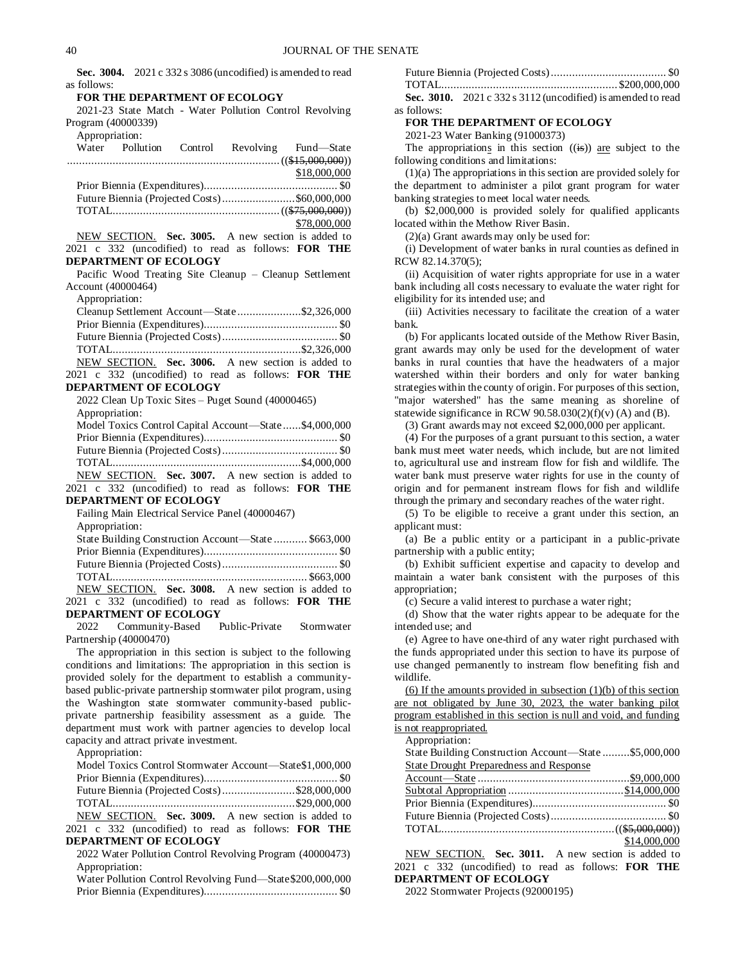**Sec. 3004.** 2021 c 332 s 3086 (uncodified) is amended to read as follows:

# **FOR THE DEPARTMENT OF ECOLOGY**

2021-23 State Match - Water Pollution Control Revolving Program (40000339) Appropriation:

| Appropriation: |  |                                                   |
|----------------|--|---------------------------------------------------|
|                |  | Water Pollution Control Revolving Fund-State      |
|                |  |                                                   |
|                |  | \$18,000,000                                      |
|                |  |                                                   |
|                |  |                                                   |
|                |  |                                                   |
|                |  | \$78,000,000                                      |
|                |  | NEW SECTION. Sec. 3005. A new section is added to |

2021 c 332 (uncodified) to read as follows: **FOR THE DEPARTMENT OF ECOLOGY**

Pacific Wood Treating Site Cleanup – Cleanup Settlement Account (40000464)

Appropriation:

| Cleanup Settlement Account—State\$2,326,000       |  |
|---------------------------------------------------|--|
|                                                   |  |
|                                                   |  |
|                                                   |  |
| NEW SECTION. Sec. 3006. A new section is added to |  |

2021 c 332 (uncodified) to read as follows: **FOR THE DEPARTMENT OF ECOLOGY**

2022 Clean Up Toxic Sites – Puget Sound (40000465) Appropriation: Model Toxics Control Capital Account—State ......\$4,000,000

| NEW SECTION. Sec. 3007. A new section is added to          |  |
|------------------------------------------------------------|--|
| 2021 c 332 (uncodified) to read as follows: <b>FOR THE</b> |  |

**DEPARTMENT OF ECOLOGY**

| Failing Main Electrical Service Panel (40000467)           |  |
|------------------------------------------------------------|--|
| Appropriation:                                             |  |
| State Building Construction Account—State  \$663,000       |  |
|                                                            |  |
|                                                            |  |
|                                                            |  |
| NEW SECTION. Sec. 3008. A new section is added to          |  |
| 2021 c 332 (uncodified) to read as follows: <b>FOR THE</b> |  |

#### **DEPARTMENT OF ECOLOGY**

2022 Community-Based Public-Private Stormwater Partnership (40000470)

The appropriation in this section is subject to the following conditions and limitations: The appropriation in this section is provided solely for the department to establish a communitybased public-private partnership stormwater pilot program, using the Washington state stormwater community-based publicprivate partnership feasibility assessment as a guide. The department must work with partner agencies to develop local capacity and attract private investment.

Appropriation:

| Model Toxics Control Stormwater Account—State\$1,000,000 |  |  |
|----------------------------------------------------------|--|--|
|                                                          |  |  |
| Future Biennia (Projected Costs)\$28,000,000             |  |  |
|                                                          |  |  |
| NEW SECTION. Sec. 3009. A new section is added to        |  |  |

2021 c 332 (uncodified) to read as follows: **FOR THE DEPARTMENT OF ECOLOGY**

2022 Water Pollution Control Revolving Program (40000473) Appropriation:

| Water Pollution Control Revolving Fund—State \$200,000,000 |  |
|------------------------------------------------------------|--|
|                                                            |  |

| Sec. 3010. $2021c$ 332 s 3112 (uncodified) is amended to read |  |
|---------------------------------------------------------------|--|

as follows: **FOR THE DEPARTMENT OF ECOLOGY**

2021-23 Water Banking (91000373)

The appropriations in this section  $((\mathbf{is}))$  are subject to the following conditions and limitations:

(1)(a) The appropriations in this section are provided solely for the department to administer a pilot grant program for water banking strategies to meet local water needs.

(b) \$2,000,000 is provided solely for qualified applicants located within the Methow River Basin.

(2)(a) Grant awards may only be used for:

(i) Development of water banks in rural counties as defined in RCW 82.14.370(5);

(ii) Acquisition of water rights appropriate for use in a water bank including all costs necessary to evaluate the water right for eligibility for its intended use; and

(iii) Activities necessary to facilitate the creation of a water bank.

(b) For applicants located outside of the Methow River Basin, grant awards may only be used for the development of water banks in rural counties that have the headwaters of a major watershed within their borders and only for water banking strategies within the county of origin. For purposes of this section, "major watershed" has the same meaning as shoreline of statewide significance in RCW  $90.58.030(2)(f)(v)$  (A) and (B).

(3) Grant awards may not exceed \$2,000,000 per applicant.

(4) For the purposes of a grant pursuant to this section, a water bank must meet water needs, which include, but are not limited to, agricultural use and instream flow for fish and wildlife. The water bank must preserve water rights for use in the county of origin and for permanent instream flows for fish and wildlife through the primary and secondary reaches of the water right.

(5) To be eligible to receive a grant under this section, an applicant must:

(a) Be a public entity or a participant in a public-private partnership with a public entity;

(b) Exhibit sufficient expertise and capacity to develop and maintain a water bank consistent with the purposes of this appropriation;

(c) Secure a valid interest to purchase a water right;

(d) Show that the water rights appear to be adequate for the intended use; and

(e) Agree to have one-third of any water right purchased with the funds appropriated under this section to have its purpose of use changed permanently to instream flow benefiting fish and wildlife.

 $(6)$  If the amounts provided in subsection  $(1)(b)$  of this section are not obligated by June 30, 2023, the water banking pilot program established in this section is null and void, and funding is not reappropriated.

Appropriation:

| State Building Construction Account-State \$5,000,000 |              |
|-------------------------------------------------------|--------------|
| State Drought Preparedness and Response               |              |
|                                                       |              |
|                                                       |              |
|                                                       |              |
|                                                       |              |
|                                                       |              |
|                                                       | \$14,000,000 |
|                                                       |              |

NEW SECTION. **Sec. 3011.** A new section is added to 2021 c 332 (uncodified) to read as follows: **FOR THE DEPARTMENT OF ECOLOGY**

2022 Stormwater Projects (92000195)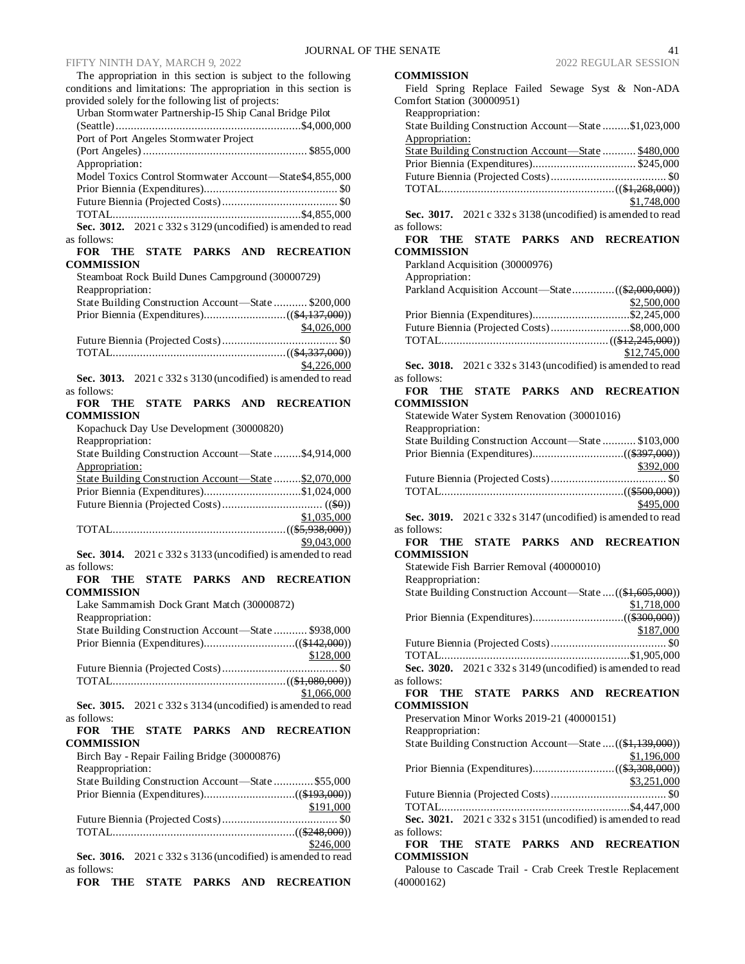The appropriation in this section is subject to the following conditions and limitations: The appropriation in this section is provided solely for the following list of projects:

| Urban Stormwater Partnership-15 Ship Canal Bridge Pilot                      |
|------------------------------------------------------------------------------|
|                                                                              |
| Port of Port Angeles Stormwater Project                                      |
|                                                                              |
| Appropriation:                                                               |
| Model Toxics Control Stormwater Account-State\$4,855,000                     |
|                                                                              |
|                                                                              |
|                                                                              |
| Sec. 3012. 2021 c 332 s 3129 (uncodified) is amended to read                 |
| as follows:                                                                  |
| THE STATE PARKS AND<br><b>RECREATION</b><br><b>FOR</b>                       |
| <b>COMMISSION</b>                                                            |
| Steamboat Rock Build Dunes Campground (30000729)                             |
| Reappropriation:                                                             |
| State Building Construction Account-State  \$200,000                         |
|                                                                              |
|                                                                              |
| \$4,026,000                                                                  |
|                                                                              |
|                                                                              |
| \$4,226,000                                                                  |
| Sec. 3013. 2021 c 332 s 3130 (uncodified) is amended to read                 |
| as follows:                                                                  |
| FOR THE STATE PARKS AND<br><b>RECREATION</b>                                 |
| COMMISSION                                                                   |
| Kopachuck Day Use Development (30000820)                                     |
| Reappropriation:                                                             |
| State Building Construction Account-State \$4,914,000                        |
| Appropriation:                                                               |
| State Building Construction Account-State  \$2,070,000                       |
|                                                                              |
|                                                                              |
|                                                                              |
|                                                                              |
| \$1,035,000                                                                  |
|                                                                              |
| \$9,043,000                                                                  |
| Sec. 3014. 2021 c 332 s 3133 (uncodified) is amended to read                 |
| as follows:                                                                  |
| STATE PARKS AND<br>FOR<br>THE<br><b>RECREATION</b>                           |
| COMMISSION                                                                   |
| Lake Sammamish Dock Grant Match (30000872)                                   |
| Reappropriation:                                                             |
| State Building Construction Account-State  \$938,000                         |
|                                                                              |
| \$128,000                                                                    |
|                                                                              |
|                                                                              |
| \$1,066,000                                                                  |
| Sec. 3015. 2021 c 332 s 3134 (uncodified) is amended to read                 |
| as follows:                                                                  |
| STATE<br><b>PARKS</b><br>FOR<br>AND<br><b>RECREATION</b><br>THE              |
| <b>COMMISSION</b>                                                            |
|                                                                              |
| Birch Bay - Repair Failing Bridge (30000876)                                 |
| Reappropriation:                                                             |
| State Building Construction Account-State  \$55,000                          |
|                                                                              |
| \$191,000                                                                    |
|                                                                              |
|                                                                              |
| \$246,000<br>2021 c 332 s 3136 (uncodified) is amended to read<br>Sec. 3016. |

**FOR THE STATE PARKS AND RECREATION** 

as follows:

# **COMMISSION**

| Field Spring Replace Failed Sewage Syst & Non-ADA<br>Comfort Station (30000951)             |
|---------------------------------------------------------------------------------------------|
| Reappropriation:<br>State Building Construction Account-State \$1,023,000<br>Appropriation: |
| State Building Construction Account-State  \$480,000                                        |
| \$1,748,000<br>Sec. 3017. 2021 c 332 s 3138 (uncodified) is amended to read                 |
| as follows:<br>FOR THE<br>STATE PARKS AND RECREATION                                        |
| <b>COMMISSION</b><br>Parkland Acquisition (30000976)<br>Appropriation:                      |
|                                                                                             |
| \$2,500,000<br>Prior Biennia (Expenditures)\$2,245,000                                      |
| Future Biennia (Projected Costs)\$8,000,000                                                 |
|                                                                                             |
| \$12,745,000                                                                                |
| Sec. 3018. 2021 c 332 s 3143 (uncodified) is amended to read<br>as follows:                 |
| FOR<br>THE STATE PARKS AND<br><b>RECREATION</b><br><b>COMMISSION</b>                        |
| Statewide Water System Renovation (30001016)                                                |
| Reappropriation:<br>State Building Construction Account-State  \$103,000                    |
|                                                                                             |
| \$392,000                                                                                   |
|                                                                                             |
|                                                                                             |
| \$495,000<br>Sec. 3019. 2021 c 332 s 3147 (uncodified) is amended to read<br>as follows:    |
| FOR THE STATE PARKS AND RECREATION                                                          |
| <b>COMMISSION</b>                                                                           |
| Statewide Fish Barrier Removal (40000010)<br>Reappropriation:                               |
| State Building Construction Account—State  ((\$1,605,000))                                  |
| \$1,718,000                                                                                 |
| \$187,000                                                                                   |
|                                                                                             |
|                                                                                             |
| Sec. 3020. 2021 c 332 s 3149 (uncodified) is amended to read                                |
| as follows:<br>STATE PARKS AND RECREATION<br>FOR<br><b>THE</b>                              |
| <b>COMMISSION</b><br>Preservation Minor Works 2019-21 (40000151)                            |
| Reappropriation:                                                                            |
| State Building Construction Account—State  ((\$1,139,000))                                  |
| \$1,196,000                                                                                 |
| \$3,251,000                                                                                 |
|                                                                                             |
| Sec. 3021. 2021 c 332 s 3151 (uncodified) is amended to read                                |
| as follows:                                                                                 |
| STATE PARKS AND RECREATION<br>FOR<br>THE<br><b>COMMISSION</b>                               |

Palouse to Cascade Trail - Crab Creek Trestle Replacement (40000162)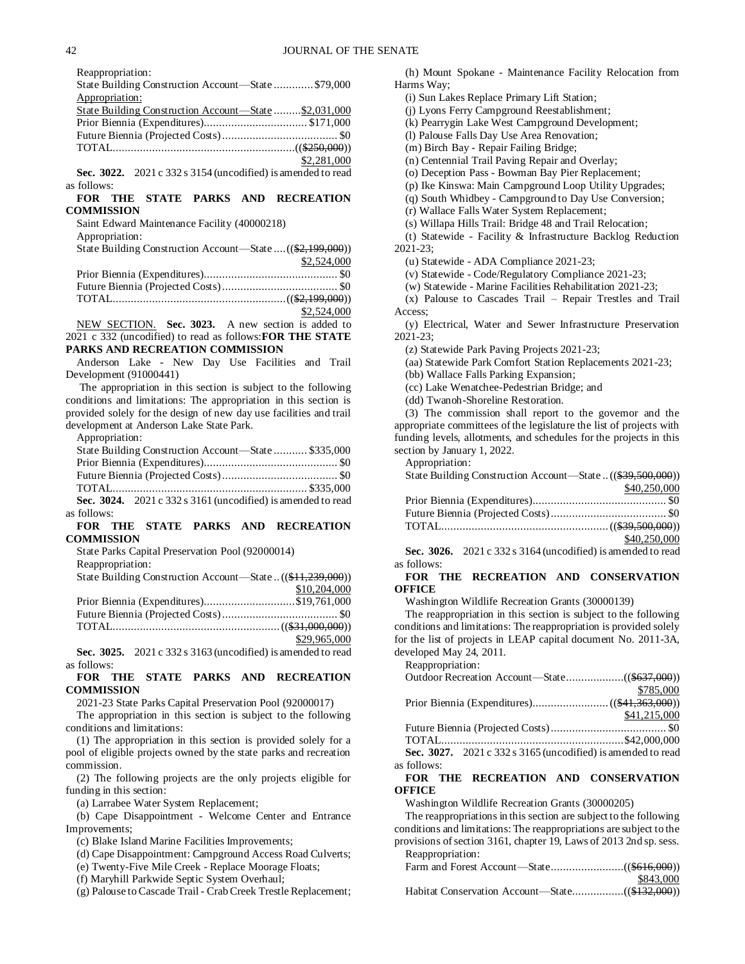Reappropriation:

State Building Construction Account—State ............. \$79,000 Appropriation: State Building Construction Account—State .........\$2,031,000 Prior Biennia (Expenditures).................................. \$171,000

| \$2,281,000 |
|-------------|

**Sec. 3022.** 2021 c 332 s 3154 (uncodified) is amended to read as follows:

# **FOR THE STATE PARKS AND RECREATION COMMISSION**

Saint Edward Maintenance Facility (40000218) Appropriation:

| State Building Construction Account—State  ((\$2,199,000)) |             |
|------------------------------------------------------------|-------------|
|                                                            | \$2,524,000 |
|                                                            |             |
|                                                            |             |
|                                                            |             |
|                                                            | \$2,524,000 |

NEW SECTION. **Sec. 3023.** A new section is added to 2021 c 332 (uncodified) to read as follows:**FOR THE STATE PARKS AND RECREATION COMMISSION**

Anderson Lake - New Day Use Facilities and Trail Development (91000441)

The appropriation in this section is subject to the following conditions and limitations: The appropriation in this section is provided solely for the design of new day use facilities and trail development at Anderson Lake State Park.

Appropriation:

|             | State Building Construction Account-State  \$335,000           |  |
|-------------|----------------------------------------------------------------|--|
|             |                                                                |  |
|             |                                                                |  |
|             |                                                                |  |
|             | Sec. 3024. $2021 c 332 s 3161$ (uncodified) is amended to read |  |
| as follows: |                                                                |  |

# **FOR THE STATE PARKS AND RECREATION COMMISSION**

State Parks Capital Preservation Pool (92000014)

Reappropriation:

| State Building Construction Account—State( <del>\$11,239,000</del> )) |              |
|-----------------------------------------------------------------------|--------------|
|                                                                       | \$10,204,000 |
| Prior Biennia (Expenditures)\$19,761,000                              |              |
|                                                                       |              |
|                                                                       |              |
|                                                                       | \$29,965,000 |

**Sec. 3025.** 2021 c 332 s 3163 (uncodified) is amended to read as follows:

# **FOR THE STATE PARKS AND RECREATION COMMISSION**

2021-23 State Parks Capital Preservation Pool (92000017) The appropriation in this section is subject to the following

conditions and limitations:

(1) The appropriation in this section is provided solely for a pool of eligible projects owned by the state parks and recreation commission.

(2) The following projects are the only projects eligible for funding in this section:

(a) Larrabee Water System Replacement;

(b) Cape Disappointment - Welcome Center and Entrance Improvements;

(c) Blake Island Marine Facilities Improvements;

(d) Cape Disappointment: Campground Access Road Culverts;

(e) Twenty-Five Mile Creek - Replace Moorage Floats;

(f) Maryhill Parkwide Septic System Overhaul;

(g) Palouse to Cascade Trail - Crab Creek Trestle Replacement;

(h) Mount Spokane - Maintenance Facility Relocation from Harms Way;

(i) Sun Lakes Replace Primary Lift Station;

(j) Lyons Ferry Campground Reestablishment;

(k) Pearrygin Lake West Campground Development;

(l) Palouse Falls Day Use Area Renovation;

(m) Birch Bay - Repair Failing Bridge;

(n) Centennial Trail Paving Repair and Overlay;

(o) Deception Pass - Bowman Bay Pier Replacement;

(p) Ike Kinswa: Main Campground Loop Utility Upgrades;

(q) South Whidbey - Campground to Day Use Conversion;

(r) Wallace Falls Water System Replacement;

(s) Willapa Hills Trail: Bridge 48 and Trail Relocation;

(t) Statewide - Facility & Infrastructure Backlog Reduction

2021-23;

(u) Statewide - ADA Compliance 2021-23;

(v) Statewide - Code/Regulatory Compliance 2021-23;

(w) Statewide - Marine Facilities Rehabilitation 2021-23;

(x) Palouse to Cascades Trail – Repair Trestles and Trail Access;

(y) Electrical, Water and Sewer Infrastructure Preservation 2021-23;

(z) Statewide Park Paving Projects 2021-23;

(aa) Statewide Park Comfort Station Replacements 2021-23;

(bb) Wallace Falls Parking Expansion;

(cc) Lake Wenatchee-Pedestrian Bridge; and

(dd) Twanoh-Shoreline Restoration.

(3) The commission shall report to the governor and the appropriate committees of the legislature the list of projects with funding levels, allotments, and schedules for the projects in this section by January 1, 2022.

Appropriation:

State Building Construction Account—State ..((\$39,500,000))

| \$40,250,000 |
|--------------|
|              |
|              |
|              |
| \$40,250,000 |

**Sec. 3026.** 2021 c 332 s 3164 (uncodified) is amended to read as follows:

# **FOR THE RECREATION AND CONSERVATION OFFICE**

Washington Wildlife Recreation Grants (30000139)

The reappropriation in this section is subject to the following conditions and limitations: The reappropriation is provided solely for the list of projects in LEAP capital document No. 2011-3A, developed May 24, 2011.

| Reappropriation:                                             |              |
|--------------------------------------------------------------|--------------|
|                                                              |              |
|                                                              | \$785,000    |
|                                                              |              |
|                                                              | \$41,215,000 |
|                                                              |              |
|                                                              |              |
| Sec. 3027. 2021 c 332 s 3165 (uncodified) is amended to read |              |
| as follows:                                                  |              |

# **FOR THE RECREATION AND CONSERVATION OFFICE**

Washington Wildlife Recreation Grants (30000205)

The reappropriations in this section are subject to the following conditions and limitations: The reappropriations are subject to the provisions of section 3161, chapter 19, Laws of 2013 2nd sp. sess. Reappropriation:

| <i>ivappropriation.</i> |           |
|-------------------------|-----------|
|                         |           |
|                         | \$843,000 |
|                         |           |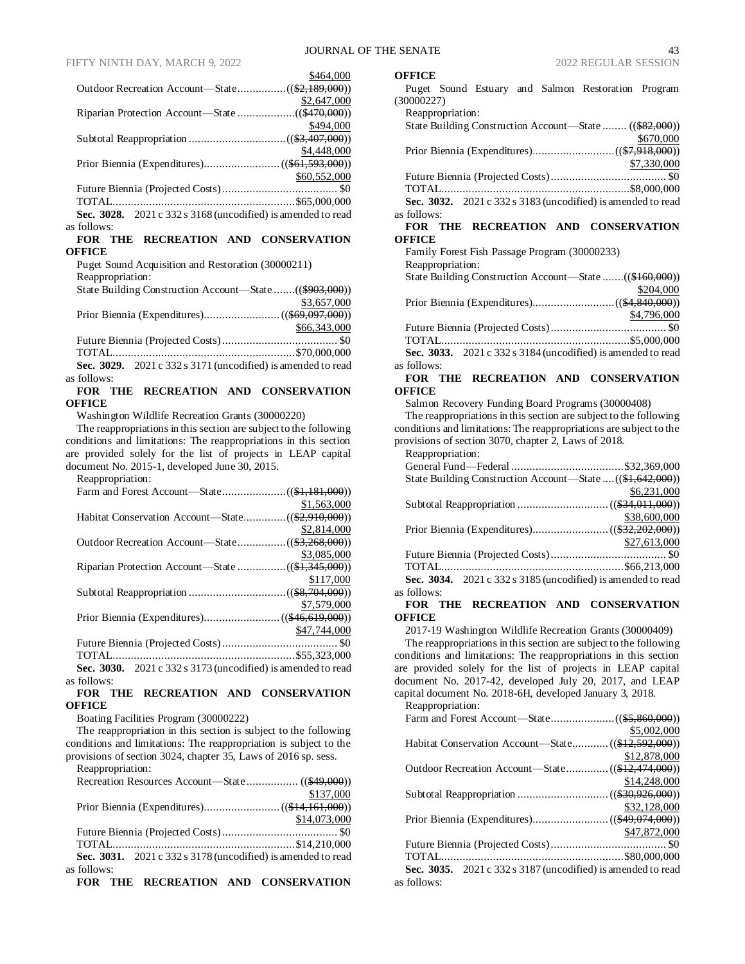|                                                              | \$464,000    |
|--------------------------------------------------------------|--------------|
|                                                              |              |
|                                                              | \$2,647,000  |
|                                                              |              |
|                                                              | \$494,000    |
|                                                              |              |
|                                                              | \$4,448,000  |
|                                                              |              |
|                                                              | \$60,552,000 |
|                                                              |              |
|                                                              |              |
| Sec. 3028. 2021 c 332 s 3168 (uncodified) is amended to read |              |
| as follows:                                                  |              |

#### **FOR THE RECREATION AND CONSERVATION OFFICE**

Puget Sound Acquisition and Restoration (30000211) Reappropriation: State Building Construction Account—State .......((\$903,000)) \$3,657,000

| \$66,343,000 |
|--------------|
|              |
|              |
|              |

**Sec. 3029.** 2021 c 332 s 3171 (uncodified) is amended to read as follows:

# **FOR THE RECREATION AND CONSERVATION OFFICE**

Washington Wildlife Recreation Grants (30000220)

The reappropriations in this section are subject to the following conditions and limitations: The reappropriations in this section are provided solely for the list of projects in LEAP capital document No. 2015-1, developed June 30, 2015.

| Reappropriation:                                                                                               |              |
|----------------------------------------------------------------------------------------------------------------|--------------|
|                                                                                                                |              |
|                                                                                                                | \$1,563,000  |
|                                                                                                                |              |
|                                                                                                                | \$2,814,000  |
|                                                                                                                |              |
|                                                                                                                | \$3,085,000  |
|                                                                                                                |              |
|                                                                                                                | \$117,000    |
|                                                                                                                |              |
|                                                                                                                | \$7,579,000  |
|                                                                                                                |              |
|                                                                                                                | \$47,744,000 |
|                                                                                                                |              |
|                                                                                                                |              |
| المنادي المتحدث والمستنفر المتعامل والمستحدث والمستنفرة والمستنفرة والمستنفرة والمستنفرة والمستنفرة والمستنفرة |              |

**Sec. 3030.** 2021 c 332 s 3173 (uncodified) is amended to read as follows:

# **FOR THE RECREATION AND CONSERVATION OFFICE**

Boating Facilities Program (30000222)

The reappropriation in this section is subject to the following conditions and limitations: The reappropriation is subject to the provisions of section 3024, chapter 35, Laws of 2016 sp. sess. Reappropriation:

| <i>itouppropriation.</i>                                     |              |
|--------------------------------------------------------------|--------------|
|                                                              |              |
|                                                              | \$137,000    |
|                                                              |              |
|                                                              | \$14,073,000 |
|                                                              |              |
|                                                              |              |
| Sec. 3031. 2021 c 332 s 3178 (uncodified) is amended to read |              |
| as follows:                                                  |              |
| FOR THE RECREATION AND CONSERVATION                          |              |

|  |  | FOR THE RECREATION AND CONSERVATION |
|--|--|-------------------------------------|
|  |  |                                     |

#### **OFFICE**

Puget Sound Estuary and Salmon Restoration Program (30000227)

| Reappropriation:                                             |
|--------------------------------------------------------------|
|                                                              |
| State Building Construction Account—State  ((\$82,000))      |
| \$670,000                                                    |
|                                                              |
| \$7,330,000                                                  |
|                                                              |
|                                                              |
| Sec. 3032. 2021 c 332 s 3183 (uncodified) is amended to read |
| as follows:                                                  |
| FOR THE RECREATION AND CONSERVATION                          |
| <b>OFFICE</b>                                                |
| Family Forest Fish Passage Program (30000233)                |
| Reappropriation:                                             |
| State Building Construction Account—State ((\$160,000))      |
| \$204,000                                                    |
|                                                              |
| \$4,796,000                                                  |
|                                                              |
|                                                              |
| Sec. 3033. 2021 c 332 s 3184 (uncodified) is amended to read |
| as follows:                                                  |

# **FOR THE RECREATION AND CONSERVATION OFFICE**

Salmon Recovery Funding Board Programs (30000408)

The reappropriations in this section are subject to the following conditions and limitations: The reappropriations are subject to the provisions of section 3070, chapter 2, Laws of 2018.

Reappropriation:

| State Building Construction Account—State  ((\$1,642,000))     |              |
|----------------------------------------------------------------|--------------|
|                                                                | \$6,231,000  |
|                                                                |              |
|                                                                | \$38,600,000 |
|                                                                |              |
|                                                                | \$27,613,000 |
|                                                                |              |
|                                                                |              |
| Sec. 3034. $2021 c 332 s 3185$ (uncodified) is amended to read |              |
| as follows:                                                    |              |

# **FOR THE RECREATION AND CONSERVATION OFFICE**

2017-19 Washington Wildlife Recreation Grants (30000409) The reappropriations in this section are subject to the following conditions and limitations: The reappropriations in this section are provided solely for the list of projects in LEAP capital document No. 2017-42, developed July 20, 2017, and LEAP capital document No. 2018-6H, developed January 3, 2018.

| Reappropriation:                                                                                 |              |
|--------------------------------------------------------------------------------------------------|--------------|
|                                                                                                  |              |
|                                                                                                  | \$5,002,000  |
| Habitat Conservation Account-State ((\$12,592,000))                                              |              |
|                                                                                                  | \$12,878,000 |
|                                                                                                  |              |
|                                                                                                  | \$14,248,000 |
|                                                                                                  |              |
|                                                                                                  | \$32,128,000 |
|                                                                                                  |              |
|                                                                                                  | \$47,872,000 |
|                                                                                                  |              |
|                                                                                                  |              |
| $\mathcal{L}_{\mathbf{QQ}}$ 3035 2001 $\alpha$ 332 $\alpha$ 3187 (uncodified) is amended to read |              |

**Sec. 3035.** 2021 c 332 s 3187 (uncodified) is amended to read as follows: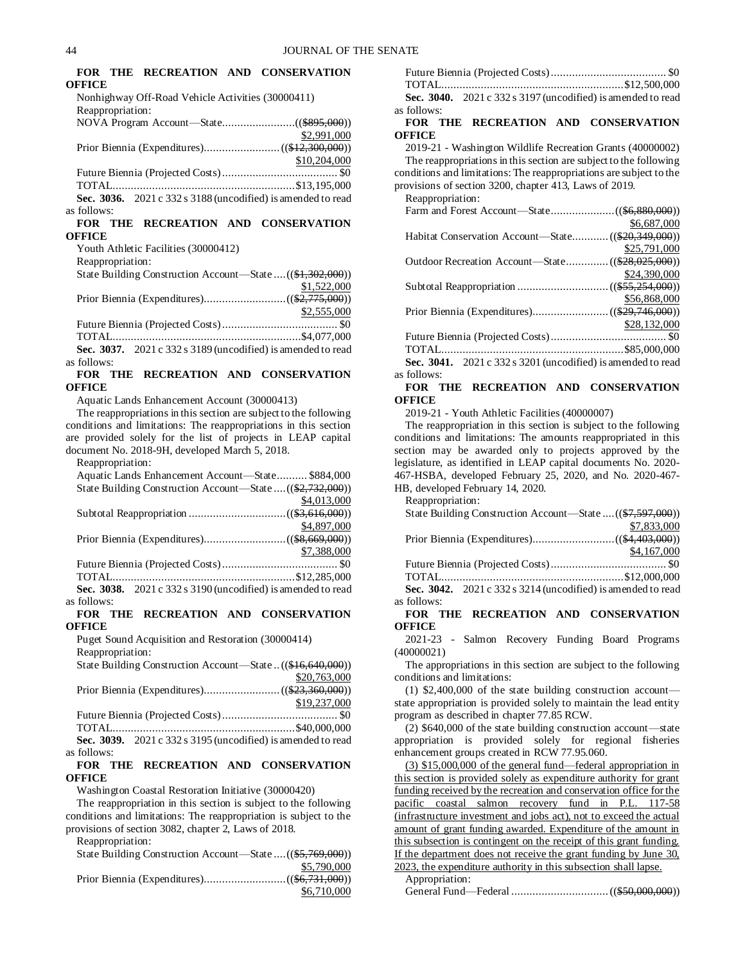|                  |                                                   | FOR THE RECREATION AND CONSERVATION                           |
|------------------|---------------------------------------------------|---------------------------------------------------------------|
| <b>OFFICE</b>    |                                                   |                                                               |
|                  | Nonhighway Off-Road Vehicle Activities (30000411) |                                                               |
| Reappropriation: |                                                   |                                                               |
|                  |                                                   |                                                               |
|                  |                                                   | \$2,991,000                                                   |
|                  |                                                   |                                                               |
|                  |                                                   | \$10,204,000                                                  |
|                  |                                                   |                                                               |
|                  |                                                   |                                                               |
|                  |                                                   | Sec. 3036. $2021c$ 332 s 3188 (uncodified) is amended to read |
| as follows:      |                                                   |                                                               |
|                  |                                                   | FOR THE RECREATION AND CONSERVATION                           |
| OFFICE           |                                                   |                                                               |

Youth Athletic Facilities (30000412)

Reappropriation:

| State Building Construction Account—State  ((\$1,302,000)) |             |
|------------------------------------------------------------|-------------|
|                                                            | \$1,522,000 |
|                                                            |             |
|                                                            | \$2,555,000 |
|                                                            |             |

TOTAL..............................................................\$4,077,000 **Sec. 3037.** 2021 c 332 s 3189 (uncodified) is amended to read as follows:

**FOR THE RECREATION AND CONSERVATION OFFICE**

Aquatic Lands Enhancement Account (30000413)

The reappropriations in this section are subject to the following conditions and limitations: The reappropriations in this section are provided solely for the list of projects in LEAP capital document No. 2018-9H, developed March 5, 2018.

Reappropriation:

as follows:

| Aquatic Lands Enhancement Account-State \$884,000             |
|---------------------------------------------------------------|
| State Building Construction Account—State  ((\$2,732,000))    |
| \$4,013,000                                                   |
|                                                               |
| \$4,897,000                                                   |
|                                                               |
| \$7,388,000                                                   |
|                                                               |
|                                                               |
| Sec. 3038. $2021c$ 332 s 3190 (uncodified) is amended to read |

**FOR THE RECREATION AND CONSERVATION OFFICE**

Puget Sound Acquisition and Restoration (30000414) Reappropriation:

| KCappropriation. |                                                               |              |
|------------------|---------------------------------------------------------------|--------------|
|                  | State Building Construction Account—State((\$16,640,000))     |              |
|                  |                                                               | \$20,763,000 |
|                  |                                                               |              |
|                  |                                                               | \$19,237,000 |
|                  |                                                               |              |
|                  |                                                               |              |
|                  | Sec. 3039. $2021c$ 332 s 3195 (uncodified) is amended to read |              |
| as follows:      |                                                               |              |

**FOR THE RECREATION AND CONSERVATION OFFICE**

Washington Coastal Restoration Initiative (30000420)

The reappropriation in this section is subject to the following conditions and limitations: The reappropriation is subject to the provisions of section 3082, chapter 2, Laws of 2018.

Reappropriation:

State Building Construction Account—State ....((\$5,769,000)) \$5,790,000

Prior Biennia (Expenditures)...........................((\$6,731,000)) \$6,710,000

|             | Sec. 3040. $2021 c 332 s 3197$ (uncodified) is amended to read |
|-------------|----------------------------------------------------------------|
| as follows: |                                                                |

**FOR THE RECREATION AND CONSERVATION OFFICE**

2019-21 - Washington Wildlife Recreation Grants (40000002) The reappropriations in this section are subject to the following conditions and limitations: The reappropriations are subject to the provisions of section 3200, chapter 413, Laws of 2019.

Reappropriation:

|                                                                     | \$6,687,000  |
|---------------------------------------------------------------------|--------------|
| Habitat Conservation Account-State ((\$20,349,000))                 |              |
|                                                                     | \$25,791,000 |
|                                                                     |              |
|                                                                     | \$24,390,000 |
|                                                                     |              |
|                                                                     | \$56,868,000 |
|                                                                     |              |
|                                                                     | \$28,132,000 |
|                                                                     |              |
|                                                                     |              |
| Sec. $3041$ , $2021c$ $332s$ $3201$ (uncodified) is amended to read |              |

**Sec. 3041.** 2021 c 332 s 3201 (uncodified) is amended to read as follows:

### **FOR THE RECREATION AND CONSERVATION OFFICE**

2019-21 - Youth Athletic Facilities (40000007)

The reappropriation in this section is subject to the following conditions and limitations: The amounts reappropriated in this section may be awarded only to projects approved by the legislature, as identified in LEAP capital documents No. 2020- 467-HSBA, developed February 25, 2020, and No. 2020-467- HB, developed February 14, 2020.

Reappropriation:

| KCappropriation. |                                                              |
|------------------|--------------------------------------------------------------|
|                  | State Building Construction Account—State  ((\$7,597,000))   |
|                  | \$7,833,000                                                  |
|                  |                                                              |
|                  | \$4,167,000                                                  |
|                  |                                                              |
|                  |                                                              |
|                  | Sec. 3042. 2021 c 332 s 3214 (uncodified) is amended to read |
| as follows:      |                                                              |

#### **FOR THE RECREATION AND CONSERVATION OFFICE**

2021-23 - Salmon Recovery Funding Board Programs (40000021)

The appropriations in this section are subject to the following conditions and limitations:

(1) \$2,400,000 of the state building construction account state appropriation is provided solely to maintain the lead entity program as described in chapter 77.85 RCW.

(2) \$640,000 of the state building construction account—state appropriation is provided solely for regional fisheries enhancement groups created in RCW 77.95.060.

(3) \$15,000,000 of the general fund—federal appropriation in this section is provided solely as expenditure authority for grant funding received by the recreation and conservation office for the pacific coastal salmon recovery fund in P.L. 117-58 (infrastructure investment and jobs act), not to exceed the actual amount of grant funding awarded. Expenditure of the amount in this subsection is contingent on the receipt of this grant funding. If the department does not receive the grant funding by June 30, 2023, the expenditure authority in this subsection shall lapse.

Appropriation: General Fund—Federal ................................((\$50,000,000))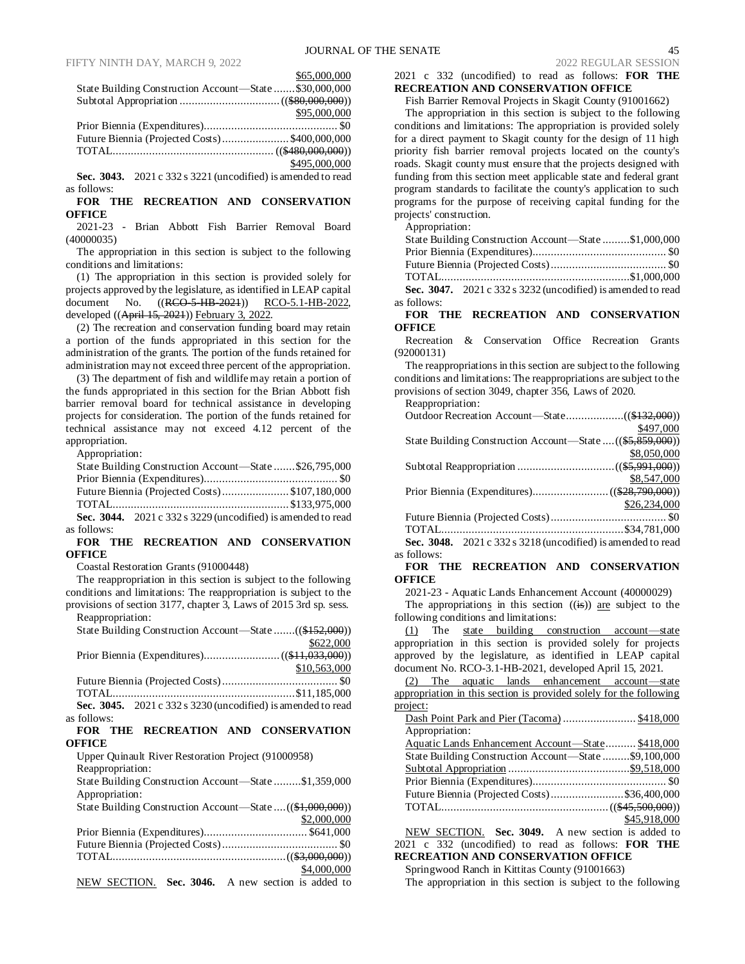\$65,000,000

| State Building Construction Account-State \$30,000,000 |               |
|--------------------------------------------------------|---------------|
|                                                        |               |
|                                                        | \$95,000,000  |
|                                                        |               |
| Future Biennia (Projected Costs)\$400,000,000          |               |
|                                                        |               |
|                                                        | \$495,000,000 |

**Sec. 3043.** 2021 c 332 s 3221 (uncodified) is amended to read as follows:

**FOR THE RECREATION AND CONSERVATION OFFICE**

2021-23 - Brian Abbott Fish Barrier Removal Board (40000035)

The appropriation in this section is subject to the following conditions and limitations:

(1) The appropriation in this section is provided solely for projects approved by the legislature, as identified in LEAP capital document No. ((RCO-5-HB-2021)) RCO-5.1-HB-2022, developed ((April 15, 2021)) February 3, 2022.

(2) The recreation and conservation funding board may retain a portion of the funds appropriated in this section for the administration of the grants. The portion of the funds retained for administration may not exceed three percent of the appropriation.

(3) The department of fish and wildlife may retain a portion of the funds appropriated in this section for the Brian Abbott fish barrier removal board for technical assistance in developing projects for consideration. The portion of the funds retained for technical assistance may not exceed 4.12 percent of the appropriation.

Appropriation:

|             | State Building Construction Account—State \$26,795,000         |  |
|-------------|----------------------------------------------------------------|--|
|             |                                                                |  |
|             | Future Biennia (Projected Costs)\$107,180,000                  |  |
|             |                                                                |  |
|             | Sec. 3044. $2021 c 332 s 3229$ (uncodified) is amended to read |  |
| as follows: |                                                                |  |

#### **FOR THE RECREATION AND CONSERVATION OFFICE**

Coastal Restoration Grants (91000448)

The reappropriation in this section is subject to the following conditions and limitations: The reappropriation is subject to the provisions of section 3177, chapter 3, Laws of 2015 3rd sp. sess. Reappropriation:

| <i>i</i> cappropriation.                                |              |
|---------------------------------------------------------|--------------|
| State Building Construction Account-State ((\$152,000)) |              |
|                                                         | \$622,000    |
|                                                         |              |
|                                                         | \$10,563,000 |
|                                                         |              |
|                                                         |              |

**Sec. 3045.** 2021 c 332 s 3230 (uncodified) is amended to read as follows:

#### **FOR THE RECREATION AND CONSERVATION OFFICE**

Upper Quinault River Restoration Project (91000958)

Reappropriation:

State Building Construction Account—State .........\$1,359,000 Appropriation: State Building Construction Account—State ....((\$1,000,000))  $\frac{$2,000,000}{$641,000}$ Prior Biennia (Expenditures).

|                                                  |  |  | \$4,000,000 |
|--------------------------------------------------|--|--|-------------|
| NEW SECTION Sec $3046$ A new section is added to |  |  |             |

NEW SECTION. **Sec. 3046.** A new section is added to

# 2021 c 332 (uncodified) to read as follows: **FOR THE RECREATION AND CONSERVATION OFFICE**

Fish Barrier Removal Projects in Skagit County (91001662)

The appropriation in this section is subject to the following conditions and limitations: The appropriation is provided solely for a direct payment to Skagit county for the design of 11 high priority fish barrier removal projects located on the county's roads. Skagit county must ensure that the projects designed with funding from this section meet applicable state and federal grant program standards to facilitate the county's application to such programs for the purpose of receiving capital funding for the projects' construction.

Appropriation:

|             | State Building Construction Account-State \$1,000,000          |  |
|-------------|----------------------------------------------------------------|--|
|             |                                                                |  |
|             |                                                                |  |
|             |                                                                |  |
|             | Sec. 3047. $2021 c 332 s 3232$ (uncodified) is amended to read |  |
| as follows: |                                                                |  |

**FOR THE RECREATION AND CONSERVATION OFFICE**

Recreation & Conservation Office Recreation Grants (92000131)

The reappropriations in this section are subject to the following conditions and limitations: The reappropriations are subject to the provisions of section 3049, chapter 356, Laws of 2020. Reappropriation:

| KCappropriation.                                                 |              |
|------------------------------------------------------------------|--------------|
|                                                                  |              |
|                                                                  | \$497,000    |
| State Building Construction Account-State  ((\$5,859,000))       |              |
|                                                                  | \$8,050,000  |
|                                                                  |              |
|                                                                  | \$8,547,000  |
|                                                                  |              |
|                                                                  | \$26,234,000 |
|                                                                  |              |
|                                                                  |              |
| Sec. $3048 - 2021c$ 332 $s$ 3218 (uncodified) is amended to read |              |

**Sec. 3048.** 2021 c 332 s 3218 (uncodified) is amended to read as follows:

#### **FOR THE RECREATION AND CONSERVATION OFFICE**

2021-23 - Aquatic Lands Enhancement Account (40000029)

The appropriations in this section  $((\mathbf{is}))$  are subject to the following conditions and limitations:

(1) The state building construction account—state appropriation in this section is provided solely for projects approved by the legislature, as identified in LEAP capital document No. RCO-3.1-HB-2021, developed April 15, 2021.

(2) The aquatic lands enhancement account—state appropriation in this section is provided solely for the following project:

| Dash Point Park and Pier (Tacoma) \$418,000 |  |  |
|---------------------------------------------|--|--|
| Appropriation:                              |  |  |

| Aquatic Lands Enhancement Account—State \$418,000     |              |
|-------------------------------------------------------|--------------|
| State Building Construction Account—State \$9,100,000 |              |
|                                                       |              |
|                                                       |              |
| Future Biennia (Projected Costs)\$36,400,000          |              |
|                                                       |              |
|                                                       | \$45,918,000 |

NEW SECTION. **Sec. 3049.** A new section is added to 2021 c 332 (uncodified) to read as follows: **FOR THE RECREATION AND CONSERVATION OFFICE**

Springwood Ranch in Kittitas County (91001663)

The appropriation in this section is subject to the following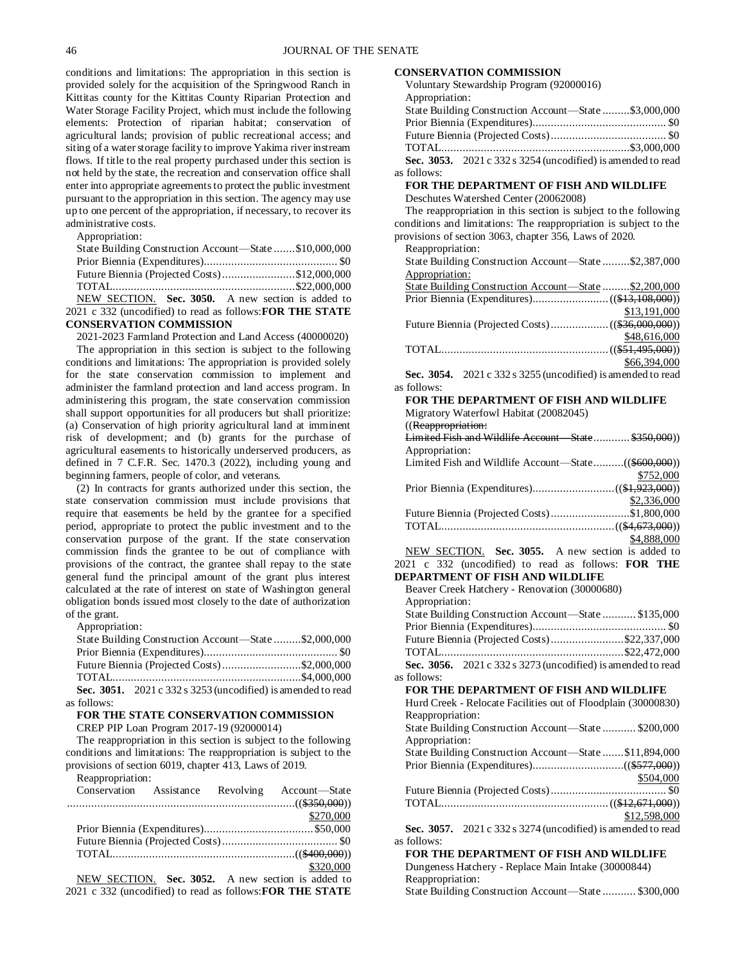conditions and limitations: The appropriation in this section is provided solely for the acquisition of the Springwood Ranch in Kittitas county for the Kittitas County Riparian Protection and Water Storage Facility Project, which must include the following elements: Protection of riparian habitat; conservation of agricultural lands; provision of public recreational access; and siting of a water storage facility to improve Yakima river instream flows. If title to the real property purchased under this section is not held by the state, the recreation and conservation office shall enter into appropriate agreements to protect the public investment pursuant to the appropriation in this section. The agency may use up to one percent of the appropriation, if necessary, to recover its administrative costs.

Appropriation:

| State Building Construction Account—State \$10,000,000           |  |
|------------------------------------------------------------------|--|
|                                                                  |  |
| Future Biennia (Projected Costs)\$12,000,000                     |  |
|                                                                  |  |
| NEW SECTION. Sec. 3050. A new section is added to                |  |
| 2021 c 332 (uncodified) to read as follows: <b>FOR THE STATE</b> |  |
| <b>CONSERVATION COMMISSION</b>                                   |  |

2021-2023 Farmland Protection and Land Access (40000020) The appropriation in this section is subject to the following conditions and limitations: The appropriation is provided solely for the state conservation commission to implement and administer the farmland protection and land access program. In administering this program, the state conservation commission shall support opportunities for all producers but shall prioritize: (a) Conservation of high priority agricultural land at imminent risk of development; and (b) grants for the purchase of agricultural easements to historically underserved producers, as defined in 7 C.F.R. Sec. 1470.3 (2022), including young and beginning farmers, people of color, and veterans.

(2) In contracts for grants authorized under this section, the state conservation commission must include provisions that require that easements be held by the grantee for a specified period, appropriate to protect the public investment and to the conservation purpose of the grant. If the state conservation commission finds the grantee to be out of compliance with provisions of the contract, the grantee shall repay to the state general fund the principal amount of the grant plus interest calculated at the rate of interest on state of Washington general obligation bonds issued most closely to the date of authorization of the grant.

Appropriation:

| State Building Construction Account-State \$2,000,000 |
|-------------------------------------------------------|
|                                                       |
| Future Biennia (Projected Costs)\$2,000,000           |
|                                                       |
|                                                       |

**Sec. 3051.** 2021 c 332 s 3253 (uncodified) is amended to read as follows:

# **FOR THE STATE CONSERVATION COMMISSION**

CREP PIP Loan Program 2017-19 (92000014)

The reappropriation in this section is subject to the following conditions and limitations: The reappropriation is subject to the provisions of section 6019, chapter 413, Laws of 2019.

Reappropriation:

|  | Conservation Assistance Revolving Account-State           |
|--|-----------------------------------------------------------|
|  |                                                           |
|  | \$270,000                                                 |
|  |                                                           |
|  |                                                           |
|  |                                                           |
|  | \$320,000                                                 |
|  | NEW SECTION. Sec. 3052. A new section is added to         |
|  | 2021 c 332 (uncodified) to read as follows: FOR THE STATE |

### **CONSERVATION COMMISSION**

Voluntary Stewardship Program (92000016) Appropriation: State Building Construction Account—State .........\$3,000,000 Prior Biennia (Expenditures)............................................ \$0 Future Biennia (Projected Costs)...................................... \$0 TOTAL..............................................................\$3,000,000 **Sec. 3053.** 2021 c 332 s 3254 (uncodified) is amended to read as follows: **FOR THE DEPARTMENT OF FISH AND WILDLIFE** Deschutes Watershed Center (20062008) The reappropriation in this section is subject to the following conditions and limitations: The reappropriation is subject to the provisions of section 3063, chapter 356, Laws of 2020. Reappropriation: State Building Construction Account—State .........\$2,387,000 Appropriation: State Building Construction Account—State .........\$2,200,000 Prior Biennia (Expenditures).........................((\$13,108,000)) \$13,191,000 Future Biennia (Projected Costs)...................((\$36,000,000)) \$48,616,000 TOTAL.......................................................((\$51,495,000)) \$66,394,000 **Sec. 3054.** 2021 c 332 s 3255 (uncodified) is amended to read as follows: **FOR THE DEPARTMENT OF FISH AND WILDLIFE** Migratory Waterfowl Habitat (20082045) ((Reappropriation: Limited Fish and Wildlife Account—State............ \$350,000)) Appropriation: Limited Fish and Wildlife Account—State..........((\$600,000)) \$752,000 Prior Biennia (Expenditures)...........................((\$1,923,000)) \$2,336,000 Future Biennia (Projected Costs)..........................\$1,800,000 TOTAL.........................................................((\$4,673,000)) \$4,888,000 NEW SECTION. **Sec. 3055.** A new section is added to 2021 c 332 (uncodified) to read as follows: **FOR THE DEPARTMENT OF FISH AND WILDLIFE** Beaver Creek Hatchery - Renovation (30000680) Appropriation: State Building Construction Account—State ........... \$135,000 Prior Biennia (Expenditures)............................................ \$0 Future Biennia (Projected Costs)........................\$22,337,000 TOTAL............................................................\$22,472,000 **Sec. 3056.** 2021 c 332 s 3273 (uncodified) is amended to read as follows: **FOR THE DEPARTMENT OF FISH AND WILDLIFE** Hurd Creek - Relocate Facilities out of Floodplain (30000830) Reappropriation: State Building Construction Account—State ........... \$200,000 Appropriation: State Building Construction Account—State .......\$11,894,000 Prior Biennia (Expenditures)..............................((\$577,000)) \$504,000 Future Biennia (Projected Costs)...................................... \$0 TOTAL.......................................................((\$12,671,000)) \$12,598,000 **Sec. 3057.** 2021 c 332 s 3274 (uncodified) is amended to read as follows: **FOR THE DEPARTMENT OF FISH AND WILDLIFE**

Dungeness Hatchery - Replace Main Intake (30000844) Reappropriation: State Building Construction Account—State ........... \$300,000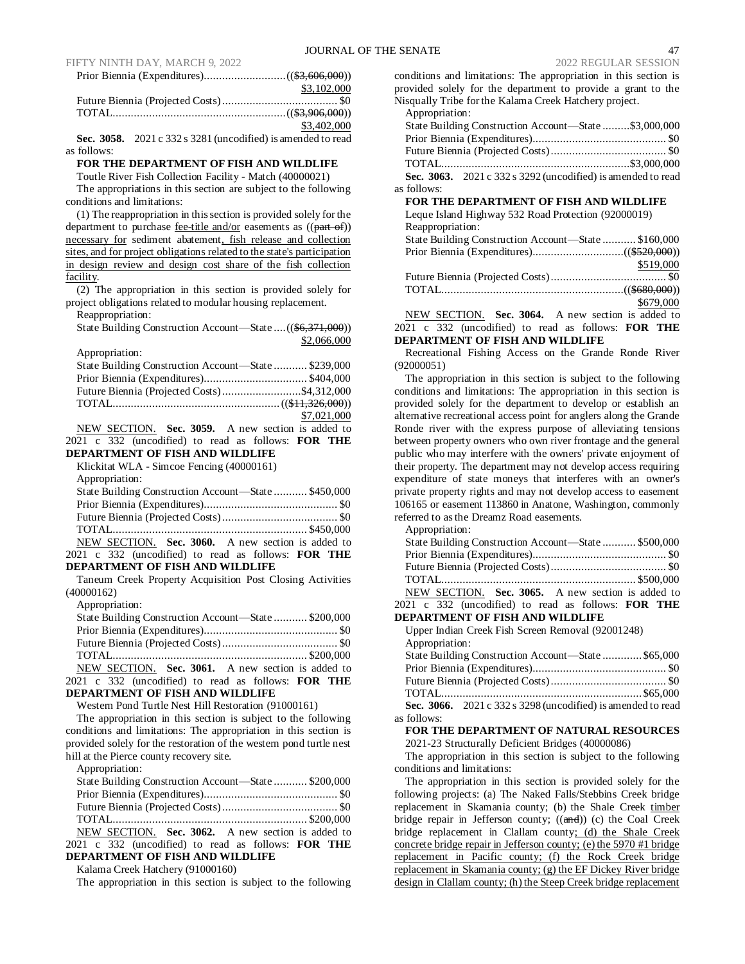| \$3,102,000 |
|-------------|
|             |
|             |
| \$3,402,000 |

**Sec. 3058.** 2021 c 332 s 3281 (uncodified) is amended to read as follows:

#### **FOR THE DEPARTMENT OF FISH AND WILDLIFE**

Toutle River Fish Collection Facility - Match (40000021) The appropriations in this section are subject to the following conditions and limitations:

(1) The reappropriation in this section is provided solely for the department to purchase fee-title and/or easements as ((part of)) necessary for sediment abatement, fish release and collection sites, and for project obligations related to the state's participation in design review and design cost share of the fish collection facility.

(2) The appropriation in this section is provided solely for project obligations related to modular housing replacement.

Reappropriation:

| State Building Construction Account—State  ((\$6,371,000))                                                                        |
|-----------------------------------------------------------------------------------------------------------------------------------|
| \$2,066,000                                                                                                                       |
| Appropriation:                                                                                                                    |
| State Building Construction Account-State  \$239,000                                                                              |
|                                                                                                                                   |
| Future Biennia (Projected Costs)\$4,312,000                                                                                       |
|                                                                                                                                   |
| \$7,021,000                                                                                                                       |
| NEW SECTION. Sec. 3059. A new section is added to                                                                                 |
| 2021 c 332 (uncodified) to read as follows: FOR THE                                                                               |
| DEPARTMENT OF FISH AND WILDLIFE                                                                                                   |
| Klickitat WLA - Simcoe Fencing (40000161)                                                                                         |
| Appropriation:                                                                                                                    |
| State Building Construction Account-State  \$450,000                                                                              |
|                                                                                                                                   |
|                                                                                                                                   |
|                                                                                                                                   |
| NEW SECTION. Sec. 3060. A new section is added to                                                                                 |
|                                                                                                                                   |
|                                                                                                                                   |
| 2021 c 332 (uncodified) to read as follows: FOR THE<br><b>DEPARTMENT OF FISH AND WILDLIFE</b>                                     |
| Taneum Creek Property Acquisition Post Closing Activities                                                                         |
| (40000162)                                                                                                                        |
| Appropriation:                                                                                                                    |
|                                                                                                                                   |
| State Building Construction Account—State  \$200,000                                                                              |
|                                                                                                                                   |
|                                                                                                                                   |
|                                                                                                                                   |
| NEW SECTION. Sec. 3061. A new section is added to                                                                                 |
| 2021 c 332 (uncodified) to read as follows: FOR THE<br><b>DEPARTMENT OF FISH AND WILDLIFE</b>                                     |
| Western Pond Turtle Nest Hill Restoration (91000161)                                                                              |
|                                                                                                                                   |
| The appropriation in this section is subject to the following<br>conditions and limitations: The appropriation in this section is |
| provided solely for the restoration of the western pond turtle nest                                                               |
|                                                                                                                                   |
| hill at the Pierce county recovery site.<br>Appropriation:                                                                        |

| State Building Construction Account—State  \$200,000 |  |  |
|------------------------------------------------------|--|--|
|                                                      |  |  |
|                                                      |  |  |
|                                                      |  |  |
| NEW SECTION. Sec. 3062. A new section is added to    |  |  |

2021 c 332 (uncodified) to read as follows: **FOR THE DEPARTMENT OF FISH AND WILDLIFE**

# Kalama Creek Hatchery (91000160)

The appropriation in this section is subject to the following

conditions and limitations: The appropriation in this section is provided solely for the department to provide a grant to the Nisqually Tribe for the Kalama Creek Hatchery project.

| Appropriation:                                               |  |
|--------------------------------------------------------------|--|
| State Building Construction Account—State \$3,000,000        |  |
|                                                              |  |
|                                                              |  |
|                                                              |  |
| Sec. 3063. 2021 c 332 s 3292 (uncodified) is amended to read |  |
| as follows:                                                  |  |
| FOR THE DEPARTMENT OF FISH AND WILDLIFE                      |  |
| Leque Island Highway 532 Road Protection (92000019)          |  |
| Reappropriation:                                             |  |

| State Building Construction Account—State  \$160,000 |           |
|------------------------------------------------------|-----------|
|                                                      |           |
|                                                      | \$519,000 |
|                                                      |           |
|                                                      |           |
|                                                      | \$679,000 |
| $\frac{1}{2}$                                        |           |

NEW SECTION. **Sec. 3064.** A new section is added to 2021 c 332 (uncodified) to read as follows: **FOR THE DEPARTMENT OF FISH AND WILDLIFE**

Recreational Fishing Access on the Grande Ronde River (92000051)

The appropriation in this section is subject to the following conditions and limitations: The appropriation in this section is provided solely for the department to develop or establish an alternative recreational access point for anglers along the Grande Ronde river with the express purpose of alleviating tensions between property owners who own river frontage and the general public who may interfere with the owners' private enjoyment of their property. The department may not develop access requiring expenditure of state moneys that interferes with an owner's private property rights and may not develop access to easement 106165 or easement 113860 in Anatone, Washington, commonly referred to as the Dreamz Road easements.

Appropriation:

as

| State Building Construction Account—State  \$500,000                                             |  |
|--------------------------------------------------------------------------------------------------|--|
|                                                                                                  |  |
|                                                                                                  |  |
|                                                                                                  |  |
| NEW SECTION. Sec. 3065. A new section is added to                                                |  |
| 2021 c 332 (uncodified) to read as follows: <b>FOR THE</b>                                       |  |
| DEPARTMENT OF FISH AND WILDLIFE                                                                  |  |
| Upper Indian Creek Fish Screen Removal (92001248)                                                |  |
| Appropriation:                                                                                   |  |
| $0 \leftarrow 0.11$ $0 \leftarrow 1.1$ $0 \leftarrow 0.1$ $0 \leftarrow 0.1$ $0 \leftarrow 0.00$ |  |

|              | State Building Construction Account—State  \$65,000                 |  |
|--------------|---------------------------------------------------------------------|--|
|              |                                                                     |  |
|              |                                                                     |  |
|              |                                                                     |  |
|              | <b>Sec. 3066.</b> 2021 c 332 s 3298 (uncodified) is amended to read |  |
| : follows: - |                                                                     |  |

# **FOR THE DEPARTMENT OF NATURAL RESOURCES**

2021-23 Structurally Deficient Bridges (40000086)

The appropriation in this section is subject to the following conditions and limitations:

The appropriation in this section is provided solely for the following projects: (a) The Naked Falls/Stebbins Creek bridge replacement in Skamania county; (b) the Shale Creek timber bridge repair in Jefferson county;  $((\text{and}))$  (c) the Coal Creek bridge replacement in Clallam county; (d) the Shale Creek concrete bridge repair in Jefferson county; (e) the 5970 #1 bridge replacement in Pacific county; (f) the Rock Creek bridge replacement in Skamania county; (g) the EF Dickey River bridge design in Clallam county; (h) the Steep Creek bridge replacement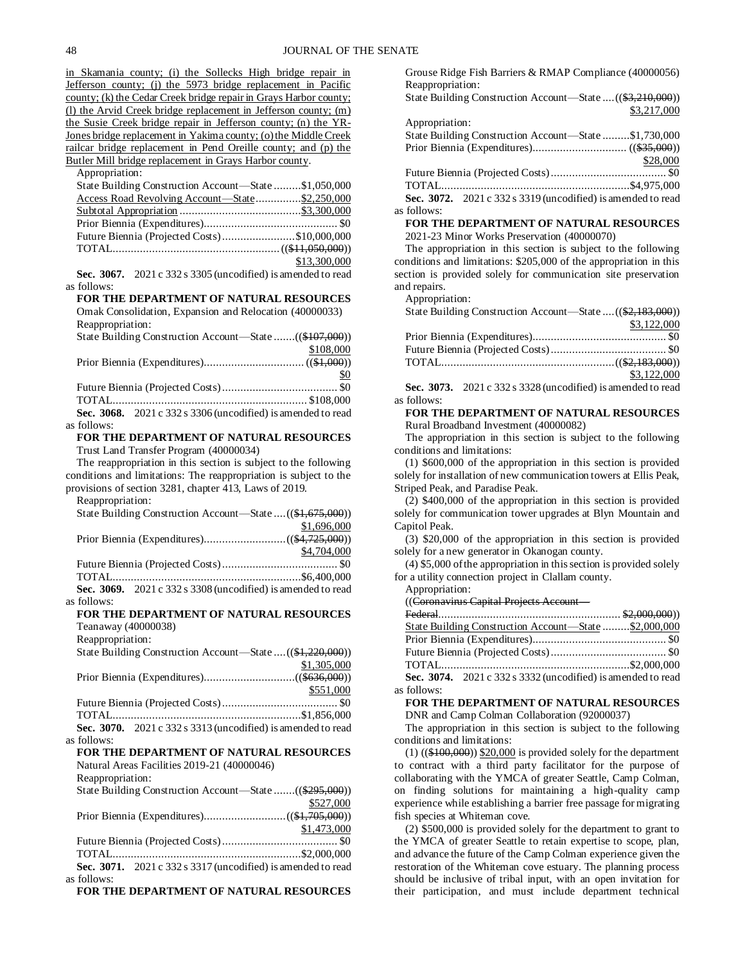in Skamania county; (i) the Sollecks High bridge repair in Jefferson county; (j) the 5973 bridge replacement in Pacific county; (k) the Cedar Creek bridge repair in Grays Harbor county; (l) the Arvid Creek bridge replacement in Jefferson county; (m) the Susie Creek bridge repair in Jefferson county; (n) the YR-Jones bridge replacement in Yakima county; (o) the Middle Creek railcar bridge replacement in Pend Oreille county; and (p) the Butler Mill bridge replacement in Grays Harbor county. Appropriation: State Building Construction Account—State .........\$1,050,000 Access Road Revolving Account—State................\$2,250,000 Subtotal Appropriation ........................................\$3,300,000 Prior Biennia (Expenditures)............................................ \$0 Future Biennia (Projected Costs)........................\$10,000,000 TOTAL.......................................................((\$11,050,000)) \$13,300,000 **Sec. 3067.** 2021 c 332 s 3305 (uncodified) is amended to read as follows: **FOR THE DEPARTMENT OF NATURAL RESOURCES** Omak Consolidation, Expansion and Relocation (40000033) Reappropriation: State Building Construction Account—State .......((\$107,000)) \$108,000

Prior Biennia (Expenditures)................................. ((\$1,000)) \$0 Future Biennia (Projected Costs)...................................... \$0 TOTAL................................................................ \$108,000 **Sec. 3068.** 2021 c 332 s 3306 (uncodified) is amended to read

# as follows:

#### **FOR THE DEPARTMENT OF NATURAL RESOURCES** Trust Land Transfer Program (40000034)

The reappropriation in this section is subject to the following conditions and limitations: The reappropriation is subject to the provisions of section 3281, chapter 413, Laws of 2019.

Reappropriation: State Building Construction Account—State ....((\$1,675,000)) \$1,696,000 Prior Biennia (Expenditures)...........................((\$4,725,000)) \$4,704,000 Future Biennia (Projected Costs)...................................... \$0 TOTAL..............................................................\$6,400,000 **Sec. 3069.** 2021 c 332 s 3308 (uncodified) is amended to read as follows: **FOR THE DEPARTMENT OF NATURAL RESOURCES** Teanaway (40000038) Reappropriation: State Building Construction Account—State ....((\$1,220,000)) \$1,305,000 Prior Biennia (Expenditures)..............................((\$636,000)) \$551,000 Future Biennia (Projected Costs)...................................... \$0 TOTAL..............................................................\$1,856,000 **Sec. 3070.** 2021 c 332 s 3313 (uncodified) is amended to read as follows: **FOR THE DEPARTMENT OF NATURAL RESOURCES** Natural Areas Facilities 2019-21 (40000046) Reappropriation: State Building Construction Account—State .......((\$295,000)) \$527,000 Prior Biennia (Expenditures)...........................((\$1,705,000))

\$1,473,000 Future Biennia (Projected Costs)...................................... \$0 TOTAL..............................................................\$2,000,000 **Sec. 3071.** 2021 c 332 s 3317 (uncodified) is amended to read as follows:

**FOR THE DEPARTMENT OF NATURAL RESOURCES**

Grouse Ridge Fish Barriers & RMAP Compliance (40000056) Reappropriation:

State Building Construction Account—State ....((\$3,210,000)) \$3,217,000

| Appropriation: |                                                              |          |
|----------------|--------------------------------------------------------------|----------|
|                | State Building Construction Account—State \$1,730,000        |          |
|                |                                                              |          |
|                |                                                              | \$28,000 |
|                |                                                              |          |
|                |                                                              |          |
|                | Sec. 3072. 2021 c 332 s 3319 (uncodified) is amended to read |          |
| as follows:    |                                                              |          |

**FOR THE DEPARTMENT OF NATURAL RESOURCES** 2021-23 Minor Works Preservation (40000070)

The appropriation in this section is subject to the following conditions and limitations: \$205,000 of the appropriation in this section is provided solely for communication site preservation and repairs. Appropriation:

| Appropriation.                                             |             |
|------------------------------------------------------------|-------------|
| State Building Construction Account—State  ((\$2,183,000)) |             |
|                                                            | \$3,122,000 |
|                                                            |             |
|                                                            |             |
|                                                            |             |
|                                                            | \$3,122,000 |

**Sec. 3073.** 2021 c 332 s 3328 (uncodified) is amended to read as follows:

# **FOR THE DEPARTMENT OF NATURAL RESOURCES** Rural Broadband Investment (40000082)

The appropriation in this section is subject to the following conditions and limitations:

(1) \$600,000 of the appropriation in this section is provided solely for installation of new communication towers at Ellis Peak, Striped Peak, and Paradise Peak.

(2) \$400,000 of the appropriation in this section is provided solely for communication tower upgrades at Blyn Mountain and Capitol Peak.

(3) \$20,000 of the appropriation in this section is provided solely for a new generator in Okanogan county.

(4) \$5,000 of the appropriation in this section is provided solely for a utility connection project in Clallam county.

### Appropriation:

as

((Coronavirus Capital Projects Account—

|          | State Building Construction Account—State  \$2,000,000        |  |
|----------|---------------------------------------------------------------|--|
|          |                                                               |  |
|          |                                                               |  |
|          |                                                               |  |
| follows: | Sec. 3074. $2021c$ 332 s 3332 (uncodified) is amended to read |  |

**FOR THE DEPARTMENT OF NATURAL RESOURCES** DNR and Camp Colman Collaboration (92000037)

The appropriation in this section is subject to the following conditions and limitations:

 $(1)$  ((\$100,000)) \$20,000 is provided solely for the department to contract with a third party facilitator for the purpose of collaborating with the YMCA of greater Seattle, Camp Colman, on finding solutions for maintaining a high-quality camp experience while establishing a barrier free passage for migrating fish species at Whiteman cove.

(2) \$500,000 is provided solely for the department to grant to the YMCA of greater Seattle to retain expertise to scope, plan, and advance the future of the Camp Colman experience given the restoration of the Whiteman cove estuary. The planning process should be inclusive of tribal input, with an open invitation for their participation, and must include department technical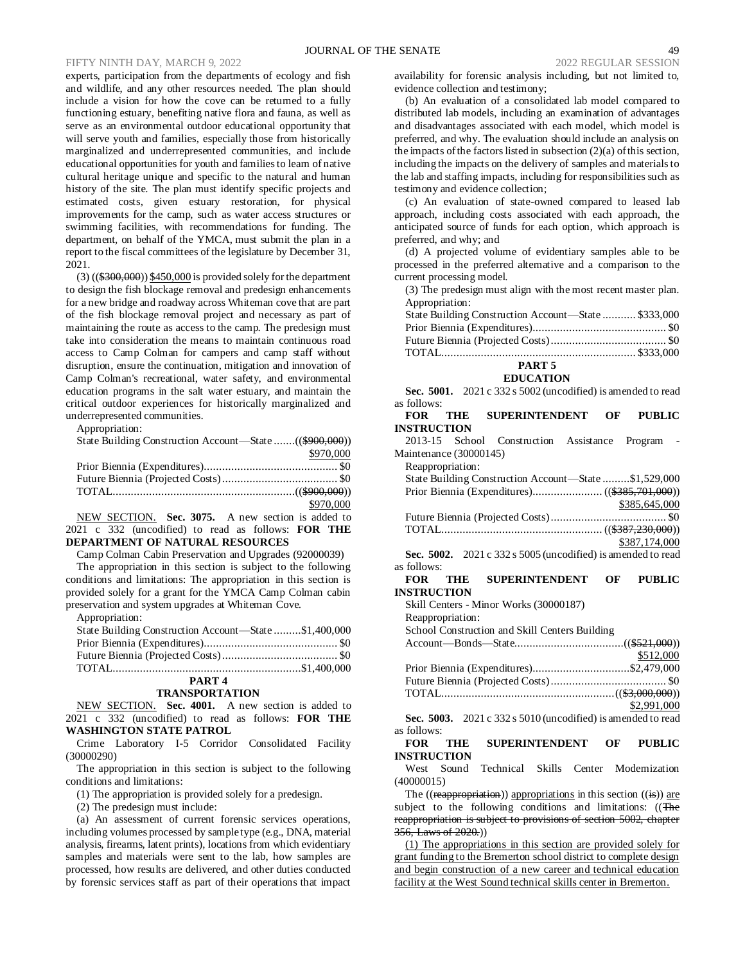experts, participation from the departments of ecology and fish and wildlife, and any other resources needed. The plan should include a vision for how the cove can be returned to a fully functioning estuary, benefiting native flora and fauna, as well as serve as an environmental outdoor educational opportunity that will serve youth and families, especially those from historically marginalized and underrepresented communities, and include educational opportunities for youth and families to learn of native cultural heritage unique and specific to the natural and human history of the site. The plan must identify specific projects and estimated costs, given estuary restoration, for physical improvements for the camp, such as water access structures or swimming facilities, with recommendations for funding. The department, on behalf of the YMCA, must submit the plan in a report to the fiscal committees of the legislature by December 31, 2021.

 $(3)$  ( $(\frac{$300,000}{\$300,000})$  \$450,000 is provided solely for the department to design the fish blockage removal and predesign enhancements for a new bridge and roadway across Whiteman cove that are part of the fish blockage removal project and necessary as part of maintaining the route as access to the camp. The predesign must take into consideration the means to maintain continuous road access to Camp Colman for campers and camp staff without disruption, ensure the continuation, mitigation and innovation of Camp Colman's recreational, water safety, and environmental education programs in the salt water estuary, and maintain the critical outdoor experiences for historically marginalized and underrepresented communities.

Appropriation:

| State Building Construction Account—State ((\$900,000)) |           |
|---------------------------------------------------------|-----------|
|                                                         | \$970,000 |
|                                                         |           |
|                                                         |           |
|                                                         |           |
|                                                         | \$970,000 |

NEW SECTION. **Sec. 3075.** A new section is added to 2021 c 332 (uncodified) to read as follows: **FOR THE DEPARTMENT OF NATURAL RESOURCES**

Camp Colman Cabin Preservation and Upgrades (92000039)

The appropriation in this section is subject to the following conditions and limitations: The appropriation in this section is provided solely for a grant for the YMCA Camp Colman cabin preservation and system upgrades at Whiteman Cove. Appropriation: Appropriate

| Appropriation:                                        |  |
|-------------------------------------------------------|--|
| State Building Construction Account-State \$1,400,000 |  |
|                                                       |  |
|                                                       |  |
|                                                       |  |
|                                                       |  |

#### **PART 4 TRANSPORTATION**

NEW SECTION. **Sec. 4001.** A new section is added to 2021 c 332 (uncodified) to read as follows: **FOR THE WASHINGTON STATE PATROL**

Crime Laboratory I-5 Corridor Consolidated Facility (30000290)

The appropriation in this section is subject to the following conditions and limitations:

(1) The appropriation is provided solely for a predesign.

(2) The predesign must include:

(a) An assessment of current forensic services operations, including volumes processed by sample type (e.g., DNA, material analysis, firearms, latent prints), locations from which evidentiary samples and materials were sent to the lab, how samples are processed, how results are delivered, and other duties conducted by forensic services staff as part of their operations that impact availability for forensic analysis including, but not limited to, evidence collection and testimony;

(b) An evaluation of a consolidated lab model compared to distributed lab models, including an examination of advantages and disadvantages associated with each model, which model is preferred, and why. The evaluation should include an analysis on the impacts of the factors listed in subsection (2)(a) of this section, including the impacts on the delivery of samples and materials to the lab and staffing impacts, including for responsibilities such as testimony and evidence collection;

(c) An evaluation of state-owned compared to leased lab approach, including costs associated with each approach, the anticipated source of funds for each option, which approach is preferred, and why; and

(d) A projected volume of evidentiary samples able to be processed in the preferred alternative and a comparison to the current processing model.

(3) The predesign must align with the most recent master plan. Appropriation:

| State Building Construction Account—State  \$333,000 |  |
|------------------------------------------------------|--|
|                                                      |  |
|                                                      |  |
|                                                      |  |

#### **PART 5 EDUCATION**

**Sec. 5001.** 2021 c 332 s 5002 (uncodified) is amended to read as follows:

| <b>FOR</b>             | THE SUPERINTENDENT                                             | OF | <b>PUBLIC</b>                                                                                                                                                                                                                                                                                    |  |
|------------------------|----------------------------------------------------------------|----|--------------------------------------------------------------------------------------------------------------------------------------------------------------------------------------------------------------------------------------------------------------------------------------------------|--|
| INSTRUCTION            |                                                                |    |                                                                                                                                                                                                                                                                                                  |  |
|                        | 2013-15 School Construction Assistance                         |    | Program -                                                                                                                                                                                                                                                                                        |  |
| Maintenance (30000145) |                                                                |    |                                                                                                                                                                                                                                                                                                  |  |
| Reappropriation:       |                                                                |    |                                                                                                                                                                                                                                                                                                  |  |
|                        | State Building Construction Account—State \$1,529,000          |    |                                                                                                                                                                                                                                                                                                  |  |
|                        |                                                                |    |                                                                                                                                                                                                                                                                                                  |  |
|                        |                                                                |    | \$385,645,000                                                                                                                                                                                                                                                                                    |  |
|                        |                                                                |    |                                                                                                                                                                                                                                                                                                  |  |
|                        |                                                                |    |                                                                                                                                                                                                                                                                                                  |  |
|                        |                                                                |    | \$387,174,000                                                                                                                                                                                                                                                                                    |  |
|                        | Sec. 5002. $2021 c 332 s 5005$ (uncodified) is amended to read |    |                                                                                                                                                                                                                                                                                                  |  |
| as follows:            |                                                                |    |                                                                                                                                                                                                                                                                                                  |  |
| FOR-                   | THE SUPERINTENDENT                                             | OЕ | <b>PUBLIC</b>                                                                                                                                                                                                                                                                                    |  |
| INSTRUCTION            |                                                                |    |                                                                                                                                                                                                                                                                                                  |  |
|                        | Skill Centers - Minor Works (30000187)                         |    |                                                                                                                                                                                                                                                                                                  |  |
| Reappropriation:       |                                                                |    |                                                                                                                                                                                                                                                                                                  |  |
|                        | School Construction and Skill Centers Building                 |    |                                                                                                                                                                                                                                                                                                  |  |
|                        |                                                                |    |                                                                                                                                                                                                                                                                                                  |  |
|                        |                                                                |    | $\mathbb{C}$ and $\mathbb{C}$ and $\mathbb{C}$ and $\mathbb{C}$ and $\mathbb{C}$ and $\mathbb{C}$ and $\mathbb{C}$ and $\mathbb{C}$ and $\mathbb{C}$ and $\mathbb{C}$ and $\mathbb{C}$ and $\mathbb{C}$ and $\mathbb{C}$ and $\mathbb{C}$ and $\mathbb{C}$ and $\mathbb{C}$ and $\mathbb{C}$ and |  |

|             |                                                                | 9.14000     |
|-------------|----------------------------------------------------------------|-------------|
|             | Prior Biennia (Expenditures)\$2,479,000                        |             |
|             |                                                                |             |
|             |                                                                |             |
|             |                                                                | \$2,991,000 |
|             | Sec. 5003. $2021 c 332 s 5010$ (uncodified) is amended to read |             |
| as follows: |                                                                |             |

# **FOR THE SUPERINTENDENT OF PUBLIC INSTRUCTION**

West Sound Technical Skills Center Modernization (40000015)

The  $((\text{reapproxation}))$  appropriations in this section  $((\text{is}))$  are subject to the following conditions and limitations: ((The reappropriation is subject to provisions of section 5002, chapter 356, Laws of 2020.))

(1) The appropriations in this section are provided solely for grant funding to the Bremerton school district to complete design and begin construction of a new career and technical education facility at the West Sound technical skills center in Bremerton.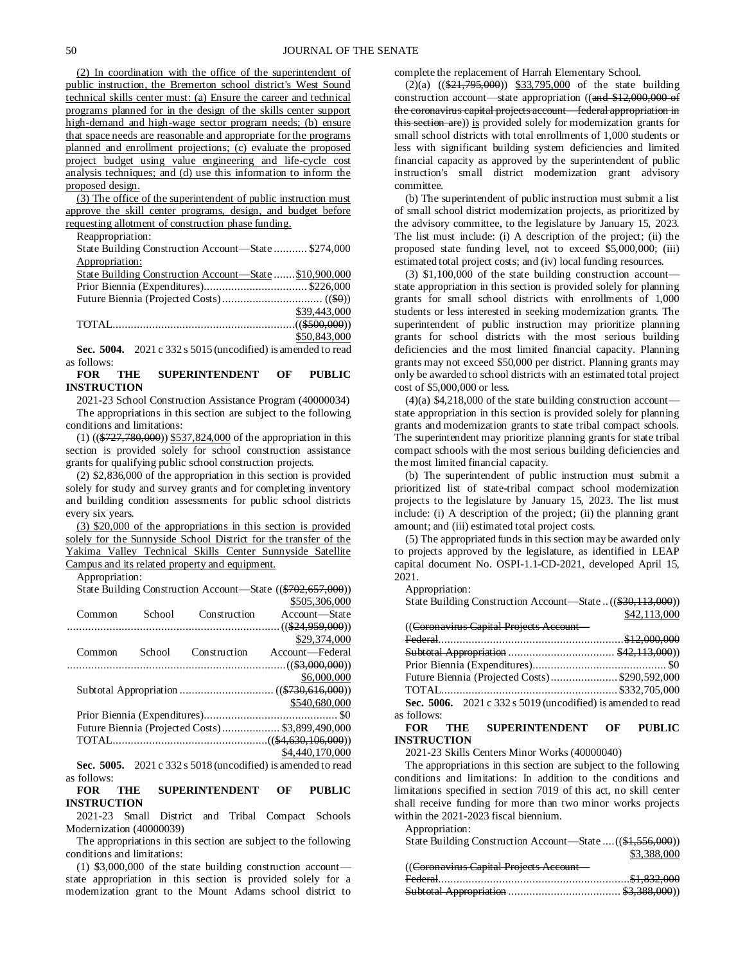(2) In coordination with the office of the superintendent of public instruction, the Bremerton school district's West Sound technical skills center must: (a) Ensure the career and technical programs planned for in the design of the skills center support high-demand and high-wage sector program needs; (b) ensure that space needs are reasonable and appropriate for the programs planned and enrollment projections; (c) evaluate the proposed project budget using value engineering and life-cycle cost analysis techniques; and (d) use this information to inform the proposed design.

(3) The office of the superintendent of public instruction must approve the skill center programs, design, and budget before requesting allotment of construction phase funding.

Reappropriation:

State Building Construction Account—State ........... \$274,000 Appropriation: State Building Construction Account—State .......\$10,900,000 Prior Biennia (Expenditures).................................. \$226,000 Future Biennia (Projected Costs)................................. ((\$0)) \$39,443,000

| <del>.</del> |
|--------------|
|              |
| \$50,843,000 |

**Sec. 5004.** 2021 c 332 s 5015 (uncodified) is amended to read as follows:<br> **FOR** THE

**SUPERINTENDENT OF PUBLIC INSTRUCTION**

2021-23 School Construction Assistance Program (40000034) The appropriations in this section are subject to the following conditions and limitations:

(1) ((\$727,780,000)) \$537,824,000 of the appropriation in this section is provided solely for school construction assistance grants for qualifying public school construction projects.

(2) \$2,836,000 of the appropriation in this section is provided solely for study and survey grants and for completing inventory and building condition assessments for public school districts every six years.

(3) \$20,000 of the appropriations in this section is provided solely for the Sunnyside School District for the transfer of the Yakima Valley Technical Skills Center Sunnyside Satellite Campus and its related property and equipment.

Appropriation:

|        | State Building Construction Account—State ((\$702,657,000)) |              |                 |  |  |
|--------|-------------------------------------------------------------|--------------|-----------------|--|--|
|        |                                                             |              | \$505,306,000   |  |  |
| Common | School                                                      | Construction | Account—State   |  |  |
|        |                                                             |              |                 |  |  |
|        |                                                             |              | \$29,374,000    |  |  |
| Common | School                                                      | Construction | Account—Federal |  |  |
|        |                                                             |              |                 |  |  |
|        |                                                             |              | \$6,000,000     |  |  |
|        |                                                             |              |                 |  |  |
|        |                                                             |              | \$540,680,000   |  |  |
|        |                                                             |              |                 |  |  |
|        | Future Biennia (Projected Costs)\$3,899,490,000             |              |                 |  |  |
|        |                                                             |              |                 |  |  |
|        |                                                             |              | \$4,440,170,000 |  |  |

**Sec. 5005.** 2021 c 332 s 5018 (uncodified) is amended to read as follows:

**FOR THE SUPERINTENDENT OF PUBLIC INSTRUCTION**

2021-23 Small District and Tribal Compact Schools Modernization (40000039)

The appropriations in this section are subject to the following conditions and limitations:

(1) \$3,000,000 of the state building construction account state appropriation in this section is provided solely for a modernization grant to the Mount Adams school district to complete the replacement of Harrah Elementary School.

 $(2)(a)$   $((2)(a)$   $((2)(3)(3)(3)(3)(7)(3)(7)(5)(7)(7))$  (4)  $(3)(3)(7)(3)(7)$  of the state building construction account—state appropriation ((and \$12,000,000 of the coronavirus capital projects account—federal appropriation in this section are)) is provided solely for modernization grants for small school districts with total enrollments of 1,000 students or less with significant building system deficiencies and limited financial capacity as approved by the superintendent of public instruction's small district modernization grant advisory committee.

(b) The superintendent of public instruction must submit a list of small school district modernization projects, as prioritized by the advisory committee, to the legislature by January 15, 2023. The list must include: (i) A description of the project; (ii) the proposed state funding level, not to exceed \$5,000,000; (iii) estimated total project costs; and (iv) local funding resources.

(3) \$1,100,000 of the state building construction account state appropriation in this section is provided solely for planning grants for small school districts with enrollments of 1,000 students or less interested in seeking modernization grants. The superintendent of public instruction may prioritize planning grants for school districts with the most serious building deficiencies and the most limited financial capacity. Planning grants may not exceed \$50,000 per district. Planning grants may only be awarded to school districts with an estimated total project cost of \$5,000,000 or less.

 $(4)(a)$  \$4,218,000 of the state building construction account state appropriation in this section is provided solely for planning grants and modernization grants to state tribal compact schools. The superintendent may prioritize planning grants for state tribal compact schools with the most serious building deficiencies and the most limited financial capacity.

(b) The superintendent of public instruction must submit a prioritized list of state-tribal compact school modernization projects to the legislature by January 15, 2023. The list must include: (i) A description of the project; (ii) the planning grant amount; and (iii) estimated total project costs.

(5) The appropriated funds in this section may be awarded only to projects approved by the legislature, as identified in LEAP capital document No. OSPI-1.1-CD-2021, developed April 15, 2021.

Appropriation:

| State Building Construction Account—State((\$30,113,000)) |              |
|-----------------------------------------------------------|--------------|
|                                                           | \$42,113,000 |
| ((Coronavirus Capital Projects Account -                  |              |
| $E_{\alpha}$ daral                                        | \$12.000.000 |

|             | Future Biennia (Projected Costs)\$290,592,000                |
|-------------|--------------------------------------------------------------|
|             |                                                              |
|             | Sec. 5006. 2021 c 332 s 5019 (uncodified) is amended to read |
| as follows: |                                                              |

#### **FOR THE SUPERINTENDENT OF PUBLIC INSTRUCTION**

2021-23 Skills Centers Minor Works (40000040)

The appropriations in this section are subject to the following conditions and limitations: In addition to the conditions and limitations specified in section 7019 of this act, no skill center shall receive funding for more than two minor works projects within the 2021-2023 fiscal biennium.

Appropriation:

| State Building Construction Account—State  ((\$1,556,000)) |             |
|------------------------------------------------------------|-------------|
|                                                            | \$3,388,000 |
| ((Coronavirus Capital Projects Account-                    |             |
|                                                            |             |
|                                                            |             |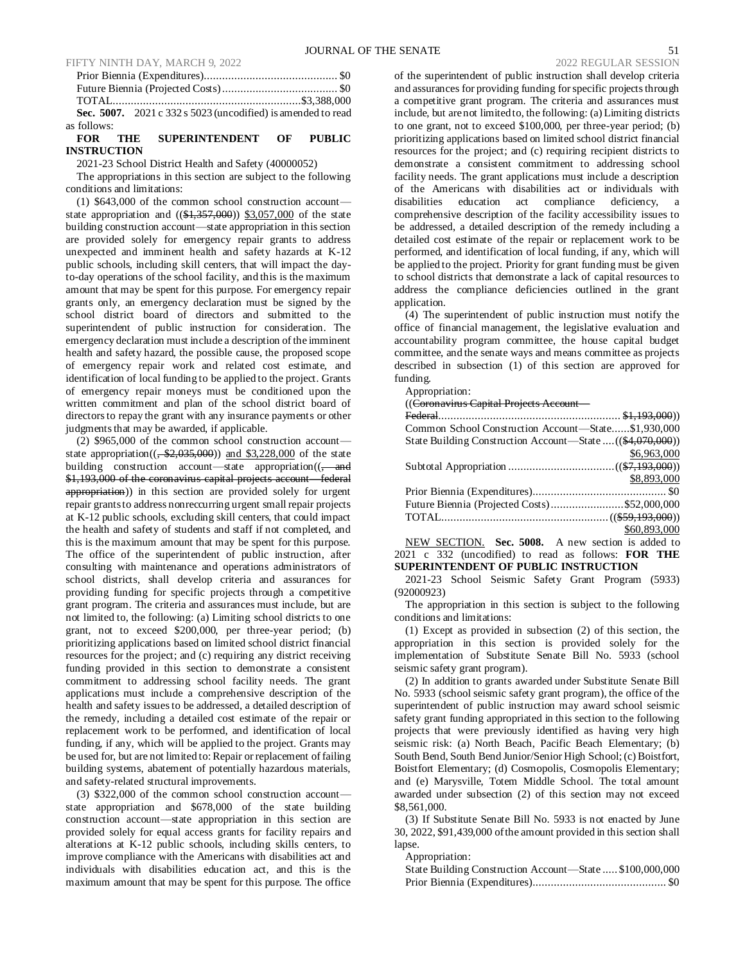|             | Sec. 5007. 2021 c 332 s 5023 (uncodified) is amended to read |  |
|-------------|--------------------------------------------------------------|--|
| as follows: |                                                              |  |

# **FOR THE SUPERINTENDENT OF PUBLIC INSTRUCTION**

2021-23 School District Health and Safety (40000052)

The appropriations in this section are subject to the following conditions and limitations:

(1) \$643,000 of the common school construction account state appropriation and  $((\$1,357,000))$  \$3,057,000 of the state building construction account—state appropriation in this section are provided solely for emergency repair grants to address unexpected and imminent health and safety hazards at K-12 public schools, including skill centers, that will impact the dayto-day operations of the school facility, and this is the maximum amount that may be spent for this purpose. For emergency repair grants only, an emergency declaration must be signed by the school district board of directors and submitted to the superintendent of public instruction for consideration. The emergency declaration must include a description of the imminent health and safety hazard, the possible cause, the proposed scope of emergency repair work and related cost estimate, and identification of local funding to be applied to the project. Grants of emergency repair moneys must be conditioned upon the written commitment and plan of the school district board of directors to repay the grant with any insurance payments or other judgments that may be awarded, if applicable.

(2) \$965,000 of the common school construction account state appropriation( $(\frac{2,035,000}{2})$  and \$3,228,000 of the state building construction account—state appropriation $((,-\text{and}$ \$1,193,000 of the coronavirus capital projects account—federal appropriation)) in this section are provided solely for urgent repair grants to address nonreccurring urgent small repair projects at K-12 public schools, excluding skill centers, that could impact the health and safety of students and staff if not completed, and this is the maximum amount that may be spent for this purpose. The office of the superintendent of public instruction, after consulting with maintenance and operations administrators of school districts, shall develop criteria and assurances for providing funding for specific projects through a competitive grant program. The criteria and assurances must include, but are not limited to, the following: (a) Limiting school districts to one grant, not to exceed \$200,000, per three-year period; (b) prioritizing applications based on limited school district financial resources for the project; and (c) requiring any district receiving funding provided in this section to demonstrate a consistent commitment to addressing school facility needs. The grant applications must include a comprehensive description of the health and safety issues to be addressed, a detailed description of the remedy, including a detailed cost estimate of the repair or replacement work to be performed, and identification of local funding, if any, which will be applied to the project. Grants may be used for, but are not limited to: Repair or replacement of failing building systems, abatement of potentially hazardous materials, and safety-related structural improvements.

(3) \$322,000 of the common school construction account state appropriation and \$678,000 of the state building construction account—state appropriation in this section are provided solely for equal access grants for facility repairs and alterations at K-12 public schools, including skills centers, to improve compliance with the Americans with disabilities act and individuals with disabilities education act, and this is the maximum amount that may be spent for this purpose. The office

of the superintendent of public instruction shall develop criteria and assurances for providing funding for specific projects through a competitive grant program. The criteria and assurances must include, but are not limited to, the following: (a) Limiting districts to one grant, not to exceed \$100,000, per three-year period; (b) prioritizing applications based on limited school district financial resources for the project; and (c) requiring recipient districts to demonstrate a consistent commitment to addressing school facility needs. The grant applications must include a description of the Americans with disabilities act or individuals with disabilities education act compliance deficiency, a comprehensive description of the facility accessibility issues to be addressed, a detailed description of the remedy including a detailed cost estimate of the repair or replacement work to be performed, and identification of local funding, if any, which will be applied to the project. Priority for grant funding must be given to school districts that demonstrate a lack of capital resources to address the compliance deficiencies outlined in the grant application.

(4) The superintendent of public instruction must notify the office of financial management, the legislative evaluation and accountability program committee, the house capital budget committee, and the senate ways and means committee as projects described in subsection (1) of this section are approved for funding.

Appropriation:

((Coronavirus Capital Projects Account—

| Common School Construction Account-State\$1,930,000        |              |
|------------------------------------------------------------|--------------|
| State Building Construction Account—State  ((\$4,070,000)) |              |
|                                                            | \$6,963,000  |
|                                                            |              |
|                                                            | \$8,893,000  |
|                                                            |              |
| Future Biennia (Projected Costs)\$52,000,000               |              |
|                                                            |              |
|                                                            | \$60,893,000 |
|                                                            |              |

NEW SECTION. **Sec. 5008.** A new section is added to 2021 c 332 (uncodified) to read as follows: **FOR THE SUPERINTENDENT OF PUBLIC INSTRUCTION**

2021-23 School Seismic Safety Grant Program (5933) (92000923)

The appropriation in this section is subject to the following conditions and limitations:

(1) Except as provided in subsection (2) of this section, the appropriation in this section is provided solely for the implementation of Substitute Senate Bill No. 5933 (school seismic safety grant program).

(2) In addition to grants awarded under Substitute Senate Bill No. 5933 (school seismic safety grant program), the office of the superintendent of public instruction may award school seismic safety grant funding appropriated in this section to the following projects that were previously identified as having very high seismic risk: (a) North Beach, Pacific Beach Elementary; (b) South Bend, South Bend Junior/Senior High School; (c) Boistfort, Boistfort Elementary; (d) Cosmopolis, Cosmopolis Elementary; and (e) Marysville, Totem Middle School. The total amount awarded under subsection (2) of this section may not exceed \$8,561,000.

(3) If Substitute Senate Bill No. 5933 is not enacted by June 30, 2022, \$91,439,000 of the amount provided in this section shall lapse.

Appropriation:

| State Building Construction Account-State  \$100,000,000 |  |
|----------------------------------------------------------|--|
|                                                          |  |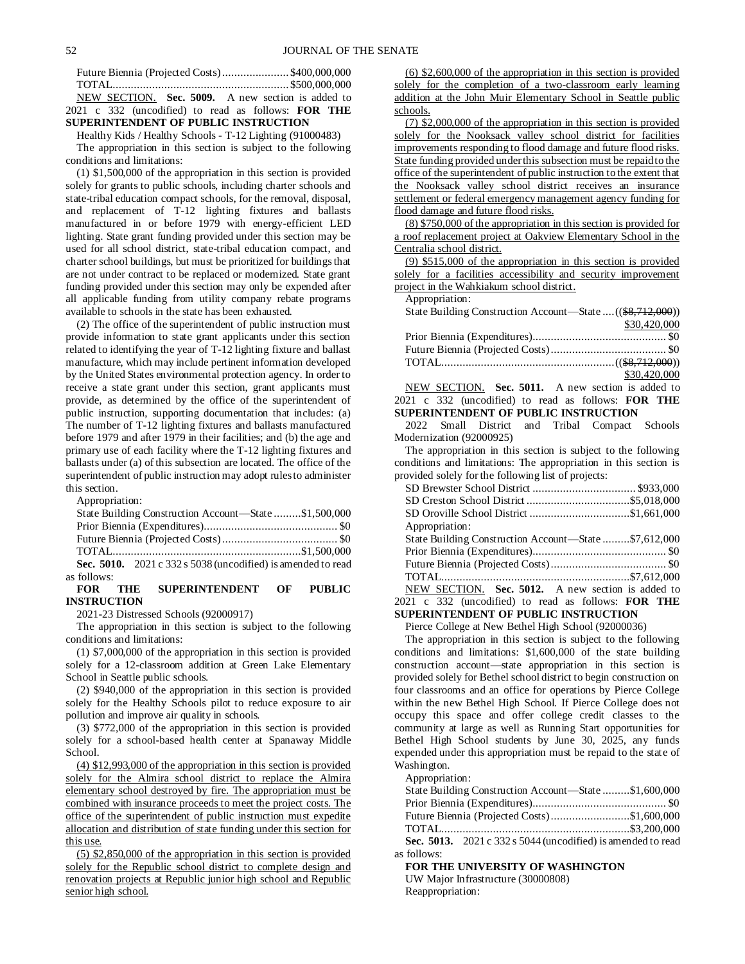| Future Biennia (Projected Costs)\$400,000,000              |  |
|------------------------------------------------------------|--|
|                                                            |  |
| NEW SECTION. Sec. 5009. A new section is added to          |  |
| 2021 c 332 (uncodified) to read as follows: <b>FOR THE</b> |  |

#### **SUPERINTENDENT OF PUBLIC INSTRUCTION** Healthy Kids / Healthy Schools - T-12 Lighting (91000483)

The appropriation in this section is subject to the following conditions and limitations:

(1) \$1,500,000 of the appropriation in this section is provided solely for grants to public schools, including charter schools and state-tribal education compact schools, for the removal, disposal, and replacement of T-12 lighting fixtures and ballasts manufactured in or before 1979 with energy-efficient LED lighting. State grant funding provided under this section may be used for all school district, state-tribal education compact, and charter school buildings, but must be prioritized for buildings that are not under contract to be replaced or modernized. State grant funding provided under this section may only be expended after all applicable funding from utility company rebate programs available to schools in the state has been exhausted.

(2) The office of the superintendent of public instruction must provide information to state grant applicants under this section related to identifying the year of T-12 lighting fixture and ballast manufacture, which may include pertinent information developed by the United States environmental protection agency. In order to receive a state grant under this section, grant applicants must provide, as determined by the office of the superintendent of public instruction, supporting documentation that includes: (a) The number of T-12 lighting fixtures and ballasts manufactured before 1979 and after 1979 in their facilities; and (b) the age and primary use of each facility where the T-12 lighting fixtures and ballasts under (a) of this subsection are located. The office of the superintendent of public instruction may adopt rules to administer this section.

Appropriation:

|               | State Building Construction Account—State \$1,500,000        |  |
|---------------|--------------------------------------------------------------|--|
|               |                                                              |  |
|               |                                                              |  |
|               |                                                              |  |
|               | Sec. 5010. 2021 c 332 s 5038 (uncodified) is amended to read |  |
| $\sim$ $\sim$ |                                                              |  |

#### as follows:<br>**FOR** THE **SUPERINTENDENT OF PUBLIC INSTRUCTION**

2021-23 Distressed Schools (92000917)

The appropriation in this section is subject to the following conditions and limitations:

(1) \$7,000,000 of the appropriation in this section is provided solely for a 12-classroom addition at Green Lake Elementary School in Seattle public schools.

(2) \$940,000 of the appropriation in this section is provided solely for the Healthy Schools pilot to reduce exposure to air pollution and improve air quality in schools.

(3) \$772,000 of the appropriation in this section is provided solely for a school-based health center at Spanaway Middle School.

(4) \$12,993,000 of the appropriation in this section is provided solely for the Almira school district to replace the Almira elementary school destroyed by fire. The appropriation must be combined with insurance proceeds to meet the project costs. The office of the superintendent of public instruction must expedite allocation and distribution of state funding under this section for this use.

(5) \$2,850,000 of the appropriation in this section is provided solely for the Republic school district to complete design and renovation projects at Republic junior high school and Republic senior high school.

(6) \$2,600,000 of the appropriation in this section is provided solely for the completion of a two-classroom early learning addition at the John Muir Elementary School in Seattle public schools.

(7) \$2,000,000 of the appropriation in this section is provided solely for the Nooksack valley school district for facilities improvements responding to flood damage and future flood risks. State funding provided under this subsection must be repaid to the office of the superintendent of public instruction to the extent that the Nooksack valley school district receives an insurance settlement or federal emergency management agency funding for flood damage and future flood risks.

(8) \$750,000 of the appropriation in this section is provided for a roof replacement project at Oakview Elementary School in the Centralia school district.

(9) \$515,000 of the appropriation in this section is provided solely for a facilities accessibility and security improvement project in the Wahkiakum school district.

Appropriation:

| State Building Construction Account—State  ((\$8,712,000)) |              |
|------------------------------------------------------------|--------------|
|                                                            | \$30,420,000 |
|                                                            |              |
|                                                            |              |
|                                                            |              |
|                                                            | \$30,420,000 |

NEW SECTION. **Sec. 5011.** A new section is added to 2021 c 332 (uncodified) to read as follows: **FOR THE SUPERINTENDENT OF PUBLIC INSTRUCTION**

2022 Small District and Tribal Compact Schools Modernization (92000925)

The appropriation in this section is subject to the following conditions and limitations: The appropriation in this section is provided solely for the following list of projects:

| SD Oroville School District \$1,661,000                    |  |
|------------------------------------------------------------|--|
| Appropriation:                                             |  |
| State Building Construction Account—State \$7,612,000      |  |
|                                                            |  |
|                                                            |  |
|                                                            |  |
| NEW SECTION. Sec. 5012. A new section is added to          |  |
| 2021 c 332 (uncodified) to read as follows: <b>FOR THE</b> |  |
|                                                            |  |

**SUPERINTENDENT OF PUBLIC INSTRUCTION**

Pierce College at New Bethel High School (92000036)

The appropriation in this section is subject to the following conditions and limitations: \$1,600,000 of the state building construction account—state appropriation in this section is provided solely for Bethel school district to begin construction on four classrooms and an office for operations by Pierce College within the new Bethel High School. If Pierce College does not occupy this space and offer college credit classes to the community at large as well as Running Start opportunities for Bethel High School students by June 30, 2025, any funds expended under this appropriation must be repaid to the state of Washington.

Appropriation:

|             | State Building Construction Account—State \$1,600,000          |  |
|-------------|----------------------------------------------------------------|--|
|             |                                                                |  |
|             | Future Biennia (Projected Costs)\$1,600,000                    |  |
|             |                                                                |  |
|             | Sec. 5013. $2021 c 332 s 5044$ (uncodified) is amended to read |  |
| as follows: |                                                                |  |

**FOR THE UNIVERSITY OF WASHINGTON** UW Major Infrastructure (30000808) Reappropriation: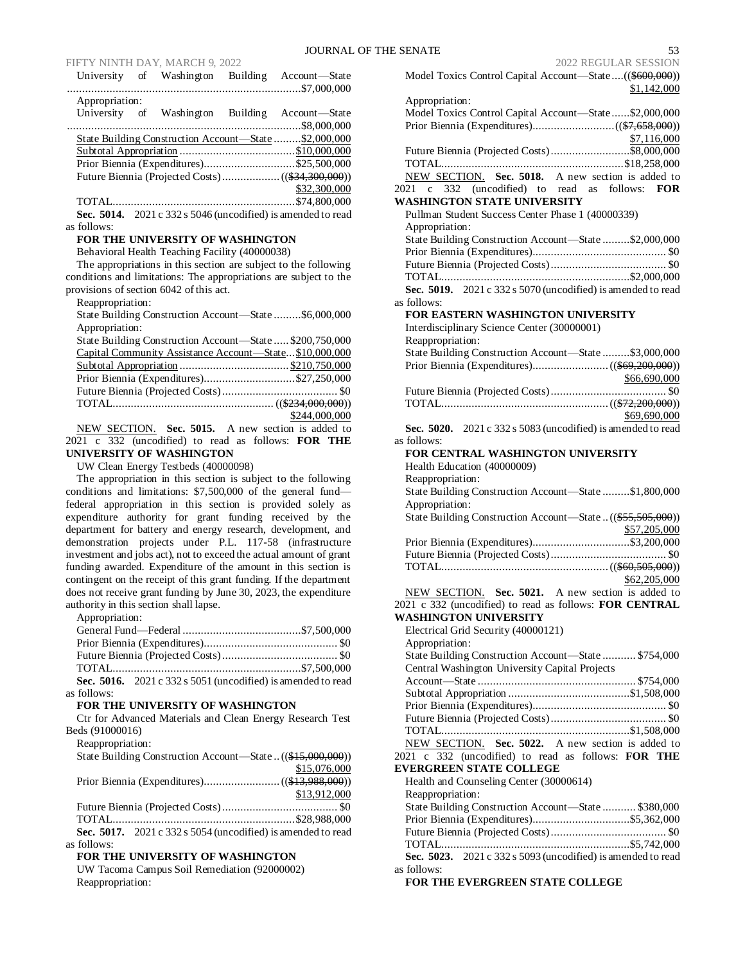FIFTY NINTH DAY, MARCH 9, 2022<br>Iniversity of Weshington Building Account State Model Toxics Control Capital Account State (\$600,000)

|                | University of Washington | Building Account-State                                         |
|----------------|--------------------------|----------------------------------------------------------------|
|                |                          |                                                                |
| Appropriation: |                          |                                                                |
|                | University of Washington | Building Account—State                                         |
|                |                          |                                                                |
|                |                          | State Building Construction Account—State \$2,000,000          |
|                |                          |                                                                |
|                |                          | Prior Biennia (Expenditures)\$25,500,000                       |
|                |                          |                                                                |
|                |                          | \$32,300,000                                                   |
|                |                          |                                                                |
|                |                          | Sec. 5014. $2021 c 332 s 5046$ (uncodified) is amended to read |

as follows:

# **FOR THE UNIVERSITY OF WASHINGTON**

Behavioral Health Teaching Facility (40000038)

The appropriations in this section are subject to the following conditions and limitations: The appropriations are subject to the provisions of section 6042 of this act.

Reappropriation:

State Building Construction Account—State .........\$6,000,000 Appropriation:

| State Building Construction Account—State  \$200,750,000 |               |
|----------------------------------------------------------|---------------|
| Capital Community Assistance Account—State\$10,000,000   |               |
|                                                          |               |
| Prior Biennia (Expenditures)\$27,250,000                 |               |
|                                                          |               |
|                                                          |               |
|                                                          | \$244,000,000 |

NEW SECTION. **Sec. 5015.** A new section is added to 2021 c 332 (uncodified) to read as follows: **FOR THE UNIVERSITY OF WASHINGTON**

UW Clean Energy Testbeds (40000098)

The appropriation in this section is subject to the following conditions and limitations: \$7,500,000 of the general fund federal appropriation in this section is provided solely as expenditure authority for grant funding received by the department for battery and energy research, development, and demonstration projects under P.L. 117-58 (infrastructure investment and jobs act), not to exceed the actual amount of grant funding awarded. Expenditure of the amount in this section is contingent on the receipt of this grant funding. If the department does not receive grant funding by June 30, 2023, the expenditure authority in this section shall lapse.

Appropriation:

|             | Sec. 5016. $2021 c 332 s 5051$ (uncodified) is amended to read |  |
|-------------|----------------------------------------------------------------|--|
| as follows: |                                                                |  |

#### **FOR THE UNIVERSITY OF WASHINGTON**

Ctr for Advanced Materials and Clean Energy Research Test Beds (91000016)

Reappropriation:

| State Building Construction Account—State((\$15,000,000))     |              |
|---------------------------------------------------------------|--------------|
|                                                               | \$15,076,000 |
|                                                               |              |
|                                                               | \$13,912,000 |
|                                                               |              |
|                                                               |              |
| Sec. 5017. $2021c$ 332 s 5054 (uncodified) is amended to read |              |
| as follows:                                                   |              |

# **FOR THE UNIVERSITY OF WASHINGTON**

UW Tacoma Campus Soil Remediation (92000002) Reappropriation:

| Model Toxics Control Capital Account-State((\$600,000))                   |
|---------------------------------------------------------------------------|
| \$1,142,000<br>Appropriation:                                             |
| Model Toxics Control Capital Account-State\$2,000,000                     |
|                                                                           |
| \$7,116,000                                                               |
| \$7,116,000<br>Future Biennia (Projected Costs)\$8,000,000                |
|                                                                           |
| NEW SECTION. Sec. 5018. A new section is added to                         |
| 2021 c 332 (uncodified) to read as follows:<br><b>FOR</b>                 |
| <b>WASHINGTON STATE UNIVERSITY</b>                                        |
| Pullman Student Success Center Phase 1 (40000339)<br>Appropriation:       |
| State Building Construction Account-State \$2,000,000                     |
|                                                                           |
|                                                                           |
|                                                                           |
| Sec. 5019. 2021 c 332 s 5070 (uncodified) is amended to read              |
| as follows:                                                               |
| FOR EASTERN WASHINGTON UNIVERSITY                                         |
| Interdisciplinary Science Center (30000001)                               |
| Reappropriation:                                                          |
| State Building Construction Account-State \$3,000,000                     |
| \$66,690,000                                                              |
|                                                                           |
|                                                                           |
| \$69,690,000                                                              |
| Sec. 5020. 2021 c 332 s 5083 (uncodified) is amended to read              |
| as follows:                                                               |
| FOR CENTRAL WASHINGTON UNIVERSITY                                         |
| Health Education (40000009)                                               |
| Reappropriation:<br>State Building Construction Account-State \$1,800,000 |
| Appropriation:                                                            |
| State Building Construction Account-State((\$55,505,000))                 |
| \$57,205,000                                                              |
| Prior Biennia (Expenditures)\$3,200,000                                   |
|                                                                           |
|                                                                           |
| \$62,205,000<br>NEW SECTION. Sec. 5021. A new section is added to         |
| 2021 c 332 (uncodified) to read as follows: FOR CENTRAL                   |
| <b>WASHINGTON UNIVERSITY</b>                                              |
| Electrical Grid Security (40000121)                                       |
| Appropriation:                                                            |
| State Building Construction Account-State  \$754,000                      |
| Central Washington University Capital Projects                            |
|                                                                           |
|                                                                           |
|                                                                           |
|                                                                           |
| NEW SECTION. Sec. 5022. A new section is added to                         |
| 2021 c 332 (uncodified) to read as follows: FOR THE                       |
| <b>EVERGREEN STATE COLLEGE</b>                                            |
| Health and Counseling Center (30000614)                                   |
| Reappropriation:                                                          |
| State Building Construction Account-State  \$380,000                      |
|                                                                           |
|                                                                           |
| Sec. 5023. 2021 c 332 s 5093 (uncodified) is amended to read              |
| as follows:                                                               |
| FOR THE EVERGREEN STATE COLLEGE                                           |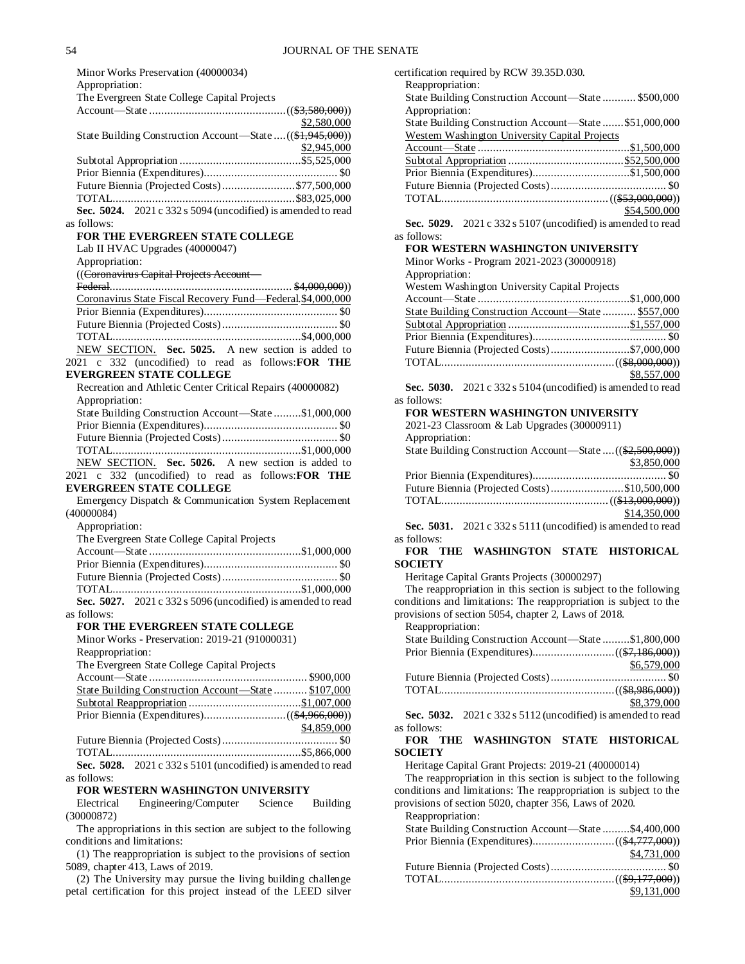| Minor Works Preservation (40000034)                                                                      |
|----------------------------------------------------------------------------------------------------------|
| Appropriation:                                                                                           |
| The Evergreen State College Capital Projects                                                             |
| \$2,580,000                                                                                              |
| State Building Construction Account—State  ((\$1,945,000))<br>\$2,945,000                                |
|                                                                                                          |
|                                                                                                          |
| Future Biennia (Projected Costs)\$77,500,000                                                             |
|                                                                                                          |
| Sec. 5024. 2021 c 332 s 5094 (uncodified) is amended to read<br>as follows:                              |
| FOR THE EVERGREEN STATE COLLEGE                                                                          |
| Lab II HVAC Upgrades (40000047)<br>Appropriation:                                                        |
| ((Coronavirus Capital Projects Account-                                                                  |
|                                                                                                          |
| Coronavirus State Fiscal Recovery Fund-Federal \$4,000,000                                               |
|                                                                                                          |
|                                                                                                          |
| NEW SECTION. Sec. 5025. A new section is added to                                                        |
| 2021 c 332 (uncodified) to read as follows: FOR THE                                                      |
| <b>EVERGREEN STATE COLLEGE</b>                                                                           |
| Recreation and Athletic Center Critical Repairs (40000082)                                               |
| Appropriation:                                                                                           |
| State Building Construction Account-State \$1,000,000                                                    |
|                                                                                                          |
|                                                                                                          |
|                                                                                                          |
|                                                                                                          |
| NEW SECTION. Sec. 5026. A new section is added to<br>2021 c 332 (uncodified) to read as follows: FOR THE |
| <b>EVERGREEN STATE COLLEGE</b>                                                                           |
| Emergency Dispatch & Communication System Replacement<br>(40000084)                                      |
| Appropriation:                                                                                           |
| The Evergreen State College Capital Projects                                                             |
|                                                                                                          |
|                                                                                                          |
|                                                                                                          |
|                                                                                                          |
| Sec. 5027. 2021 c 332 s 5096 (uncodified) is amended to read                                             |
| as follows:                                                                                              |
| FOR THE EVERGREEN STATE COLLEGE                                                                          |
| Minor Works - Preservation: 2019-21 (91000031)                                                           |
| Reappropriation:                                                                                         |
| The Evergreen State College Capital Projects                                                             |
| State Building Construction Account-State  \$107,000                                                     |
|                                                                                                          |
|                                                                                                          |
| \$4,859,000                                                                                              |
|                                                                                                          |
|                                                                                                          |
| Sec. 5028. 2021 c 332 s 5101 (uncodified) is amended to read                                             |
| as follows:                                                                                              |
| FOR WESTERN WASHINGTON UNIVERSITY                                                                        |
| Electrical<br>Engineering/Computer Science<br>Building                                                   |
| (30000872)<br>The appropriations in this section are subject to the following                            |

(1) The reappropriation is subject to the provisions of section 5089, chapter 413, Laws of 2019.

(2) The University may pursue the living building challenge petal certification for this project instead of the LEED silver

| Reappropriation:                                                          |  |
|---------------------------------------------------------------------------|--|
| State Building Construction Account-State  \$500,000                      |  |
| Appropriation:<br>State Building Construction Account-State  \$51,000,000 |  |
| Western Washington University Capital Projects                            |  |
|                                                                           |  |
|                                                                           |  |
| Prior Biennia (Expenditures)\$1,500,000                                   |  |
|                                                                           |  |
| \$54,500,000                                                              |  |
| Sec. 5029. 2021 c 332 s 5107 (uncodified) is amended to read              |  |
| as follows:<br>FOR WESTERN WASHINGTON UNIVERSITY                          |  |
| Minor Works - Program 2021-2023 (30000918)                                |  |
| Appropriation:                                                            |  |
| Western Washington University Capital Projects                            |  |
|                                                                           |  |
| State Building Construction Account-State  \$557,000                      |  |
|                                                                           |  |
| Future Biennia (Projected Costs)\$7,000,000                               |  |
|                                                                           |  |
| \$8,557,000                                                               |  |
| Sec. 5030. 2021 c 332 s 5104 (uncodified) is amended to read              |  |
| as follows:                                                               |  |
| FOR WESTERN WASHINGTON UNIVERSITY                                         |  |
| 2021-23 Classroom & Lab Upgrades (30000911)                               |  |
|                                                                           |  |
| Appropriation:                                                            |  |
| State Building Construction Account—State  ((\$2,500,000))                |  |
| \$3,850,000                                                               |  |
| Future Biennia (Projected Costs)\$10,500,000                              |  |
|                                                                           |  |
| \$14,350,000                                                              |  |
| Sec. 5031. 2021 c 332 s 5111 (uncodified) is amended to read              |  |
| as follows:<br><b>HISTORICAL</b>                                          |  |
| WASHINGTON STATE<br><b>FOR</b><br>THE<br><b>SOCIETY</b>                   |  |
| Heritage Capital Grants Projects (30000297)                               |  |
| The reappropriation in this section is subject to the following           |  |
| conditions and limitations: The reappropriation is subject to the         |  |
| provisions of section 5054, chapter 2, Laws of 2018.                      |  |
| Reappropriation:                                                          |  |
| State Building Construction Account-State \$1,800,000                     |  |
| \$6,579,000                                                               |  |
|                                                                           |  |
|                                                                           |  |
| \$8,379,000                                                               |  |
| Sec. 5032. 2021 c 332 s 5112 (uncodified) is amended to read              |  |
| as follows:<br><b>FOR</b><br>WASHINGTON STATE<br><b>HISTORICAL</b><br>THE |  |

Heritage Capital Grant Projects: 2019-21 (40000014)

The reappropriation in this section is subject to the following conditions and limitations: The reappropriation is subject to the provisions of section 5020, chapter 356, Laws of 2020.

Reappropriation:

| State Building Construction Account—State \$4,400,000 |             |
|-------------------------------------------------------|-------------|
|                                                       |             |
|                                                       | \$4,731,000 |
|                                                       |             |
|                                                       |             |
|                                                       | \$9,131,000 |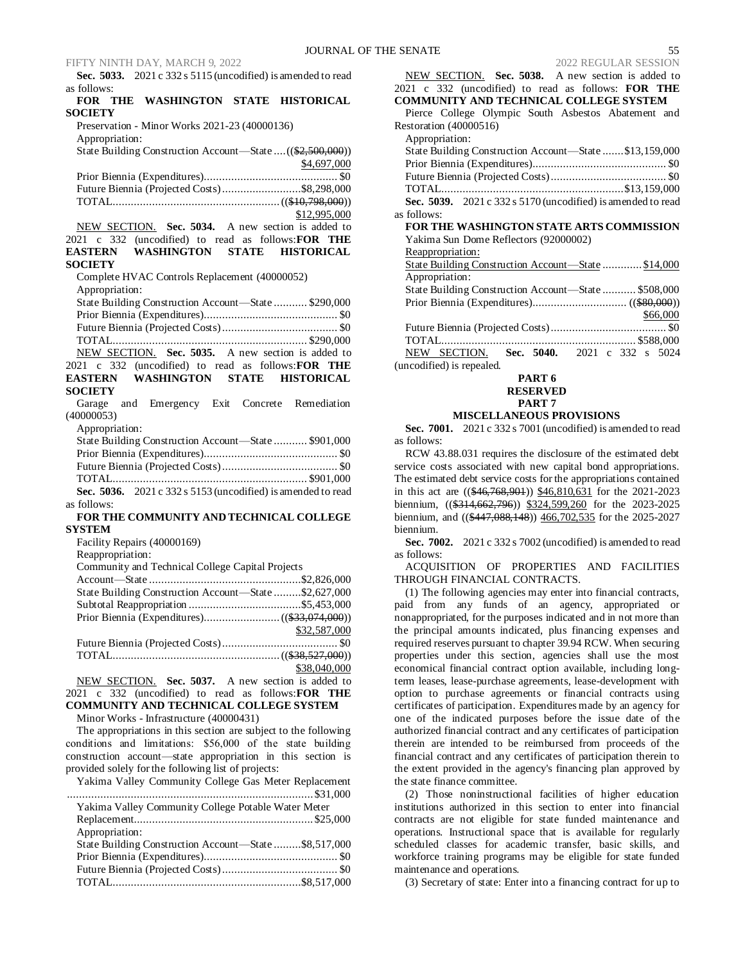**Sec. 5033.** 2021 c 332 s 5115 (uncodified) is amended to read as follows:

# **FOR THE WASHINGTON STATE HISTORICAL SOCIETY**

Preservation - Minor Works 2021-23 (40000136) Appropriation:

State Building Construction Account—State ....((\$2,500,000)) \$4,697,000 Prior Biennia (Expenditures)............................................ \$0 Future Biennia (Projected Costs)..........................\$8,298,000 TOTAL.......................................................((\$10,798,000)) \$12,995,000

NEW SECTION. **Sec. 5034.** A new section is added to 2021 c 332 (uncodified) to read as follows:**FOR THE EASTERN WASHINGTON STATE HISTORICAL SOCIETY**

Complete HVAC Controls Replacement (40000052) Appropriation:

| State Building Construction Account—State  \$290,000 |  |
|------------------------------------------------------|--|
|                                                      |  |
|                                                      |  |
|                                                      |  |
| NEW SECTION. Sec. 5035. A new section is added to    |  |
|                                                      |  |

2021 c 332 (uncodified) to read as follows:**FOR THE EASTERN WASHINGTON STATE HISTORICAL SOCIETY**

Garage and Emergency Exit Concrete Remediation (40000053)

Appropriation:

|             | State Building Construction Account—State  \$901,000           |  |
|-------------|----------------------------------------------------------------|--|
|             |                                                                |  |
|             |                                                                |  |
|             |                                                                |  |
|             | Sec. 5036. $2021 c 332 s 5153$ (uncodified) is amended to read |  |
| as follows: |                                                                |  |

# **FOR THE COMMUNITY AND TECHNICAL COLLEGE SYSTEM**

| 5151 E.VI                                             |              |
|-------------------------------------------------------|--------------|
| Facility Repairs (40000169)                           |              |
| Reappropriation:                                      |              |
| Community and Technical College Capital Projects      |              |
|                                                       |              |
| State Building Construction Account—State \$2,627,000 |              |
|                                                       |              |
|                                                       |              |
|                                                       | \$32,587,000 |
|                                                       |              |
|                                                       |              |
|                                                       | \$38,040,000 |

NEW SECTION. **Sec. 5037.** A new section is added to 2021 c 332 (uncodified) to read as follows:**FOR THE COMMUNITY AND TECHNICAL COLLEGE SYSTEM**

Minor Works - Infrastructure (40000431)

The appropriations in this section are subject to the following conditions and limitations:  \$56,000 of the state building construction account—state appropriation in this section is provided solely for the following list of projects:

| Yakima Valley Community College Gas Meter Replacement |  |
|-------------------------------------------------------|--|
|                                                       |  |
| Yakima Valley Community College Potable Water Meter   |  |
|                                                       |  |
| Appropriation:                                        |  |
| State Building Construction Account-State \$8,517,000 |  |
|                                                       |  |
|                                                       |  |
|                                                       |  |

| NEW SECTION. Sec. 5038. A new section is added to            |
|--------------------------------------------------------------|
| 2021 c 332 (uncodified) to read as follows: FOR THE          |
| COMMUNITY AND TECHNICAL COLLEGE SYSTEM                       |
| Pierce College Olympic South Asbestos Abatement and          |
| Restoration (40000516)                                       |
| Appropriation:                                               |
| State Building Construction Account—State \$13,159,000       |
|                                                              |
|                                                              |
|                                                              |
| Sec. 5039. 2021 c 332 s 5170 (uncodified) is amended to read |
| as follows:                                                  |
| FOR THE WASHINGTON STATE ARTS COMMISSION                     |
| Yakima Sun Dome Reflectors (92000002)                        |
| Reappropriation:                                             |
| State Building Construction Account—State \$14,000           |
| Appropriation:                                               |
| State Building Construction Account—State  \$508,000         |
|                                                              |
| \$66,000                                                     |
|                                                              |
|                                                              |
| NEW SECTION. Sec. 5040. 2021 c 332 s 5024                    |
| (uncodified) is repealed.                                    |

**PART 6**

#### **RESERVED PART 7**

# **MISCELLANEOUS PROVISIONS**

**Sec. 7001.** 2021 c 332 s 7001 (uncodified) is amended to read as follows:

RCW 43.88.031 requires the disclosure of the estimated debt service costs associated with new capital bond appropriations. The estimated debt service costs for the appropriations contained in this act are ((\$46,768,901)) \$46,810,631 for the 2021-2023 biennium, ((\$314,662,796)) \$324,599,260 for the 2023-2025 biennium, and ((\$447,088,148)) 466,702,535 for the 2025-2027 biennium.

**Sec. 7002.** 2021 c 332 s 7002 (uncodified) is amended to read as follows:

ACQUISITION OF PROPERTIES AND FACILITIES THROUGH FINANCIAL CONTRACTS.

(1) The following agencies may enter into financial contracts, paid from any funds of an agency, appropriated or nonappropriated, for the purposes indicated and in not more than the principal amounts indicated, plus financing expenses and required reserves pursuant to chapter 39.94 RCW. When securing properties under this section, agencies shall use the most economical financial contract option available, including longterm leases, lease-purchase agreements, lease-development with option to purchase agreements or financial contracts using certificates of participation. Expenditures made by an agency for one of the indicated purposes before the issue date of the authorized financial contract and any certificates of participation therein are intended to be reimbursed from proceeds of the financial contract and any certificates of participation therein to the extent provided in the agency's financing plan approved by the state finance committee.

(2) Those noninstructional facilities of higher education institutions authorized in this section to enter into financial contracts are not eligible for state funded maintenance and operations. Instructional space that is available for regularly scheduled classes for academic transfer, basic skills, and workforce training programs may be eligible for state funded maintenance and operations.

(3) Secretary of state: Enter into a financing contract for up to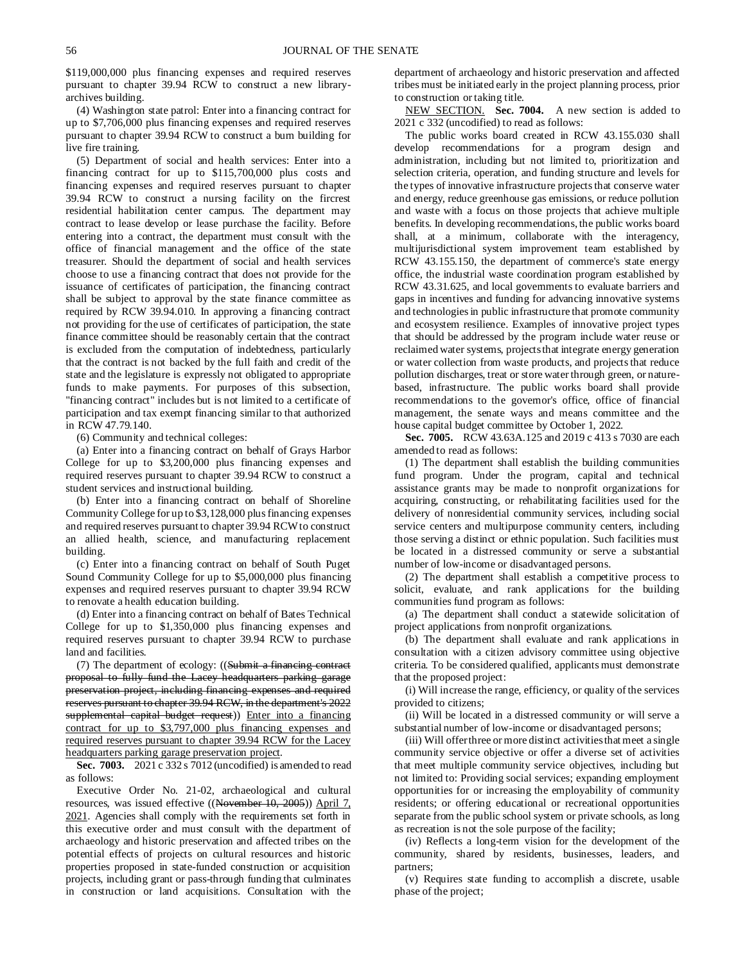\$119,000,000 plus financing expenses and required reserves pursuant to chapter 39.94 RCW to construct a new libraryarchives building.

(4) Washington state patrol: Enter into a financing contract for up to \$7,706,000 plus financing expenses and required reserves pursuant to chapter 39.94 RCW to construct a burn building for live fire training.

(5) Department of social and health services: Enter into a financing contract for up to \$115,700,000 plus costs and financing expenses and required reserves pursuant to chapter 39.94 RCW to construct a nursing facility on the fircrest residential habilitation center campus. The department may contract to lease develop or lease purchase the facility. Before entering into a contract, the department must consult with the office of financial management and the office of the state treasurer. Should the department of social and health services choose to use a financing contract that does not provide for the issuance of certificates of participation, the financing contract shall be subject to approval by the state finance committee as required by RCW 39.94.010. In approving a financing contract not providing for the use of certificates of participation, the state finance committee should be reasonably certain that the contract is excluded from the computation of indebtedness, particularly that the contract is not backed by the full faith and credit of the state and the legislature is expressly not obligated to appropriate funds to make payments. For purposes of this subsection, "financing contract" includes but is not limited to a certificate of participation and tax exempt financing similar to that authorized in RCW 47.79.140.

(6) Community and technical colleges:

(a) Enter into a financing contract on behalf of Grays Harbor College for up to \$3,200,000 plus financing expenses and required reserves pursuant to chapter 39.94 RCW to construct a student services and instructional building.

(b) Enter into a financing contract on behalf of Shoreline Community College for up to \$3,128,000 plus financing expenses and required reserves pursuant to chapter 39.94 RCW to construct an allied health, science, and manufacturing replacement building.

(c) Enter into a financing contract on behalf of South Puget Sound Community College for up to \$5,000,000 plus financing expenses and required reserves pursuant to chapter 39.94 RCW to renovate a health education building.

(d) Enter into a financing contract on behalf of Bates Technical College for up to \$1,350,000 plus financing expenses and required reserves pursuant to chapter 39.94 RCW to purchase land and facilities.

(7) The department of ecology: ((Submit a financing contract proposal to fully fund the Lacey headquarters parking garage preservation project, including financing expenses and required reserves pursuant to chapter 39.94 RCW, in the department's 2022 supplemental capital budget request)) Enter into a financing contract for up to \$3,797,000 plus financing expenses and required reserves pursuant to chapter 39.94 RCW for the Lacey headquarters parking garage preservation project.

**Sec. 7003.** 2021 c 332 s 7012 (uncodified) is amended to read as follows:

Executive Order No. 21-02, archaeological and cultural resources, was issued effective ((November 10, 2005)) April 7, 2021. Agencies shall comply with the requirements set forth in this executive order and must consult with the department of archaeology and historic preservation and affected tribes on the potential effects of projects on cultural resources and historic properties proposed in state-funded construction or acquisition projects, including grant or pass-through funding that culminates in construction or land acquisitions. Consultation with the

department of archaeology and historic preservation and affected tribes must be initiated early in the project planning process, prior to construction or taking title.

NEW SECTION. **Sec. 7004.** A new section is added to 2021 c 332 (uncodified) to read as follows:

The public works board created in RCW 43.155.030 shall develop recommendations for a program design and administration, including but not limited to, prioritization and selection criteria, operation, and funding structure and levels for the types of innovative infrastructure projects that conserve water and energy, reduce greenhouse gas emissions, or reduce pollution and waste with a focus on those projects that achieve multiple benefits. In developing recommendations, the public works board shall, at a minimum, collaborate with the interagency, multijurisdictional system improvement team established by RCW 43.155.150, the department of commerce's state energy office, the industrial waste coordination program established by RCW 43.31.625, and local governments to evaluate barriers and gaps in incentives and funding for advancing innovative systems and technologies in public infrastructure that promote community and ecosystem resilience. Examples of innovative project types that should be addressed by the program include water reuse or reclaimed water systems, projects that integrate energy generation or water collection from waste products, and projects that reduce pollution discharges, treat or store water through green, or naturebased, infrastructure. The public works board shall provide recommendations to the governor's office, office of financial management, the senate ways and means committee and the house capital budget committee by October 1, 2022.

**Sec. 7005.** RCW 43.63A.125 and 2019 c 413 s 7030 are each amended to read as follows:

(1) The department shall establish the building communities fund program. Under the program, capital and technical assistance grants may be made to nonprofit organizations for acquiring, constructing, or rehabilitating facilities used for the delivery of nonresidential community services, including social service centers and multipurpose community centers, including those serving a distinct or ethnic population. Such facilities must be located in a distressed community or serve a substantial number of low-income or disadvantaged persons.

(2) The department shall establish a competitive process to solicit, evaluate, and rank applications for the building communities fund program as follows:

(a) The department shall conduct a statewide solicitation of project applications from nonprofit organizations.

(b) The department shall evaluate and rank applications in consultation with a citizen advisory committee using objective criteria. To be considered qualified, applicants must demonstrate that the proposed project:

(i) Will increase the range, efficiency, or quality of the services provided to citizens;

(ii) Will be located in a distressed community or will serve a substantial number of low-income or disadvantaged persons;

(iii) Will offer three or more distinct activities that meet a single community service objective or offer a diverse set of activities that meet multiple community service objectives, including but not limited to: Providing social services; expanding employment opportunities for or increasing the employability of community residents; or offering educational or recreational opportunities separate from the public school system or private schools, as long as recreation is not the sole purpose of the facility;

(iv) Reflects a long-term vision for the development of the community, shared by residents, businesses, leaders, and partners;

(v) Requires state funding to accomplish a discrete, usable phase of the project;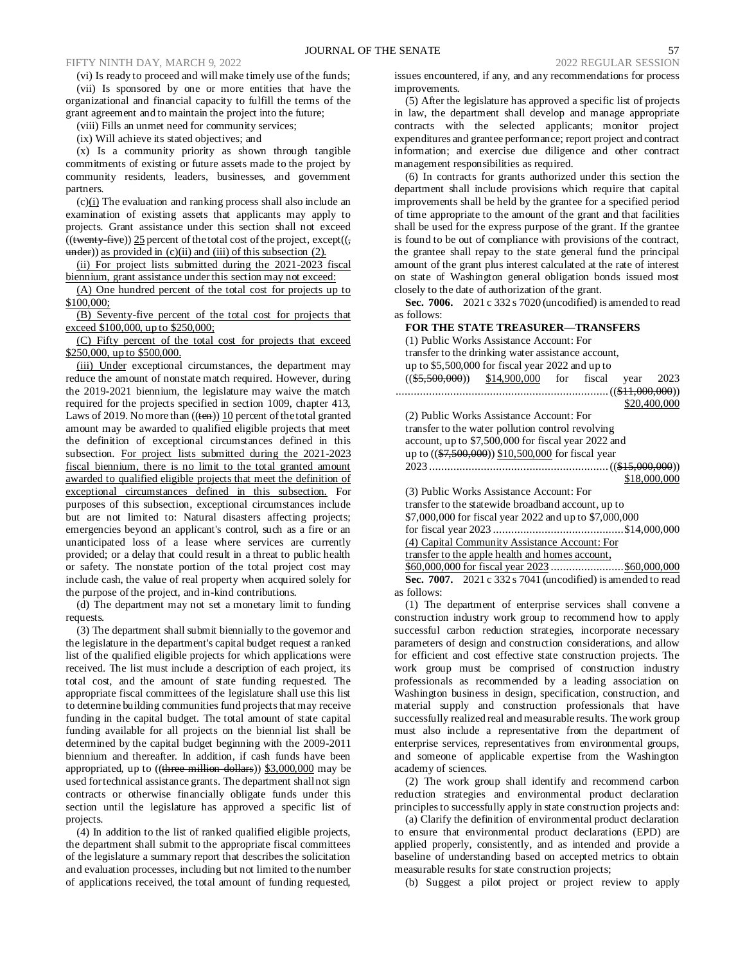(vi) Is ready to proceed and will make timely use of the funds; (vii) Is sponsored by one or more entities that have the organizational and financial capacity to fulfill the terms of the grant agreement and to maintain the project into the future;

(viii) Fills an unmet need for community services;

(ix) Will achieve its stated objectives; and

(x) Is a community priority as shown through tangible commitments of existing or future assets made to the project by community residents, leaders, businesses, and government partners.

 $(c)$ (i) The evaluation and ranking process shall also include an examination of existing assets that applicants may apply to projects. Grant assistance under this section shall not exceed  $(($ twenty-five $))$  25 percent of the total cost of the project, except $((,$  $u$  mder)) as provided in (c)(ii) and (iii) of this subsection (2).

(ii) For project lists submitted during the 2021-2023 fiscal biennium, grant assistance under this section may not exceed:

(A) One hundred percent of the total cost for projects up to \$100,000;

(B) Seventy-five percent of the total cost for projects that exceed \$100,000, up to \$250,000;

(C) Fifty percent of the total cost for projects that exceed \$250,000, up to \$500,000.

(iii) Under exceptional circumstances, the department may reduce the amount of nonstate match required. However, during the 2019-2021 biennium, the legislature may waive the match required for the projects specified in section 1009, chapter 413, Laws of 2019. No more than  $((ten))$  10 percent of the total granted amount may be awarded to qualified eligible projects that meet the definition of exceptional circumstances defined in this subsection. For project lists submitted during the 2021-2023 fiscal biennium, there is no limit to the total granted amount awarded to qualified eligible projects that meet the definition of exceptional circumstances defined in this subsection. For purposes of this subsection, exceptional circumstances include but are not limited to: Natural disasters affecting projects; emergencies beyond an applicant's control, such as a fire or an unanticipated loss of a lease where services are currently provided; or a delay that could result in a threat to public health or safety. The nonstate portion of the total project cost may include cash, the value of real property when acquired solely for the purpose of the project, and in-kind contributions.

(d) The department may not set a monetary limit to funding requests.

(3) The department shall submit biennially to the governor and the legislature in the department's capital budget request a ranked list of the qualified eligible projects for which applications were received. The list must include a description of each project, its total cost, and the amount of state funding requested. The appropriate fiscal committees of the legislature shall use this list to determine building communities fund projects that may receive funding in the capital budget. The total amount of state capital funding available for all projects on the biennial list shall be determined by the capital budget beginning with the 2009-2011 biennium and thereafter. In addition, if cash funds have been appropriated, up to ((three million dollars)) \$3,000,000 may be used for technical assistance grants. The department shall not sign contracts or otherwise financially obligate funds under this section until the legislature has approved a specific list of projects.

(4) In addition to the list of ranked qualified eligible projects, the department shall submit to the appropriate fiscal committees of the legislature a summary report that describes the solicitation and evaluation processes, including but not limited to the number of applications received, the total amount of funding requested, issues encountered, if any, and any recommendations for process improvements.

(5) After the legislature has approved a specific list of projects in law, the department shall develop and manage appropriate contracts with the selected applicants; monitor project expenditures and grantee performance; report project and contract information; and exercise due diligence and other contract management responsibilities as required.

(6) In contracts for grants authorized under this section the department shall include provisions which require that capital improvements shall be held by the grantee for a specified period of time appropriate to the amount of the grant and that facilities shall be used for the express purpose of the grant. If the grantee is found to be out of compliance with provisions of the contract, the grantee shall repay to the state general fund the principal amount of the grant plus interest calculated at the rate of interest on state of Washington general obligation bonds issued most closely to the date of authorization of the grant.

**Sec. 7006.** 2021 c 332 s 7020 (uncodified) is amended to read as follows:

#### **FOR THE STATE TREASURER—TRANSFERS**

| (1) Public Works Assistance Account: For                                                                |  |  |                                          |  |  |                                                              |              |
|---------------------------------------------------------------------------------------------------------|--|--|------------------------------------------|--|--|--------------------------------------------------------------|--------------|
| transfer to the drinking water assistance account,<br>up to $$5,500,000$ for fiscal year 2022 and up to |  |  |                                          |  |  |                                                              |              |
|                                                                                                         |  |  |                                          |  |  |                                                              |              |
|                                                                                                         |  |  |                                          |  |  | $((\$5,500,000))$ $\$14,900,000$ for fiscal year             | 2023         |
|                                                                                                         |  |  |                                          |  |  |                                                              |              |
|                                                                                                         |  |  |                                          |  |  |                                                              | \$20,400,000 |
|                                                                                                         |  |  | (2) Public Works Assistance Account: For |  |  |                                                              |              |
|                                                                                                         |  |  |                                          |  |  | transfer to the water pollution control revolving            |              |
|                                                                                                         |  |  |                                          |  |  | account, up to \$7,500,000 for fiscal year 2022 and          |              |
|                                                                                                         |  |  |                                          |  |  | up to ((\$7,500,000)) \$10,500,000 for fiscal year           |              |
|                                                                                                         |  |  |                                          |  |  |                                                              |              |
|                                                                                                         |  |  |                                          |  |  |                                                              | \$18,000,000 |
|                                                                                                         |  |  |                                          |  |  |                                                              |              |
| (3) Public Works Assistance Account: For                                                                |  |  |                                          |  |  |                                                              |              |
| transfer to the statewide broadband account, up to                                                      |  |  |                                          |  |  |                                                              |              |
| \$7,000,000 for fiscal year 2022 and up to \$7,000,000                                                  |  |  |                                          |  |  |                                                              |              |
|                                                                                                         |  |  |                                          |  |  |                                                              |              |
|                                                                                                         |  |  |                                          |  |  | (4) Capital Community Assistance Account: For                |              |
|                                                                                                         |  |  |                                          |  |  | transfer to the apple health and homes account,              |              |
|                                                                                                         |  |  |                                          |  |  |                                                              |              |
|                                                                                                         |  |  |                                          |  |  | Sec. 7007. 2021 c 332 s 7041 (uncodified) is amended to read |              |
| as follows:                                                                                             |  |  |                                          |  |  |                                                              |              |

(1) The department of enterprise services shall convene a construction industry work group to recommend how to apply successful carbon reduction strategies, incorporate necessary parameters of design and construction considerations, and allow for efficient and cost effective state construction projects. The work group must be comprised of construction industry professionals as recommended by a leading association on Washington business in design, specification, construction, and material supply and construction professionals that have successfully realized real and measurable results. The work group must also include a representative from the department of enterprise services, representatives from environmental groups, and someone of applicable expertise from the Washington academy of sciences.

(2) The work group shall identify and recommend carbon reduction strategies and environmental product declaration principles to successfully apply in state construction projects and:

(a) Clarify the definition of environmental product declaration to ensure that environmental product declarations (EPD) are applied properly, consistently, and as intended and provide a baseline of understanding based on accepted metrics to obtain measurable results for state construction projects;

(b) Suggest a pilot project or project review to apply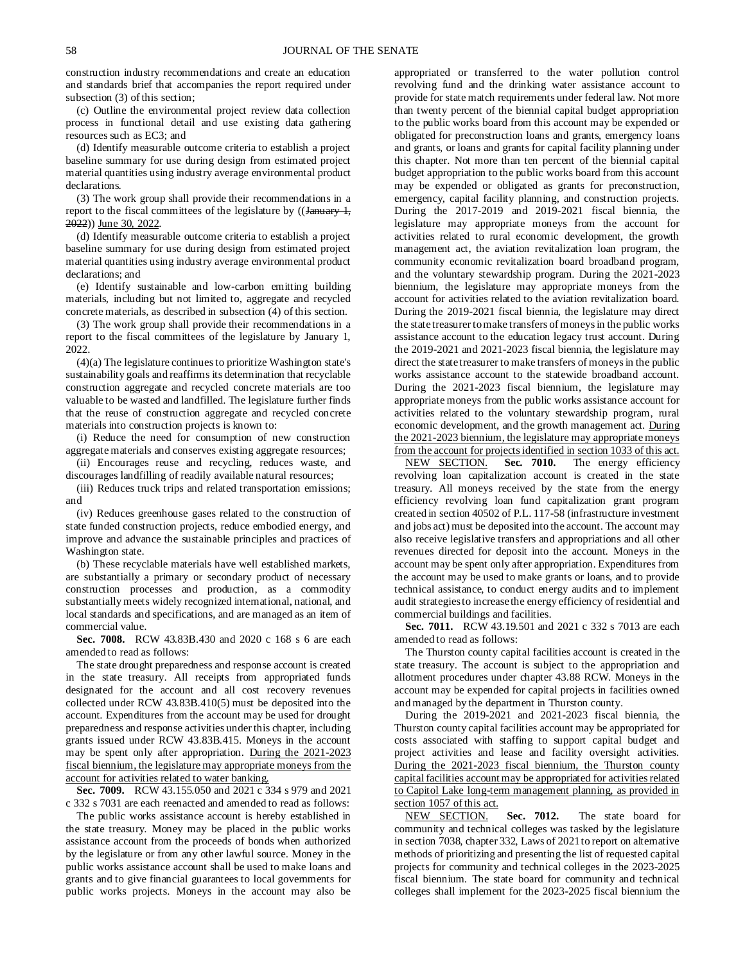construction industry recommendations and create an education and standards brief that accompanies the report required under subsection (3) of this section;

(c) Outline the environmental project review data collection process in functional detail and use existing data gathering resources such as EC3; and

(d) Identify measurable outcome criteria to establish a project baseline summary for use during design from estimated project material quantities using industry average environmental product declarations.

(3) The work group shall provide their recommendations in a report to the fiscal committees of the legislature by  $((January 1,$ 2022)) June 30, 2022.

(d) Identify measurable outcome criteria to establish a project baseline summary for use during design from estimated project material quantities using industry average environmental product declarations; and

(e) Identify sustainable and low-carbon emitting building materials, including but not limited to, aggregate and recycled concrete materials, as described in subsection (4) of this section.

(3) The work group shall provide their recommendations in a report to the fiscal committees of the legislature by January 1, 2022.

(4)(a) The legislature continues to prioritize Washington state's sustainability goals and reaffirms its determination that recyclable construction aggregate and recycled concrete materials are too valuable to be wasted and landfilled. The legislature further finds that the reuse of construction aggregate and recycled concrete materials into construction projects is known to:

(i) Reduce the need for consumption of new construction aggregate materials and conserves existing aggregate resources;

(ii) Encourages reuse and recycling, reduces waste, and discourages landfilling of readily available natural resources;

(iii) Reduces truck trips and related transportation emissions; and

(iv) Reduces greenhouse gases related to the construction of state funded construction projects, reduce embodied energy, and improve and advance the sustainable principles and practices of Washington state.

(b) These recyclable materials have well established markets, are substantially a primary or secondary product of necessary construction processes and production, as a commodity substantially meets widely recognized international, national, and local standards and specifications, and are managed as an item of commercial value.

**Sec. 7008.** RCW 43.83B.430 and 2020 c 168 s 6 are each amended to read as follows:

The state drought preparedness and response account is created in the state treasury. All receipts from appropriated funds designated for the account and all cost recovery revenues collected under RCW 43.83B.410(5) must be deposited into the account. Expenditures from the account may be used for drought preparedness and response activities under this chapter, including grants issued under RCW 43.83B.415. Moneys in the account may be spent only after appropriation. During the 2021-2023 fiscal biennium, the legislature may appropriate moneys from the account for activities related to water banking.

**Sec. 7009.** RCW 43.155.050 and 2021 c 334 s 979 and 2021 c 332 s 7031 are each reenacted and amended to read as follows:

The public works assistance account is hereby established in the state treasury. Money may be placed in the public works assistance account from the proceeds of bonds when authorized by the legislature or from any other lawful source. Money in the public works assistance account shall be used to make loans and grants and to give financial guarantees to local governments for public works projects. Moneys in the account may also be appropriated or transferred to the water pollution control revolving fund and the drinking water assistance account to provide for state match requirements under federal law. Not more than twenty percent of the biennial capital budget appropriation to the public works board from this account may be expended or obligated for preconstruction loans and grants, emergency loans and grants, or loans and grants for capital facility planning under this chapter. Not more than ten percent of the biennial capital budget appropriation to the public works board from this account may be expended or obligated as grants for preconstruction, emergency, capital facility planning, and construction projects. During the 2017-2019 and 2019-2021 fiscal biennia, the legislature may appropriate moneys from the account for activities related to rural economic development, the growth management act, the aviation revitalization loan program, the community economic revitalization board broadband program, and the voluntary stewardship program. During the 2021-2023 biennium, the legislature may appropriate moneys from the account for activities related to the aviation revitalization board. During the 2019-2021 fiscal biennia, the legislature may direct the state treasurer to make transfers of moneys in the public works assistance account to the education legacy trust account. During the 2019-2021 and 2021-2023 fiscal biennia, the legislature may direct the state treasurer to make transfers of moneys in the public works assistance account to the statewide broadband account. During the 2021-2023 fiscal biennium, the legislature may appropriate moneys from the public works assistance account for activities related to the voluntary stewardship program, rural economic development, and the growth management act. During the 2021-2023 biennium, the legislature may appropriate moneys from the account for projects identified in section 1033 of this act.<br>NEW SECTION. Sec. 7010. The energy efficiency

NEW SECTION. **Sec. 7010.** The energy efficiency revolving loan capitalization account is created in the state treasury. All moneys received by the state from the energy efficiency revolving loan fund capitalization grant program created in section 40502 of P.L. 117-58 (infrastructure investment and jobs act) must be deposited into the account. The account may also receive legislative transfers and appropriations and all other revenues directed for deposit into the account. Moneys in the account may be spent only after appropriation. Expenditures from the account may be used to make grants or loans, and to provide technical assistance, to conduct energy audits and to implement audit strategies to increase the energy efficiency of residential and commercial buildings and facilities.

**Sec. 7011.** RCW 43.19.501 and 2021 c 332 s 7013 are each amended to read as follows:

The Thurston county capital facilities account is created in the state treasury. The account is subject to the appropriation and allotment procedures under chapter 43.88 RCW. Moneys in the account may be expended for capital projects in facilities owned and managed by the department in Thurston county.

During the 2019-2021 and 2021-2023 fiscal biennia, the Thurston county capital facilities account may be appropriated for costs associated with staffing to support capital budget and project activities and lease and facility oversight activities. During the 2021-2023 fiscal biennium, the Thurston county capital facilities account may be appropriated for activities related to Capitol Lake long-term management planning, as provided in section 1057 of this act.

NEW SECTION. **Sec. 7012.** The state board for community and technical colleges was tasked by the legislature in section 7038, chapter 332, Laws of 2021 to report on alternative methods of prioritizing and presenting the list of requested capital projects for community and technical colleges in the 2023-2025 fiscal biennium. The state board for community and technical colleges shall implement for the 2023-2025 fiscal biennium the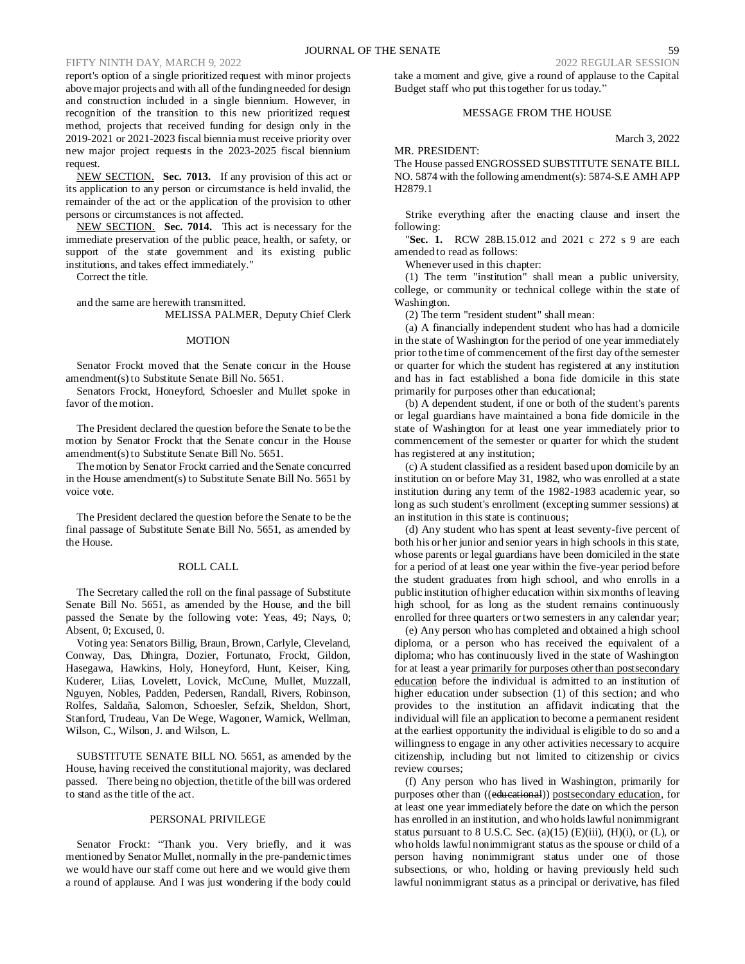report's option of a single prioritized request with minor projects above major projects and with all of the funding needed for design and construction included in a single biennium. However, in recognition of the transition to this new prioritized request method, projects that received funding for design only in the 2019-2021 or 2021-2023 fiscal biennia must receive priority over new major project requests in the 2023-2025 fiscal biennium request.

NEW SECTION. **Sec. 7013.** If any provision of this act or its application to any person or circumstance is held invalid, the remainder of the act or the application of the provision to other persons or circumstances is not affected.

NEW SECTION. **Sec. 7014.** This act is necessary for the immediate preservation of the public peace, health, or safety, or support of the state government and its existing public institutions, and takes effect immediately."

Correct the title.

and the same are herewith transmitted. MELISSA PALMER, Deputy Chief Clerk

#### MOTION

Senator Frockt moved that the Senate concur in the House amendment(s) to Substitute Senate Bill No. 5651.

Senators Frockt, Honeyford, Schoesler and Mullet spoke in favor of the motion.

The President declared the question before the Senate to be the motion by Senator Frockt that the Senate concur in the House amendment(s) to Substitute Senate Bill No. 5651.

The motion by Senator Frockt carried and the Senate concurred in the House amendment(s) to Substitute Senate Bill No. 5651 by voice vote.

The President declared the question before the Senate to be the final passage of Substitute Senate Bill No. 5651, as amended by the House.

#### ROLL CALL

The Secretary called the roll on the final passage of Substitute Senate Bill No. 5651, as amended by the House, and the bill passed the Senate by the following vote: Yeas, 49; Nays, 0; Absent, 0; Excused, 0.

Voting yea: Senators Billig, Braun, Brown, Carlyle, Cleveland, Conway, Das, Dhingra, Dozier, Fortunato, Frockt, Gildon, Hasegawa, Hawkins, Holy, Honeyford, Hunt, Keiser, King, Kuderer, Liias, Lovelett, Lovick, McCune, Mullet, Muzzall, Nguyen, Nobles, Padden, Pedersen, Randall, Rivers, Robinson, Rolfes, Saldaña, Salomon, Schoesler, Sefzik, Sheldon, Short, Stanford, Trudeau, Van De Wege, Wagoner, Warnick, Wellman, Wilson, C., Wilson, J. and Wilson, L.

SUBSTITUTE SENATE BILL NO. 5651, as amended by the House, having received the constitutional majority, was declared passed. There being no objection, the title of the bill was ordered to stand as the title of the act.

#### PERSONAL PRIVILEGE

Senator Frockt: "Thank you. Very briefly, and it was mentioned by Senator Mullet, normally in the pre-pandemic times we would have our staff come out here and we would give them a round of applause. And I was just wondering if the body could

take a moment and give, give a round of applause to the Capital Budget staff who put this together for us today."

### MESSAGE FROM THE HOUSE

# MR. PRESIDENT:

March 3, 2022

The House passed ENGROSSED SUBSTITUTE SENATE BILL NO. 5874 with the following amendment(s): 5874-S.E AMH APP H2879.1

Strike everything after the enacting clause and insert the following:

"**Sec. 1.** RCW 28B.15.012 and 2021 c 272 s 9 are each amended to read as follows:

Whenever used in this chapter:

(1) The term "institution" shall mean a public university, college, or community or technical college within the state of Washington.

(2) The term "resident student" shall mean:

(a) A financially independent student who has had a domicile in the state of Washington for the period of one year immediately prior to the time of commencement of the first day of the semester or quarter for which the student has registered at any institution and has in fact established a bona fide domicile in this state primarily for purposes other than educational;

(b) A dependent student, if one or both of the student's parents or legal guardians have maintained a bona fide domicile in the state of Washington for at least one year immediately prior to commencement of the semester or quarter for which the student has registered at any institution;

(c) A student classified as a resident based upon domicile by an institution on or before May 31, 1982, who was enrolled at a state institution during any term of the 1982-1983 academic year, so long as such student's enrollment (excepting summer sessions) at an institution in this state is continuous;

(d) Any student who has spent at least seventy-five percent of both his or her junior and senior years in high schools in this state, whose parents or legal guardians have been domiciled in the state for a period of at least one year within the five-year period before the student graduates from high school, and who enrolls in a public institution of higher education within six months of leaving high school, for as long as the student remains continuously enrolled for three quarters or two semesters in any calendar year;

(e) Any person who has completed and obtained a high school diploma, or a person who has received the equivalent of a diploma; who has continuously lived in the state of Washington for at least a year primarily for purposes other than postsecondary education before the individual is admitted to an institution of higher education under subsection (1) of this section; and who provides to the institution an affidavit indicating that the individual will file an application to become a permanent resident at the earliest opportunity the individual is eligible to do so and a willingness to engage in any other activities necessary to acquire citizenship, including but not limited to citizenship or civics review courses;

(f) Any person who has lived in Washington, primarily for purposes other than ((educational)) postsecondary education, for at least one year immediately before the date on which the person has enrolled in an institution, and who holds lawful nonimmigrant status pursuant to 8 U.S.C. Sec. (a)(15) (E)(iii),  $(H)(i)$ , or  $(L)$ , or who holds lawful nonimmigrant status as the spouse or child of a person having nonimmigrant status under one of those subsections, or who, holding or having previously held such lawful nonimmigrant status as a principal or derivative, has filed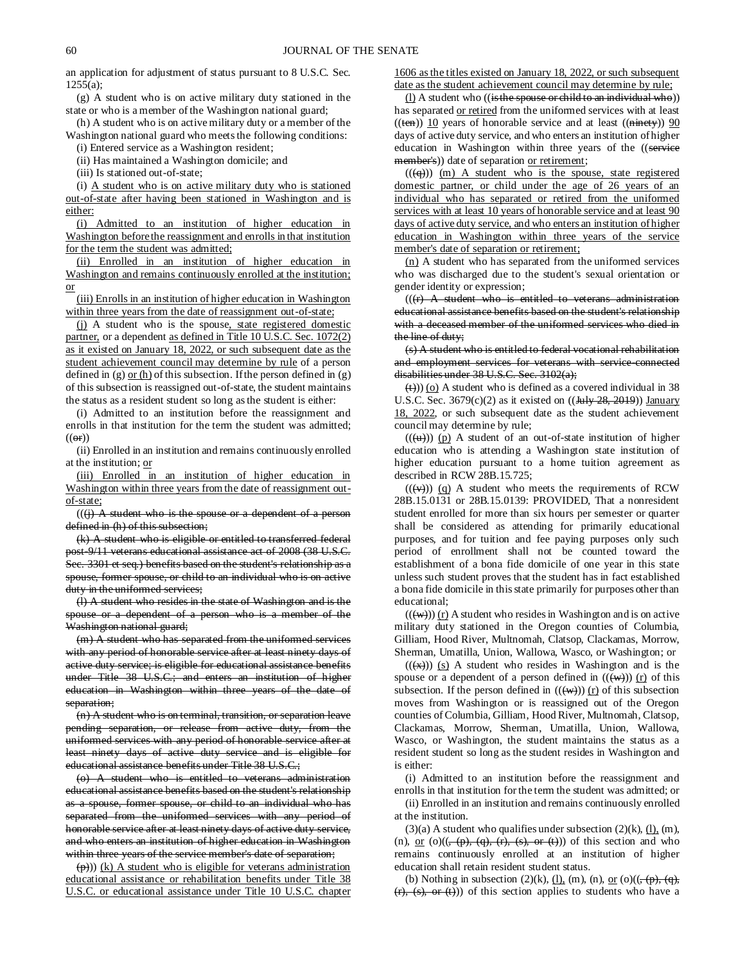an application for adjustment of status pursuant to 8 U.S.C. Sec. 1255(a);

(g) A student who is on active military duty stationed in the state or who is a member of the Washington national guard;

(h) A student who is on active military duty or a member of the Washington national guard who meets the following conditions:

(i) Entered service as a Washington resident;

(ii) Has maintained a Washington domicile; and

(iii) Is stationed out-of-state;

(i) A student who is on active military duty who is stationed out-of-state after having been stationed in Washington and is either:

(i) Admitted to an institution of higher education in Washington before the reassignment and enrolls in that institution for the term the student was admitted;

(ii) Enrolled in an institution of higher education in Washington and remains continuously enrolled at the institution; or

(iii) Enrolls in an institution of higher education in Washington within three years from the date of reassignment out-of-state;

(j) A student who is the spouse, state registered domestic partner, or a dependent as defined in Title 10 U.S.C. Sec. 1072(2) as it existed on January 18, 2022, or such subsequent date as the student achievement council may determine by rule of a person defined in (g) or  $(h)$  of this subsection. If the person defined in (g) of this subsection is reassigned out-of-state, the student maintains the status as a resident student so long as the student is either:

(i) Admitted to an institution before the reassignment and enrolls in that institution for the term the student was admitted;  $((or))$ 

(ii) Enrolled in an institution and remains continuously enrolled at the institution; or

(iii) Enrolled in an institution of higher education in Washington within three years from the date of reassignment outof-state;

 $((\dagger)$  A student who is the spouse or a dependent of a person defined in (h) of this subsection;

(k) A student who is eligible or entitled to transferred federal post-9/11 veterans educational assistance act of 2008 (38 U.S.C. Sec. 3301 et seq.) benefits based on the student's relationship as a spouse, former spouse, or child to an individual who is on active duty in the uniformed services;

(l) A student who resides in the state of Washington and is the spouse or a dependent of a person who is a member of the Washington national guard;

(m) A student who has separated from the uniformed services with any period of honorable service after at least ninety days of active duty service; is eligible for educational assistance benefits under Title 38 U.S.C.; and enters an institution of higher education in Washington within three years of the date of separation;

(n) A student who is on terminal, transition, or separation leave pending separation, or release from active duty, from the uniformed services with any period of honorable service after at least ninety days of active duty service and is eligible for educational assistance benefits under Title 38 U.S.C.;

(o) A student who is entitled to veterans administration educational assistance benefits based on the student's relationship as a spouse, former spouse, or child to an individual who has separated from the uniformed services with any period of honorable service after at least ninety days of active duty service, and who enters an institution of higher education in Washington within three years of the service member's date of separation;

 $(\overline{p})$ ) (k) A student who is eligible for veterans administration educational assistance or rehabilitation benefits under Title 38 U.S.C. or educational assistance under Title 10 U.S.C. chapter 1606 as the titles existed on January 18, 2022, or such subsequent date as the student achievement council may determine by rule;

(l) A student who ((is the spouse or child to an individual who)) has separated or retired from the uniformed services with at least  $((ten))$  10 years of honorable service and at least  $((ninety))$  90 days of active duty service, and who enters an institution of higher education in Washington within three years of the ((service member's)) date of separation or retirement;

 $((\langle q \rangle)$  (m) A student who is the spouse, state registered domestic partner, or child under the age of 26 years of an individual who has separated or retired from the uniformed services with at least 10 years of honorable service and at least 90 days of active duty service, and who enters an institution of higher education in Washington within three years of the service member's date of separation or retirement;

(n) A student who has separated from the uniformed services who was discharged due to the student's sexual orientation or gender identity or expression;

 $((r)$  A student who is entitled to veterans administration educational assistance benefits based on the student's relationship with a deceased member of the uniformed services who died in the line of duty;

(s) A student who is entitled to federal vocational rehabilitation and employment services for veterans with service-connected disabilities under 38 U.S.C. Sec. 3102(a);

 $(\leftrightarrow)$ ) (o) A student who is defined as a covered individual in 38 U.S.C. Sec. 3679 $(c)(2)$  as it existed on  $((\frac{1}{2} + \frac{1}{28}, \frac{2019}{2}))$  January 18, 2022, or such subsequent date as the student achievement council may determine by rule;

 $((\langle u \rangle))$  (p) A student of an out-of-state institution of higher education who is attending a Washington state institution of higher education pursuant to a home tuition agreement as described in RCW 28B.15.725;

 $((\langle v \rangle))$  (q) A student who meets the requirements of RCW 28B.15.0131 or 28B.15.0139: PROVIDED, That a nonresident student enrolled for more than six hours per semester or quarter shall be considered as attending for primarily educational purposes, and for tuition and fee paying purposes only such period of enrollment shall not be counted toward the establishment of a bona fide domicile of one year in this state unless such student proves that the student has in fact established a bona fide domicile in this state primarily for purposes other than educational;

 $((\langle w \rangle)(r)$  A student who resides in Washington and is on active military duty stationed in the Oregon counties of Columbia, Gilliam, Hood River, Multnomah, Clatsop, Clackamas, Morrow, Sherman, Umatilla, Union, Wallowa, Wasco, or Washington; or

 $((\overline{(*)}))$  (s) A student who resides in Washington and is the spouse or a dependent of a person defined in  $((\forall x))$  (r) of this subsection. If the person defined in  $((\langle w \rangle) )$  (r) of this subsection moves from Washington or is reassigned out of the Oregon counties of Columbia, Gilliam, Hood River, Multnomah, Clatsop, Clackamas, Morrow, Sherman, Umatilla, Union, Wallowa, Wasco, or Washington, the student maintains the status as a resident student so long as the student resides in Washington and is either:

(i) Admitted to an institution before the reassignment and enrolls in that institution for the term the student was admitted; or

(ii) Enrolled in an institution and remains continuously enrolled at the institution.

 $(3)(a)$  A student who qualifies under subsection  $(2)(k)$ ,  $(l)$ ,  $(m)$ , (n), <u>or</u> (o)( $(\frac{1}{2}, \frac{1}{2}, \frac{1}{2}, \frac{1}{2}, \frac{1}{2}, \frac{1}{2}, \frac{1}{2}, \frac{1}{2}, \frac{1}{2}, \frac{1}{2}, \frac{1}{2}, \frac{1}{2}, \frac{1}{2}, \frac{1}{2}, \frac{1}{2}, \frac{1}{2}, \frac{1}{2}, \frac{1}{2}, \frac{1}{2}, \frac{1}{2}, \frac{1}{2}, \frac{1}{2}, \frac{1}{2}, \frac{1}{2}, \frac{1}{2}, \frac{1}{2}, \frac{1}{2}, \frac{1}{2}, \frac{1}{2}, \frac{$ remains continuously enrolled at an institution of higher education shall retain resident student status.

(b) Nothing in subsection (2)(k),  $\underline{(l)}$ , (m), (n), or (o)( $(\overline{(\cdot)}$ ,  $\overline{(q)}$ ,  $(r)$ ,  $(s)$ , or  $(t)$ )) of this section applies to students who have a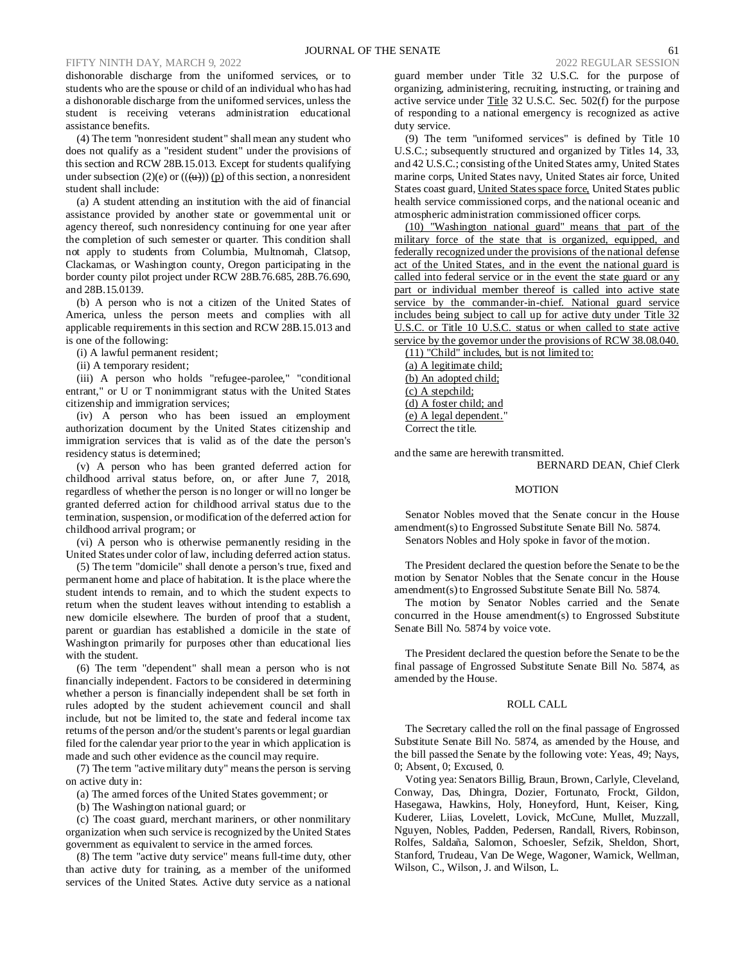dishonorable discharge from the uniformed services, or to students who are the spouse or child of an individual who has had a dishonorable discharge from the uniformed services, unless the student is receiving veterans administration educational assistance benefits.

(4) The term "nonresident student" shall mean any student who does not qualify as a "resident student" under the provisions of this section and RCW 28B.15.013. Except for students qualifying under subsection (2)(e) or  $((\omega))$  (p) of this section, a nonresident student shall include:

(a) A student attending an institution with the aid of financial assistance provided by another state or governmental unit or agency thereof, such nonresidency continuing for one year after the completion of such semester or quarter. This condition shall not apply to students from Columbia, Multnomah, Clatsop, Clackamas, or Washington county, Oregon participating in the border county pilot project under RCW 28B.76.685, 28B.76.690, and 28B.15.0139.

(b) A person who is not a citizen of the United States of America, unless the person meets and complies with all applicable requirements in this section and RCW 28B.15.013 and is one of the following:

(i) A lawful permanent resident;

(ii) A temporary resident;

(iii) A person who holds "refugee-parolee," "conditional entrant," or U or T nonimmigrant status with the United States citizenship and immigration services;

(iv) A person who has been issued an employment authorization document by the United States citizenship and immigration services that is valid as of the date the person's residency status is determined;

(v) A person who has been granted deferred action for childhood arrival status before, on, or after June 7, 2018, regardless of whether the person is no longer or will no longer be granted deferred action for childhood arrival status due to the termination, suspension, or modification of the deferred action for childhood arrival program; or

(vi) A person who is otherwise permanently residing in the United States under color of law, including deferred action status.

(5) The term "domicile" shall denote a person's true, fixed and permanent home and place of habitation. It is the place where the student intends to remain, and to which the student expects to return when the student leaves without intending to establish a new domicile elsewhere. The burden of proof that a student, parent or guardian has established a domicile in the state of Washington primarily for purposes other than educational lies with the student.

(6) The term "dependent" shall mean a person who is not financially independent. Factors to be considered in determining whether a person is financially independent shall be set forth in rules adopted by the student achievement council and shall include, but not be limited to, the state and federal income tax returns of the person and/or the student's parents or legal guardian filed for the calendar year prior to the year in which application is made and such other evidence as the council may require.

(7) The term "active military duty" means the person is serving on active duty in:

(a) The armed forces of the United States government; or

(b) The Washington national guard; or

(c) The coast guard, merchant mariners, or other nonmilitary organization when such service is recognized by the United States government as equivalent to service in the armed forces.

(8) The term "active duty service" means full-time duty, other than active duty for training, as a member of the uniformed services of the United States. Active duty service as a national guard member under Title 32 U.S.C. for the purpose of organizing, administering, recruiting, instructing, or training and active service under Title 32 U.S.C. Sec. 502(f) for the purpose of responding to a national emergency is recognized as active duty service.

(9) The term "uniformed services" is defined by Title 10 U.S.C.; subsequently structured and organized by Titles 14, 33, and 42 U.S.C.; consisting of the United States army, United States marine corps, United States navy, United States air force, United States coast guard, United States space force, United States public health service commissioned corps, and the national oceanic and atmospheric administration commissioned officer corps.

(10) "Washington national guard" means that part of the military force of the state that is organized, equipped, and federally recognized under the provisions of the national defense act of the United States, and in the event the national guard is called into federal service or in the event the state guard or any part or individual member thereof is called into active state service by the commander-in-chief. National guard service includes being subject to call up for active duty under Title 32 U.S.C. or Title 10 U.S.C. status or when called to state active service by the governor under the provisions of RCW 38.08.040.

(11) "Child" includes, but is not limited to:

(a) A legitimate child; (b) An adopted child; (c) A stepchild; (d) A foster child; and (e) A legal dependent." Correct the title.

and the same are herewith transmitted.

BERNARD DEAN, Chief Clerk

# MOTION

Senator Nobles moved that the Senate concur in the House amendment(s) to Engrossed Substitute Senate Bill No. 5874. Senators Nobles and Holy spoke in favor of the motion.

The President declared the question before the Senate to be the motion by Senator Nobles that the Senate concur in the House amendment(s) to Engrossed Substitute Senate Bill No. 5874.

The motion by Senator Nobles carried and the Senate concurred in the House amendment(s) to Engrossed Substitute Senate Bill No. 5874 by voice vote.

The President declared the question before the Senate to be the final passage of Engrossed Substitute Senate Bill No. 5874, as amended by the House.

# ROLL CALL

The Secretary called the roll on the final passage of Engrossed Substitute Senate Bill No. 5874, as amended by the House, and the bill passed the Senate by the following vote: Yeas, 49; Nays, 0; Absent, 0; Excused, 0.

Voting yea: Senators Billig, Braun, Brown, Carlyle, Cleveland, Conway, Das, Dhingra, Dozier, Fortunato, Frockt, Gildon, Hasegawa, Hawkins, Holy, Honeyford, Hunt, Keiser, King, Kuderer, Liias, Lovelett, Lovick, McCune, Mullet, Muzzall, Nguyen, Nobles, Padden, Pedersen, Randall, Rivers, Robinson, Rolfes, Saldaña, Salomon, Schoesler, Sefzik, Sheldon, Short, Stanford, Trudeau, Van De Wege, Wagoner, Warnick, Wellman, Wilson, C., Wilson, J. and Wilson, L.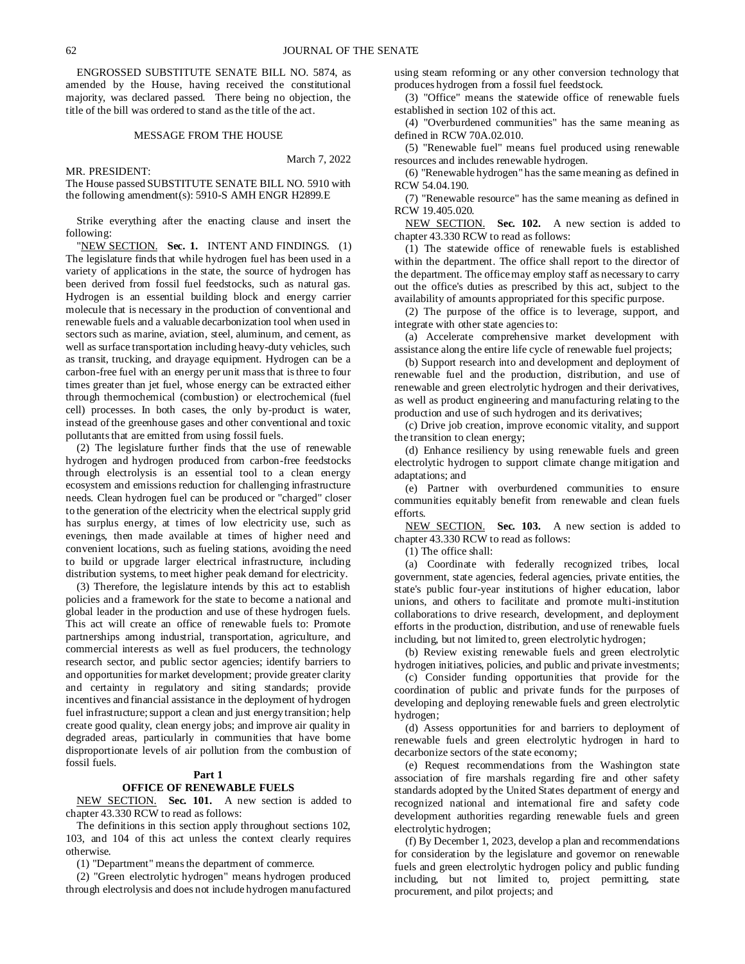ENGROSSED SUBSTITUTE SENATE BILL NO. 5874, as amended by the House, having received the constitutional majority, was declared passed. There being no objection, the title of the bill was ordered to stand as the title of the act.

#### MESSAGE FROM THE HOUSE

MR. PRESIDENT:

March 7, 2022

The House passed SUBSTITUTE SENATE BILL NO. 5910 with the following amendment(s): 5910-S AMH ENGR H2899.E

Strike everything after the enacting clause and insert the following:

"NEW SECTION. **Sec. 1.** INTENT AND FINDINGS. (1) The legislature finds that while hydrogen fuel has been used in a variety of applications in the state, the source of hydrogen has been derived from fossil fuel feedstocks, such as natural gas. Hydrogen is an essential building block and energy carrier molecule that is necessary in the production of conventional and renewable fuels and a valuable decarbonization tool when used in sectors such as marine, aviation, steel, aluminum, and cement, as well as surface transportation including heavy-duty vehicles, such as transit, trucking, and drayage equipment. Hydrogen can be a carbon-free fuel with an energy per unit mass that is three to four times greater than jet fuel, whose energy can be extracted either through thermochemical (combustion) or electrochemical (fuel cell) processes. In both cases, the only by-product is water, instead of the greenhouse gases and other conventional and toxic pollutants that are emitted from using fossil fuels.

(2) The legislature further finds that the use of renewable hydrogen and hydrogen produced from carbon-free feedstocks through electrolysis is an essential tool to a clean energy ecosystem and emissions reduction for challenging infrastructure needs. Clean hydrogen fuel can be produced or "charged" closer to the generation of the electricity when the electrical supply grid has surplus energy, at times of low electricity use, such as evenings, then made available at times of higher need and convenient locations, such as fueling stations, avoiding the need to build or upgrade larger electrical infrastructure, including distribution systems, to meet higher peak demand for electricity.

(3) Therefore, the legislature intends by this act to establish policies and a framework for the state to become a national and global leader in the production and use of these hydrogen fuels. This act will create an office of renewable fuels to: Promote partnerships among industrial, transportation, agriculture, and commercial interests as well as fuel producers, the technology research sector, and public sector agencies; identify barriers to and opportunities for market development; provide greater clarity and certainty in regulatory and siting standards; provide incentives and financial assistance in the deployment of hydrogen fuel infrastructure; support a clean and just energy transition; help create good quality, clean energy jobs; and improve air quality in degraded areas, particularly in communities that have borne disproportionate levels of air pollution from the combustion of fossil fuels.

# **Part 1**

#### **OFFICE OF RENEWABLE FUELS**

NEW SECTION. **Sec. 101.** A new section is added to chapter 43.330 RCW to read as follows:

The definitions in this section apply throughout sections 102, 103, and 104 of this act unless the context clearly requires otherwise.

(1) "Department" means the department of commerce.

(2) "Green electrolytic hydrogen" means hydrogen produced through electrolysis and does not include hydrogen manufactured

using steam reforming or any other conversion technology that produces hydrogen from a fossil fuel feedstock.

(3) "Office" means the statewide office of renewable fuels established in section 102 of this act.

(4) "Overburdened communities" has the same meaning as defined in RCW 70A.02.010.

(5) "Renewable fuel" means fuel produced using renewable resources and includes renewable hydrogen.

(6) "Renewable hydrogen" has the same meaning as defined in RCW 54.04.190.

(7) "Renewable resource" has the same meaning as defined in RCW 19.405.020.

NEW SECTION. **Sec. 102.** A new section is added to chapter 43.330 RCW to read as follows:

(1) The statewide office of renewable fuels is established within the department. The office shall report to the director of the department. The office may employ staff as necessary to carry out the office's duties as prescribed by this act, subject to the availability of amounts appropriated for this specific purpose.

(2) The purpose of the office is to leverage, support, and integrate with other state agencies to:

(a) Accelerate comprehensive market development with assistance along the entire life cycle of renewable fuel projects;

(b) Support research into and development and deployment of renewable fuel and the production, distribution, and use of renewable and green electrolytic hydrogen and their derivatives, as well as product engineering and manufacturing relating to the production and use of such hydrogen and its derivatives;

(c) Drive job creation, improve economic vitality, and support the transition to clean energy;

(d) Enhance resiliency by using renewable fuels and green electrolytic hydrogen to support climate change mitigation and adaptations; and

(e) Partner with overburdened communities to ensure communities equitably benefit from renewable and clean fuels efforts.

NEW SECTION. **Sec. 103.** A new section is added to chapter 43.330 RCW to read as follows:

(1) The office shall:

(a) Coordinate with federally recognized tribes, local government, state agencies, federal agencies, private entities, the state's public four-year institutions of higher education, labor unions, and others to facilitate and promote multi-institution collaborations to drive research, development, and deployment efforts in the production, distribution, and use of renewable fuels including, but not limited to, green electrolytic hydrogen;

(b) Review existing renewable fuels and green electrolytic hydrogen initiatives, policies, and public and private investments;

(c) Consider funding opportunities that provide for the coordination of public and private funds for the purposes of developing and deploying renewable fuels and green electrolytic hydrogen;

(d) Assess opportunities for and barriers to deployment of renewable fuels and green electrolytic hydrogen in hard to decarbonize sectors of the state economy;

(e) Request recommendations from the Washington state association of fire marshals regarding fire and other safety standards adopted by the United States department of energy and recognized national and international fire and safety code development authorities regarding renewable fuels and green electrolytic hydrogen;

(f) By December 1, 2023, develop a plan and recommendations for consideration by the legislature and governor on renewable fuels and green electrolytic hydrogen policy and public funding including, but not limited to, project permitting, state procurement, and pilot projects; and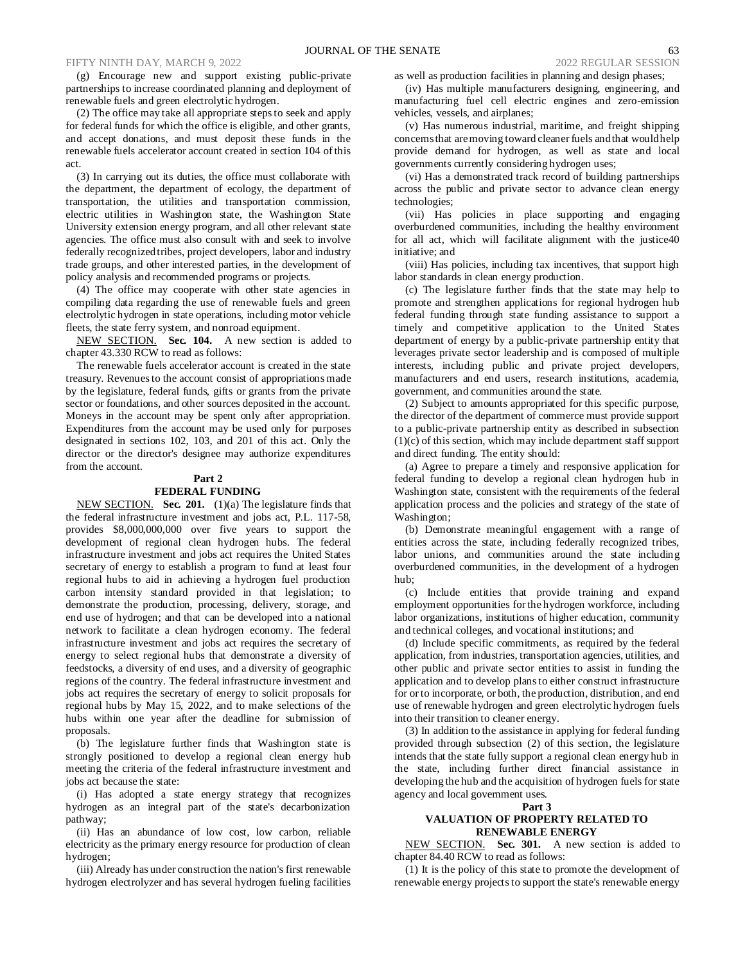(g) Encourage new and support existing public-private partnerships to increase coordinated planning and deployment of renewable fuels and green electrolytic hydrogen.

(2) The office may take all appropriate steps to seek and apply for federal funds for which the office is eligible, and other grants, and accept donations, and must deposit these funds in the renewable fuels accelerator account created in section 104 of this act.

(3) In carrying out its duties, the office must collaborate with the department, the department of ecology, the department of transportation, the utilities and transportation commission, electric utilities in Washington state, the Washington State University extension energy program, and all other relevant state agencies. The office must also consult with and seek to involve federally recognized tribes, project developers, labor and industry trade groups, and other interested parties, in the development of policy analysis and recommended programs or projects.

(4) The office may cooperate with other state agencies in compiling data regarding the use of renewable fuels and green electrolytic hydrogen in state operations, including motor vehicle fleets, the state ferry system, and nonroad equipment.

NEW SECTION. **Sec. 104.** A new section is added to chapter 43.330 RCW to read as follows:

The renewable fuels accelerator account is created in the state treasury. Revenues to the account consist of appropriations made by the legislature, federal funds, gifts or grants from the private sector or foundations, and other sources deposited in the account. Moneys in the account may be spent only after appropriation. Expenditures from the account may be used only for purposes designated in sections 102, 103, and 201 of this act. Only the director or the director's designee may authorize expenditures from the account.

#### **Part 2**

#### **FEDERAL FUNDING**

NEW SECTION. **Sec. 201.** (1)(a) The legislature finds that the federal infrastructure investment and jobs act, P.L. 117-58, provides \$8,000,000,000 over five years to support the development of regional clean hydrogen hubs. The federal infrastructure investment and jobs act requires the United States secretary of energy to establish a program to fund at least four regional hubs to aid in achieving a hydrogen fuel production carbon intensity standard provided in that legislation; to demonstrate the production, processing, delivery, storage, and end use of hydrogen; and that can be developed into a national network to facilitate a clean hydrogen economy. The federal infrastructure investment and jobs act requires the secretary of energy to select regional hubs that demonstrate a diversity of feedstocks, a diversity of end uses, and a diversity of geographic regions of the country. The federal infrastructure investment and jobs act requires the secretary of energy to solicit proposals for regional hubs by May 15, 2022, and to make selections of the hubs within one year after the deadline for submission of proposals.

(b) The legislature further finds that Washington state is strongly positioned to develop a regional clean energy hub meeting the criteria of the federal infrastructure investment and jobs act because the state:

(i) Has adopted a state energy strategy that recognizes hydrogen as an integral part of the state's decarbonization pathway;

(ii) Has an abundance of low cost, low carbon, reliable electricity as the primary energy resource for production of clean hydrogen;

(iii) Already has under construction the nation's first renewable hydrogen electrolyzer and has several hydrogen fueling facilities as well as production facilities in planning and design phases;

(iv) Has multiple manufacturers designing, engineering, and manufacturing fuel cell electric engines and zero-emission vehicles, vessels, and airplanes;

(v) Has numerous industrial, maritime, and freight shipping concerns that are moving toward cleaner fuels and that would help provide demand for hydrogen, as well as state and local governments currently considering hydrogen uses;

(vi) Has a demonstrated track record of building partnerships across the public and private sector to advance clean energy technologies;

(vii) Has policies in place supporting and engaging overburdened communities, including the healthy environment for all act, which will facilitate alignment with the justice40 initiative; and

(viii) Has policies, including tax incentives, that support high labor standards in clean energy production.

(c) The legislature further finds that the state may help to promote and strengthen applications for regional hydrogen hub federal funding through state funding assistance to support a timely and competitive application to the United States department of energy by a public-private partnership entity that leverages private sector leadership and is composed of multiple interests, including public and private project developers, manufacturers and end users, research institutions, academia, government, and communities around the state.

(2) Subject to amounts appropriated for this specific purpose, the director of the department of commerce must provide support to a public-private partnership entity as described in subsection (1)(c) of this section, which may include department staff support and direct funding. The entity should:

(a) Agree to prepare a timely and responsive application for federal funding to develop a regional clean hydrogen hub in Washington state, consistent with the requirements of the federal application process and the policies and strategy of the state of Washington;

(b) Demonstrate meaningful engagement with a range of entities across the state, including federally recognized tribes, labor unions, and communities around the state including overburdened communities, in the development of a hydrogen hub;

(c) Include entities that provide training and expand employment opportunities for the hydrogen workforce, including labor organizations, institutions of higher education, community and technical colleges, and vocational institutions; and

(d) Include specific commitments, as required by the federal application, from industries, transportation agencies, utilities, and other public and private sector entities to assist in funding the application and to develop plans to either construct infrastructure for or to incorporate, or both, the production, distribution, and end use of renewable hydrogen and green electrolytic hydrogen fuels into their transition to cleaner energy.

(3) In addition to the assistance in applying for federal funding provided through subsection (2) of this section, the legislature intends that the state fully support a regional clean energy hub in the state, including further direct financial assistance in developing the hub and the acquisition of hydrogen fuels for state agency and local government uses.

#### **Part 3**

#### **VALUATION OF PROPERTY RELATED TO RENEWABLE ENERGY**

NEW SECTION. **Sec. 301.** A new section is added to chapter 84.40 RCW to read as follows:

(1) It is the policy of this state to promote the development of renewable energy projects to support the state's renewable energy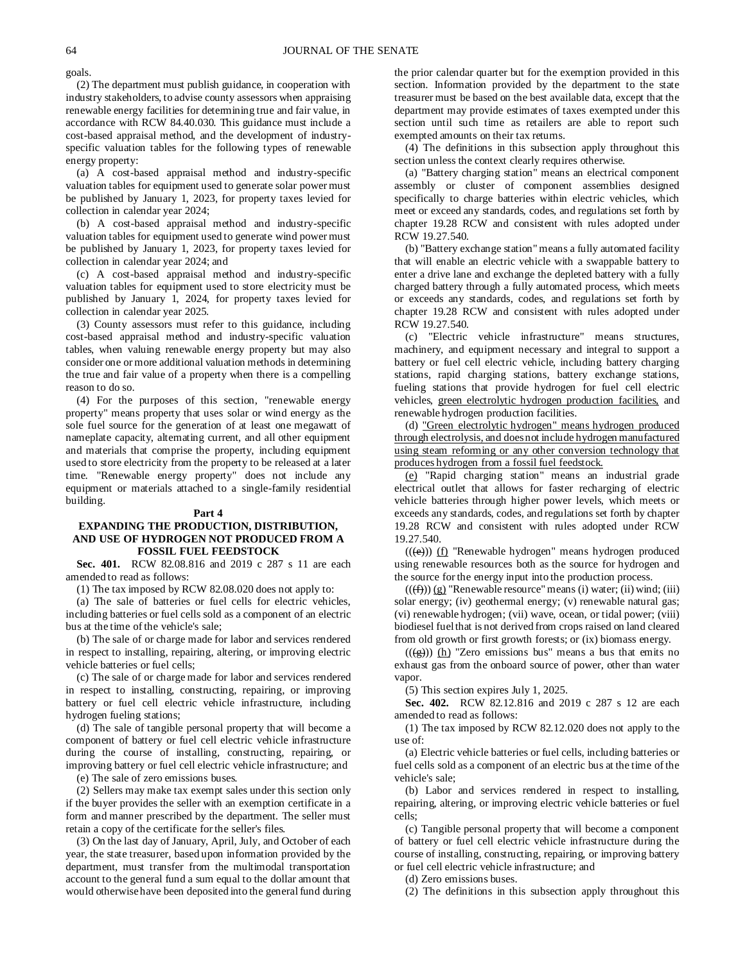goals.

(2) The department must publish guidance, in cooperation with industry stakeholders, to advise county assessors when appraising renewable energy facilities for determining true and fair value, in accordance with RCW 84.40.030. This guidance must include a cost-based appraisal method, and the development of industryspecific valuation tables for the following types of renewable energy property:

(a) A cost-based appraisal method and industry-specific valuation tables for equipment used to generate solar power must be published by January 1, 2023, for property taxes levied for collection in calendar year 2024;

(b) A cost-based appraisal method and industry-specific valuation tables for equipment used to generate wind power must be published by January 1, 2023, for property taxes levied for collection in calendar year 2024; and

(c) A cost-based appraisal method and industry-specific valuation tables for equipment used to store electricity must be published by January 1, 2024, for property taxes levied for collection in calendar year 2025.

(3) County assessors must refer to this guidance, including cost-based appraisal method and industry-specific valuation tables, when valuing renewable energy property but may also consider one or more additional valuation methods in determining the true and fair value of a property when there is a compelling reason to do so.

(4) For the purposes of this section, "renewable energy property" means property that uses solar or wind energy as the sole fuel source for the generation of at least one megawatt of nameplate capacity, alternating current, and all other equipment and materials that comprise the property, including equipment used to store electricity from the property to be released at a later time. "Renewable energy property" does not include any equipment or materials attached to a single-family residential building.

#### **Part 4**

# **EXPANDING THE PRODUCTION, DISTRIBUTION, AND USE OF HYDROGEN NOT PRODUCED FROM A FOSSIL FUEL FEEDSTOCK**

**Sec. 401.** RCW 82.08.816 and 2019 c 287 s 11 are each amended to read as follows:

(1) The tax imposed by RCW 82.08.020 does not apply to:

(a) The sale of batteries or fuel cells for electric vehicles, including batteries or fuel cells sold as a component of an electric bus at the time of the vehicle's sale;

(b) The sale of or charge made for labor and services rendered in respect to installing, repairing, altering, or improving electric vehicle batteries or fuel cells;

(c) The sale of or charge made for labor and services rendered in respect to installing, constructing, repairing, or improving battery or fuel cell electric vehicle infrastructure, including hydrogen fueling stations;

(d) The sale of tangible personal property that will become a component of battery or fuel cell electric vehicle infrastructure during the course of installing, constructing, repairing, or improving battery or fuel cell electric vehicle infrastructure; and

(e) The sale of zero emissions buses.

(2) Sellers may make tax exempt sales under this section only if the buyer provides the seller with an exemption certificate in a form and manner prescribed by the department. The seller must retain a copy of the certificate for the seller's files.

(3) On the last day of January, April, July, and October of each year, the state treasurer, based upon information provided by the department, must transfer from the multimodal transportation account to the general fund a sum equal to the dollar amount that would otherwise have been deposited into the general fund during the prior calendar quarter but for the exemption provided in this section. Information provided by the department to the state treasurer must be based on the best available data, except that the department may provide estimates of taxes exempted under this section until such time as retailers are able to report such exempted amounts on their tax returns.

(4) The definitions in this subsection apply throughout this section unless the context clearly requires otherwise.

(a) "Battery charging station" means an electrical component assembly or cluster of component assemblies designed specifically to charge batteries within electric vehicles, which meet or exceed any standards, codes, and regulations set forth by chapter 19.28 RCW and consistent with rules adopted under RCW 19.27.540.

(b) "Battery exchange station" means a fully automated facility that will enable an electric vehicle with a swappable battery to enter a drive lane and exchange the depleted battery with a fully charged battery through a fully automated process, which meets or exceeds any standards, codes, and regulations set forth by chapter 19.28 RCW and consistent with rules adopted under RCW 19.27.540.

(c) "Electric vehicle infrastructure" means structures, machinery, and equipment necessary and integral to support a battery or fuel cell electric vehicle, including battery charging stations, rapid charging stations, battery exchange stations, fueling stations that provide hydrogen for fuel cell electric vehicles, green electrolytic hydrogen production facilities, and renewable hydrogen production facilities.

(d) "Green electrolytic hydrogen" means hydrogen produced through electrolysis, and does not include hydrogen manufactured using steam reforming or any other conversion technology that produces hydrogen from a fossil fuel feedstock.

(e) "Rapid charging station" means an industrial grade electrical outlet that allows for faster recharging of electric vehicle batteries through higher power levels, which meets or exceeds any standards, codes, and regulations set forth by chapter 19.28 RCW and consistent with rules adopted under RCW 19.27.540.

 $((e))$  (f) "Renewable hydrogen" means hydrogen produced using renewable resources both as the source for hydrogen and the source for the energy input into the production process.

 $((\text{f})))$  (g) "Renewable resource" means (i) water; (ii) wind; (iii) solar energy; (iv) geothermal energy; (v) renewable natural gas; (vi) renewable hydrogen; (vii) wave, ocean, or tidal power; (viii) biodiesel fuel that is not derived from crops raised on land cleared from old growth or first growth forests; or (ix) biomass energy.

 $((\frac{\epsilon}{2}))$  (h) "Zero emissions bus" means a bus that emits no exhaust gas from the onboard source of power, other than water vapor.

(5) This section expires July 1, 2025.

**Sec. 402.** RCW 82.12.816 and 2019 c 287 s 12 are each amended to read as follows:

(1) The tax imposed by RCW 82.12.020 does not apply to the use of:

(a) Electric vehicle batteries or fuel cells, including batteries or fuel cells sold as a component of an electric bus at the time of the vehicle's sale;

(b) Labor and services rendered in respect to installing, repairing, altering, or improving electric vehicle batteries or fuel cells;

(c) Tangible personal property that will become a component of battery or fuel cell electric vehicle infrastructure during the course of installing, constructing, repairing, or improving battery or fuel cell electric vehicle infrastructure; and

(d) Zero emissions buses.

(2) The definitions in this subsection apply throughout this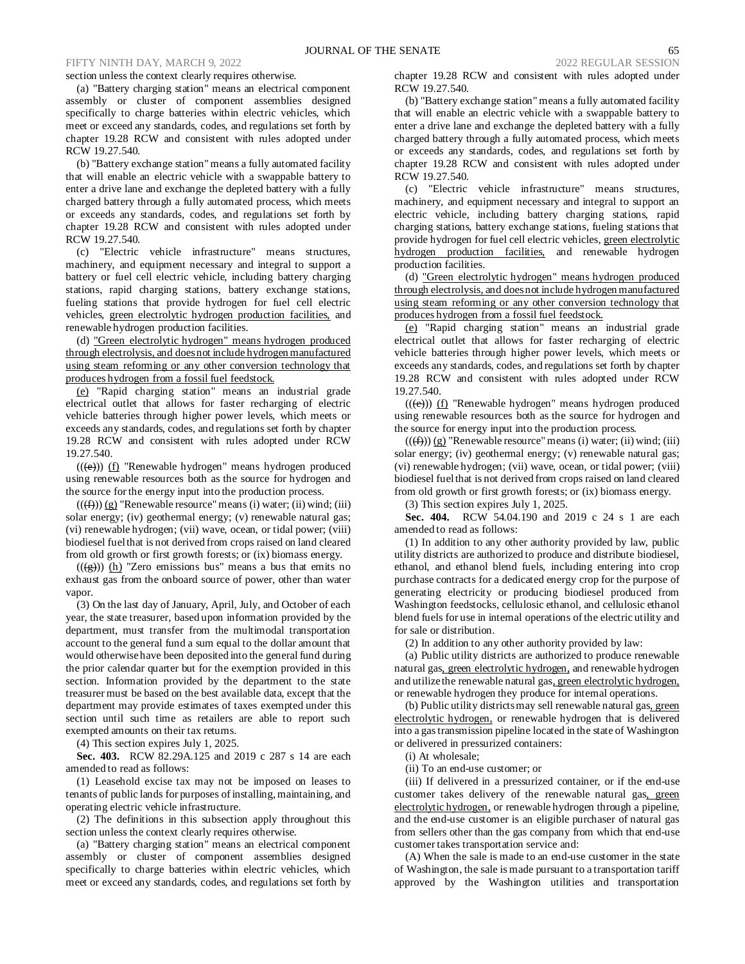#### section unless the context clearly requires otherwise.

(a) "Battery charging station" means an electrical component assembly or cluster of component assemblies designed specifically to charge batteries within electric vehicles, which meet or exceed any standards, codes, and regulations set forth by chapter 19.28 RCW and consistent with rules adopted under RCW 19.27.540.

(b) "Battery exchange station" means a fully automated facility that will enable an electric vehicle with a swappable battery to enter a drive lane and exchange the depleted battery with a fully charged battery through a fully automated process, which meets or exceeds any standards, codes, and regulations set forth by chapter 19.28 RCW and consistent with rules adopted under RCW 19.27.540.

(c) "Electric vehicle infrastructure" means structures, machinery, and equipment necessary and integral to support a battery or fuel cell electric vehicle, including battery charging stations, rapid charging stations, battery exchange stations, fueling stations that provide hydrogen for fuel cell electric vehicles, green electrolytic hydrogen production facilities, and renewable hydrogen production facilities.

(d) "Green electrolytic hydrogen" means hydrogen produced through electrolysis, and does not include hydrogen manufactured using steam reforming or any other conversion technology that produces hydrogen from a fossil fuel feedstock.

(e) "Rapid charging station" means an industrial grade electrical outlet that allows for faster recharging of electric vehicle batteries through higher power levels, which meets or exceeds any standards, codes, and regulations set forth by chapter 19.28 RCW and consistent with rules adopted under RCW 19.27.540.

 $((\text{e}))$  (f) "Renewable hydrogen" means hydrogen produced using renewable resources both as the source for hydrogen and the source for the energy input into the production process.

 $((\text{f}(\text{f})))(g)$  "Renewable resource" means (i) water; (ii) wind; (iii) solar energy; (iv) geothermal energy; (v) renewable natural gas; (vi) renewable hydrogen; (vii) wave, ocean, or tidal power; (viii) biodiesel fuel that is not derived from crops raised on land cleared from old growth or first growth forests; or (ix) biomass energy.

 $((\frac{g}{g}))$  (h) "Zero emissions bus" means a bus that emits no exhaust gas from the onboard source of power, other than water vapor.

(3) On the last day of January, April, July, and October of each year, the state treasurer, based upon information provided by the department, must transfer from the multimodal transportation account to the general fund a sum equal to the dollar amount that would otherwise have been deposited into the general fund during the prior calendar quarter but for the exemption provided in this section. Information provided by the department to the state treasurer must be based on the best available data, except that the department may provide estimates of taxes exempted under this section until such time as retailers are able to report such exempted amounts on their tax returns.

(4) This section expires July 1, 2025.

**Sec. 403.** RCW 82.29A.125 and 2019 c 287 s 14 are each amended to read as follows:

(1) Leasehold excise tax may not be imposed on leases to tenants of public lands for purposes of installing, maintaining, and operating electric vehicle infrastructure.

(2) The definitions in this subsection apply throughout this section unless the context clearly requires otherwise.

(a) "Battery charging station" means an electrical component assembly or cluster of component assemblies designed specifically to charge batteries within electric vehicles, which meet or exceed any standards, codes, and regulations set forth by chapter 19.28 RCW and consistent with rules adopted under RCW 19.27.540.

(b) "Battery exchange station" means a fully automated facility that will enable an electric vehicle with a swappable battery to enter a drive lane and exchange the depleted battery with a fully charged battery through a fully automated process, which meets or exceeds any standards, codes, and regulations set forth by chapter 19.28 RCW and consistent with rules adopted under RCW 19.27.540.

(c) "Electric vehicle infrastructure" means structures, machinery, and equipment necessary and integral to support an electric vehicle, including battery charging stations, rapid charging stations, battery exchange stations, fueling stations that provide hydrogen for fuel cell electric vehicles, green electrolytic hydrogen production facilities, and renewable hydrogen production facilities.

(d) "Green electrolytic hydrogen" means hydrogen produced through electrolysis, and does not include hydrogen manufactured using steam reforming or any other conversion technology that produces hydrogen from a fossil fuel feedstock.

(e) "Rapid charging station" means an industrial grade electrical outlet that allows for faster recharging of electric vehicle batteries through higher power levels, which meets or exceeds any standards, codes, and regulations set forth by chapter 19.28 RCW and consistent with rules adopted under RCW 19.27.540.

 $((\text{e}))$  (f) "Renewable hydrogen" means hydrogen produced using renewable resources both as the source for hydrogen and the source for energy input into the production process.

 $((\text{f})))$  (g) "Renewable resource" means (i) water; (ii) wind; (iii) solar energy; (iv) geothermal energy; (v) renewable natural gas; (vi) renewable hydrogen; (vii) wave, ocean, or tidal power; (viii) biodiesel fuel that is not derived from crops raised on land cleared from old growth or first growth forests; or (ix) biomass energy.

(3) This section expires July 1, 2025.

**Sec. 404.** RCW 54.04.190 and 2019 c 24 s 1 are each amended to read as follows:

(1) In addition to any other authority provided by law, public utility districts are authorized to produce and distribute biodiesel, ethanol, and ethanol blend fuels, including entering into crop purchase contracts for a dedicated energy crop for the purpose of generating electricity or producing biodiesel produced from Washington feedstocks, cellulosic ethanol, and cellulosic ethanol blend fuels for use in internal operations of the electric utility and for sale or distribution.

(2) In addition to any other authority provided by law:

(a) Public utility districts are authorized to produce renewable natural gas, green electrolytic hydrogen, and renewable hydrogen and utilize the renewable natural gas, green electrolytic hydrogen, or renewable hydrogen they produce for internal operations.

(b) Public utility districts may sell renewable natural gas, green electrolytic hydrogen, or renewable hydrogen that is delivered into a gas transmission pipeline located in the state of Washington or delivered in pressurized containers:

(i) At wholesale;

(ii) To an end-use customer; or

(iii) If delivered in a pressurized container, or if the end-use customer takes delivery of the renewable natural gas, green electrolytic hydrogen, or renewable hydrogen through a pipeline, and the end-use customer is an eligible purchaser of natural gas from sellers other than the gas company from which that end-use customer takes transportation service and:

(A) When the sale is made to an end-use customer in the state of Washington, the sale is made pursuant to a transportation tariff approved by the Washington utilities and transportation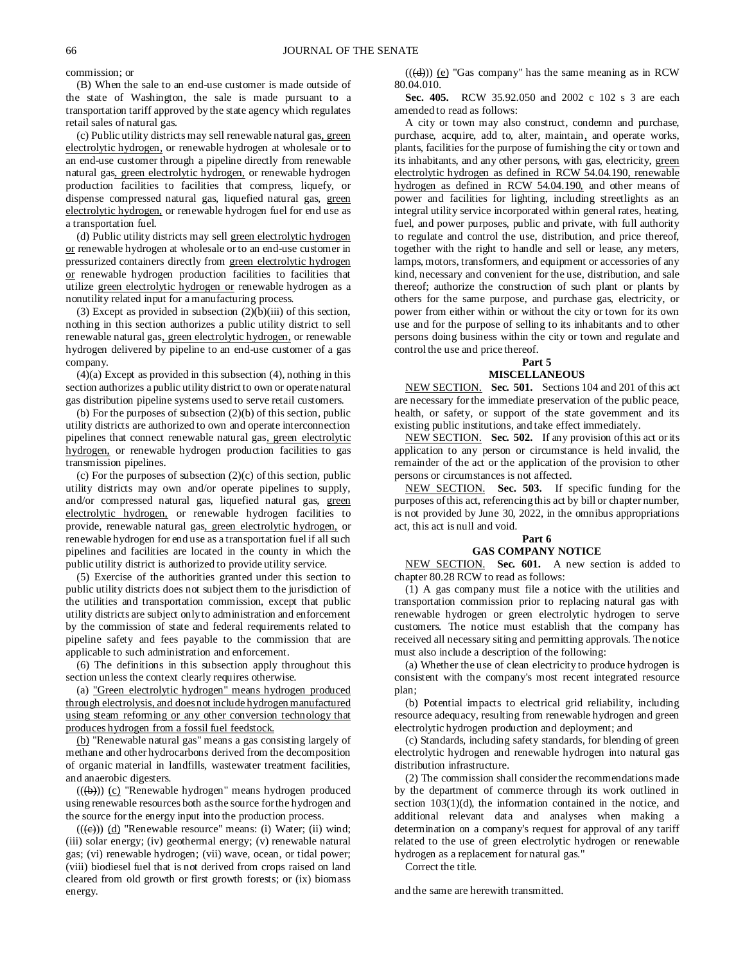commission; or

(B) When the sale to an end-use customer is made outside of the state of Washington, the sale is made pursuant to a transportation tariff approved by the state agency which regulates retail sales of natural gas.

(c) Public utility districts may sell renewable natural gas, green electrolytic hydrogen, or renewable hydrogen at wholesale or to an end-use customer through a pipeline directly from renewable natural gas, green electrolytic hydrogen, or renewable hydrogen production facilities to facilities that compress, liquefy, or dispense compressed natural gas, liquefied natural gas, green electrolytic hydrogen, or renewable hydrogen fuel for end use as a transportation fuel.

(d) Public utility districts may sell green electrolytic hydrogen or renewable hydrogen at wholesale or to an end-use customer in pressurized containers directly from green electrolytic hydrogen or renewable hydrogen production facilities to facilities that utilize green electrolytic hydrogen or renewable hydrogen as a nonutility related input for a manufacturing process.

(3) Except as provided in subsection  $(2)(b)(iii)$  of this section, nothing in this section authorizes a public utility district to sell renewable natural gas, green electrolytic hydrogen, or renewable hydrogen delivered by pipeline to an end-use customer of a gas company.

(4)(a) Except as provided in this subsection (4), nothing in this section authorizes a public utility district to own or operate natural gas distribution pipeline systems used to serve retail customers.

(b) For the purposes of subsection (2)(b) of this section, public utility districts are authorized to own and operate interconnection pipelines that connect renewable natural gas, green electrolytic hydrogen, or renewable hydrogen production facilities to gas transmission pipelines.

(c) For the purposes of subsection  $(2)(c)$  of this section, public utility districts may own and/or operate pipelines to supply, and/or compressed natural gas, liquefied natural gas, green electrolytic hydrogen, or renewable hydrogen facilities to provide, renewable natural gas, green electrolytic hydrogen, or renewable hydrogen for end use as a transportation fuel if all such pipelines and facilities are located in the county in which the public utility district is authorized to provide utility service.

(5) Exercise of the authorities granted under this section to public utility districts does not subject them to the jurisdiction of the utilities and transportation commission, except that public utility districts are subject only to administration and enforcement by the commission of state and federal requirements related to pipeline safety and fees payable to the commission that are applicable to such administration and enforcement.

(6) The definitions in this subsection apply throughout this section unless the context clearly requires otherwise.

(a) "Green electrolytic hydrogen" means hydrogen produced through electrolysis, and does not include hydrogen manufactured using steam reforming or any other conversion technology that produces hydrogen from a fossil fuel feedstock.

(b) "Renewable natural gas" means a gas consisting largely of methane and other hydrocarbons derived from the decomposition of organic material in landfills, wastewater treatment facilities, and anaerobic digesters.

 $((\nleftrightarrow))$  (c) "Renewable hydrogen" means hydrogen produced using renewable resources both as the source for the hydrogen and the source for the energy input into the production process.

 $((\epsilon))$  (d) "Renewable resource" means: (i) Water; (ii) wind; (iii) solar energy; (iv) geothermal energy; (v) renewable natural gas; (vi) renewable hydrogen; (vii) wave, ocean, or tidal power; (viii) biodiesel fuel that is not derived from crops raised on land cleared from old growth or first growth forests; or (ix) biomass energy.

 $((\text{(d)}))$  (e) "Gas company" has the same meaning as in RCW 80.04.010.

**Sec. 405.** RCW 35.92.050 and 2002 c 102 s 3 are each amended to read as follows:

A city or town may also construct, condemn and purchase, purchase, acquire, add to, alter, maintain, and operate works, plants, facilities for the purpose of furnishing the city or town and its inhabitants, and any other persons, with gas, electricity, green electrolytic hydrogen as defined in RCW 54.04.190, renewable hydrogen as defined in RCW 54.04.190, and other means of power and facilities for lighting, including streetlights as an integral utility service incorporated within general rates, heating, fuel, and power purposes, public and private, with full authority to regulate and control the use, distribution, and price thereof, together with the right to handle and sell or lease, any meters, lamps, motors, transformers, and equipment or accessories of any kind, necessary and convenient for the use, distribution, and sale thereof; authorize the construction of such plant or plants by others for the same purpose, and purchase gas, electricity, or power from either within or without the city or town for its own use and for the purpose of selling to its inhabitants and to other persons doing business within the city or town and regulate and control the use and price thereof.

#### **Part 5 MISCELLANEOUS**

NEW SECTION. **Sec. 501.** Sections 104 and 201 of this act are necessary for the immediate preservation of the public peace, health, or safety, or support of the state government and its existing public institutions, and take effect immediately.

NEW SECTION. **Sec. 502.** If any provision of this act or its application to any person or circumstance is held invalid, the remainder of the act or the application of the provision to other persons or circumstances is not affected.

NEW SECTION. **Sec. 503.** If specific funding for the purposes of this act, referencing this act by bill or chapter number, is not provided by June 30, 2022, in the omnibus appropriations act, this act is null and void.

# **Part 6**

# **GAS COMPANY NOTICE**

NEW SECTION. **Sec. 601.** A new section is added to chapter 80.28 RCW to read as follows:

(1) A gas company must file a notice with the utilities and transportation commission prior to replacing natural gas with renewable hydrogen or green electrolytic hydrogen to serve customers. The notice must establish that the company has received all necessary siting and permitting approvals. The notice must also include a description of the following:

(a) Whether the use of clean electricity to produce hydrogen is consistent with the company's most recent integrated resource plan;

(b) Potential impacts to electrical grid reliability, including resource adequacy, resulting from renewable hydrogen and green electrolytic hydrogen production and deployment; and

(c) Standards, including safety standards, for blending of green electrolytic hydrogen and renewable hydrogen into natural gas distribution infrastructure.

(2) The commission shall consider the recommendations made by the department of commerce through its work outlined in section 103(1)(d), the information contained in the notice, and additional relevant data and analyses when making a determination on a company's request for approval of any tariff related to the use of green electrolytic hydrogen or renewable hydrogen as a replacement for natural gas."

Correct the title.

and the same are herewith transmitted.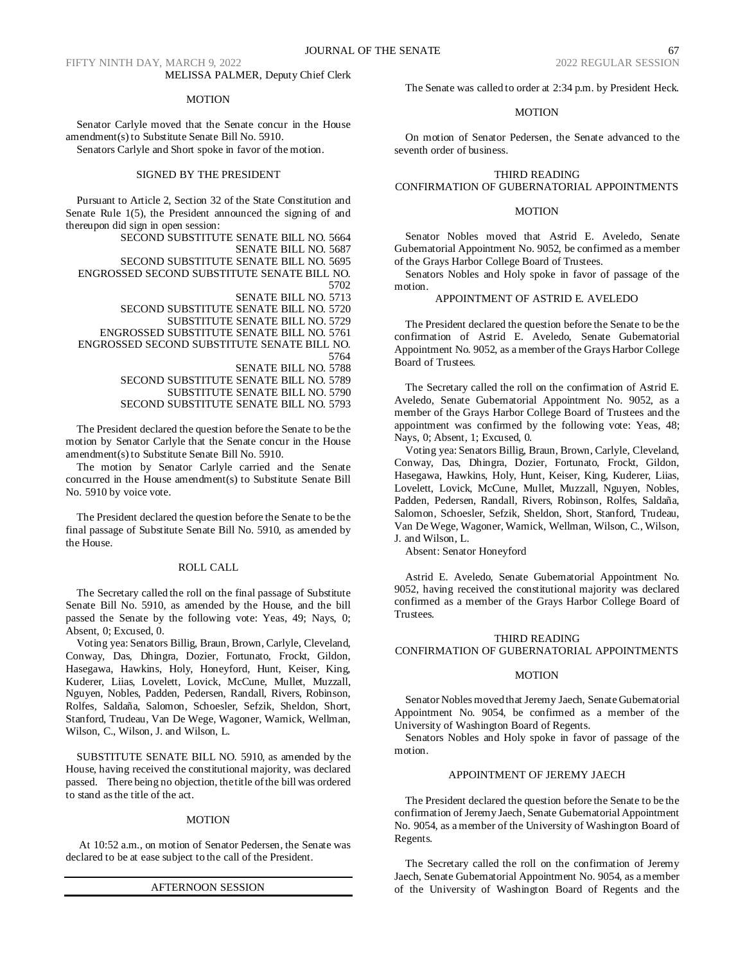FIFTY NINTH DAY, MARCH 9, 2022 2022 REGULAR SESSION MELISSA PALMER, Deputy Chief Clerk

#### MOTION

Senator Carlyle moved that the Senate concur in the House amendment(s) to Substitute Senate Bill No. 5910.

Senators Carlyle and Short spoke in favor of the motion.

# SIGNED BY THE PRESIDENT

Pursuant to Article 2, Section 32 of the State Constitution and Senate Rule 1(5), the President announced the signing of and thereupon did sign in open session:

SECOND SUBSTITUTE SENATE BILL NO. 5664 SENATE BILL NO. 5687 SECOND SUBSTITUTE SENATE BILL NO. 5695 ENGROSSED SECOND SUBSTITUTE SENATE BILL NO. 5702 SENATE BILL NO. 5713 SECOND SUBSTITUTE SENATE BILL NO. 5720 SUBSTITUTE SENATE BILL NO. 5729 ENGROSSED SUBSTITUTE SENATE BILL NO. 5761 ENGROSSED SECOND SUBSTITUTE SENATE BILL NO. 5764

SENATE BILL NO. 5788

SECOND SUBSTITUTE SENATE BILL NO. 5789 SUBSTITUTE SENATE BILL NO. 5790 SECOND SUBSTITUTE SENATE BILL NO. 5793

The President declared the question before the Senate to be the motion by Senator Carlyle that the Senate concur in the House amendment(s) to Substitute Senate Bill No. 5910.

The motion by Senator Carlyle carried and the Senate concurred in the House amendment(s) to Substitute Senate Bill No. 5910 by voice vote.

The President declared the question before the Senate to be the final passage of Substitute Senate Bill No. 5910, as amended by the House.

#### ROLL CALL

The Secretary called the roll on the final passage of Substitute Senate Bill No. 5910, as amended by the House, and the bill passed the Senate by the following vote: Yeas, 49; Nays, 0; Absent, 0; Excused, 0.

Voting yea: Senators Billig, Braun, Brown, Carlyle, Cleveland, Conway, Das, Dhingra, Dozier, Fortunato, Frockt, Gildon, Hasegawa, Hawkins, Holy, Honeyford, Hunt, Keiser, King, Kuderer, Liias, Lovelett, Lovick, McCune, Mullet, Muzzall, Nguyen, Nobles, Padden, Pedersen, Randall, Rivers, Robinson, Rolfes, Saldaña, Salomon, Schoesler, Sefzik, Sheldon, Short, Stanford, Trudeau, Van De Wege, Wagoner, Warnick, Wellman, Wilson, C., Wilson, J. and Wilson, L.

SUBSTITUTE SENATE BILL NO. 5910, as amended by the House, having received the constitutional majority, was declared passed. There being no objection, the title of the bill was ordered to stand as the title of the act.

# MOTION

At 10:52 a.m., on motion of Senator Pedersen, the Senate was declared to be at ease subject to the call of the President.

#### AFTERNOON SESSION

The Senate was called to order at 2:34 p.m. by President Heck.

#### MOTION

On motion of Senator Pedersen, the Senate advanced to the seventh order of business.

#### THIRD READING

# CONFIRMATION OF GUBERNATORIAL APPOINTMENTS

#### MOTION

Senator Nobles moved that Astrid E. Aveledo, Senate Gubernatorial Appointment No. 9052, be confirmed as a member of the Grays Harbor College Board of Trustees.

Senators Nobles and Holy spoke in favor of passage of the motion.

# APPOINTMENT OF ASTRID E. AVELEDO

The President declared the question before the Senate to be the confirmation of Astrid E. Aveledo, Senate Gubernatorial Appointment No. 9052, as a member of the Grays Harbor College Board of Trustees.

The Secretary called the roll on the confirmation of Astrid E. Aveledo, Senate Gubernatorial Appointment No. 9052, as a member of the Grays Harbor College Board of Trustees and the appointment was confirmed by the following vote: Yeas, 48; Nays, 0; Absent, 1; Excused, 0.

Voting yea: Senators Billig, Braun, Brown, Carlyle, Cleveland, Conway, Das, Dhingra, Dozier, Fortunato, Frockt, Gildon, Hasegawa, Hawkins, Holy, Hunt, Keiser, King, Kuderer, Liias, Lovelett, Lovick, McCune, Mullet, Muzzall, Nguyen, Nobles, Padden, Pedersen, Randall, Rivers, Robinson, Rolfes, Saldaña, Salomon, Schoesler, Sefzik, Sheldon, Short, Stanford, Trudeau, Van De Wege, Wagoner, Warnick, Wellman, Wilson, C., Wilson, J. and Wilson, L.

Absent: Senator Honeyford

Astrid E. Aveledo, Senate Gubernatorial Appointment No. 9052, having received the constitutional majority was declared confirmed as a member of the Grays Harbor College Board of Trustees.

#### THIRD READING

CONFIRMATION OF GUBERNATORIAL APPOINTMENTS

#### **MOTION**

Senator Nobles moved that Jeremy Jaech, Senate Gubernatorial Appointment No. 9054, be confirmed as a member of the University of Washington Board of Regents.

Senators Nobles and Holy spoke in favor of passage of the motion.

# APPOINTMENT OF JEREMY JAECH

The President declared the question before the Senate to be the confirmation of Jeremy Jaech, Senate Gubernatorial Appointment No. 9054, as a member of the University of Washington Board of Regents.

The Secretary called the roll on the confirmation of Jeremy Jaech, Senate Gubernatorial Appointment No. 9054, as a member of the University of Washington Board of Regents and the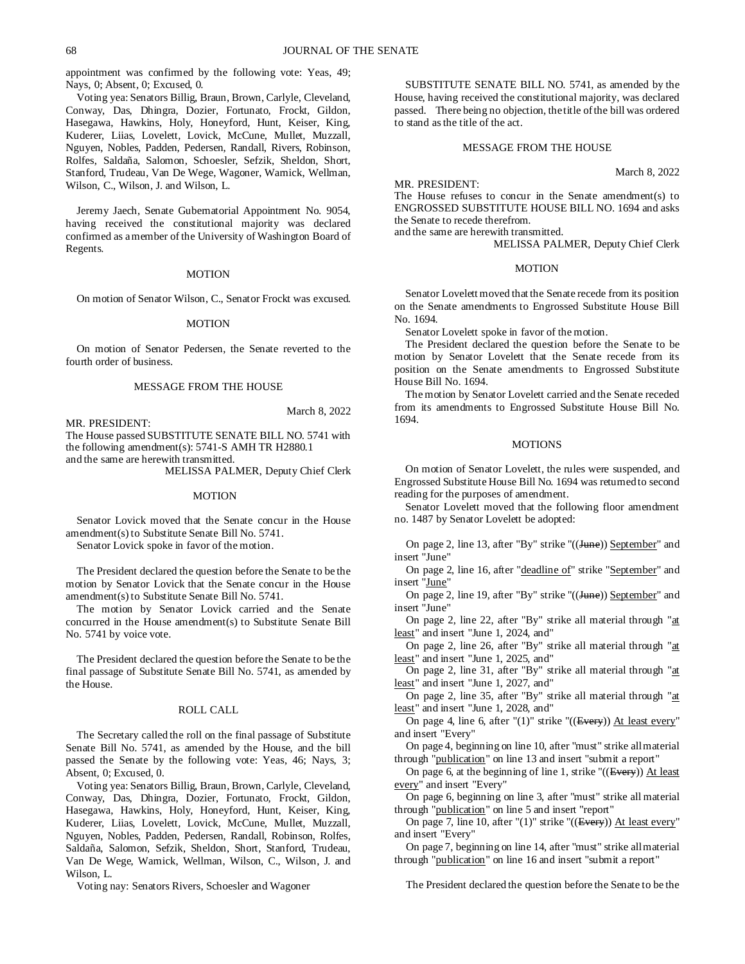appointment was confirmed by the following vote: Yeas, 49; Nays, 0; Absent, 0; Excused, 0.

Voting yea: Senators Billig, Braun, Brown, Carlyle, Cleveland, Conway, Das, Dhingra, Dozier, Fortunato, Frockt, Gildon, Hasegawa, Hawkins, Holy, Honeyford, Hunt, Keiser, King, Kuderer, Liias, Lovelett, Lovick, McCune, Mullet, Muzzall, Nguyen, Nobles, Padden, Pedersen, Randall, Rivers, Robinson, Rolfes, Saldaña, Salomon, Schoesler, Sefzik, Sheldon, Short, Stanford, Trudeau, Van De Wege, Wagoner, Warnick, Wellman, Wilson, C., Wilson, J. and Wilson, L.

Jeremy Jaech, Senate Gubernatorial Appointment No. 9054, having received the constitutional majority was declared confirmed as a member of the University of Washington Board of Regents.

#### **MOTION**

On motion of Senator Wilson, C., Senator Frockt was excused.

#### **MOTION**

On motion of Senator Pedersen, the Senate reverted to the fourth order of business.

#### MESSAGE FROM THE HOUSE

MR. PRESIDENT:

March 8, 2022

The House passed SUBSTITUTE SENATE BILL NO. 5741 with the following amendment(s): 5741-S AMH TR H2880.1 and the same are herewith transmitted.

MELISSA PALMER, Deputy Chief Clerk

#### MOTION

Senator Lovick moved that the Senate concur in the House amendment(s) to Substitute Senate Bill No. 5741.

Senator Lovick spoke in favor of the motion.

The President declared the question before the Senate to be the motion by Senator Lovick that the Senate concur in the House amendment(s) to Substitute Senate Bill No. 5741.

The motion by Senator Lovick carried and the Senate concurred in the House amendment(s) to Substitute Senate Bill No. 5741 by voice vote.

The President declared the question before the Senate to be the final passage of Substitute Senate Bill No. 5741, as amended by the House.

### ROLL CALL

The Secretary called the roll on the final passage of Substitute Senate Bill No. 5741, as amended by the House, and the bill passed the Senate by the following vote: Yeas, 46; Nays, 3; Absent, 0; Excused, 0.

Voting yea: Senators Billig, Braun, Brown, Carlyle, Cleveland, Conway, Das, Dhingra, Dozier, Fortunato, Frockt, Gildon, Hasegawa, Hawkins, Holy, Honeyford, Hunt, Keiser, King, Kuderer, Liias, Lovelett, Lovick, McCune, Mullet, Muzzall, Nguyen, Nobles, Padden, Pedersen, Randall, Robinson, Rolfes, Saldaña, Salomon, Sefzik, Sheldon, Short, Stanford, Trudeau, Van De Wege, Warnick, Wellman, Wilson, C., Wilson, J. and Wilson, L.

Voting nay: Senators Rivers, Schoesler and Wagoner

SUBSTITUTE SENATE BILL NO. 5741, as amended by the House, having received the constitutional majority, was declared passed. There being no objection, the title of the bill was ordered to stand as the title of the act.

# MESSAGE FROM THE HOUSE

March 8, 2022

MR. PRESIDENT:

The House refuses to concur in the Senate amendment(s) to ENGROSSED SUBSTITUTE HOUSE BILL NO. 1694 and asks the Senate to recede therefrom.

and the same are herewith transmitted.

MELISSA PALMER, Deputy Chief Clerk

#### **MOTION**

Senator Lovelett moved that the Senate recede from its position on the Senate amendments to Engrossed Substitute House Bill No. 1694.

Senator Lovelett spoke in favor of the motion.

The President declared the question before the Senate to be motion by Senator Lovelett that the Senate recede from its position on the Senate amendments to Engrossed Substitute House Bill No. 1694.

The motion by Senator Lovelett carried and the Senate receded from its amendments to Engrossed Substitute House Bill No. 1694.

#### **MOTIONS**

On motion of Senator Lovelett, the rules were suspended, and Engrossed Substitute House Bill No. 1694 was returned to second reading for the purposes of amendment.

Senator Lovelett moved that the following floor amendment no. 1487 by Senator Lovelett be adopted:

On page 2, line 13, after "By" strike "((Hune)) September" and insert "June"

On page 2, line 16, after "deadline of" strike "September" and insert "June"

On page 2, line 19, after "By" strike "((June)) September" and insert "June"

On page 2, line 22, after "By" strike all material through "at least" and insert "June 1, 2024, and"

On page 2, line 26, after "By" strike all material through "at least" and insert "June 1, 2025, and"

On page 2, line 31, after "By" strike all material through "at least" and insert "June 1, 2027, and"

On page 2, line 35, after "By" strike all material through "at least" and insert "June 1, 2028, and"

On page 4, line 6, after "(1)" strike "((Every)) At least every" and insert "Every"

On page 4, beginning on line 10, after "must" strike all material through "publication" on line 13 and insert "submit a report"

On page 6, at the beginning of line 1, strike "((Every)) At least every" and insert "Every"

On page 6, beginning on line 3, after "must" strike all material through "publication" on line 5 and insert "report"

On page 7, line 10, after "(1)" strike "((Every)) At least every" and insert "Every"

On page 7, beginning on line 14, after "must" strike all material through "publication" on line 16 and insert "submit a report"

The President declared the question before the Senate to be the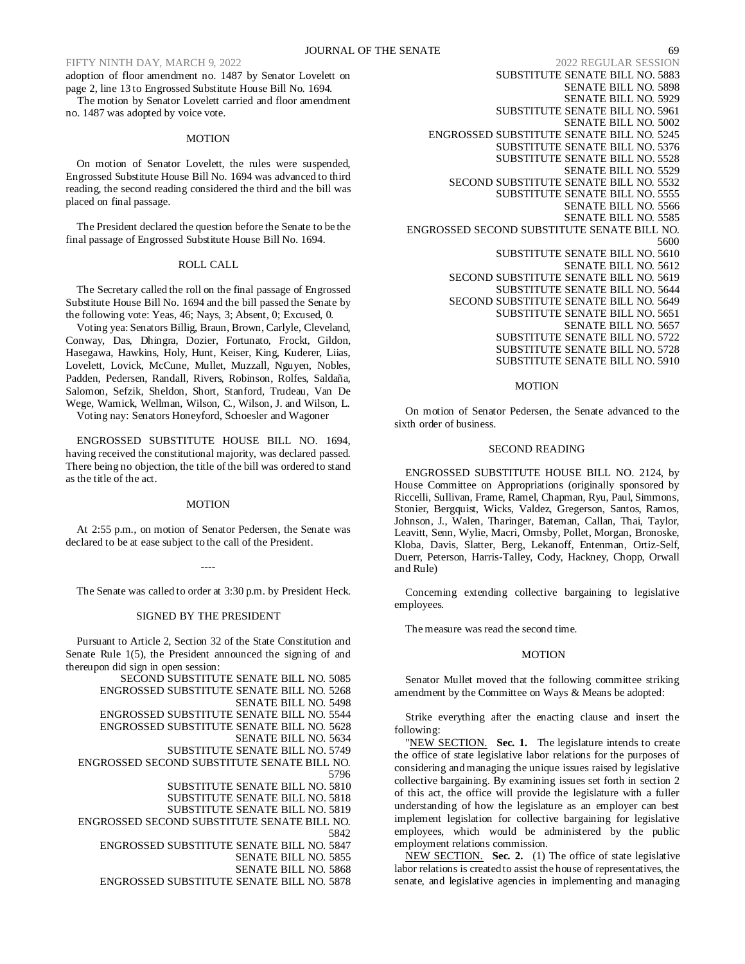adoption of floor amendment no. 1487 by Senator Lovelett on page 2, line 13 to Engrossed Substitute House Bill No. 1694.

The motion by Senator Lovelett carried and floor amendment no. 1487 was adopted by voice vote.

### **MOTION**

On motion of Senator Lovelett, the rules were suspended, Engrossed Substitute House Bill No. 1694 was advanced to third reading, the second reading considered the third and the bill was placed on final passage.

The President declared the question before the Senate to be the final passage of Engrossed Substitute House Bill No. 1694.

#### ROLL CALL

The Secretary called the roll on the final passage of Engrossed Substitute House Bill No. 1694 and the bill passed the Senate by the following vote: Yeas, 46; Nays, 3; Absent, 0; Excused, 0.

Voting yea: Senators Billig, Braun, Brown, Carlyle, Cleveland, Conway, Das, Dhingra, Dozier, Fortunato, Frockt, Gildon, Hasegawa, Hawkins, Holy, Hunt, Keiser, King, Kuderer, Liias, Lovelett, Lovick, McCune, Mullet, Muzzall, Nguyen, Nobles, Padden, Pedersen, Randall, Rivers, Robinson, Rolfes, Saldaña, Salomon, Sefzik, Sheldon, Short, Stanford, Trudeau, Van De Wege, Warnick, Wellman, Wilson, C., Wilson, J. and Wilson, L.

Voting nay: Senators Honeyford, Schoesler and Wagoner

ENGROSSED SUBSTITUTE HOUSE BILL NO. 1694, having received the constitutional majority, was declared passed. There being no objection, the title of the bill was ordered to stand as the title of the act.

#### MOTION

At 2:55 p.m., on motion of Senator Pedersen, the Senate was declared to be at ease subject to the call of the President.

----

The Senate was called to order at 3:30 p.m. by President Heck.

#### SIGNED BY THE PRESIDENT

Pursuant to Article 2, Section 32 of the State Constitution and Senate Rule 1(5), the President announced the signing of and thereupon did sign in open session:

SECOND SUBSTITUTE SENATE BILL NO. 5085 ENGROSSED SUBSTITUTE SENATE BILL NO. 5268 SENATE BILL NO. 5498 ENGROSSED SUBSTITUTE SENATE BILL NO. 5544 ENGROSSED SUBSTITUTE SENATE BILL NO. 5628 SENATE BILL NO. 5634 SUBSTITUTE SENATE BILL NO. 5749 ENGROSSED SECOND SUBSTITUTE SENATE BILL NO. 5796 SUBSTITUTE SENATE BILL NO. 5810 SUBSTITUTE SENATE BILL NO. 5818 SUBSTITUTE SENATE BILL NO. 5819 ENGROSSED SECOND SUBSTITUTE SENATE BILL NO. 5842

ENGROSSED SUBSTITUTE SENATE BILL NO. 5847

SENATE BILL NO. 5855

SENATE BILL NO. 5868

ENGROSSED SUBSTITUTE SENATE BILL NO. 5878

SUBSTITUTE SENATE BILL NO. 5883 SENATE BILL NO. 5898 SENATE BILL NO. 5929 SUBSTITUTE SENATE BILL NO. 5961 SENATE BILL NO. 5002 ENGROSSED SUBSTITUTE SENATE BILL NO. 5245 SUBSTITUTE SENATE BILL NO. 5376 SUBSTITUTE SENATE BILL NO. 5528 SENATE BILL NO. 5529 SECOND SUBSTITUTE SENATE BILL NO. 5532 SUBSTITUTE SENATE BILL NO. 5555 SENATE BILL NO. 5566 SENATE BILL NO. 5585 ENGROSSED SECOND SUBSTITUTE SENATE BILL NO. 5600 SUBSTITUTE SENATE BILL NO. 5610 SENATE BILL NO. 5612 SECOND SUBSTITUTE SENATE BILL NO. 5619 SUBSTITUTE SENATE BILL NO. 5644 SECOND SUBSTITUTE SENATE BILL NO. 5649 SUBSTITUTE SENATE BILL NO. 5651 SENATE BILL NO. 5657 SUBSTITUTE SENATE BILL NO. 5722 SUBSTITUTE SENATE BILL NO. 5728 SUBSTITUTE SENATE BILL NO. 5910

#### MOTION

On motion of Senator Pedersen, the Senate advanced to the sixth order of business.

#### SECOND READING

ENGROSSED SUBSTITUTE HOUSE BILL NO. 2124, by House Committee on Appropriations (originally sponsored by Riccelli, Sullivan, Frame, Ramel, Chapman, Ryu, Paul, Simmons, Stonier, Bergquist, Wicks, Valdez, Gregerson, Santos, Ramos, Johnson, J., Walen, Tharinger, Bateman, Callan, Thai, Taylor, Leavitt, Senn, Wylie, Macri, Ormsby, Pollet, Morgan, Bronoske, Kloba, Davis, Slatter, Berg, Lekanoff, Entenman, Ortiz-Self, Duerr, Peterson, Harris-Talley, Cody, Hackney, Chopp, Orwall and Rule)

Concerning extending collective bargaining to legislative employees.

The measure was read the second time.

#### MOTION

Senator Mullet moved that the following committee striking amendment by the Committee on Ways & Means be adopted:

Strike everything after the enacting clause and insert the following:

"NEW SECTION. Sec. 1. The legislature intends to create the office of state legislative labor relations for the purposes of considering and managing the unique issues raised by legislative collective bargaining. By examining issues set forth in section 2 of this act, the office will provide the legislature with a fuller understanding of how the legislature as an employer can best implement legislation for collective bargaining for legislative employees, which would be administered by the public employment relations commission.

NEW SECTION. **Sec. 2.** (1) The office of state legislative labor relations is created to assist the house of representatives, the senate, and legislative agencies in implementing and managing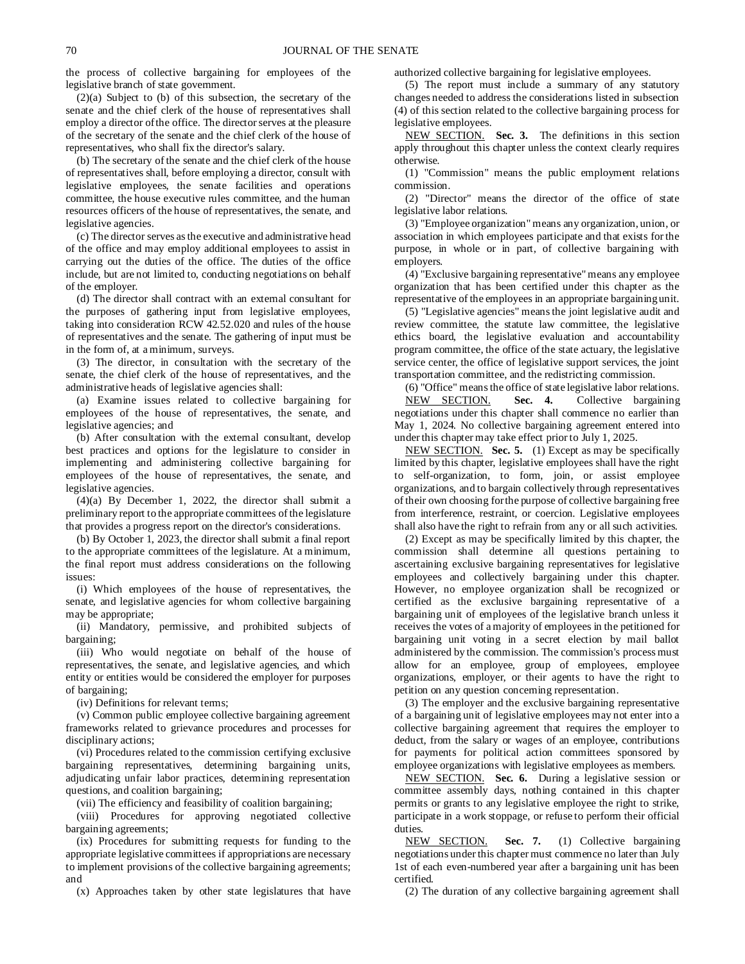the process of collective bargaining for employees of the legislative branch of state government.

(2)(a) Subject to (b) of this subsection, the secretary of the senate and the chief clerk of the house of representatives shall employ a director of the office. The director serves at the pleasure of the secretary of the senate and the chief clerk of the house of representatives, who shall fix the director's salary.

(b) The secretary of the senate and the chief clerk of the house of representatives shall, before employing a director, consult with legislative employees, the senate facilities and operations committee, the house executive rules committee, and the human resources officers of the house of representatives, the senate, and legislative agencies.

(c) The director serves as the executive and administrative head of the office and may employ additional employees to assist in carrying out the duties of the office. The duties of the office include, but are not limited to, conducting negotiations on behalf of the employer.

(d) The director shall contract with an external consultant for the purposes of gathering input from legislative employees, taking into consideration RCW 42.52.020 and rules of the house of representatives and the senate. The gathering of input must be in the form of, at a minimum, surveys.

(3) The director, in consultation with the secretary of the senate, the chief clerk of the house of representatives, and the administrative heads of legislative agencies shall:

(a) Examine issues related to collective bargaining for employees of the house of representatives, the senate, and legislative agencies; and

(b) After consultation with the external consultant, develop best practices and options for the legislature to consider in implementing and administering collective bargaining for employees of the house of representatives, the senate, and legislative agencies.

 $(4)(a)$  By December 1, 2022, the director shall submit a preliminary report to the appropriate committees of the legislature that provides a progress report on the director's considerations.

(b) By October 1, 2023, the director shall submit a final report to the appropriate committees of the legislature. At a minimum, the final report must address considerations on the following issues:

(i) Which employees of the house of representatives, the senate, and legislative agencies for whom collective bargaining may be appropriate;

(ii) Mandatory, permissive, and prohibited subjects of bargaining;

(iii) Who would negotiate on behalf of the house of representatives, the senate, and legislative agencies, and which entity or entities would be considered the employer for purposes of bargaining;

(iv) Definitions for relevant terms;

(v) Common public employee collective bargaining agreement frameworks related to grievance procedures and processes for disciplinary actions;

(vi) Procedures related to the commission certifying exclusive bargaining representatives, determining bargaining units, adjudicating unfair labor practices, determining representation questions, and coalition bargaining;

(vii) The efficiency and feasibility of coalition bargaining;

(viii) Procedures for approving negotiated collective bargaining agreements;

(ix) Procedures for submitting requests for funding to the appropriate legislative committees if appropriations are necessary to implement provisions of the collective bargaining agreements; and

(x) Approaches taken by other state legislatures that have

authorized collective bargaining for legislative employees.

(5) The report must include a summary of any statutory changes needed to address the considerations listed in subsection (4) of this section related to the collective bargaining process for legislative employees.

NEW SECTION. **Sec. 3.** The definitions in this section apply throughout this chapter unless the context clearly requires otherwise.

(1) "Commission" means the public employment relations commission.

(2) "Director" means the director of the office of state legislative labor relations.

(3) "Employee organization" means any organization, union, or association in which employees participate and that exists for the purpose, in whole or in part, of collective bargaining with employers.

(4) "Exclusive bargaining representative" means any employee organization that has been certified under this chapter as the representative of the employees in an appropriate bargaining unit.

(5) "Legislative agencies" means the joint legislative audit and review committee, the statute law committee, the legislative ethics board, the legislative evaluation and accountability program committee, the office of the state actuary, the legislative service center, the office of legislative support services, the joint transportation committee, and the redistricting commission.

(6) "Office" means the office of state legislative labor relations. NEW SECTION. **Sec. 4.** Collective bargaining negotiations under this chapter shall commence no earlier than May 1, 2024. No collective bargaining agreement entered into under this chapter may take effect prior to July 1, 2025.

NEW SECTION. **Sec. 5.** (1) Except as may be specifically limited by this chapter, legislative employees shall have the right to self-organization, to form, join, or assist employee organizations, and to bargain collectively through representatives of their own choosing for the purpose of collective bargaining free from interference, restraint, or coercion. Legislative employees shall also have the right to refrain from any or all such activities.

(2) Except as may be specifically limited by this chapter, the commission shall determine all questions pertaining to ascertaining exclusive bargaining representatives for legislative employees and collectively bargaining under this chapter. However, no employee organization shall be recognized or certified as the exclusive bargaining representative of a bargaining unit of employees of the legislative branch unless it receives the votes of a majority of employees in the petitioned for bargaining unit voting in a secret election by mail ballot administered by the commission. The commission's process must allow for an employee, group of employees, employee organizations, employer, or their agents to have the right to petition on any question concerning representation.

(3) The employer and the exclusive bargaining representative of a bargaining unit of legislative employees may not enter into a collective bargaining agreement that requires the employer to deduct, from the salary or wages of an employee, contributions for payments for political action committees sponsored by employee organizations with legislative employees as members.

NEW SECTION. **Sec. 6.** During a legislative session or committee assembly days, nothing contained in this chapter permits or grants to any legislative employee the right to strike, participate in a work stoppage, or refuse to perform their official duties.

NEW SECTION. **Sec. 7.** (1) Collective bargaining negotiations under this chapter must commence no later than July 1st of each even-numbered year after a bargaining unit has been certified.

(2) The duration of any collective bargaining agreement shall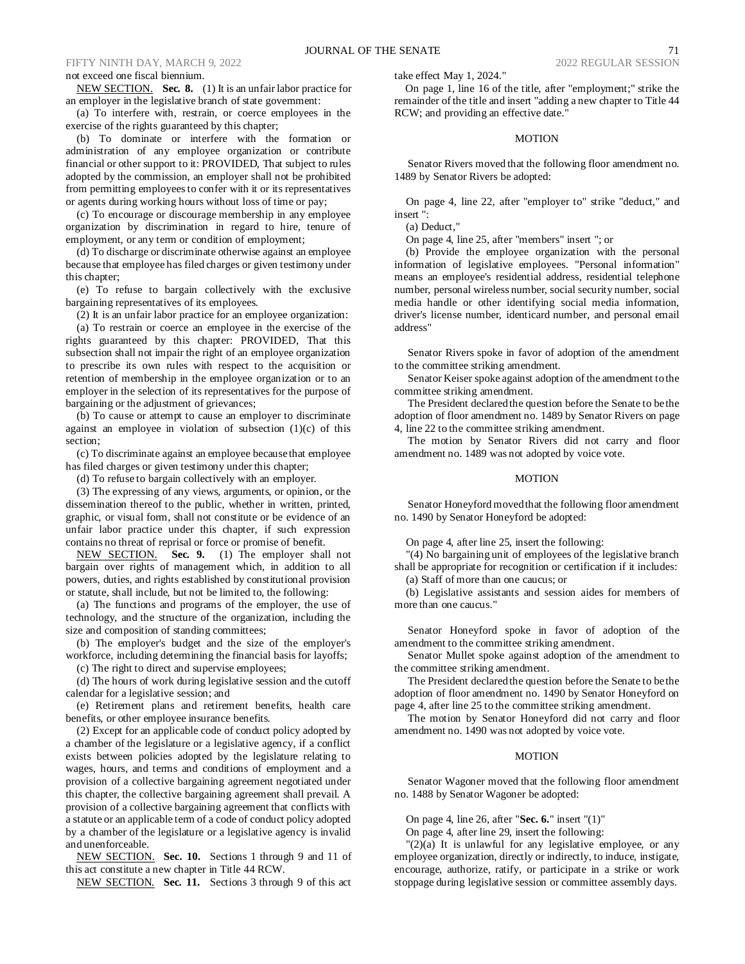### not exceed one fiscal biennium.

NEW SECTION. **Sec. 8.** (1) It is an unfair labor practice for an employer in the legislative branch of state government:

(a) To interfere with, restrain, or coerce employees in the exercise of the rights guaranteed by this chapter;

(b) To dominate or interfere with the formation or administration of any employee organization or contribute financial or other support to it: PROVIDED, That subject to rules adopted by the commission, an employer shall not be prohibited from permitting employees to confer with it or its representatives or agents during working hours without loss of time or pay;

(c) To encourage or discourage membership in any employee organization by discrimination in regard to hire, tenure of employment, or any term or condition of employment;

(d) To discharge or discriminate otherwise against an employee because that employee has filed charges or given testimony under this chapter;

(e) To refuse to bargain collectively with the exclusive bargaining representatives of its employees.

(2) It is an unfair labor practice for an employee organization:

(a) To restrain or coerce an employee in the exercise of the rights guaranteed by this chapter: PROVIDED, That this subsection shall not impair the right of an employee organization to prescribe its own rules with respect to the acquisition or retention of membership in the employee organization or to an employer in the selection of its representatives for the purpose of bargaining or the adjustment of grievances;

(b) To cause or attempt to cause an employer to discriminate against an employee in violation of subsection (1)(c) of this section;

(c) To discriminate against an employee because that employee has filed charges or given testimony under this chapter;

(d) To refuse to bargain collectively with an employer.

(3) The expressing of any views, arguments, or opinion, or the dissemination thereof to the public, whether in written, printed, graphic, or visual form, shall not constitute or be evidence of an unfair labor practice under this chapter, if such expression contains no threat of reprisal or force or promise of benefit.

NEW SECTION. **Sec. 9.** (1) The employer shall not bargain over rights of management which, in addition to all powers, duties, and rights established by constitutional provision or statute, shall include, but not be limited to, the following:

(a) The functions and programs of the employer, the use of technology, and the structure of the organization, including the size and composition of standing committees;

(b) The employer's budget and the size of the employer's workforce, including determining the financial basis for layoffs;

(c) The right to direct and supervise employees;

(d) The hours of work during legislative session and the cutoff calendar for a legislative session; and

(e) Retirement plans and retirement benefits, health care benefits, or other employee insurance benefits.

(2) Except for an applicable code of conduct policy adopted by a chamber of the legislature or a legislative agency, if a conflict exists between policies adopted by the legislature relating to wages, hours, and terms and conditions of employment and a provision of a collective bargaining agreement negotiated under this chapter, the collective bargaining agreement shall prevail. A provision of a collective bargaining agreement that conflicts with a statute or an applicable term of a code of conduct policy adopted by a chamber of the legislature or a legislative agency is invalid and unenforceable.

NEW SECTION. **Sec. 10.** Sections 1 through 9 and 11 of this act constitute a new chapter in Title 44 RCW.

NEW SECTION. **Sec. 11.** Sections 3 through 9 of this act

take effect May 1, 2024."

On page 1, line 16 of the title, after "employment;" strike the remainder of the title and insert "adding a new chapter to Title 44 RCW; and providing an effective date."

#### **MOTION**

Senator Rivers moved that the following floor amendment no. 1489 by Senator Rivers be adopted:

On page 4, line 22, after "employer to" strike "deduct," and insert ":

(a) Deduct,"

On page 4, line 25, after "members" insert "; or

(b) Provide the employee organization with the personal information of legislative employees. "Personal information" means an employee's residential address, residential telephone number, personal wireless number, social security number, social media handle or other identifying social media information, driver's license number, identicard number, and personal email address"

Senator Rivers spoke in favor of adoption of the amendment to the committee striking amendment.

Senator Keiser spoke against adoption of the amendment to the committee striking amendment.

The President declared the question before the Senate to be the adoption of floor amendment no. 1489 by Senator Rivers on page 4, line 22 to the committee striking amendment.

The motion by Senator Rivers did not carry and floor amendment no. 1489 was not adopted by voice vote.

#### MOTION

Senator Honeyford moved that the following floor amendment no. 1490 by Senator Honeyford be adopted:

On page 4, after line 25, insert the following:

"(4) No bargaining unit of employees of the legislative branch shall be appropriate for recognition or certification if it includes:

(a) Staff of more than one caucus; or

(b) Legislative assistants and session aides for members of more than one caucus."

Senator Honeyford spoke in favor of adoption of the amendment to the committee striking amendment.

Senator Mullet spoke against adoption of the amendment to the committee striking amendment.

The President declared the question before the Senate to be the adoption of floor amendment no. 1490 by Senator Honeyford on page 4, after line 25 to the committee striking amendment.

The motion by Senator Honeyford did not carry and floor amendment no. 1490 was not adopted by voice vote.

# MOTION

Senator Wagoner moved that the following floor amendment no. 1488 by Senator Wagoner be adopted:

On page 4, line 26, after "**Sec. 6.**" insert "(1)"

On page 4, after line 29, insert the following:

 $''(2)(a)$  It is unlawful for any legislative employee, or any employee organization, directly or indirectly, to induce, instigate, encourage, authorize, ratify, or participate in a strike or work stoppage during legislative session or committee assembly days.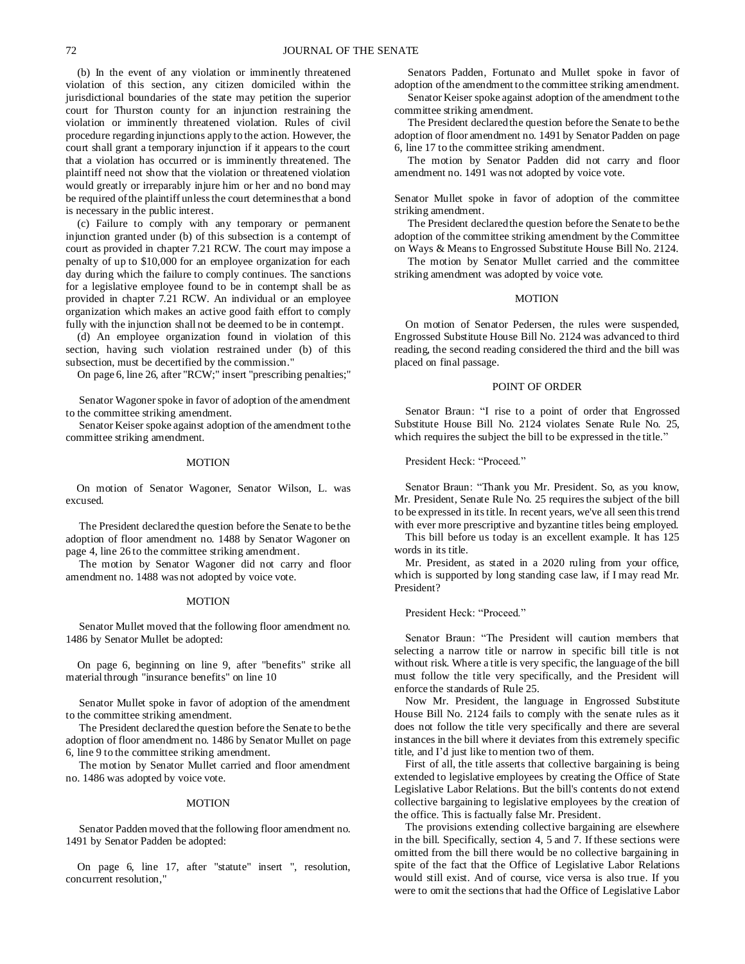(b) In the event of any violation or imminently threatened violation of this section, any citizen domiciled within the jurisdictional boundaries of the state may petition the superior court for Thurston county for an injunction restraining the violation or imminently threatened violation. Rules of civil procedure regarding injunctions apply to the action. However, the court shall grant a temporary injunction if it appears to the court that a violation has occurred or is imminently threatened. The plaintiff need not show that the violation or threatened violation would greatly or irreparably injure him or her and no bond may be required of the plaintiff unless the court determines that a bond is necessary in the public interest.

(c) Failure to comply with any temporary or permanent injunction granted under (b) of this subsection is a contempt of court as provided in chapter 7.21 RCW. The court may impose a penalty of up to \$10,000 for an employee organization for each day during which the failure to comply continues. The sanctions for a legislative employee found to be in contempt shall be as provided in chapter 7.21 RCW. An individual or an employee organization which makes an active good faith effort to comply fully with the injunction shall not be deemed to be in contempt.

(d) An employee organization found in violation of this section, having such violation restrained under (b) of this subsection, must be decertified by the commission."

On page 6, line 26, after "RCW;" insert "prescribing penalties;"

Senator Wagoner spoke in favor of adoption of the amendment to the committee striking amendment.

Senator Keiser spoke against adoption of the amendment to the committee striking amendment.

#### MOTION

On motion of Senator Wagoner, Senator Wilson, L. was excused.

The President declared the question before the Senate to be the adoption of floor amendment no. 1488 by Senator Wagoner on page 4, line 26 to the committee striking amendment.

The motion by Senator Wagoner did not carry and floor amendment no. 1488 was not adopted by voice vote.

#### MOTION

Senator Mullet moved that the following floor amendment no. 1486 by Senator Mullet be adopted:

On page 6, beginning on line 9, after "benefits" strike all material through "insurance benefits" on line 10

Senator Mullet spoke in favor of adoption of the amendment to the committee striking amendment.

The President declared the question before the Senate to be the adoption of floor amendment no. 1486 by Senator Mullet on page 6, line 9 to the committee striking amendment.

The motion by Senator Mullet carried and floor amendment no. 1486 was adopted by voice vote.

#### MOTION

Senator Padden moved that the following floor amendment no. 1491 by Senator Padden be adopted:

On page 6, line 17, after "statute" insert ", resolution, concurrent resolution,"

Senators Padden, Fortunato and Mullet spoke in favor of adoption of the amendment to the committee striking amendment.

Senator Keiser spoke against adoption of the amendment to the committee striking amendment.

The President declared the question before the Senate to be the adoption of floor amendment no. 1491 by Senator Padden on page 6, line 17 to the committee striking amendment.

The motion by Senator Padden did not carry and floor amendment no. 1491 was not adopted by voice vote.

Senator Mullet spoke in favor of adoption of the committee striking amendment.

The President declared the question before the Senate to be the adoption of the committee striking amendment by the Committee on Ways & Means to Engrossed Substitute House Bill No. 2124.

The motion by Senator Mullet carried and the committee striking amendment was adopted by voice vote.

#### MOTION

On motion of Senator Pedersen, the rules were suspended, Engrossed Substitute House Bill No. 2124 was advanced to third reading, the second reading considered the third and the bill was placed on final passage.

#### POINT OF ORDER

Senator Braun: "I rise to a point of order that Engrossed Substitute House Bill No. 2124 violates Senate Rule No. 25, which requires the subject the bill to be expressed in the title."

President Heck: "Proceed."

Senator Braun: "Thank you Mr. President. So, as you know, Mr. President, Senate Rule No. 25 requires the subject of the bill to be expressed in its title. In recent years, we've all seen this trend with ever more prescriptive and byzantine titles being employed.

This bill before us today is an excellent example. It has 125 words in its title.

Mr. President, as stated in a 2020 ruling from your office, which is supported by long standing case law, if I may read Mr. President?

President Heck: "Proceed."

Senator Braun: "The President will caution members that selecting a narrow title or narrow in specific bill title is not without risk. Where a title is very specific, the language of the bill must follow the title very specifically, and the President will enforce the standards of Rule 25.

Now Mr. President, the language in Engrossed Substitute House Bill No. 2124 fails to comply with the senate rules as it does not follow the title very specifically and there are several instances in the bill where it deviates from this extremely specific title, and I'd just like to mention two of them.

First of all, the title asserts that collective bargaining is being extended to legislative employees by creating the Office of State Legislative Labor Relations. But the bill's contents do not extend collective bargaining to legislative employees by the creation of the office. This is factually false Mr. President.

The provisions extending collective bargaining are elsewhere in the bill. Specifically, section 4, 5 and 7. If these sections were omitted from the bill there would be no collective bargaining in spite of the fact that the Office of Legislative Labor Relations would still exist. And of course, vice versa is also true. If you were to omit the sections that had the Office of Legislative Labor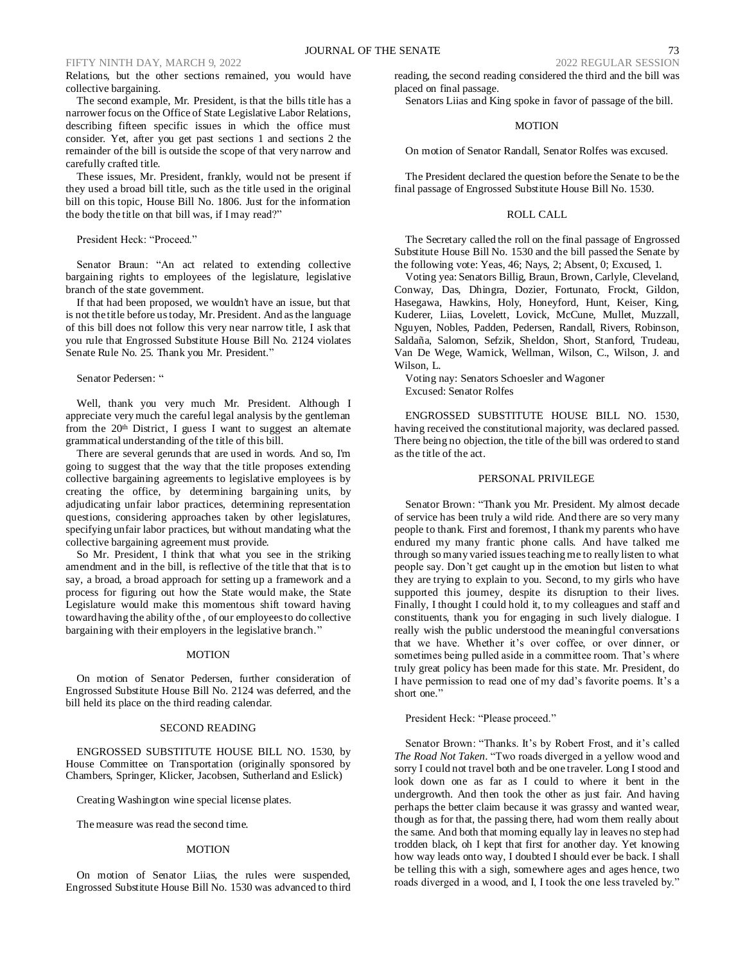# FIFTY NINTH DAY, MARCH 9, 2022

Relations, but the other sections remained, you would have collective bargaining.

The second example, Mr. President, is that the bills title has a narrower focus on the Office of State Legislative Labor Relations, describing fifteen specific issues in which the office must consider. Yet, after you get past sections 1 and sections 2 the remainder of the bill is outside the scope of that very narrow and carefully crafted title.

These issues, Mr. President, frankly, would not be present if they used a broad bill title, such as the title used in the original bill on this topic, House Bill No. 1806. Just for the information the body the title on that bill was, if I may read?"

# President Heck: "Proceed."

Senator Braun: "An act related to extending collective bargaining rights to employees of the legislature, legislative branch of the state government.

If that had been proposed, we wouldn't have an issue, but that is not the title before us today, Mr. President. And as the language of this bill does not follow this very near narrow title, I ask that you rule that Engrossed Substitute House Bill No. 2124 violates Senate Rule No. 25. Thank you Mr. President."

# Senator Pedersen: "

Well, thank you very much Mr. President. Although I appreciate very much the careful legal analysis by the gentleman from the 20<sup>th</sup> District, I guess I want to suggest an alternate grammatical understanding of the title of this bill.

There are several gerunds that are used in words. And so, I'm going to suggest that the way that the title proposes extending collective bargaining agreements to legislative employees is by creating the office, by determining bargaining units, by adjudicating unfair labor practices, determining representation questions, considering approaches taken by other legislatures, specifying unfair labor practices, but without mandating what the collective bargaining agreement must provide.

So Mr. President, I think that what you see in the striking amendment and in the bill, is reflective of the title that that is to say, a broad, a broad approach for setting up a framework and a process for figuring out how the State would make, the State Legislature would make this momentous shift toward having toward having the ability of the , of our employees to do collective bargaining with their employers in the legislative branch."

#### **MOTION**

On motion of Senator Pedersen, further consideration of Engrossed Substitute House Bill No. 2124 was deferred, and the bill held its place on the third reading calendar.

#### SECOND READING

ENGROSSED SUBSTITUTE HOUSE BILL NO. 1530, by House Committee on Transportation (originally sponsored by Chambers, Springer, Klicker, Jacobsen, Sutherland and Eslick)

Creating Washington wine special license plates.

The measure was read the second time.

#### MOTION

On motion of Senator Liias, the rules were suspended, Engrossed Substitute House Bill No. 1530 was advanced to third

reading, the second reading considered the third and the bill was placed on final passage.

Senators Liias and King spoke in favor of passage of the bill.

# **MOTION**

On motion of Senator Randall, Senator Rolfes was excused.

The President declared the question before the Senate to be the final passage of Engrossed Substitute House Bill No. 1530.

# ROLL CALL

The Secretary called the roll on the final passage of Engrossed Substitute House Bill No. 1530 and the bill passed the Senate by the following vote: Yeas, 46; Nays, 2; Absent, 0; Excused, 1.

Voting yea: Senators Billig, Braun, Brown, Carlyle, Cleveland, Conway, Das, Dhingra, Dozier, Fortunato, Frockt, Gildon, Hasegawa, Hawkins, Holy, Honeyford, Hunt, Keiser, King, Kuderer, Liias, Lovelett, Lovick, McCune, Mullet, Muzzall, Nguyen, Nobles, Padden, Pedersen, Randall, Rivers, Robinson, Saldaña, Salomon, Sefzik, Sheldon, Short, Stanford, Trudeau, Van De Wege, Warnick, Wellman, Wilson, C., Wilson, J. and Wilson, L.

Voting nay: Senators Schoesler and Wagoner Excused: Senator Rolfes

ENGROSSED SUBSTITUTE HOUSE BILL NO. 1530, having received the constitutional majority, was declared passed. There being no objection, the title of the bill was ordered to stand as the title of the act.

#### PERSONAL PRIVILEGE

Senator Brown: "Thank you Mr. President. My almost decade of service has been truly a wild ride. And there are so very many people to thank. First and foremost, I thank my parents who have endured my many frantic phone calls. And have talked me through so many varied issues teaching me to really listen to what people say. Don't get caught up in the emotion but listen to what they are trying to explain to you. Second, to my girls who have supported this journey, despite its disruption to their lives. Finally, I thought I could hold it, to my colleagues and staff and constituents, thank you for engaging in such lively dialogue. I really wish the public understood the meaningful conversations that we have. Whether it's over coffee, or over dinner, or sometimes being pulled aside in a committee room. That's where truly great policy has been made for this state. Mr. President, do I have permission to read one of my dad's favorite poems. It's a short one."

President Heck: "Please proceed."

Senator Brown: "Thanks. It's by Robert Frost, and it's called *The Road Not Taken*. "Two roads diverged in a yellow wood and sorry I could not travel both and be one traveler. Long I stood and look down one as far as I could to where it bent in the undergrowth. And then took the other as just fair. And having perhaps the better claim because it was grassy and wanted wear, though as for that, the passing there, had worn them really about the same. And both that morning equally lay in leaves no step had trodden black, oh I kept that first for another day. Yet knowing how way leads onto way, I doubted I should ever be back. I shall be telling this with a sigh, somewhere ages and ages hence, two roads diverged in a wood, and I, I took the one less traveled by."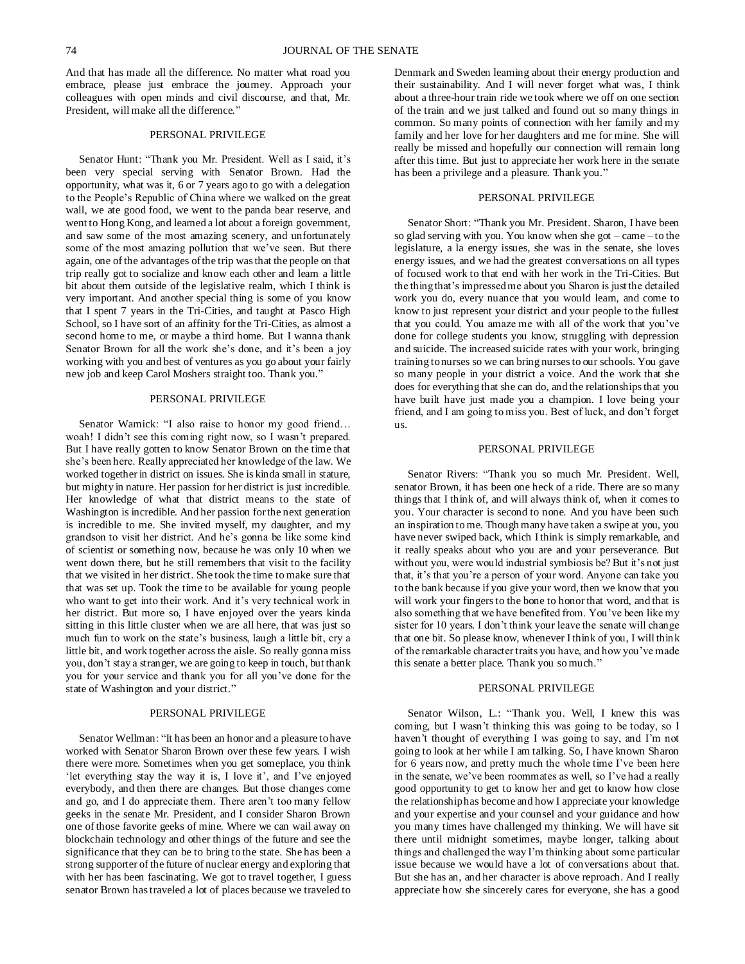And that has made all the difference. No matter what road you embrace, please just embrace the journey. Approach your colleagues with open minds and civil discourse, and that, Mr. President, will make all the difference."

# PERSONAL PRIVILEGE

Senator Hunt: "Thank you Mr. President. Well as I said, it's been very special serving with Senator Brown. Had the opportunity, what was it, 6 or 7 years ago to go with a delegation to the People's Republic of China where we walked on the great wall, we ate good food, we went to the panda bear reserve, and went to Hong Kong, and learned a lot about a foreign government, and saw some of the most amazing scenery, and unfortunately some of the most amazing pollution that we've seen. But there again, one of the advantages of the trip was that the people on that trip really got to socialize and know each other and learn a little bit about them outside of the legislative realm, which I think is very important. And another special thing is some of you know that I spent 7 years in the Tri-Cities, and taught at Pasco High School, so I have sort of an affinity for the Tri-Cities, as almost a second home to me, or maybe a third home. But I wanna thank Senator Brown for all the work she's done, and it's been a joy working with you and best of ventures as you go about your fairly new job and keep Carol Moshers straight too. Thank you."

## PERSONAL PRIVILEGE

Senator Warnick: "I also raise to honor my good friend... woah! I didn't see this coming right now, so I wasn't prepared. But I have really gotten to know Senator Brown on the time that she's been here. Really appreciated her knowledge of the law. We worked together in district on issues. She is kinda small in stature, but mighty in nature. Her passion for her district is just incredible. Her knowledge of what that district means to the state of Washington is incredible. And her passion for the next generation is incredible to me. She invited myself, my daughter, and my grandson to visit her district. And he's gonna be like some kind of scientist or something now, because he was only 10 when we went down there, but he still remembers that visit to the facility that we visited in her district. She took the time to make sure that that was set up. Took the time to be available for young people who want to get into their work. And it's very technical work in her district. But more so, I have enjoyed over the years kinda sitting in this little cluster when we are all here, that was just so much fun to work on the state's business, laugh a little bit, cry a little bit, and work together across the aisle. So really gonna miss you, don't stay a stranger, we are going to keep in touch, but thank you for your service and thank you for all you've done for the state of Washington and your district."

## PERSONAL PRIVILEGE

Senator Wellman: "It has been an honor and a pleasure to have worked with Senator Sharon Brown over these few years. I wish there were more. Sometimes when you get someplace, you think 'let everything stay the way it is, I love it', and I've enjoyed everybody, and then there are changes. But those changes come and go, and I do appreciate them. There aren't too many fellow geeks in the senate Mr. President, and I consider Sharon Brown one of those favorite geeks of mine. Where we can wail away on blockchain technology and other things of the future and see the significance that they can be to bring to the state. She has been a strong supporter of the future of nuclear energy and exploring that with her has been fascinating. We got to travel together, I guess senator Brown has traveled a lot of places because we traveled to Denmark and Sweden learning about their energy production and their sustainability. And I will never forget what was, I think about a three-hour train ride we took where we off on one section of the train and we just talked and found out so many things in common. So many points of connection with her family and my family and her love for her daughters and me for mine. She will really be missed and hopefully our connection will remain long after this time. But just to appreciate her work here in the senate has been a privilege and a pleasure. Thank you."

## PERSONAL PRIVILEGE

Senator Short: "Thank you Mr. President. Sharon, I have been so glad serving with you. You know when she got – came – to the legislature, a la energy issues, she was in the senate, she loves energy issues, and we had the greatest conversations on all types of focused work to that end with her work in the Tri-Cities. But the thing that's impressed me about you Sharon is just the detailed work you do, every nuance that you would learn, and come to know to just represent your district and your people to the fullest that you could. You amaze me with all of the work that you've done for college students you know, struggling with depression and suicide. The increased suicide rates with your work, bringing training to nurses so we can bring nurses to our schools. You gave so many people in your district a voice. And the work that she does for everything that she can do, and the relationships that you have built have just made you a champion. I love being your friend, and I am going to miss you. Best of luck, and don't forget us.

### PERSONAL PRIVILEGE

Senator Rivers: "Thank you so much Mr. President. Well, senator Brown, it has been one heck of a ride. There are so many things that I think of, and will always think of, when it comes to you. Your character is second to none. And you have been such an inspiration to me. Though many have taken a swipe at you, you have never swiped back, which I think is simply remarkable, and it really speaks about who you are and your perseverance. But without you, were would industrial symbiosis be? But it's not just that, it's that you're a person of your word. Anyone can take you to the bank because if you give your word, then we know that you will work your fingers to the bone to honor that word, and that is also something that we have benefited from. You've been like my sister for 10 years. I don't think your leave the senate will change that one bit. So please know, whenever I think of you, I will think of the remarkable character traits you have, and how you've made this senate a better place. Thank you so much."

## PERSONAL PRIVILEGE

Senator Wilson, L.: "Thank you. Well, I knew this was coming, but I wasn't thinking this was going to be today, so I haven't thought of everything I was going to say, and I'm not going to look at her while I am talking. So, I have known Sharon for 6 years now, and pretty much the whole time I've been here in the senate, we've been roommates as well, so I've had a really good opportunity to get to know her and get to know how close the relationship has become and how I appreciate your knowledge and your expertise and your counsel and your guidance and how you many times have challenged my thinking. We will have sit there until midnight sometimes, maybe longer, talking about things and challenged the way I'm thinking about some particular issue because we would have a lot of conversations about that. But she has an, and her character is above reproach. And I really appreciate how she sincerely cares for everyone, she has a good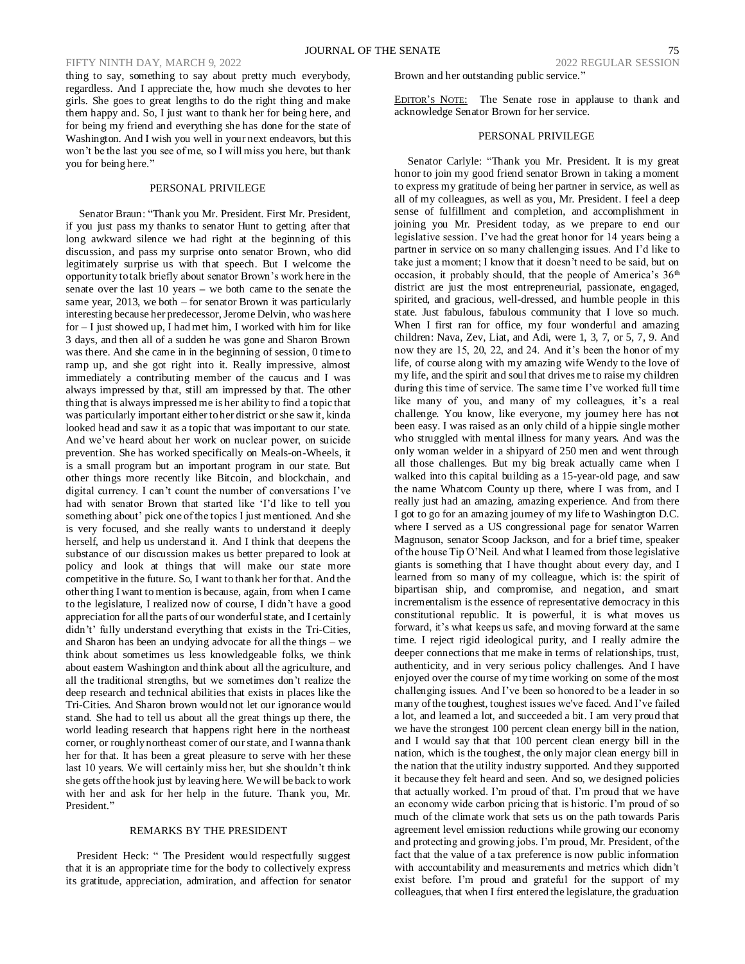# FIFTY NINTH DAY, MARCH 9, 2022 2022 REGULAR SESSION

thing to say, something to say about pretty much everybody, regardless. And I appreciate the, how much she devotes to her girls. She goes to great lengths to do the right thing and make them happy and. So, I just want to thank her for being here, and for being my friend and everything she has done for the state of Washington. And I wish you well in your next endeavors, but this won't be the last you see of me, so I will miss you here, but thank you for being here."

# PERSONAL PRIVILEGE

Senator Braun: "Thank you Mr. President. First Mr. President, if you just pass my thanks to senator Hunt to getting after that long awkward silence we had right at the beginning of this discussion, and pass my surprise onto senator Brown, who did legitimately surprise us with that speech. But I welcome the opportunity to talk briefly about senator Brown's work here in the senate over the last 10 years **–** we both came to the senate the same year, 2013, we both – for senator Brown it was particularly interesting because her predecessor, Jerome Delvin, who was here for – I just showed up, I had met him, I worked with him for like 3 days, and then all of a sudden he was gone and Sharon Brown was there. And she came in in the beginning of session, 0 time to ramp up, and she got right into it. Really impressive, almost immediately a contributing member of the caucus and I was always impressed by that, still am impressed by that. The other thing that is always impressed me is her ability to find a topic that was particularly important either to her district or she saw it, kinda looked head and saw it as a topic that was important to our state. And we've heard about her work on nuclear power, on suicide prevention. She has worked specifically on Meals-on-Wheels, it is a small program but an important program in our state. But other things more recently like Bitcoin, and blockchain, and digital currency. I can't count the number of conversations I've had with senator Brown that started like 'I'd like to tell you something about' pick one of the topics I just mentioned. And she is very focused, and she really wants to understand it deeply herself, and help us understand it. And I think that deepens the substance of our discussion makes us better prepared to look at policy and look at things that will make our state more competitive in the future. So, I want to thank her for that. And the other thing I want to mention is because, again, from when I came to the legislature, I realized now of course, I didn't have a good appreciation for all the parts of our wonderful state, and I certainly didn't' fully understand everything that exists in the Tri-Cities, and Sharon has been an undying advocate for all the things – we think about sometimes us less knowledgeable folks, we think about eastern Washington and think about all the agriculture, and all the traditional strengths, but we sometimes don't realize the deep research and technical abilities that exists in places like the Tri-Cities. And Sharon brown would not let our ignorance would stand. She had to tell us about all the great things up there, the world leading research that happens right here in the northeast corner, or roughly northeast corner of our state, and I wanna thank her for that. It has been a great pleasure to serve with her these last 10 years. We will certainly miss her, but she shouldn't think she gets off the hook just by leaving here. We will be back to work with her and ask for her help in the future. Thank you, Mr. President."

# REMARKS BY THE PRESIDENT

President Heck: " The President would respectfully suggest that it is an appropriate time for the body to collectively express its gratitude, appreciation, admiration, and affection for senator Brown and her outstanding public service."

EDITOR'S NOTE: The Senate rose in applause to thank and acknowledge Senator Brown for her service.

# PERSONAL PRIVILEGE

Senator Carlyle: "Thank you Mr. President. It is my great honor to join my good friend senator Brown in taking a moment to express my gratitude of being her partner in service, as well as all of my colleagues, as well as you, Mr. President. I feel a deep sense of fulfillment and completion, and accomplishment in joining you Mr. President today, as we prepare to end our legislative session. I've had the great honor for 14 years being a partner in service on so many challenging issues. And I'd like to take just a moment; I know that it doesn't need to be said, but on occasion, it probably should, that the people of America's 36<sup>th</sup> district are just the most entrepreneurial, passionate, engaged, spirited, and gracious, well-dressed, and humble people in this state. Just fabulous, fabulous community that I love so much. When I first ran for office, my four wonderful and amazing children: Nava, Zev, Liat, and Adi, were 1, 3, 7, or 5, 7, 9. And now they are 15, 20, 22, and 24. And it's been the honor of my life, of course along with my amazing wife Wendy to the love of my life, and the spirit and soul that drives me to raise my children during this time of service. The same time I've worked full time like many of you, and many of my colleagues, it's a real challenge. You know, like everyone, my journey here has not been easy. I was raised as an only child of a hippie single mother who struggled with mental illness for many years. And was the only woman welder in a shipyard of 250 men and went through all those challenges. But my big break actually came when I walked into this capital building as a 15-year-old page, and saw the name Whatcom County up there, where I was from, and I really just had an amazing, amazing experience. And from there I got to go for an amazing journey of my life to Washington D.C. where I served as a US congressional page for senator Warren Magnuson, senator Scoop Jackson, and for a brief time, speaker of the house Tip O'Neil. And what I learned from those legislative giants is something that I have thought about every day, and I learned from so many of my colleague, which is: the spirit of bipartisan ship, and compromise, and negation, and smart incrementalism is the essence of representative democracy in this constitutional republic. It is powerful, it is what moves us forward, it's what keeps us safe, and moving forward at the same time. I reject rigid ideological purity, and I really admire the deeper connections that me make in terms of relationships, trust, authenticity, and in very serious policy challenges. And I have enjoyed over the course of my time working on some of the most challenging issues. And I've been so honored to be a leader in so many of the toughest, toughest issues we've faced. And I've failed a lot, and learned a lot, and succeeded a bit. I am very proud that we have the strongest 100 percent clean energy bill in the nation, and I would say that that 100 percent clean energy bill in the nation, which is the toughest, the only major clean energy bill in the nation that the utility industry supported. And they supported it because they felt heard and seen. And so, we designed policies that actually worked. I'm proud of that. I'm proud that we have an economy wide carbon pricing that is historic. I'm proud of so much of the climate work that sets us on the path towards Paris agreement level emission reductions while growing our economy and protecting and growing jobs. I'm proud, Mr. President, of the fact that the value of a tax preference is now public information with accountability and measurements and metrics which didn't exist before. I'm proud and grateful for the support of my colleagues, that when I first entered the legislature, the graduation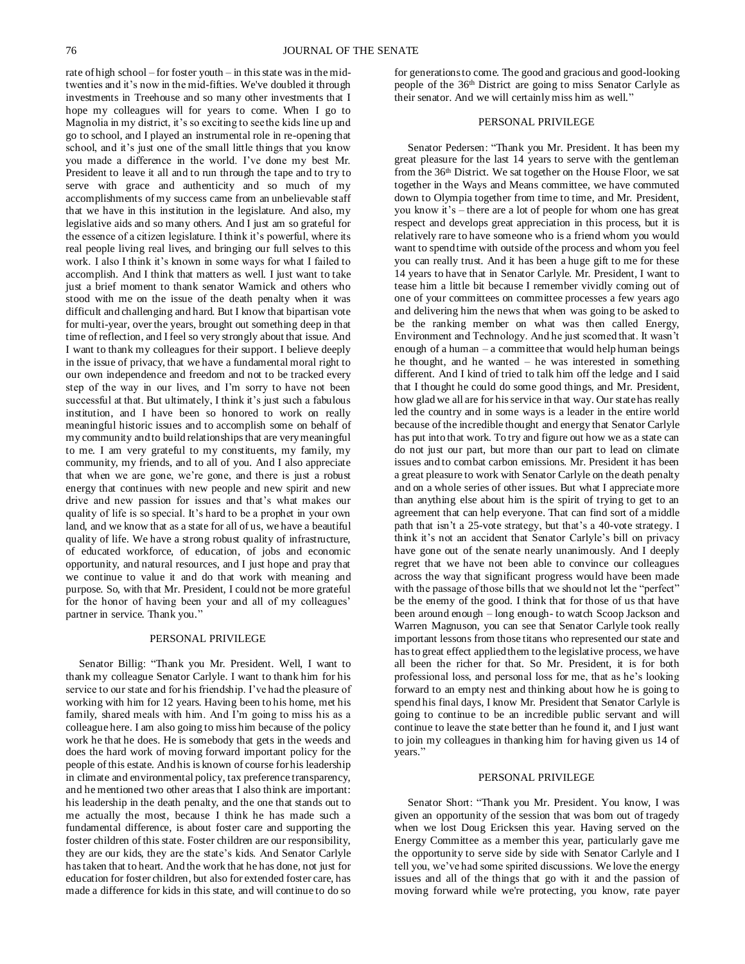rate of high school – for foster youth – in this state was in the midtwenties and it's now in the mid-fifties. We've doubled it through investments in Treehouse and so many other investments that I hope my colleagues will for years to come. When I go to Magnolia in my district, it's so exciting to see the kids line up and go to school, and I played an instrumental role in re-opening that school, and it's just one of the small little things that you know you made a difference in the world. I've done my best Mr. President to leave it all and to run through the tape and to try to serve with grace and authenticity and so much of my accomplishments of my success came from an unbelievable staff that we have in this institution in the legislature. And also, my legislative aids and so many others. And I just am so grateful for the essence of a citizen legislature. I think it's powerful, where its real people living real lives, and bringing our full selves to this work. I also I think it's known in some ways for what I failed to accomplish. And I think that matters as well. I just want to take just a brief moment to thank senator Warnick and others who stood with me on the issue of the death penalty when it was difficult and challenging and hard. But I know that bipartisan vote for multi-year, over the years, brought out something deep in that time of reflection, and I feel so very strongly about that issue. And I want to thank my colleagues for their support. I believe deeply in the issue of privacy, that we have a fundamental moral right to our own independence and freedom and not to be tracked every step of the way in our lives, and I'm sorry to have not been successful at that. But ultimately, I think it's just such a fabulous institution, and I have been so honored to work on really meaningful historic issues and to accomplish some on behalf of my community and to build relationships that are very meaningful to me. I am very grateful to my constituents, my family, my community, my friends, and to all of you. And I also appreciate that when we are gone, we're gone, and there is just a robust energy that continues with new people and new spirit and new drive and new passion for issues and that's what makes our quality of life is so special. It's hard to be a prophet in your own land, and we know that as a state for all of us, we have a beautiful quality of life. We have a strong robust quality of infrastructure, of educated workforce, of education, of jobs and economic opportunity, and natural resources, and I just hope and pray that we continue to value it and do that work with meaning and purpose. So, with that Mr. President, I could not be more grateful for the honor of having been your and all of my colleagues' partner in service. Thank you."

## PERSONAL PRIVILEGE

Senator Billig: "Thank you Mr. President. Well, I want to thank my colleague Senator Carlyle. I want to thank him for his service to our state and for his friendship. I've had the pleasure of working with him for 12 years. Having been to his home, met his family, shared meals with him. And I'm going to miss his as a colleague here. I am also going to miss him because of the policy work he that he does. He is somebody that gets in the weeds and does the hard work of moving forward important policy for the people of this estate. And his is known of course for his leadership in climate and environmental policy, tax preference transparency, and he mentioned two other areas that I also think are important: his leadership in the death penalty, and the one that stands out to me actually the most, because I think he has made such a fundamental difference, is about foster care and supporting the foster children of this state. Foster children are our responsibility, they are our kids, they are the state's kids. And Senator Carlyle has taken that to heart. And the work that he has done, not just for education for foster children, but also for extended foster care, has made a difference for kids in this state, and will continue to do so for generations to come. The good and gracious and good-looking people of the 36th District are going to miss Senator Carlyle as their senator. And we will certainly miss him as well."

# PERSONAL PRIVILEGE

Senator Pedersen: "Thank you Mr. President. It has been my great pleasure for the last 14 years to serve with the gentleman from the 36<sup>th</sup> District. We sat together on the House Floor, we sat together in the Ways and Means committee, we have commuted down to Olympia together from time to time, and Mr. President, you know it's – there are a lot of people for whom one has great respect and develops great appreciation in this process, but it is relatively rare to have someone who is a friend whom you would want to spend time with outside of the process and whom you feel you can really trust. And it has been a huge gift to me for these 14 years to have that in Senator Carlyle. Mr. President, I want to tease him a little bit because I remember vividly coming out of one of your committees on committee processes a few years ago and delivering him the news that when was going to be asked to be the ranking member on what was then called Energy, Environment and Technology. And he just scorned that. It wasn't enough of a human – a committee that would help human beings he thought, and he wanted – he was interested in something different. And I kind of tried to talk him off the ledge and I said that I thought he could do some good things, and Mr. President, how glad we all are for his service in that way. Our state has really led the country and in some ways is a leader in the entire world because of the incredible thought and energy that Senator Carlyle has put into that work. To try and figure out how we as a state can do not just our part, but more than our part to lead on climate issues and to combat carbon emissions. Mr. President it has been a great pleasure to work with Senator Carlyle on the death penalty and on a whole series of other issues. But what I appreciate more than anything else about him is the spirit of trying to get to an agreement that can help everyone. That can find sort of a middle path that isn't a 25-vote strategy, but that's a 40-vote strategy. I think it's not an accident that Senator Carlyle's bill on privacy have gone out of the senate nearly unanimously. And I deeply regret that we have not been able to convince our colleagues across the way that significant progress would have been made with the passage of those bills that we should not let the "perfect" be the enemy of the good. I think that for those of us that have been around enough – long enough- to watch Scoop Jackson and Warren Magnuson, you can see that Senator Carlyle took really important lessons from those titans who represented our state and has to great effect applied them to the legislative process, we have all been the richer for that. So Mr. President, it is for both professional loss, and personal loss for me, that as he's looking forward to an empty nest and thinking about how he is going to spend his final days, I know Mr. President that Senator Carlyle is going to continue to be an incredible public servant and will continue to leave the state better than he found it, and I just want to join my colleagues in thanking him for having given us 14 of years."

#### PERSONAL PRIVILEGE

Senator Short: "Thank you Mr. President. You know, I was given an opportunity of the session that was born out of tragedy when we lost Doug Ericksen this year. Having served on the Energy Committee as a member this year, particularly gave me the opportunity to serve side by side with Senator Carlyle and I tell you, we've had some spirited discussions. We love the energy issues and all of the things that go with it and the passion of moving forward while we're protecting, you know, rate payer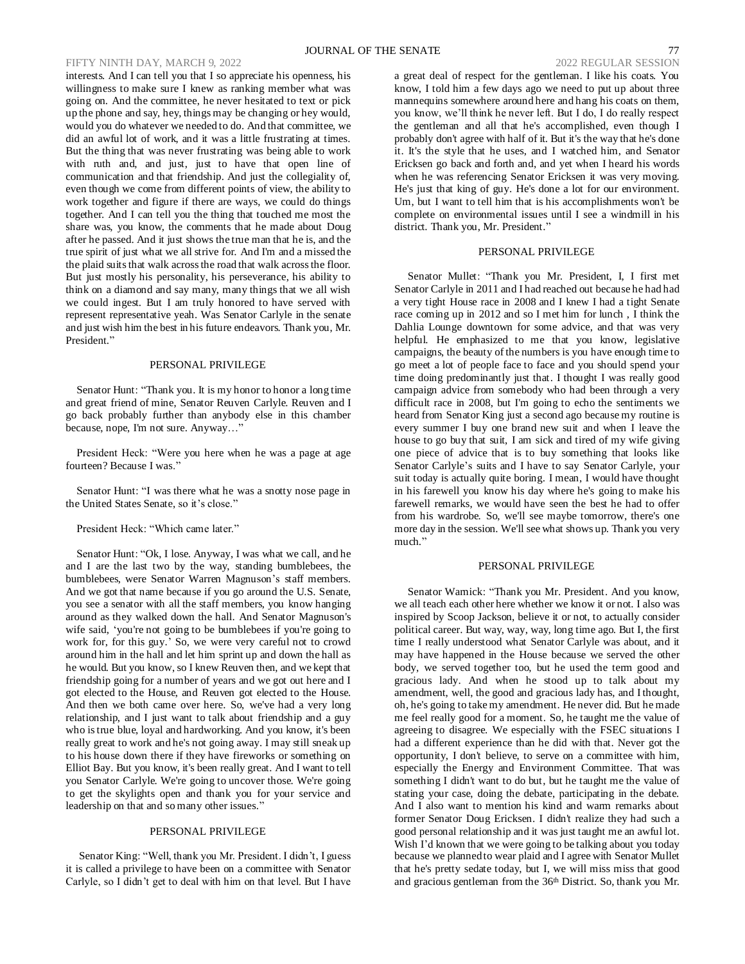# FIFTY NINTH DAY, MARCH 9, 2022 2022 REGULAR SESSION

interests. And I can tell you that I so appreciate his openness, his willingness to make sure I knew as ranking member what was going on. And the committee, he never hesitated to text or pick up the phone and say, hey, things may be changing or hey would, would you do whatever we needed to do. And that committee, we did an awful lot of work, and it was a little frustrating at times. But the thing that was never frustrating was being able to work with ruth and, and just, just to have that open line of communication and that friendship. And just the collegiality of, even though we come from different points of view, the ability to work together and figure if there are ways, we could do things together. And I can tell you the thing that touched me most the share was, you know, the comments that he made about Doug after he passed. And it just shows the true man that he is, and the true spirit of just what we all strive for. And I'm and a missed the the plaid suits that walk across the road that walk across the floor. But just mostly his personality, his perseverance, his ability to think on a diamond and say many, many things that we all wish we could ingest. But I am truly honored to have served with represent representative yeah. Was Senator Carlyle in the senate and just wish him the best in his future endeavors. Thank you, Mr. President."

#### PERSONAL PRIVILEGE

Senator Hunt: "Thank you. It is my honor to honor a long time and great friend of mine, Senator Reuven Carlyle. Reuven and I go back probably further than anybody else in this chamber because, nope, I'm not sure. Anyway…"

President Heck: "Were you here when he was a page at age fourteen? Because I was."

Senator Hunt: "I was there what he was a snotty nose page in the United States Senate, so it's close."

# President Heck: "Which came later."

Senator Hunt: "Ok, I lose. Anyway, I was what we call, and he and I are the last two by the way, standing bumblebees, the bumblebees, were Senator Warren Magnuson's staff members. And we got that name because if you go around the U.S. Senate, you see a senator with all the staff members, you know hanging around as they walked down the hall. And Senator Magnuson's wife said, 'you're not going to be bumblebees if you're going to work for, for this guy.' So, we were very careful not to crowd around him in the hall and let him sprint up and down the hall as he would. But you know, so I knew Reuven then, and we kept that friendship going for a number of years and we got out here and I got elected to the House, and Reuven got elected to the House. And then we both came over here. So, we've had a very long relationship, and I just want to talk about friendship and a guy who is true blue, loyal and hardworking. And you know, it's been really great to work and he's not going away. I may still sneak up to his house down there if they have fireworks or something on Elliot Bay. But you know, it's been really great. And I want to tell you Senator Carlyle. We're going to uncover those. We're going to get the skylights open and thank you for your service and leadership on that and so many other issues."

# PERSONAL PRIVILEGE

Senator King: "Well, thank you Mr. President. I didn't, I guess it is called a privilege to have been on a committee with Senator Carlyle, so I didn't get to deal with him on that level. But I have a great deal of respect for the gentleman. I like his coats. You know, I told him a few days ago we need to put up about three mannequins somewhere around here and hang his coats on them, you know, we'll think he never left. But I do, I do really respect the gentleman and all that he's accomplished, even though I probably don't agree with half of it. But it's the way that he's done it. It's the style that he uses, and I watched him, and Senator Ericksen go back and forth and, and yet when I heard his words when he was referencing Senator Ericksen it was very moving. He's just that king of guy. He's done a lot for our environment. Um, but I want to tell him that is his accomplishments won't be complete on environmental issues until I see a windmill in his district. Thank you, Mr. President."

# PERSONAL PRIVILEGE

Senator Mullet: "Thank you Mr. President, I, I first met Senator Carlyle in 2011 and I had reached out because he had had a very tight House race in 2008 and I knew I had a tight Senate race coming up in 2012 and so I met him for lunch , I think the Dahlia Lounge downtown for some advice, and that was very helpful. He emphasized to me that you know, legislative campaigns, the beauty of the numbers is you have enough time to go meet a lot of people face to face and you should spend your time doing predominantly just that. I thought I was really good campaign advice from somebody who had been through a very difficult race in 2008, but I'm going to echo the sentiments we heard from Senator King just a second ago because my routine is every summer I buy one brand new suit and when I leave the house to go buy that suit, I am sick and tired of my wife giving one piece of advice that is to buy something that looks like Senator Carlyle's suits and I have to say Senator Carlyle, your suit today is actually quite boring. I mean, I would have thought in his farewell you know his day where he's going to make his farewell remarks, we would have seen the best he had to offer from his wardrobe. So, we'll see maybe tomorrow, there's one more day in the session. We'll see what shows up. Thank you very much."

#### PERSONAL PRIVILEGE

Senator Warnick: "Thank you Mr. President. And you know, we all teach each other here whether we know it or not. I also was inspired by Scoop Jackson, believe it or not, to actually consider political career. But way, way, way, long time ago. But I, the first time I really understood what Senator Carlyle was about, and it may have happened in the House because we served the other body, we served together too, but he used the term good and gracious lady. And when he stood up to talk about my amendment, well, the good and gracious lady has, and I thought, oh, he's going to take my amendment. He never did. But he made me feel really good for a moment. So, he taught me the value of agreeing to disagree. We especially with the FSEC situations I had a different experience than he did with that. Never got the opportunity, I don't believe, to serve on a committee with him, especially the Energy and Environment Committee. That was something I didn't want to do but, but he taught me the value of stating your case, doing the debate, participating in the debate. And I also want to mention his kind and warm remarks about former Senator Doug Ericksen. I didn't realize they had such a good personal relationship and it was just taught me an awful lot. Wish I'd known that we were going to be talking about you today because we plannedto wear plaid and I agree with Senator Mullet that he's pretty sedate today, but I, we will miss miss that good and gracious gentleman from the 36<sup>th</sup> District. So, thank you Mr.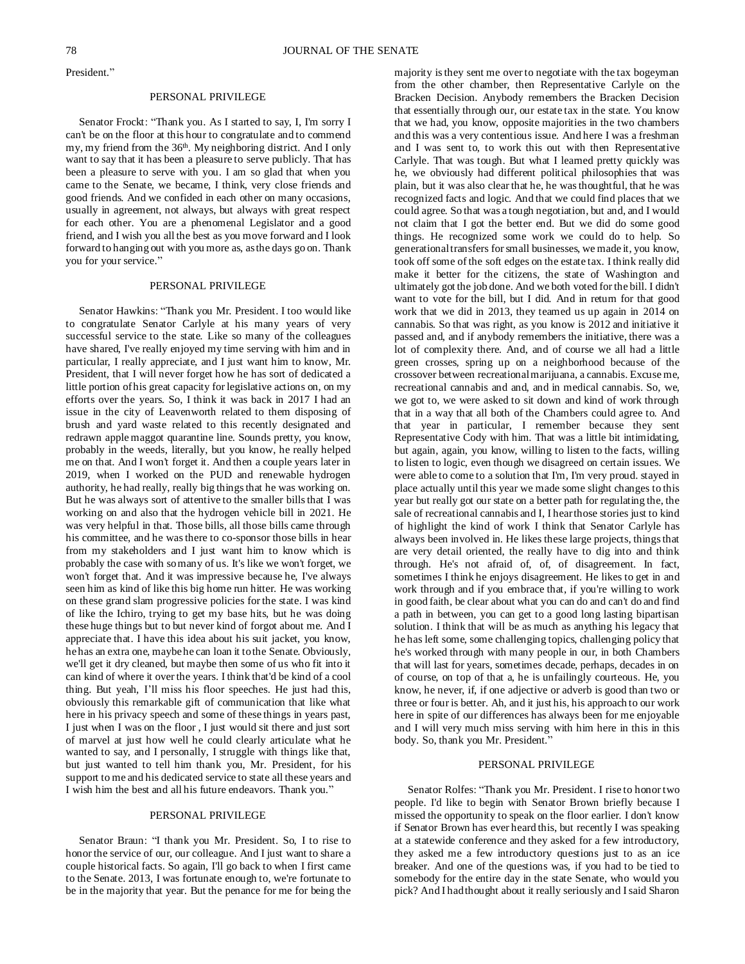President."

#### PERSONAL PRIVILEGE

Senator Frockt: "Thank you. As I started to say, I, I'm sorry I can't be on the floor at this hour to congratulate and to commend my, my friend from the 36<sup>th</sup>. My neighboring district. And I only want to say that it has been a pleasure to serve publicly. That has been a pleasure to serve with you. I am so glad that when you came to the Senate, we became, I think, very close friends and good friends. And we confided in each other on many occasions, usually in agreement, not always, but always with great respect for each other. You are a phenomenal Legislator and a good friend, and I wish you all the best as you move forward and I look forward to hanging out with you more as, as the days go on. Thank you for your service."

### PERSONAL PRIVILEGE

Senator Hawkins: "Thank you Mr. President. I too would like to congratulate Senator Carlyle at his many years of very successful service to the state. Like so many of the colleagues have shared, I've really enjoyed my time serving with him and in particular, I really appreciate, and I just want him to know, Mr. President, that I will never forget how he has sort of dedicated a little portion of his great capacity for legislative actions on, on my efforts over the years. So, I think it was back in 2017 I had an issue in the city of Leavenworth related to them disposing of brush and yard waste related to this recently designated and redrawn apple maggot quarantine line. Sounds pretty, you know, probably in the weeds, literally, but you know, he really helped me on that. And I won't forget it. And then a couple years later in 2019, when I worked on the PUD and renewable hydrogen authority, he had really, really big things that he was working on. But he was always sort of attentive to the smaller bills that I was working on and also that the hydrogen vehicle bill in 2021. He was very helpful in that. Those bills, all those bills came through his committee, and he was there to co-sponsor those bills in hear from my stakeholders and I just want him to know which is probably the case with so many of us. It's like we won't forget, we won't forget that. And it was impressive because he, I've always seen him as kind of like this big home run hitter. He was working on these grand slam progressive policies for the state. I was kind of like the Ichiro, trying to get my base hits, but he was doing these huge things but to but never kind of forgot about me. And I appreciate that. I have this idea about his suit jacket, you know, he has an extra one, maybe he can loan it to the Senate. Obviously, we'll get it dry cleaned, but maybe then some of us who fit into it can kind of where it over the years. I think that'd be kind of a cool thing. But yeah, I'll miss his floor speeches. He just had this, obviously this remarkable gift of communication that like what here in his privacy speech and some of these things in years past, I just when I was on the floor , I just would sit there and just sort of marvel at just how well he could clearly articulate what he wanted to say, and I personally, I struggle with things like that, but just wanted to tell him thank you, Mr. President, for his support to me and his dedicated service to state all these years and I wish him the best and all his future endeavors. Thank you."

# PERSONAL PRIVILEGE

Senator Braun: "I thank you Mr. President. So, I to rise to honor the service of our, our colleague. And I just want to share a couple historical facts. So again, I'll go back to when I first came to the Senate. 2013, I was fortunate enough to, we're fortunate to be in the majority that year. But the penance for me for being the majority is they sent me over to negotiate with the tax bogeyman from the other chamber, then Representative Carlyle on the Bracken Decision. Anybody remembers the Bracken Decision that essentially through our, our estate tax in the state. You know that we had, you know, opposite majorities in the two chambers and this was a very contentious issue. And here I was a freshman and I was sent to, to work this out with then Representative Carlyle. That was tough. But what I learned pretty quickly was he, we obviously had different political philosophies that was plain, but it was also clear that he, he was thoughtful, that he was recognized facts and logic. And that we could find places that we could agree. So that was a tough negotiation, but and, and I would not claim that I got the better end. But we did do some good things. He recognized some work we could do to help. So generational transfers forsmall businesses, we made it, you know, took off some of the soft edges on the estate tax. I think really did make it better for the citizens, the state of Washington and ultimately got the job done. And we both voted for the bill. I didn't want to vote for the bill, but I did. And in return for that good work that we did in 2013, they teamed us up again in 2014 on cannabis. So that was right, as you know is 2012 and initiative it passed and, and if anybody remembers the initiative, there was a lot of complexity there. And, and of course we all had a little green crosses, spring up on a neighborhood because of the crossover between recreational marijuana, a cannabis. Excuse me, recreational cannabis and and, and in medical cannabis. So, we, we got to, we were asked to sit down and kind of work through that in a way that all both of the Chambers could agree to. And that year in particular, I remember because they sent Representative Cody with him. That was a little bit intimidating, but again, again, you know, willing to listen to the facts, willing to listen to logic, even though we disagreed on certain issues. We were able to come to a solution that I'm, I'm very proud. stayed in place actually until this year we made some slight changes to this year but really got our state on a better path for regulating the, the sale of recreational cannabis and I, I hear those stories just to kind of highlight the kind of work I think that Senator Carlyle has always been involved in. He likes these large projects, things that are very detail oriented, the really have to dig into and think through. He's not afraid of, of, of disagreement. In fact, sometimes I think he enjoys disagreement. He likes to get in and work through and if you embrace that, if you're willing to work in good faith, be clear about what you can do and can't do and find a path in between, you can get to a good long lasting bipartisan solution. I think that will be as much as anything his legacy that he has left some, some challenging topics, challenging policy that he's worked through with many people in our, in both Chambers that will last for years, sometimes decade, perhaps, decades in on of course, on top of that a, he is unfailingly courteous. He, you know, he never, if, if one adjective or adverb is good than two or three or four is better. Ah, and it just his, his approach to our work here in spite of our differences has always been for me enjoyable and I will very much miss serving with him here in this in this body. So, thank you Mr. President."

# PERSONAL PRIVILEGE

Senator Rolfes: "Thank you Mr. President. I rise to honor two people. I'd like to begin with Senator Brown briefly because I missed the opportunity to speak on the floor earlier. I don't know if Senator Brown has ever heard this, but recently I was speaking at a statewide conference and they asked for a few introductory, they asked me a few introductory questions just to as an ice breaker. And one of the questions was, if you had to be tied to somebody for the entire day in the state Senate, who would you pick? And I had thought about it really seriously and I said Sharon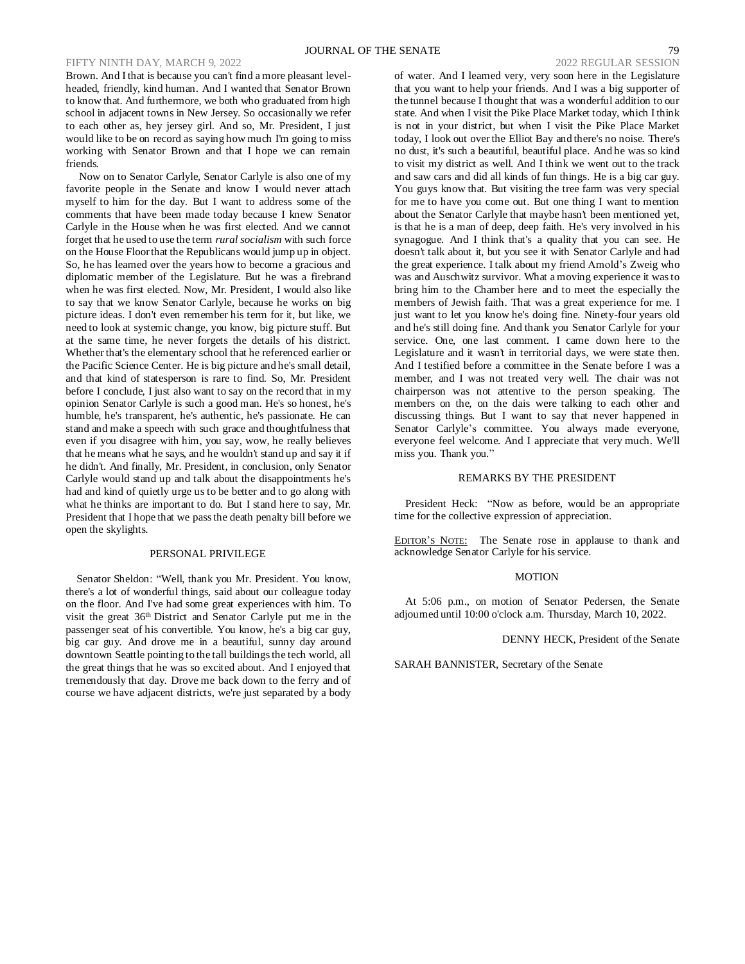# FIFTY NINTH DAY, MARCH 9, 2022 2022 REGULAR SESSION

Brown. And I that is because you can't find a more pleasant levelheaded, friendly, kind human. And I wanted that Senator Brown to know that. And furthermore, we both who graduated from high school in adjacent towns in New Jersey. So occasionally we refer to each other as, hey jersey girl. And so, Mr. President, I just would like to be on record as saying how much I'm going to miss working with Senator Brown and that I hope we can remain friends.

Now on to Senator Carlyle, Senator Carlyle is also one of my favorite people in the Senate and know I would never attach myself to him for the day. But I want to address some of the comments that have been made today because I knew Senator Carlyle in the House when he was first elected. And we cannot forget that he used to use the term *rural socialism* with such force on the House Floor that the Republicans would jump up in object. So, he has learned over the years how to become a gracious and diplomatic member of the Legislature. But he was a firebrand when he was first elected. Now, Mr. President, I would also like to say that we know Senator Carlyle, because he works on big picture ideas. I don't even remember his term for it, but like, we need to look at systemic change, you know, big picture stuff. But at the same time, he never forgets the details of his district. Whether that's the elementary school that he referenced earlier or the Pacific Science Center. He is big picture and he's small detail, and that kind of statesperson is rare to find. So, Mr. President before I conclude, I just also want to say on the record that in my opinion Senator Carlyle is such a good man. He's so honest, he's humble, he's transparent, he's authentic, he's passionate. He can stand and make a speech with such grace and thoughtfulness that even if you disagree with him, you say, wow, he really believes that he means what he says, and he wouldn't stand up and say it if he didn't. And finally, Mr. President, in conclusion, only Senator Carlyle would stand up and talk about the disappointments he's had and kind of quietly urge us to be better and to go along with what he thinks are important to do. But I stand here to say, Mr. President that I hope that we pass the death penalty bill before we open the skylights.

## PERSONAL PRIVILEGE

Senator Sheldon: "Well, thank you Mr. President. You know, there's a lot of wonderful things, said about our colleague today on the floor. And I've had some great experiences with him. To visit the great 36th District and Senator Carlyle put me in the passenger seat of his convertible. You know, he's a big car guy, big car guy. And drove me in a beautiful, sunny day around downtown Seattle pointing to the tall buildings the tech world, all the great things that he was so excited about. And I enjoyed that tremendously that day. Drove me back down to the ferry and of course we have adjacent districts, we're just separated by a body

of water. And I learned very, very soon here in the Legislature that you want to help your friends. And I was a big supporter of the tunnel because I thought that was a wonderful addition to our state. And when I visit the Pike Place Market today, which I think is not in your district, but when I visit the Pike Place Market today, I look out over the Elliot Bay and there's no noise. There's no dust, it's such a beautiful, beautiful place. And he was so kind to visit my district as well. And I think we went out to the track and saw cars and did all kinds of fun things. He is a big car guy. You guys know that. But visiting the tree farm was very special for me to have you come out. But one thing I want to mention about the Senator Carlyle that maybe hasn't been mentioned yet, is that he is a man of deep, deep faith. He's very involved in his synagogue. And I think that's a quality that you can see. He doesn't talk about it, but you see it with Senator Carlyle and had the great experience. I talk about my friend Arnold's Zweig who was and Auschwitz survivor. What a moving experience it was to bring him to the Chamber here and to meet the especially the members of Jewish faith. That was a great experience for me. I just want to let you know he's doing fine. Ninety-four years old and he's still doing fine. And thank you Senator Carlyle for your service. One, one last comment. I came down here to the Legislature and it wasn't in territorial days, we were state then. And I testified before a committee in the Senate before I was a member, and I was not treated very well. The chair was not chairperson was not attentive to the person speaking. The members on the, on the dais were talking to each other and discussing things. But I want to say that never happened in Senator Carlyle's committee. You always made everyone, everyone feel welcome. And I appreciate that very much. We'll miss you. Thank you."

#### REMARKS BY THE PRESIDENT

President Heck: "Now as before, would be an appropriate time for the collective expression of appreciation.

EDITOR'S NOTE: The Senate rose in applause to thank and acknowledge Senator Carlyle for his service.

# MOTION

At 5:06 p.m., on motion of Senator Pedersen, the Senate adjourned until 10:00 o'clock a.m. Thursday, March 10, 2022.

DENNY HECK, President of the Senate

SARAH BANNISTER, Secretary of the Senate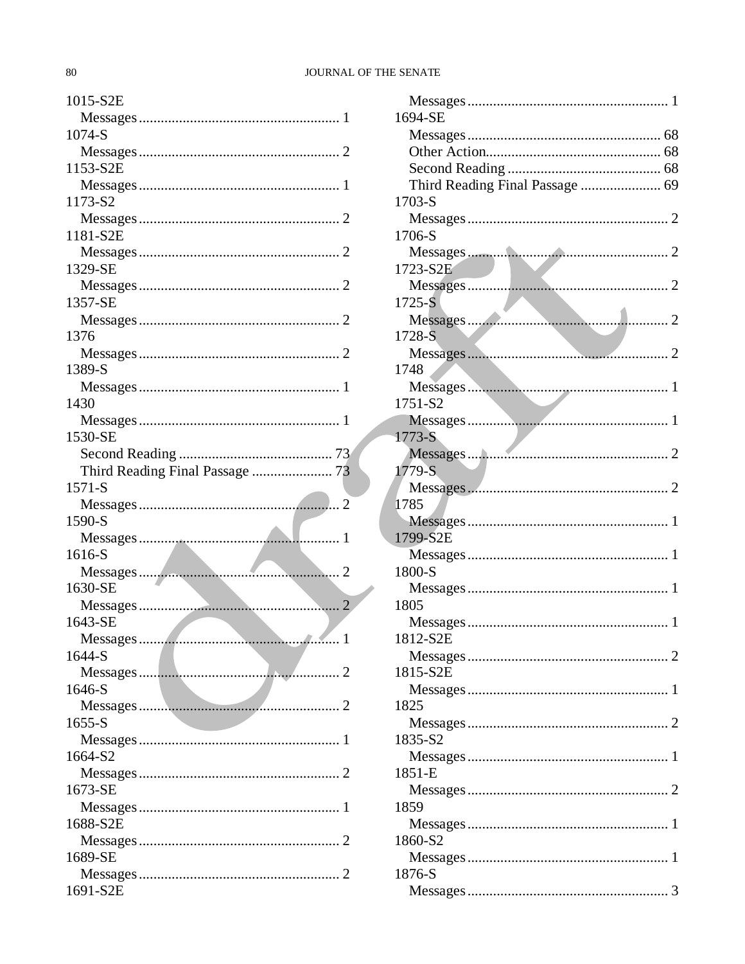# JOURNAL OF THE SENATE

| 1015-S2E      |
|---------------|
|               |
| 1074-S        |
|               |
| 1153-S2E      |
|               |
| 1173-S2       |
|               |
| 1181-S2E      |
|               |
| 1329-SE       |
|               |
| 1357-SE       |
|               |
| 1376          |
|               |
| 1389-S        |
|               |
| 1430          |
|               |
| 1530-SE       |
|               |
|               |
| $1571 - S$    |
|               |
| 1590-S        |
|               |
| 1616-S        |
|               |
| 1630-SE       |
|               |
| 1643-SE       |
| 1<br>Messages |
| 1644-S        |
|               |
| 1646-S        |
|               |
| $1655 - S$    |
|               |
| 1664-S2       |
|               |
|               |
|               |
| 1673-SE       |
|               |
| 1688-S2E      |
|               |
| 1689-SE       |
| 1691-S2E      |

| 1694-SE                         |  |
|---------------------------------|--|
|                                 |  |
|                                 |  |
|                                 |  |
| Third Reading Final Passage  69 |  |
| $1703-S$                        |  |
|                                 |  |
| 1706-S                          |  |
|                                 |  |
| 1723-S2E                        |  |
|                                 |  |
| $1725 - S$                      |  |
| 1728-S                          |  |
|                                 |  |
| 1748                            |  |
|                                 |  |
| 1751-S2                         |  |
|                                 |  |
| $1773-S$                        |  |
|                                 |  |
| 1779-S                          |  |
|                                 |  |
| 1785                            |  |
|                                 |  |
| 1799-S2E                        |  |
|                                 |  |
| 1800-S                          |  |
|                                 |  |
| 1805                            |  |
| 1812-S2E                        |  |
|                                 |  |
| 1815-S2E                        |  |
|                                 |  |
| 1825                            |  |
|                                 |  |
| 1835-S2                         |  |
|                                 |  |
| 1851-E                          |  |
|                                 |  |
| 1859                            |  |
|                                 |  |
| 1860-S2                         |  |
| 1876-S                          |  |
|                                 |  |
|                                 |  |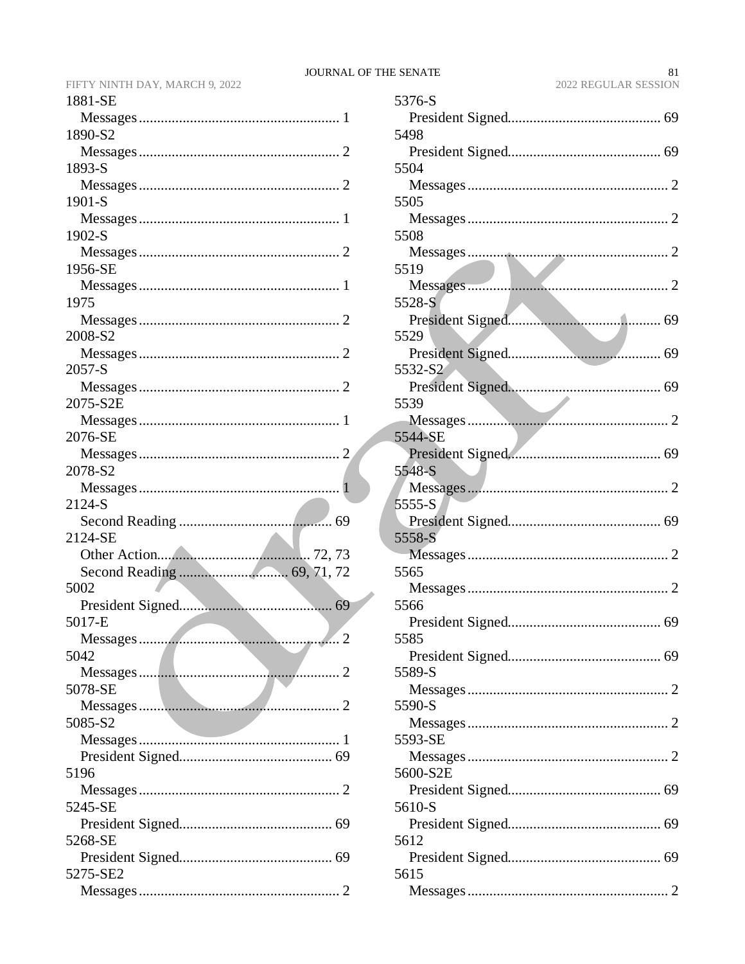| 1881-SE       |
|---------------|
|               |
| 1890-S2       |
|               |
| 1893-S        |
|               |
| 1901-S        |
|               |
| 1902-S        |
|               |
| 1956-SE       |
|               |
| 1975          |
| 2008-S2       |
|               |
| 2057-S        |
|               |
| 2075-S2E      |
|               |
| 2076-SE       |
|               |
| 2078-S2       |
|               |
| 2124-S        |
|               |
| 2124-SE       |
| 72, 73        |
|               |
| 5002          |
|               |
| 5017-E        |
| . 2<br>.<br>. |
| 5042          |
|               |
| 5078-SE       |
|               |
| 5085-S2       |
|               |
|               |
| 5196          |
| 5245-SE       |
|               |
| 5268-SE       |
|               |
| 5275-SE2      |
|               |
|               |

| 5376-S   |  |
|----------|--|
| 5498     |  |
|          |  |
| 5504     |  |
|          |  |
| 5505     |  |
|          |  |
| 5508     |  |
| 5519     |  |
|          |  |
| 5528-S   |  |
|          |  |
| 5529     |  |
|          |  |
| 5532-S2  |  |
| 5539     |  |
|          |  |
| 5544-SE  |  |
|          |  |
| 5548-S   |  |
|          |  |
| $5555-S$ |  |
|          |  |
| 5558-S   |  |
| 5565     |  |
|          |  |
| 5566     |  |
|          |  |
| 5585     |  |
|          |  |
| 5589-S   |  |
| 5590-S   |  |
|          |  |
| 5593-SE  |  |
|          |  |
| 5600-S2E |  |
|          |  |
| 5610-S   |  |
|          |  |
| 5612     |  |
| 5615     |  |
|          |  |
|          |  |

# $81\,$ 2022 REGULAR SESSION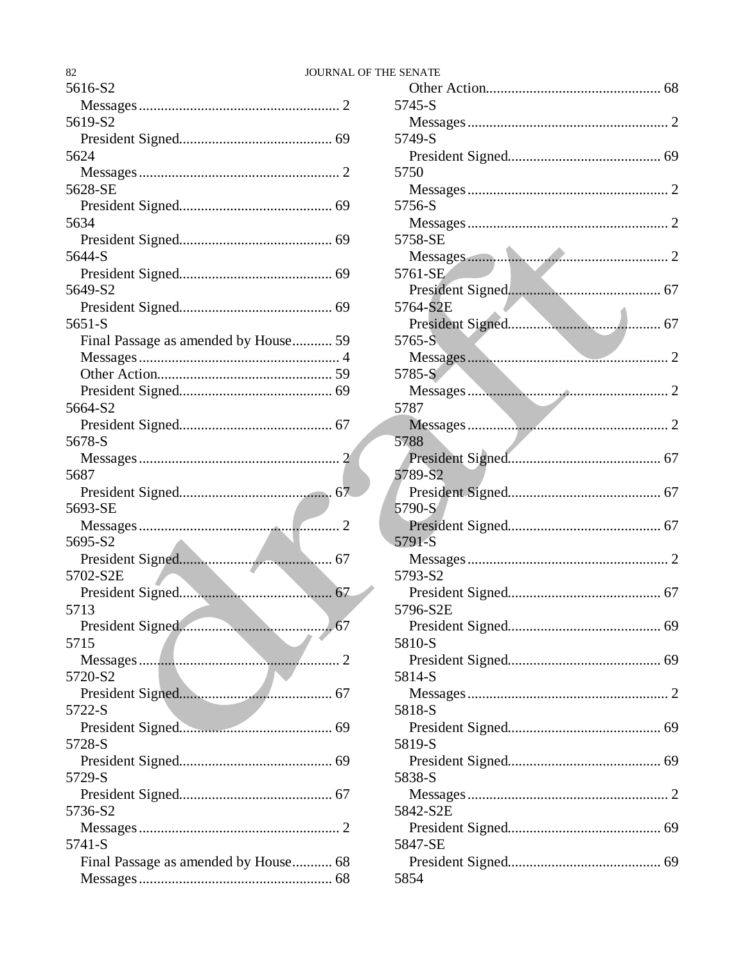| 82                                   | <b>JOURNAL OF THE SENATE</b> |          |
|--------------------------------------|------------------------------|----------|
| 5616-S2                              |                              | Other    |
|                                      |                              | 5745-S   |
| 5619-S2                              |                              | Messa    |
|                                      |                              | 5749-S   |
| 5624                                 |                              | Presic   |
|                                      |                              | 5750     |
| 5628-SE                              |                              | Messa    |
|                                      |                              | 5756-S   |
| 5634                                 |                              | Messa    |
|                                      |                              | 5758-SE  |
| 5644-S                               |                              | Messa    |
|                                      |                              | 5761-SE  |
| 5649-S2                              |                              | Presic   |
|                                      |                              | 5764-S2  |
| 5651-S                               |                              | Presic   |
| Final Passage as amended by House 59 |                              | $5765-S$ |
|                                      |                              | Messa    |
|                                      |                              | 5785-S   |
|                                      |                              | Messa    |
|                                      |                              |          |
| 5664-S2                              |                              | 5787     |
|                                      |                              | Messa    |
| 5678-S                               |                              | 5788     |
|                                      |                              | Presic   |
| 5687                                 |                              | 5789-S2  |
|                                      |                              | Presio   |
| 5693-SE                              |                              | 5790-S   |
|                                      |                              | Presid   |
| 5695-S2                              |                              | 5791-S   |
|                                      |                              | Messa    |
| 5702-S2E                             |                              | 5793-S2  |
|                                      |                              | Presic   |
| 5713                                 |                              | 5796-S2  |
| President Signed                     |                              | Presic   |
| 5715                                 |                              | 5810-S   |
|                                      |                              | Presid   |
| 5720-S2                              |                              | 5814-S   |
|                                      |                              | Messa    |
| 5722-S                               |                              | 5818-S   |
|                                      |                              | Presic   |
| 5728-S                               |                              | 5819-S   |
|                                      |                              | Presid   |
| 5729-S                               |                              | 5838-S   |
|                                      |                              | Messa    |
| 5736-S2                              |                              | 5842-S2  |
|                                      |                              | Presic   |
| 5741-S                               |                              | 5847-SE  |
| Final Passage as amended by House 68 |                              | Presic   |
|                                      |                              | 5854     |
|                                      |                              |          |

| 5745-S   |
|----------|
|          |
| 5749-S   |
|          |
| 5750     |
|          |
| 5756-S   |
|          |
| 5758-SE  |
|          |
| 5761-SE  |
|          |
| 5764-S2E |
|          |
| 5765-S   |
|          |
| 5785-S   |
|          |
| 5787     |
|          |
| 5788     |
|          |
| 5789-S2  |
|          |
| 5790-S   |
|          |
| 5791-S   |
|          |
| 5793-S2  |
|          |
| 5796-S2E |
|          |
| 5810-S   |
|          |
| 5814-S   |
|          |
| 5818-S   |
|          |
| 5819-S   |
|          |
| 5838-S   |
|          |
| 5842-S2E |
|          |
| 5847-SE  |
|          |
| 5854     |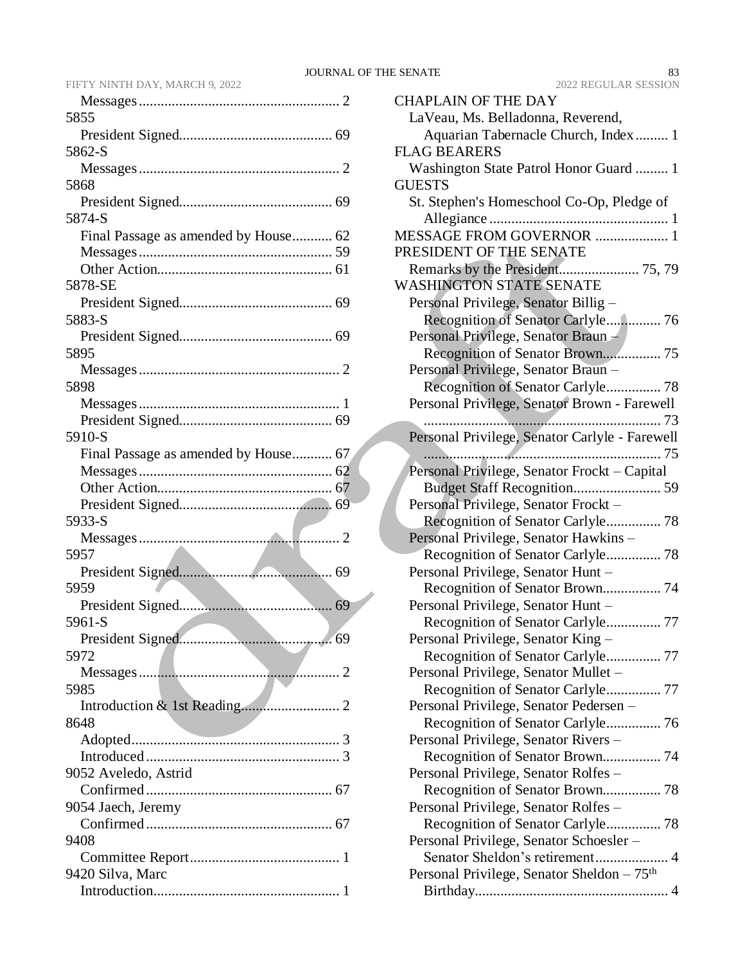| 5855                                 |
|--------------------------------------|
|                                      |
| 5862-S                               |
|                                      |
| 5868                                 |
|                                      |
| 5874-S                               |
| Final Passage as amended by House 62 |
|                                      |
|                                      |
|                                      |
| 5878-SE                              |
|                                      |
| 5883-S                               |
|                                      |
| 5895                                 |
|                                      |
| 5898                                 |
|                                      |
|                                      |
| 5910-S                               |
| Final Passage as amended by House 67 |
|                                      |
|                                      |
|                                      |
|                                      |
|                                      |
| 5933-S                               |
|                                      |
| 5957                                 |
|                                      |
| 5959                                 |
|                                      |
| 5961-S                               |
| 69                                   |
| 5972                                 |
|                                      |
| 5985                                 |
|                                      |
|                                      |
| 8648                                 |
|                                      |
|                                      |
| 9052 Aveledo, Astrid                 |
|                                      |
| 9054 Jaech, Jeremy                   |
|                                      |
| 9408                                 |
|                                      |
| 9420 Silva, Marc                     |

|                 | <b>ZUZZ INEQUEAR SESSION</b>                                            |
|-----------------|-------------------------------------------------------------------------|
| $\cdot$ 2       | <b>CHAPLAIN OF THE DAY</b>                                              |
|                 | LaVeau, Ms. Belladonna, Reverend,                                       |
| 69              | Aquarian Tabernacle Church, Index 1                                     |
|                 | <b>FLAG BEARERS</b>                                                     |
| $\cdot$ 2       | Washington State Patrol Honor Guard  1                                  |
| 69              | <b>GUESTS</b>                                                           |
|                 | St. Stephen's Homeschool Co-Op, Pledge of                               |
| 62              | MESSAGE FROM GOVERNOR  1                                                |
| 59              | PRESIDENT OF THE SENATE                                                 |
| 61              |                                                                         |
|                 | <b>WASHINGTON STATE SENATE</b>                                          |
| 69              | Personal Privilege, Senator Billig -                                    |
|                 | Recognition of Senator Carlyle 76                                       |
| 69              | Personal Privilege, Senator Braun -                                     |
|                 |                                                                         |
| $\cdot$ 2       | Personal Privilege, Senator Braun -                                     |
|                 | Recognition of Senator Carlyle 78                                       |
| 1               | Personal Privilege, Senator Brown - Farewell                            |
| 69              |                                                                         |
|                 | Personal Privilege, Senator Carlyle - Farewell                          |
| 67              |                                                                         |
| 62              | Personal Privilege, Senator Frockt - Capital                            |
| 67              |                                                                         |
| 69              | Personal Privilege, Senator Frockt -                                    |
|                 |                                                                         |
| $\cdot$ 2       | Personal Privilege, Senator Hawkins-                                    |
| 69              | Recognition of Senator Carlyle 78<br>Personal Privilege, Senator Hunt - |
|                 | Recognition of Senator Brown 74                                         |
| 69              | Personal Privilege, Senator Hunt -                                      |
|                 | Recognition of Senator Carlyle 77                                       |
| 69              | Personal Privilege, Senator King -                                      |
|                 | Recognition of Senator Carlyle 77                                       |
| $\ldots$ 2      | Personal Privilege, Senator Mullet –                                    |
|                 |                                                                         |
| 2               | Personal Privilege, Senator Pedersen -                                  |
|                 |                                                                         |
| 3               | Personal Privilege, Senator Rivers -                                    |
| $\cdot \cdot$ 3 | Recognition of Senator Brown 74                                         |
|                 | Personal Privilege, Senator Rolfes -                                    |
| 67              | Recognition of Senator Brown 78                                         |
|                 | Personal Privilege, Senator Rolfes –                                    |
| 67              |                                                                         |
|                 | Personal Privilege, Senator Schoesler –                                 |
| 1               | Senator Sheldon's retirement 4                                          |
|                 | Personal Privilege, Senator Sheldon - 75 <sup>th</sup>                  |
| $\ldots$ 1      |                                                                         |